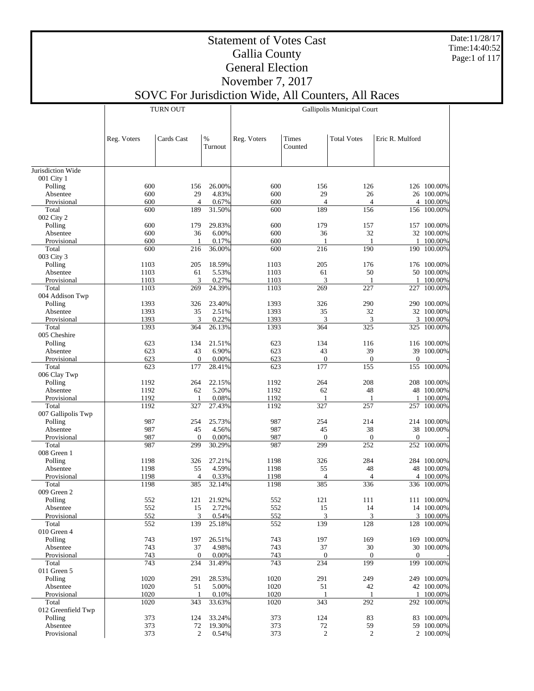Date:11/28/17 Time:14:40:52 Page:1 of 117

## Statement of Votes Cast Gallia County General Election

November 7, 2017 SOVC For Jurisdiction Wide, All Counters, All Races

|                         |              | <b>TURN OUT</b>       |                 | Gallipolis Municipal Court |                         |                       |                 |                          |  |  |
|-------------------------|--------------|-----------------------|-----------------|----------------------------|-------------------------|-----------------------|-----------------|--------------------------|--|--|
|                         | Reg. Voters  | Cards Cast            | $\%$<br>Turnout | Reg. Voters                | <b>Times</b><br>Counted | <b>Total Votes</b>    | Eric R. Mulford |                          |  |  |
| Jurisdiction Wide       |              |                       |                 |                            |                         |                       |                 |                          |  |  |
| 001 City 1              |              |                       |                 |                            |                         |                       |                 |                          |  |  |
| Polling                 | 600          | 156                   | 26.00%          | 600                        | 156                     | 126                   |                 | 126 100.00%              |  |  |
| Absentee                | 600          | 29                    | 4.83%           | 600                        | 29                      | 26                    |                 | 26 100.00%               |  |  |
| Provisional             | 600          | $\overline{4}$        | 0.67%           | 600                        | $\overline{4}$          | $\overline{4}$        |                 | 4 100.00%                |  |  |
| Total                   | 600          | 189                   | 31.50%          | 600                        | 189                     | 156                   |                 | 156 100.00%              |  |  |
| 002 City 2              |              |                       |                 |                            |                         |                       |                 |                          |  |  |
| Polling                 | 600          | 179                   | 29.83%          | 600                        | 179                     | 157                   |                 | 157 100.00%              |  |  |
| Absentee                | 600          | 36                    | 6.00%           | 600                        | 36                      | 32                    |                 | 32 100.00%               |  |  |
| Provisional             | 600          | 1                     | 0.17%           | 600                        | 1                       | 1                     | 1               | 100.00%                  |  |  |
| Total<br>003 City 3     | 600          | 216                   | 36.00%          | 600                        | 216                     | 190                   |                 | 190 100.00%              |  |  |
| Polling                 | 1103         | 205                   | 18.59%          | 1103                       | 205                     | 176                   |                 | 176 100.00%              |  |  |
| Absentee                | 1103         | 61                    | 5.53%           | 1103                       | 61                      | 50                    |                 | 50 100.00%               |  |  |
| Provisional             | 1103         | 3                     | 0.27%           | 1103                       | 3                       | 1                     |                 | 1 100.00%                |  |  |
| Total                   | 1103         | 269                   | 24.39%          | 1103                       | 269                     | 227                   |                 | 227 100.00%              |  |  |
| 004 Addison Twp         |              |                       |                 |                            |                         |                       |                 |                          |  |  |
| Polling                 | 1393         | 326                   | 23.40%          | 1393                       | 326                     | 290                   |                 | 290 100.00%              |  |  |
| Absentee                | 1393         | 35                    | 2.51%           | 1393                       | 35                      | 32                    |                 | 32 100.00%               |  |  |
| Provisional             | 1393         | 3                     | 0.22%           | 1393                       | 3                       | 3                     |                 | 3 100.00%                |  |  |
| Total                   | 1393         | 364                   | 26.13%          | 1393                       | 364                     | 325                   |                 | 325 100.00%              |  |  |
| 005 Cheshire            |              |                       |                 |                            |                         |                       |                 |                          |  |  |
| Polling                 | 623          | 134                   | 21.51%          | 623                        | 134                     | 116                   |                 | 116 100.00%              |  |  |
| Absentee                | 623          | 43                    | 6.90%           | 623                        | 43                      | 39                    |                 | 39 100.00%               |  |  |
| Provisional             | 623          | $\mathbf{0}$          | 0.00%           | 623                        | $\overline{0}$          | $\mathbf{0}$          | $\mathbf{0}$    |                          |  |  |
| Total                   | 623          | 177                   | 28.41%          | 623                        | 177                     | 155                   |                 | 155 100.00%              |  |  |
| 006 Clay Twp<br>Polling | 1192         | 264                   | 22.15%          | 1192                       | 264                     | 208                   |                 | 208 100.00%              |  |  |
| Absentee                | 1192         | 62                    | 5.20%           | 1192                       | 62                      | 48                    |                 | 48 100.00%               |  |  |
| Provisional             | 1192         | 1                     | 0.08%           | 1192                       | 1                       | 1                     | 1               | 100.00%                  |  |  |
| Total                   | 1192         | 327                   | 27.43%          | 1192                       | 327                     | 257                   |                 | 257 100.00%              |  |  |
| 007 Gallipolis Twp      |              |                       |                 |                            |                         |                       |                 |                          |  |  |
| Polling                 | 987          | 254                   | 25.73%          | 987                        | 254                     | 214                   |                 | 214 100.00%              |  |  |
| Absentee                | 987          | 45                    | 4.56%           | 987                        | 45                      | 38                    |                 | 38 100.00%               |  |  |
| Provisional             | 987          | $\mathbf{0}$          | 0.00%           | 987                        | $\mathbf{0}$            | $\boldsymbol{0}$      | $\mathbf{0}$    |                          |  |  |
| Total                   | 987          | 299                   | 30.29%          | 987                        | 299                     | 252                   |                 | 252 100.00%              |  |  |
| 008 Green 1             |              |                       |                 |                            |                         |                       |                 |                          |  |  |
| Polling                 | 1198         | 326                   | 27.21%          | 1198                       | 326                     | 284                   |                 | 284 100.00%              |  |  |
| Absentee                | 1198         | 55                    | 4.59%           | 1198                       | 55                      | 48                    |                 | 48 100.00%               |  |  |
| Provisional<br>Total    | 1198<br>1198 | $\overline{4}$<br>385 | 0.33%<br>32.14% | 1198<br>1198               | 4<br>385                | $\overline{4}$<br>336 |                 | 4 100.00%<br>336 100.00% |  |  |
| 009 Green 2             |              |                       |                 |                            |                         |                       |                 |                          |  |  |
| Polling                 | 552          | 121                   | 21.92%          | 552                        | 121                     | 111                   |                 | 111 100.00%              |  |  |
| Absentee                | 552          | 15                    | 2.72%           | 552                        | 15                      | 14                    |                 | 14 100.00%               |  |  |
| Provisional             | 552          | 3                     | 0.54%           | 552                        | $\mathfrak{Z}$          | 3                     |                 | 3 100.00%                |  |  |
| Total                   | 552          | 139                   | 25.18%          | 552                        | 139                     | 128                   |                 | 128 100.00%              |  |  |
| 010 Green 4             |              |                       |                 |                            |                         |                       |                 |                          |  |  |
| Polling                 | 743          | 197                   | 26.51%          | 743                        | 197                     | 169                   |                 | 169 100.00%              |  |  |
| Absentee                | 743          | 37                    | 4.98%           | 743                        | 37                      | 30                    |                 | 30 100.00%               |  |  |
| Provisional             | 743          | $\theta$              | 0.00%           | 743                        | $\mathbf{0}$            | $\Omega$              | $\Omega$        |                          |  |  |
| Total                   | 743          | 234                   | 31.49%          | 743                        | 234                     | 199                   |                 | 199 100.00%              |  |  |
| 011 Green 5             |              |                       |                 |                            |                         |                       |                 |                          |  |  |
| Polling                 | 1020         | 291                   | 28.53%          | 1020                       | 291                     | 249                   |                 | 249 100.00%              |  |  |
| Absentee<br>Provisional | 1020<br>1020 | 51<br>-1              | 5.00%<br>0.10%  | 1020<br>1020               | 51<br>$\mathbf{1}$      | 42<br>-1              |                 | 42 100.00%               |  |  |
| Total                   | 1020         | 343                   | 33.63%          | 1020                       | 343                     | 292                   |                 | 1 100.00%<br>292 100.00% |  |  |
| 012 Greenfield Twp      |              |                       |                 |                            |                         |                       |                 |                          |  |  |
| Polling                 | 373          | 124                   | 33.24%          | 373                        | 124                     | 83                    |                 | 83 100.00%               |  |  |
| Absentee                | 373          | 72                    | 19.30%          | 373                        | $72\,$                  | 59                    |                 | 59 100.00%               |  |  |
| Provisional             | 373          | $\overline{c}$        | 0.54%           | 373                        | $\sqrt{2}$              | $\sqrt{2}$            |                 | 2 100.00%                |  |  |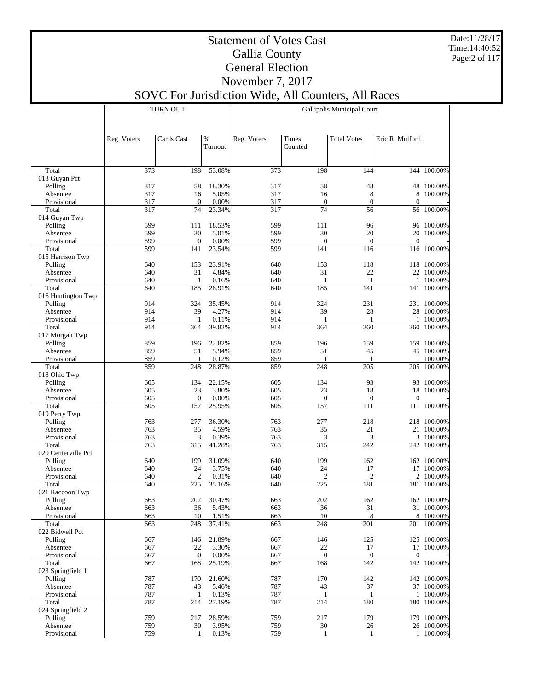Date:11/28/17 Time:14:40:52 Page:2 of 117

T

#### Statement of Votes Cast Gallia County General Election November 7, 2017

|                          |             | <b>TURN OUT</b> |                 | Gallipolis Municipal Court |                         |                     |                 |                           |  |  |
|--------------------------|-------------|-----------------|-----------------|----------------------------|-------------------------|---------------------|-----------------|---------------------------|--|--|
|                          | Reg. Voters | Cards Cast      | $\%$<br>Turnout | Reg. Voters                | <b>Times</b><br>Counted | <b>Total Votes</b>  | Eric R. Mulford |                           |  |  |
|                          |             |                 |                 |                            |                         |                     |                 |                           |  |  |
| Total                    | 373         | 198             | 53.08%          | 373                        | 198                     | 144                 |                 | 144 100.00%               |  |  |
| 013 Guyan Pct<br>Polling | 317         | 58              | 18.30%          | 317                        | 58                      | 48                  |                 | 48 100.00%                |  |  |
| Absentee                 | 317         | 16              | 5.05%           | 317                        | 16                      | $\,$ 8 $\,$         |                 | 8 100.00%                 |  |  |
| Provisional              | 317         | $\mathbf{0}$    | 0.00%           | 317                        | $\mathbf{0}$            | $\overline{0}$      | $\overline{0}$  |                           |  |  |
| Total                    | 317         | 74              | 23.34%          | 317                        | 74                      | 56                  |                 | 56 100.00%                |  |  |
| 014 Guyan Twp<br>Polling | 599         | 111             | 18.53%          | 599                        | 111                     | 96                  |                 | 96 100.00%                |  |  |
| Absentee                 | 599         | 30              | 5.01%           | 599                        | 30                      | 20                  |                 | 20 100.00%                |  |  |
| Provisional              | 599         | $\mathbf{0}$    | 0.00%           | 599                        | $\theta$                | $\mathbf{0}$        | $\Omega$        |                           |  |  |
| Total                    | 599         | 141             | 23.54%          | 599                        | 141                     | 116                 |                 | 116 100.00%               |  |  |
| 015 Harrison Twp         |             |                 |                 |                            |                         |                     |                 |                           |  |  |
| Polling<br>Absentee      | 640<br>640  | 153<br>31       | 23.91%<br>4.84% | 640<br>640                 | 153<br>31               | 118<br>22           |                 | 118 100.00%<br>22 100.00% |  |  |
| Provisional              | 640         | 1               | 0.16%           | 640                        | $\mathbf{1}$            | -1                  |                 | 1 100.00%                 |  |  |
| Total                    | 640         | 185             | 28.91%          | 640                        | 185                     | 141                 |                 | 141 100.00%               |  |  |
| 016 Huntington Twp       |             |                 |                 |                            |                         |                     |                 |                           |  |  |
| Polling                  | 914         | 324             | 35.45%          | 914                        | 324                     | 231                 |                 | 231 100.00%               |  |  |
| Absentee                 | 914         | 39              | 4.27%           | 914                        | 39                      | 28                  |                 | 28 100.00%                |  |  |
| Provisional<br>Total     | 914<br>914  | 1<br>364        | 0.11%<br>39.82% | 914<br>914                 | $\overline{1}$<br>364   | 1<br>260            | 1               | 100.00%<br>260 100.00%    |  |  |
| 017 Morgan Twp           |             |                 |                 |                            |                         |                     |                 |                           |  |  |
| Polling                  | 859         | 196             | 22.82%          | 859                        | 196                     | 159                 |                 | 159 100.00%               |  |  |
| Absentee                 | 859         | 51              | 5.94%           | 859                        | 51                      | 45                  |                 | 45 100.00%                |  |  |
| Provisional              | 859         | 1               | 0.12%           | 859                        | 1                       | 1                   |                 | 1 100.00%                 |  |  |
| Total                    | 859         | 248             | 28.87%          | 859                        | 248                     | 205                 |                 | 205 100.00%               |  |  |
| 018 Ohio Twp<br>Polling  | 605         | 134             | 22.15%          | 605                        | 134                     | 93                  |                 | 93 100.00%                |  |  |
| Absentee                 | 605         | 23              | 3.80%           | 605                        | 23                      | 18                  |                 | 18 100.00%                |  |  |
| Provisional              | 605         | $\Omega$        | 0.00%           | 605                        | $\mathbf{0}$            | $\mathbf{0}$        | $\Omega$        |                           |  |  |
| Total                    | 605         | 157             | 25.95%          | 605                        | 157                     | 111                 |                 | 111 100.00%               |  |  |
| 019 Perry Twp            |             |                 |                 |                            |                         |                     |                 |                           |  |  |
| Polling                  | 763         | 277             | 36.30%          | 763                        | 277                     | 218                 |                 | 218 100.00%               |  |  |
| Absentee<br>Provisional  | 763<br>763  | 35<br>3         | 4.59%<br>0.39%  | 763<br>763                 | 35<br>3                 | 21<br>3             |                 | 21 100.00%<br>3 100.00%   |  |  |
| Total                    | 763         | 315             | 41.28%          | 763                        | 315                     | 242                 |                 | 242 100.00%               |  |  |
| 020 Centerville Pct      |             |                 |                 |                            |                         |                     |                 |                           |  |  |
| Polling                  | 640         | 199             | 31.09%          | 640                        | 199                     | 162                 |                 | 162 100.00%               |  |  |
| Absentee                 | 640         | 24              | 3.75%           | 640                        | 24                      | 17                  |                 | 17 100.00%                |  |  |
| Provisional              | 640         | $\overline{2}$  | 0.31%           | 640                        | $\overline{2}$          | $\overline{c}$      |                 | 2 100.00%                 |  |  |
| Total<br>021 Raccoon Twp | 640         | 225             | 35.16%          | 640                        | 225                     | 181                 |                 | 181 100.00%               |  |  |
| Polling                  | 663         | 202             | 30.47%          | 663                        | 202                     | 162                 |                 | 162 100.00%               |  |  |
| Absentee                 | 663         | 36              | 5.43%           | 663                        | 36                      | 31                  |                 | 31 100.00%                |  |  |
| Provisional              | 663         | 10              | 1.51%           | 663                        | 10                      | 8                   |                 | 8 100.00%                 |  |  |
| Total                    | 663         | 248             | 37.41%          | 663                        | 248                     | 201                 |                 | 201 100.00%               |  |  |
| 022 Bidwell Pct          |             |                 | 21.89%          |                            |                         |                     |                 | 125 100.00%               |  |  |
| Polling<br>Absentee      | 667<br>667  | 146<br>22       | 3.30%           | 667<br>667                 | 146<br>22               | 125<br>17           |                 | 17 100.00%                |  |  |
| Provisional              | 667         | $\mathbf{0}$    | 0.00%           | 667                        | $\mathbf{0}$            | $\theta$            | $\theta$        |                           |  |  |
| Total                    | 667         | 168             | 25.19%          | 667                        | 168                     | 142                 |                 | 142 100.00%               |  |  |
| 023 Springfield 1        |             |                 |                 |                            |                         |                     |                 |                           |  |  |
| Polling                  | 787         | 170             | 21.60%          | 787                        | 170                     | 142                 |                 | 142 100.00%               |  |  |
| Absentee                 | 787         | 43              | 5.46%           | 787                        | 43                      | 37                  |                 | 37 100.00%                |  |  |
| Provisional<br>Total     | 787<br>787  | 1<br>214        | 0.13%<br>27.19% | 787<br>787                 | -1<br>214               | $\mathbf{1}$<br>180 |                 | 1 100.00%<br>180 100.00%  |  |  |
| 024 Springfield 2        |             |                 |                 |                            |                         |                     |                 |                           |  |  |
| Polling                  | 759         | 217             | 28.59%          | 759                        | 217                     | 179                 |                 | 179 100.00%               |  |  |
| Absentee                 | 759         | 30              | 3.95%           | 759                        | 30                      | $26\,$              |                 | 26 100.00%                |  |  |
| Provisional              | 759         | $\mathbf{1}$    | 0.13%           | 759                        | 1                       | 1                   |                 | 1 100.00%                 |  |  |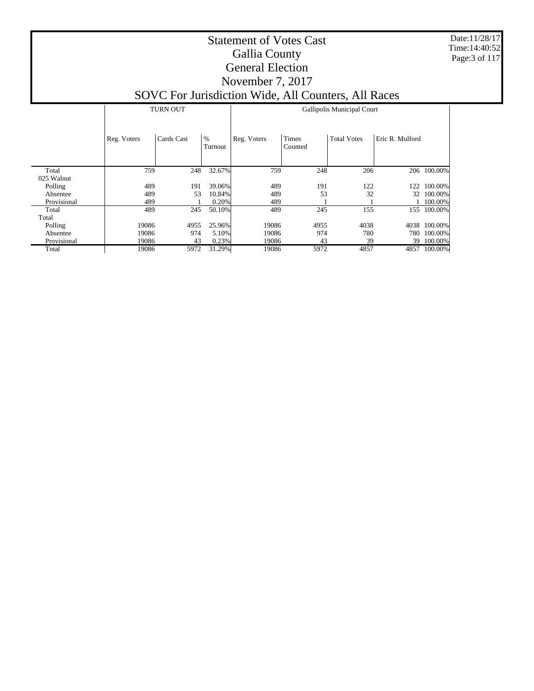Date:11/28/17 Time:14:40:52 Page:3 of 117

### Statement of Votes Cast Gallia County General Election November 7, 2017

|                     |             | <b>TURN OUT</b> |                 | Gallipolis Municipal Court |                         |                    |                 |              |  |  |  |
|---------------------|-------------|-----------------|-----------------|----------------------------|-------------------------|--------------------|-----------------|--------------|--|--|--|
|                     | Reg. Voters | Cards Cast      | $\%$<br>Turnout | Reg. Voters                | <b>Times</b><br>Counted | <b>Total Votes</b> | Eric R. Mulford |              |  |  |  |
| Total<br>025 Walnut | 759         | 248             | 32.67%          | 759                        | 248                     | 206                |                 | 206 100.00%  |  |  |  |
| Polling             | 489         | 191             | 39.06%          | 489                        | 191                     | 122                | 122             | 100.00%      |  |  |  |
| Absentee            | 489         | 53              | 10.84%          | 489                        | 53                      | 32                 |                 | 32 100.00%   |  |  |  |
| Provisional         | 489         |                 | 0.20%           | 489                        |                         |                    |                 | 100.00%      |  |  |  |
| Total               | 489         | 245             | 50.10%          | 489                        | 245                     | 155                |                 | 155 100.00%  |  |  |  |
| Total               |             |                 |                 |                            |                         |                    |                 |              |  |  |  |
| Polling             | 19086       | 4955            | 25.96%          | 19086                      | 4955                    | 4038               |                 | 4038 100.00% |  |  |  |
| Absentee            | 19086       | 974             | 5.10%           | 19086                      | 974                     | 780                | 780             | 100.00%      |  |  |  |
| Provisional         | 19086       | 43              | 0.23%           | 19086                      | 43                      | 39                 | 39              | 100.00%      |  |  |  |
| Total               | 19086       | 5972            | 31.29%          | 19086                      | 5972                    | 4857               |                 | 4857 100.00% |  |  |  |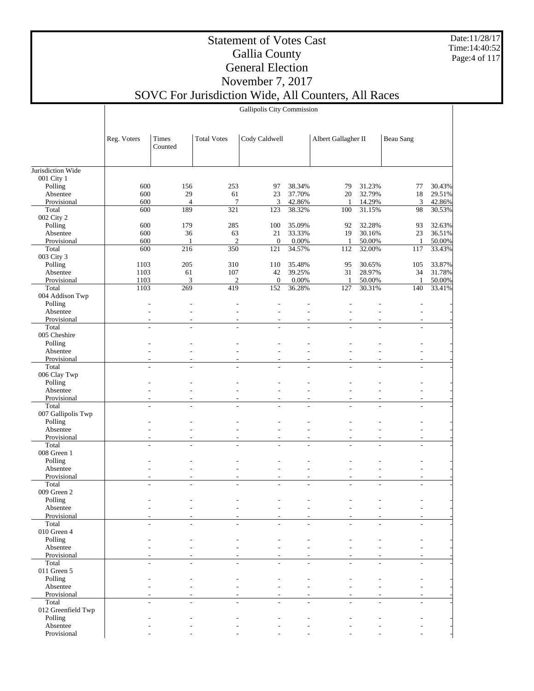Date:11/28/17 Time:14:40:52 Page:4 of 117

#### Statement of Votes Cast Gallia County General Election November 7, 2017 SOVC For Jurisdiction Wide, All Counters, All Races

Gallipolis City Commission

|                         | Reg. Voters              | Times                    | <b>Total Votes</b>       | Cody Caldwell            |                          | Albert Gallagher II      |                          | <b>Beau Sang</b>         |                  |
|-------------------------|--------------------------|--------------------------|--------------------------|--------------------------|--------------------------|--------------------------|--------------------------|--------------------------|------------------|
|                         |                          | Counted                  |                          |                          |                          |                          |                          |                          |                  |
|                         |                          |                          |                          |                          |                          |                          |                          |                          |                  |
| Jurisdiction Wide       |                          |                          |                          |                          |                          |                          |                          |                          |                  |
| 001 City 1              |                          |                          |                          |                          |                          |                          |                          |                          |                  |
| Polling                 | 600                      | 156                      | 253                      | 97                       | 38.34%                   | 79                       | 31.23%                   | 77                       | 30.43%           |
| Absentee                | 600                      | 29                       | 61                       | 23                       | 37.70%                   | 20                       | 32.79%                   | 18                       | 29.51%           |
| Provisional<br>Total    | 600<br>600               | $\overline{4}$<br>189    | 7<br>$\overline{321}$    | 3<br>123                 | 42.86%<br>38.32%         | 1<br>100                 | 14.29%<br>31.15%         | 3<br>98                  | 42.86%<br>30.53% |
| 002 City 2              |                          |                          |                          |                          |                          |                          |                          |                          |                  |
| Polling                 | 600                      | 179                      | 285                      | 100                      | 35.09%                   | 92                       | 32.28%                   | 93                       | 32.63%           |
| Absentee                | 600                      | 36                       | 63                       | 21                       | 33.33%                   | 19                       | 30.16%                   | 23                       | 36.51%           |
| Provisional             | 600                      | 1                        | $\mathfrak{2}$           | $\mathbf{0}$             | 0.00%                    | 1                        | 50.00%                   | 1                        | 50.00%           |
| Total                   | 600                      | 216                      | 350                      | 121                      | 34.57%                   | 112                      | 32.00%                   | 117                      | 33.43%           |
| 003 City 3              |                          |                          |                          |                          |                          |                          |                          |                          |                  |
| Polling                 | 1103                     | 205                      | 310                      | 110                      | 35.48%                   | 95                       | 30.65%                   | 105                      | 33.87%           |
| Absentee                | 1103                     | 61                       | 107                      | 42                       | 39.25%                   | 31                       | 28.97%                   | 34                       | 31.78%           |
| Provisional<br>Total    | 1103<br>1103             | 3<br>269                 | $\mathfrak{2}$<br>419    | $\mathbf{0}$<br>152      | 0.00%<br>36.28%          | 1<br>127                 | 50.00%<br>30.31%         | 1<br>140                 | 50.00%<br>33.41% |
| 004 Addison Twp         |                          |                          |                          |                          |                          |                          |                          |                          |                  |
| Polling                 |                          |                          |                          |                          |                          |                          |                          |                          |                  |
| Absentee                |                          |                          |                          |                          |                          |                          |                          |                          |                  |
| Provisional             | $\overline{a}$           | ٠                        |                          |                          | $\overline{a}$           | $\overline{a}$           | $\overline{a}$           | ٠                        |                  |
| Total                   |                          |                          |                          |                          |                          |                          | L.                       |                          |                  |
| 005 Cheshire            |                          |                          |                          |                          |                          |                          |                          |                          |                  |
| Polling                 |                          |                          |                          |                          |                          |                          |                          |                          |                  |
| Absentee                |                          |                          |                          |                          | $\overline{a}$           |                          |                          |                          |                  |
| Provisional             | ٠                        |                          |                          | $\overline{a}$           | $\overline{a}$           | ۰                        |                          | ÷                        |                  |
| Total                   | $\overline{a}$           | ÷                        | ÷                        | ÷.                       | $\overline{a}$           | ÷.                       | ÷                        |                          |                  |
| 006 Clay Twp<br>Polling |                          |                          |                          |                          |                          |                          |                          |                          |                  |
| Absentee                |                          |                          |                          |                          |                          |                          |                          |                          |                  |
| Provisional             | ä,                       | ٠                        |                          | $\overline{a}$           | $\overline{a}$           | $\overline{a}$           | $\overline{a}$           | ٠                        |                  |
| Total                   | ÷                        | ÷.                       | ÷.                       | ÷                        | ÷                        | L.                       | ÷                        |                          |                  |
| 007 Gallipolis Twp      |                          |                          |                          |                          |                          |                          |                          |                          |                  |
| Polling                 |                          |                          |                          |                          |                          |                          |                          |                          |                  |
| Absentee                |                          |                          |                          |                          |                          |                          |                          |                          |                  |
| Provisional             | ٠                        | ٠                        |                          | $\overline{\phantom{a}}$ | ٠                        | ٠                        | ٠                        |                          |                  |
| Total                   | L,                       | $\overline{\phantom{a}}$ | ÷,                       |                          | $\overline{a}$           |                          | $\overline{a}$           |                          |                  |
| 008 Green 1<br>Polling  |                          |                          |                          |                          |                          |                          |                          |                          |                  |
| Absentee                |                          |                          |                          |                          |                          |                          |                          |                          |                  |
| Provisional             | $\overline{\phantom{a}}$ | $\overline{\phantom{a}}$ | $\overline{\phantom{a}}$ | $\overline{\phantom{a}}$ | $\overline{\phantom{a}}$ | $\overline{\phantom{a}}$ | $\overline{\phantom{a}}$ | $\overline{\phantom{a}}$ |                  |
| Total                   |                          |                          |                          |                          |                          |                          |                          |                          |                  |
| 009 Green 2             |                          |                          |                          |                          |                          |                          |                          |                          |                  |
| Polling                 |                          |                          |                          |                          |                          |                          |                          |                          |                  |
| Absentee                |                          |                          |                          |                          |                          |                          |                          |                          |                  |
| Provisional             |                          |                          |                          |                          |                          |                          |                          |                          |                  |
| Total                   |                          |                          |                          |                          |                          |                          |                          |                          |                  |
| 010 Green 4             |                          |                          |                          |                          |                          |                          |                          |                          |                  |
| Polling<br>Absentee     |                          |                          |                          |                          |                          |                          |                          |                          |                  |
| Provisional             |                          |                          |                          |                          |                          |                          |                          |                          |                  |
| Total                   |                          |                          |                          |                          |                          |                          |                          |                          |                  |
| 011 Green 5             |                          |                          |                          |                          |                          |                          |                          |                          |                  |
| Polling                 |                          |                          |                          |                          |                          |                          |                          |                          |                  |
| Absentee                |                          |                          |                          |                          |                          |                          |                          |                          |                  |
| Provisional             |                          |                          |                          |                          |                          |                          |                          |                          |                  |
| Total                   | ÷.                       | ÷                        | ÷.                       | ÷                        | ÷                        | ÷.                       | ÷                        |                          |                  |
| 012 Greenfield Twp      |                          |                          |                          |                          |                          |                          |                          |                          |                  |
| Polling                 |                          |                          |                          |                          |                          |                          |                          |                          |                  |
| Absentee                |                          |                          |                          |                          |                          |                          |                          |                          |                  |
| Provisional             |                          |                          |                          |                          |                          |                          |                          |                          |                  |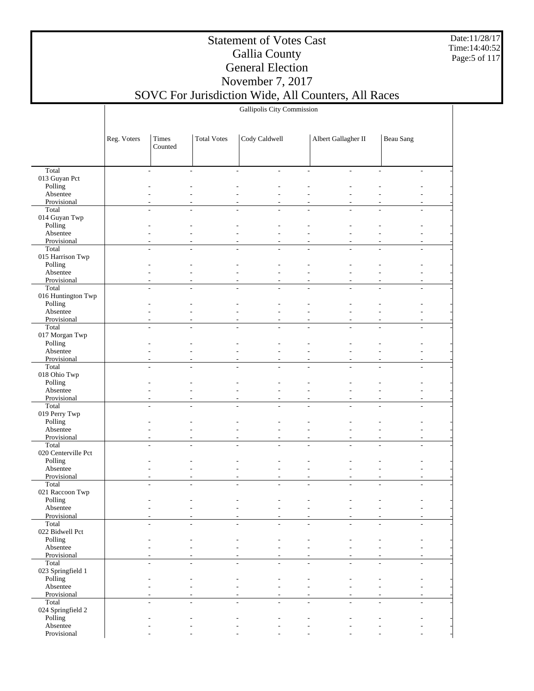Date:11/28/17 Time:14:40:52 Page:5 of 117

### Statement of Votes Cast Gallia County General Election November 7, 2017

## SOVC For Jurisdiction Wide, All Counters, All Races

Gallipolis City Commission

|                              | Reg. Voters | Times<br>Counted                 | <b>Total Votes</b> | Cody Caldwell                              |                          | Albert Gallagher II |                | <b>Beau Sang</b> |                          |
|------------------------------|-------------|----------------------------------|--------------------|--------------------------------------------|--------------------------|---------------------|----------------|------------------|--------------------------|
|                              |             |                                  |                    |                                            |                          |                     |                |                  |                          |
| Total                        |             | ٠<br>$\sim$                      |                    | $\overline{\phantom{a}}$<br>$\overline{a}$ | $\overline{\phantom{a}}$ | $\overline{a}$      | $\sim$         |                  | $\overline{\phantom{a}}$ |
| 013 Guyan Pct<br>Polling     |             |                                  |                    |                                            |                          |                     |                |                  |                          |
| Absentee                     |             |                                  |                    |                                            |                          |                     |                |                  |                          |
| Provisional                  |             |                                  |                    |                                            | $\overline{\phantom{a}}$ |                     |                |                  |                          |
| Total                        |             |                                  |                    |                                            |                          |                     |                |                  |                          |
| 014 Guyan Twp                |             |                                  |                    |                                            |                          |                     |                |                  |                          |
| Polling                      |             |                                  |                    |                                            |                          |                     |                |                  |                          |
| Absentee<br>Provisional      |             | ۰                                |                    | ٠                                          | $\overline{\phantom{a}}$ |                     |                |                  |                          |
| Total                        |             |                                  |                    |                                            |                          |                     |                |                  |                          |
| 015 Harrison Twp             |             |                                  |                    |                                            |                          |                     |                |                  |                          |
| Polling                      |             |                                  |                    |                                            |                          |                     |                |                  |                          |
| Absentee                     |             |                                  |                    |                                            |                          |                     |                |                  |                          |
| Provisional                  |             | ٠                                |                    |                                            | $\overline{\phantom{a}}$ | ٠                   |                |                  |                          |
| Total<br>016 Huntington Twp  |             |                                  |                    |                                            |                          |                     |                |                  |                          |
| Polling                      |             |                                  |                    |                                            |                          |                     |                |                  |                          |
| Absentee                     |             |                                  |                    |                                            |                          |                     |                |                  |                          |
| Provisional                  |             |                                  |                    |                                            | ٠                        |                     |                |                  |                          |
| Total                        |             | $\overline{a}$<br>$\overline{a}$ |                    | L.<br>÷                                    | $\overline{\phantom{a}}$ | ÷.                  | L,             |                  |                          |
| 017 Morgan Twp               |             |                                  |                    |                                            |                          |                     |                |                  |                          |
| Polling<br>Absentee          |             |                                  |                    |                                            |                          |                     |                |                  |                          |
| Provisional                  |             | ٠                                |                    |                                            | $\overline{\phantom{a}}$ |                     |                |                  |                          |
| Total                        |             |                                  |                    |                                            |                          |                     |                |                  |                          |
| 018 Ohio Twp                 |             |                                  |                    |                                            |                          |                     |                |                  |                          |
| Polling                      |             |                                  |                    |                                            |                          |                     |                |                  |                          |
| Absentee                     |             |                                  |                    |                                            |                          |                     |                |                  |                          |
| Provisional<br>Total         |             | ٠                                |                    | ٠                                          | $\overline{\phantom{a}}$ |                     |                |                  |                          |
| 019 Perry Twp                |             |                                  |                    |                                            |                          |                     |                |                  |                          |
| Polling                      |             |                                  |                    |                                            |                          |                     |                |                  |                          |
| Absentee                     |             |                                  |                    |                                            |                          |                     |                |                  |                          |
| Provisional                  |             | ٠                                |                    | ٠<br>٠                                     | $\overline{\phantom{a}}$ | ٠                   | ٠              |                  | ٠                        |
| Total<br>020 Centerville Pct |             |                                  |                    |                                            |                          |                     |                |                  |                          |
| Polling                      |             |                                  |                    |                                            |                          |                     |                |                  |                          |
| Absentee                     |             |                                  |                    |                                            | ۰                        |                     |                |                  |                          |
| Provisional                  |             | ٠                                |                    | ٠                                          | $\overline{\phantom{a}}$ |                     |                |                  | ٠                        |
| Total                        |             | ÷.<br>$\overline{\phantom{a}}$   |                    | L,<br>÷,                                   | $\overline{\phantom{a}}$ | ÷,                  | ÷,             |                  |                          |
| 021 Raccoon Twp<br>Polling   |             |                                  |                    |                                            |                          |                     |                |                  |                          |
| Absentee                     |             |                                  |                    |                                            |                          |                     |                |                  |                          |
| Provisional                  |             |                                  |                    |                                            |                          |                     |                |                  |                          |
| Total                        |             | ÷.                               |                    |                                            |                          |                     |                |                  |                          |
| 022 Bidwell Pct              |             |                                  |                    |                                            |                          |                     |                |                  |                          |
| Polling                      |             |                                  |                    |                                            |                          |                     |                |                  |                          |
| Absentee<br>Provisional      |             |                                  |                    | ٠                                          | ٠                        |                     |                |                  |                          |
| Total                        |             | ÷.<br>$\overline{a}$             |                    | $\overline{\phantom{a}}$<br>÷,             | $\overline{\phantom{a}}$ | ÷,                  | $\sim$         |                  | ÷,                       |
| 023 Springfield 1            |             |                                  |                    |                                            |                          |                     |                |                  |                          |
| Polling                      |             |                                  |                    |                                            |                          |                     |                |                  |                          |
| Absentee                     |             |                                  |                    |                                            |                          |                     |                |                  |                          |
| Provisional                  |             | $\overline{\phantom{a}}$         |                    | $\overline{\phantom{a}}$                   | $\overline{\phantom{a}}$ |                     | ۰              |                  |                          |
| Total<br>024 Springfield 2   |             | $\overline{a}$                   |                    | ÷.<br>÷,                                   | ÷.                       | ٠                   | $\overline{a}$ |                  |                          |
| Polling                      |             |                                  |                    |                                            |                          |                     |                |                  |                          |
| Absentee                     |             |                                  |                    |                                            |                          |                     |                |                  |                          |
| Provisional                  |             |                                  |                    |                                            |                          |                     |                |                  |                          |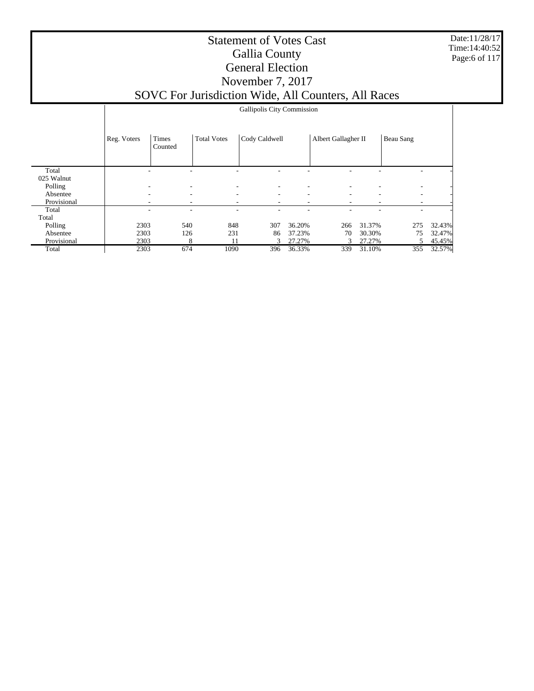Date:11/28/17 Time:14:40:52 Page:6 of 117

#### Statement of Votes Cast Gallia County General Election November 7, 2017 SOVC For Jurisdiction Wide, All Counters, All Races

|             | Gallipolis City Commission |                  |                    |               |        |                     |        |           |        |  |
|-------------|----------------------------|------------------|--------------------|---------------|--------|---------------------|--------|-----------|--------|--|
|             | Reg. Voters                | Times<br>Counted | <b>Total Votes</b> | Cody Caldwell |        | Albert Gallagher II |        | Beau Sang |        |  |
| Total       |                            | ۰                |                    |               |        |                     |        | ۰         |        |  |
| 025 Walnut  |                            |                  |                    |               |        |                     |        |           |        |  |
| Polling     |                            | ۰                | ۰                  |               |        |                     |        | ٠         |        |  |
| Absentee    | ٠                          | ۰                | ۰                  | ٠             | ۰      | ۰                   | ۰      | ۰.        |        |  |
| Provisional |                            | ۰                | ۰                  |               |        |                     |        | ۰         |        |  |
| Total       |                            | ۰                | ۰                  |               |        |                     |        | ۰         |        |  |
| Total       |                            |                  |                    |               |        |                     |        |           |        |  |
| Polling     | 2303                       | 540              | 848                | 307           | 36.20% | 266                 | 31.37% | 275       | 32.43% |  |
| Absentee    | 2303                       | 126              | 231                | 86            | 37.23% | 70                  | 30.30% | 75        | 32.47% |  |
| Provisional | 2303                       | 8                | 11                 | 3             | 27.27% | $\mathcal{F}$       | 27.27% | 5         | 45.45% |  |
| Total       | 2303                       | 674              | 1090               | 396           | 36.33% | 339                 | 31.10% | 355       | 32.57% |  |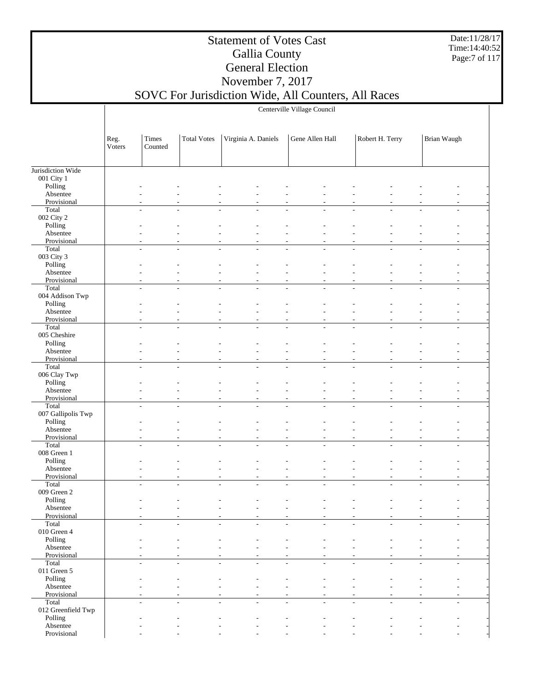Date:11/28/17 Time:14:40:52 Page:7 of 117

#### Statement of Votes Cast Gallia County General Election November 7, 2017

Centerville Village Council

|                            | Reg.<br>Voters | Times<br>Counted         | <b>Total Votes</b>       | Virginia A. Daniels                                  |                          | Gene Allen Hall          |                          | Robert H. Terry |        | Brian Waugh |                          |  |
|----------------------------|----------------|--------------------------|--------------------------|------------------------------------------------------|--------------------------|--------------------------|--------------------------|-----------------|--------|-------------|--------------------------|--|
| Jurisdiction Wide          |                |                          |                          |                                                      |                          |                          |                          |                 |        |             |                          |  |
| 001 City 1                 |                |                          |                          |                                                      |                          |                          |                          |                 |        |             |                          |  |
| Polling                    |                |                          |                          |                                                      |                          |                          |                          |                 |        |             |                          |  |
| Absentee                   |                |                          |                          |                                                      |                          |                          |                          |                 |        |             |                          |  |
| Provisional                |                |                          |                          |                                                      |                          |                          |                          |                 |        |             |                          |  |
| Total                      |                | $\overline{\phantom{a}}$ | L,                       | $\overline{a}$                                       | L,                       |                          | L,                       |                 |        |             |                          |  |
| 002 City 2                 |                |                          |                          |                                                      |                          |                          |                          |                 |        |             |                          |  |
| Polling                    |                |                          |                          |                                                      |                          |                          |                          |                 |        |             |                          |  |
| Absentee                   |                |                          |                          |                                                      |                          |                          |                          |                 |        |             |                          |  |
| Provisional                |                |                          |                          |                                                      |                          |                          |                          |                 |        |             |                          |  |
| Total                      |                | ÷                        |                          |                                                      |                          |                          |                          |                 |        |             |                          |  |
| 003 City 3                 |                |                          |                          |                                                      |                          |                          |                          |                 |        |             |                          |  |
| Polling                    |                |                          |                          |                                                      |                          |                          |                          |                 |        |             |                          |  |
| Absentee                   |                |                          |                          |                                                      |                          |                          |                          |                 |        |             |                          |  |
| Provisional                |                |                          |                          |                                                      |                          |                          |                          |                 |        |             |                          |  |
| Total                      |                | $\overline{a}$           |                          |                                                      |                          |                          |                          |                 |        |             |                          |  |
| 004 Addison Twp            |                |                          |                          |                                                      |                          |                          |                          |                 |        |             |                          |  |
| Polling                    |                |                          |                          |                                                      |                          |                          |                          |                 |        |             |                          |  |
| Absentee                   |                |                          |                          |                                                      |                          |                          |                          |                 |        |             |                          |  |
| Provisional                |                |                          |                          |                                                      |                          |                          |                          |                 |        |             |                          |  |
| Total                      |                | $\overline{a}$           |                          |                                                      |                          |                          |                          |                 |        |             |                          |  |
| 005 Cheshire               |                |                          |                          |                                                      |                          |                          |                          |                 |        |             |                          |  |
| Polling                    |                |                          |                          |                                                      |                          |                          |                          |                 |        |             |                          |  |
| Absentee                   |                |                          |                          |                                                      |                          |                          |                          |                 |        |             |                          |  |
| Provisional                |                |                          |                          |                                                      |                          |                          |                          |                 |        |             |                          |  |
| Total                      |                | $\overline{\phantom{a}}$ | ÷,                       | ÷,<br>$\sim$                                         | L,                       | $\overline{\phantom{a}}$ | $\overline{\phantom{a}}$ | $\sim$          | ÷,     |             |                          |  |
| 006 Clay Twp               |                |                          |                          |                                                      |                          |                          |                          |                 |        |             |                          |  |
| Polling                    |                |                          |                          |                                                      |                          |                          |                          |                 |        |             |                          |  |
| Absentee                   |                |                          |                          |                                                      |                          |                          |                          |                 |        |             |                          |  |
| Provisional                |                |                          |                          |                                                      |                          |                          |                          |                 |        |             |                          |  |
| Total                      |                | $\overline{a}$           |                          |                                                      |                          |                          |                          |                 |        |             |                          |  |
| 007 Gallipolis Twp         |                |                          |                          |                                                      |                          |                          |                          |                 |        |             |                          |  |
| Polling                    |                |                          |                          |                                                      |                          |                          |                          |                 |        |             |                          |  |
| Absentee                   |                |                          |                          |                                                      |                          |                          |                          |                 |        |             |                          |  |
| Provisional                |                |                          |                          |                                                      |                          |                          |                          |                 |        |             |                          |  |
| Total                      |                | ÷,                       |                          |                                                      |                          |                          |                          |                 |        |             |                          |  |
| 008 Green 1                |                |                          |                          |                                                      |                          |                          |                          |                 |        |             |                          |  |
| Polling                    |                |                          |                          |                                                      |                          |                          |                          |                 |        |             |                          |  |
| Absentee                   |                |                          |                          |                                                      |                          |                          |                          |                 |        |             |                          |  |
| Provisional                |                |                          |                          |                                                      |                          |                          |                          |                 |        |             |                          |  |
| Total                      |                |                          |                          |                                                      |                          |                          |                          |                 |        |             |                          |  |
| 009 Green 2                |                |                          |                          |                                                      |                          |                          |                          |                 |        |             |                          |  |
| Polling                    |                |                          |                          |                                                      |                          |                          |                          |                 |        |             |                          |  |
| Absentee                   |                |                          |                          |                                                      |                          |                          |                          |                 |        |             |                          |  |
| Provisional                |                | $\overline{a}$           |                          |                                                      |                          |                          |                          |                 |        |             |                          |  |
| Total<br>$010$ Green $4\,$ |                |                          |                          |                                                      |                          |                          |                          |                 |        |             |                          |  |
| Polling                    |                |                          |                          |                                                      |                          |                          |                          |                 |        |             |                          |  |
| Absentee                   |                |                          |                          |                                                      |                          |                          |                          |                 |        |             |                          |  |
| Provisional                |                |                          |                          |                                                      |                          |                          |                          |                 |        |             |                          |  |
| Total                      |                | $\overline{a}$           |                          |                                                      | L.                       |                          |                          |                 | ÷.     |             |                          |  |
| 011 Green $5$              |                |                          |                          |                                                      |                          |                          |                          |                 |        |             |                          |  |
|                            |                |                          |                          |                                                      |                          |                          |                          |                 |        |             |                          |  |
| Polling<br>Absentee        |                |                          |                          |                                                      |                          |                          |                          |                 |        |             |                          |  |
| Provisional                |                |                          |                          |                                                      |                          |                          |                          |                 |        |             |                          |  |
| Total                      |                | $\overline{\phantom{a}}$ | $\overline{\phantom{a}}$ | $\overline{\phantom{a}}$<br>$\overline{\phantom{a}}$ | $\overline{\phantom{a}}$ | $\overline{\phantom{a}}$ | $\overline{\phantom{a}}$ | $\sim$          | $\sim$ |             | $\overline{\phantom{a}}$ |  |
| 012 Greenfield Twp         |                |                          |                          |                                                      |                          |                          |                          |                 |        |             |                          |  |
| Polling                    |                |                          |                          |                                                      |                          |                          |                          |                 |        |             |                          |  |
| Absentee                   |                |                          |                          |                                                      |                          |                          |                          |                 |        |             |                          |  |
| Provisional                |                |                          |                          |                                                      |                          |                          |                          |                 |        |             |                          |  |
|                            |                |                          |                          |                                                      |                          |                          |                          |                 |        |             |                          |  |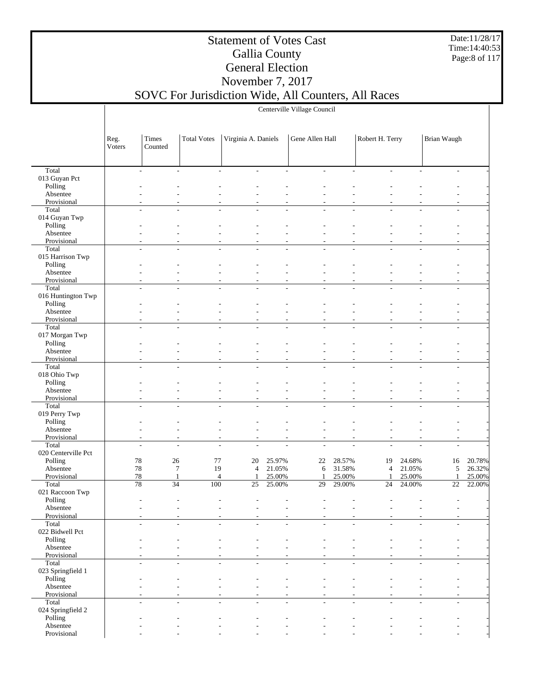Date:11/28/17 Time:14:40:53 Page:8 of 117

#### Statement of Votes Cast Gallia County General Election November 7, 2017

Centerville Village Council

|                            | Reg.<br>Voters  | Times<br>Counted | <b>Total Votes</b>       | Virginia A. Daniels |                          | Gene Allen Hall          |                | Robert H. Terry |                          | Brian Waugh              |        |
|----------------------------|-----------------|------------------|--------------------------|---------------------|--------------------------|--------------------------|----------------|-----------------|--------------------------|--------------------------|--------|
|                            |                 |                  |                          |                     |                          |                          |                |                 |                          |                          |        |
| Total                      |                 | $\overline{a}$   | $\overline{\phantom{a}}$ |                     |                          | $\overline{\phantom{a}}$ | $\overline{a}$ |                 |                          |                          |        |
| 013 Guyan Pct              |                 |                  |                          |                     |                          |                          |                |                 |                          |                          |        |
| Polling                    |                 |                  |                          |                     |                          |                          |                |                 |                          |                          |        |
| Absentee<br>Provisional    |                 |                  |                          |                     |                          |                          |                |                 |                          |                          |        |
| Total                      |                 |                  |                          |                     |                          |                          |                |                 |                          |                          |        |
| 014 Guyan Twp              |                 |                  |                          |                     |                          |                          |                |                 |                          |                          |        |
| Polling                    |                 |                  |                          |                     |                          |                          |                |                 |                          |                          |        |
| Absentee                   |                 |                  |                          |                     |                          |                          |                |                 |                          |                          |        |
| Provisional                |                 |                  |                          |                     |                          |                          |                |                 |                          |                          |        |
| Total                      |                 | ÷                |                          |                     |                          |                          |                |                 |                          |                          |        |
| 015 Harrison Twp           |                 |                  |                          |                     |                          |                          |                |                 |                          |                          |        |
| Polling                    |                 |                  |                          |                     |                          |                          |                |                 |                          |                          |        |
| Absentee                   |                 |                  |                          |                     |                          |                          |                |                 |                          |                          |        |
| Provisional<br>Total       |                 | ÷                |                          |                     |                          |                          |                |                 |                          |                          |        |
| 016 Huntington Twp         |                 |                  |                          |                     |                          |                          |                |                 |                          |                          |        |
| Polling                    |                 |                  |                          |                     |                          |                          |                |                 |                          |                          |        |
| Absentee                   |                 |                  |                          |                     |                          |                          |                |                 |                          |                          |        |
| Provisional                |                 |                  |                          |                     |                          |                          |                |                 |                          |                          |        |
| Total                      | ÷               |                  | ÷                        |                     |                          |                          | L,             |                 |                          |                          |        |
| 017 Morgan Twp             |                 |                  |                          |                     |                          |                          |                |                 |                          |                          |        |
| Polling                    |                 |                  |                          |                     |                          |                          |                |                 |                          |                          |        |
| Absentee                   |                 |                  |                          |                     |                          |                          |                |                 |                          |                          |        |
| Provisional                |                 |                  |                          |                     |                          |                          |                |                 |                          |                          |        |
| Total                      |                 |                  |                          |                     |                          |                          |                |                 |                          |                          |        |
| 018 Ohio Twp               |                 |                  |                          |                     |                          |                          |                |                 |                          |                          |        |
| Polling                    |                 |                  |                          |                     |                          |                          |                |                 |                          |                          |        |
| Absentee<br>Provisional    |                 |                  |                          |                     |                          |                          |                |                 |                          |                          |        |
| Total                      | ÷               |                  |                          |                     |                          |                          |                |                 |                          |                          |        |
| 019 Perry Twp              |                 |                  |                          |                     |                          |                          |                |                 |                          |                          |        |
| Polling                    |                 |                  |                          |                     |                          |                          |                |                 |                          |                          |        |
| Absentee                   |                 |                  |                          |                     |                          |                          |                |                 |                          |                          |        |
| Provisional                |                 |                  |                          |                     |                          |                          |                |                 |                          |                          |        |
| Total                      |                 | $\sim$           | ÷                        |                     |                          |                          |                |                 |                          |                          |        |
| 020 Centerville Pct        |                 |                  |                          |                     |                          |                          |                |                 |                          |                          |        |
| Polling                    | $78\,$          | 26               | 77                       | 20                  | 25.97%                   | 22                       | 28.57%         | 19              | 24.68%                   | 16                       | 20.78% |
| Absentee                   | $78\,$          | $\overline{7}$   | 19                       | $\overline{4}$      | 21.05%                   | 6                        | 31.58%         | $\overline{4}$  | 21.05%                   | 5                        | 26.32% |
| Provisional                | $78\,$          | $\mathbf{1}$     | $\overline{4}$           | 1                   | 25.00%                   | $\mathbf{1}$             | 25.00%         | $\mathbf{1}$    | 25.00%                   | $\mathbf{1}$             | 25.00% |
| Total                      | $\overline{78}$ | $\overline{34}$  | 100                      | 25                  | 25.00%                   | 29                       | 29.00%         | 24              | 24.00%                   | 22                       | 22.00% |
| 021 Raccoon Twp<br>Polling |                 |                  |                          |                     |                          |                          |                |                 |                          |                          |        |
| Absentee                   |                 |                  |                          |                     |                          |                          |                |                 |                          |                          |        |
| Provisional                |                 |                  |                          |                     |                          |                          |                |                 |                          |                          |        |
| Total                      |                 |                  |                          |                     |                          |                          |                |                 |                          |                          |        |
| 022 Bidwell Pct            |                 |                  |                          |                     |                          |                          |                |                 |                          |                          |        |
| Polling                    |                 |                  |                          |                     |                          |                          |                |                 |                          |                          |        |
| Absentee                   |                 |                  |                          |                     |                          |                          |                |                 |                          |                          |        |
| Provisional                |                 | ÷                | ٠                        |                     |                          | ÷                        |                |                 |                          |                          |        |
| Total                      |                 | $\overline{a}$   | $\overline{a}$<br>÷,     | $\overline{a}$      | $\overline{\phantom{a}}$ | $\overline{\phantom{a}}$ | $\overline{a}$ | ÷               | $\overline{\phantom{a}}$ | $\overline{\phantom{a}}$ |        |
| 023 Springfield 1          |                 |                  |                          |                     |                          |                          |                |                 |                          |                          |        |
| Polling                    |                 |                  |                          |                     |                          |                          |                |                 |                          |                          |        |
| Absentee<br>Provisional    |                 |                  |                          | $\overline{a}$<br>٠ | $\overline{a}$<br>L,     | $\overline{\phantom{a}}$ |                |                 |                          |                          |        |
| Total                      |                 | $\overline{a}$   | ÷<br>÷,                  |                     | $\overline{a}$           | ÷                        | ÷,             |                 | $\sim$                   | $\overline{a}$           |        |
| 024 Springfield 2          |                 |                  |                          |                     |                          |                          |                |                 |                          |                          |        |
| Polling                    |                 |                  |                          |                     |                          |                          |                |                 |                          |                          |        |
| Absentee                   |                 |                  |                          |                     |                          |                          |                |                 |                          |                          |        |
| Provisional                |                 |                  |                          |                     |                          |                          |                |                 |                          |                          |        |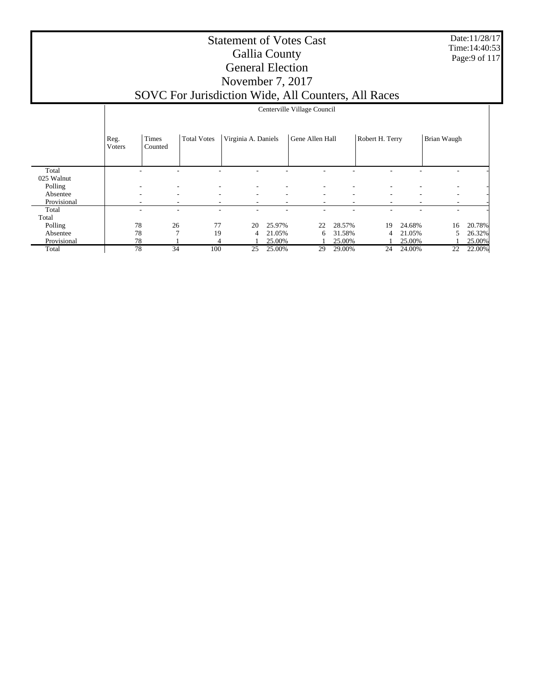Date:11/28/17 Time:14:40:53 Page:9 of 117

#### Statement of Votes Cast Gallia County General Election November 7, 2017 SOVC For Jurisdiction Wide, All Counters, All Races

|                     |                        | Centerville Village Council |                          |                          |                          |                          |                          |                          |        |                          |        |
|---------------------|------------------------|-----------------------------|--------------------------|--------------------------|--------------------------|--------------------------|--------------------------|--------------------------|--------|--------------------------|--------|
|                     | Reg.<br><b>V</b> oters | Times<br>Counted            | <b>Total Votes</b>       | Virginia A. Daniels      |                          | Gene Allen Hall          |                          | Robert H. Terry          |        | Brian Waugh              |        |
| Total<br>025 Walnut |                        |                             |                          |                          |                          |                          |                          |                          |        |                          |        |
| Polling             |                        |                             |                          |                          |                          |                          |                          |                          |        |                          |        |
| Absentee            | -                      | -                           | $\overline{\phantom{a}}$ | ۰.                       | $\overline{\phantom{a}}$ | $\overline{\phantom{a}}$ | $\overline{\phantom{a}}$ | ٠                        | ۰      | $\overline{\phantom{a}}$ |        |
| Provisional         |                        | ٠                           |                          | $\overline{\phantom{a}}$ | $\overline{\phantom{a}}$ | $\overline{\phantom{a}}$ | $\overline{\phantom{a}}$ | $\overline{\phantom{a}}$ | ٠      | $\overline{\phantom{a}}$ |        |
| Total               |                        |                             |                          |                          |                          |                          |                          |                          |        |                          |        |
| Total               |                        |                             |                          |                          |                          |                          |                          |                          |        |                          |        |
| Polling             | 78                     | 26                          | 77                       | 20                       | 25.97%                   | 22                       | 28.57%                   | 19                       | 24.68% | 16                       | 20.78% |
| Absentee            | 78                     | $\mathcal{I}$               | 19                       | 4                        | 21.05%                   | 6                        | 31.58%                   | 4                        | 21.05% | 5                        | 26.32% |
| Provisional         | 78                     |                             | 4                        |                          | 25.00%                   |                          | 25.00%                   |                          | 25.00% |                          | 25.00% |
| Total               | 78                     | 34                          | 100                      | 25                       | 25.00%                   | 29                       | 29.00%                   | 24                       | 24.00% | 22                       | 22.00% |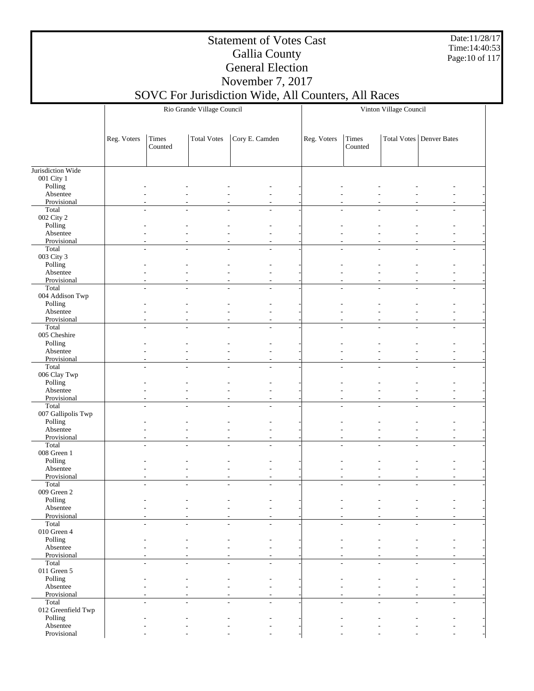Date:11/28/17 Time:14:40:53 Page:10 of 117

#### Statement of Votes Cast Gallia County General Election November 7, 2017

|                                 |             |                                    | Rio Grande Village Council |                                            | Vinton Village Council |                                  |                |                                 |  |
|---------------------------------|-------------|------------------------------------|----------------------------|--------------------------------------------|------------------------|----------------------------------|----------------|---------------------------------|--|
|                                 |             |                                    |                            |                                            |                        |                                  |                |                                 |  |
|                                 | Reg. Voters | Times<br>Counted                   | <b>Total Votes</b>         | Cory E. Camden                             | Reg. Voters            | Times<br>Counted                 |                | <b>Total Votes Denver Bates</b> |  |
|                                 |             |                                    |                            |                                            |                        |                                  |                |                                 |  |
| Jurisdiction Wide<br>001 City 1 |             |                                    |                            |                                            |                        |                                  |                |                                 |  |
| Polling                         |             |                                    |                            |                                            |                        |                                  |                |                                 |  |
| Absentee                        |             |                                    |                            |                                            |                        |                                  |                |                                 |  |
| Provisional<br>Total            |             |                                    |                            |                                            |                        |                                  |                |                                 |  |
| 002 City 2                      |             | $\overline{\phantom{a}}$<br>$\sim$ |                            | $\overline{a}$                             |                        | $\overline{a}$<br>$\overline{a}$ | L,             |                                 |  |
| Polling                         |             |                                    |                            |                                            |                        |                                  |                |                                 |  |
| Absentee                        |             |                                    |                            |                                            |                        |                                  |                |                                 |  |
| Provisional<br>Total            |             | L,                                 |                            | $\overline{\phantom{a}}$<br>$\overline{a}$ |                        |                                  |                | L,                              |  |
| 003 City 3                      |             |                                    |                            |                                            |                        |                                  |                |                                 |  |
| Polling                         |             |                                    |                            |                                            |                        |                                  |                |                                 |  |
| Absentee                        |             |                                    |                            |                                            |                        |                                  |                |                                 |  |
| Provisional<br>Total            |             | $\overline{a}$                     |                            | L.                                         |                        |                                  |                |                                 |  |
| 004 Addison Twp                 |             |                                    |                            |                                            |                        |                                  |                |                                 |  |
| Polling                         |             |                                    |                            |                                            |                        |                                  |                |                                 |  |
| Absentee                        |             |                                    |                            |                                            |                        |                                  |                |                                 |  |
| Provisional<br>Total            |             | $\overline{a}$<br>÷                |                            | ÷                                          |                        |                                  |                | ÷                               |  |
| 005 Cheshire                    |             |                                    |                            |                                            |                        |                                  |                |                                 |  |
| Polling                         |             |                                    |                            |                                            |                        |                                  |                |                                 |  |
| Absentee                        |             |                                    |                            |                                            |                        |                                  |                |                                 |  |
| Provisional<br>Total            |             | L.<br>$\sim$                       |                            | ÷.                                         |                        | ÷<br>L.                          | $\overline{a}$ | L.                              |  |
| 006 Clay Twp                    |             |                                    |                            |                                            |                        |                                  |                |                                 |  |
| Polling                         |             |                                    |                            |                                            |                        |                                  |                |                                 |  |
| Absentee                        |             |                                    |                            |                                            |                        |                                  |                |                                 |  |
| Provisional<br>Total            |             |                                    |                            | $\overline{a}$<br>$\overline{a}$           |                        |                                  |                | ÷,                              |  |
| 007 Gallipolis Twp              |             |                                    |                            |                                            |                        |                                  |                |                                 |  |
| Polling                         |             |                                    |                            |                                            |                        |                                  |                |                                 |  |
| Absentee                        |             |                                    |                            |                                            |                        |                                  |                |                                 |  |
| Provisional<br>Total            |             | $\overline{a}$                     |                            |                                            |                        |                                  |                |                                 |  |
| 008 Green 1                     |             |                                    |                            |                                            |                        |                                  |                |                                 |  |
| Polling                         |             |                                    |                            |                                            |                        |                                  |                |                                 |  |
| Absentee                        |             |                                    |                            |                                            |                        |                                  |                |                                 |  |
| Provisional<br>Total            |             |                                    |                            | $\overline{a}$                             |                        |                                  |                |                                 |  |
| 009 Green 2                     |             |                                    |                            |                                            |                        |                                  |                |                                 |  |
| Polling                         |             |                                    |                            |                                            |                        |                                  |                |                                 |  |
| Absentee                        |             |                                    |                            |                                            |                        |                                  |                | $\overline{\phantom{a}}$        |  |
| Provisional<br>Total            |             | $\overline{a}$                     |                            |                                            |                        |                                  |                |                                 |  |
| $010$ Green $4\,$               |             |                                    |                            |                                            |                        |                                  |                |                                 |  |
| Polling                         |             |                                    |                            |                                            |                        |                                  |                |                                 |  |
| Absentee                        |             |                                    |                            |                                            |                        |                                  |                |                                 |  |
| Provisional<br>Total            |             |                                    |                            | L.                                         |                        |                                  |                |                                 |  |
| 011 Green 5                     |             |                                    |                            |                                            |                        |                                  |                |                                 |  |
| Polling                         |             |                                    |                            |                                            |                        |                                  |                |                                 |  |
| Absentee                        |             |                                    |                            |                                            |                        |                                  |                |                                 |  |
| Provisional<br>Total            |             | $\overline{a}$                     | $\overline{a}$             | $\overline{a}$                             |                        | L,                               | L,             |                                 |  |
| 012 Greenfield Twp              |             |                                    |                            |                                            |                        |                                  |                |                                 |  |
| Polling                         |             |                                    |                            |                                            |                        |                                  |                |                                 |  |
| Absentee                        |             |                                    |                            |                                            |                        |                                  |                |                                 |  |
| Provisional                     |             |                                    |                            |                                            |                        |                                  |                |                                 |  |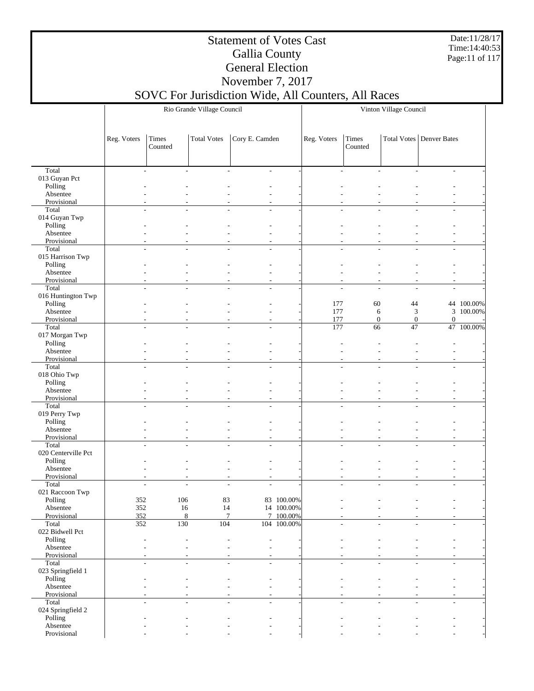Date:11/28/17 Time:14:40:53 Page:11 of 117

#### Statement of Votes Cast Gallia County General Election November 7, 2017

|                              |             |                          | Rio Grande Village Council |                                                      |             | Vinton Village Council   |                      |                        |                                 |            |  |
|------------------------------|-------------|--------------------------|----------------------------|------------------------------------------------------|-------------|--------------------------|----------------------|------------------------|---------------------------------|------------|--|
|                              |             |                          |                            |                                                      |             |                          |                      |                        |                                 |            |  |
|                              | Reg. Voters | Times<br>Counted         | <b>Total Votes</b>         | Cory E. Camden                                       |             | Reg. Voters              | Times<br>Counted     |                        | <b>Total Votes Denver Bates</b> |            |  |
| Total                        |             |                          |                            |                                                      |             | $\overline{\phantom{a}}$ | ٠                    |                        | $\overline{\phantom{a}}$        |            |  |
| 013 Guyan Pct                |             | $\overline{\phantom{a}}$ | $\overline{\phantom{a}}$   | $\overline{\phantom{a}}$<br>$\overline{\phantom{a}}$ |             |                          |                      |                        |                                 |            |  |
| Polling                      |             |                          |                            |                                                      |             |                          |                      |                        |                                 |            |  |
| Absentee                     |             |                          |                            |                                                      |             |                          |                      |                        |                                 |            |  |
| Provisional<br>Total         |             |                          |                            |                                                      |             |                          |                      |                        |                                 |            |  |
| 014 Guyan Twp                |             |                          |                            |                                                      |             |                          |                      |                        |                                 |            |  |
| Polling                      |             |                          |                            |                                                      |             |                          |                      |                        |                                 |            |  |
| Absentee                     |             |                          |                            |                                                      |             |                          |                      |                        |                                 |            |  |
| Provisional<br>Total         |             |                          |                            | ٠<br>$\overline{a}$                                  |             |                          |                      |                        | $\overline{a}$                  |            |  |
| 015 Harrison Twp             |             |                          |                            |                                                      |             |                          |                      |                        |                                 |            |  |
| Polling                      |             |                          |                            |                                                      |             |                          |                      |                        |                                 |            |  |
| Absentee                     |             |                          |                            |                                                      |             |                          |                      |                        |                                 |            |  |
| Provisional<br>Total         |             |                          |                            |                                                      |             |                          | L,                   |                        | $\overline{\phantom{a}}$        |            |  |
| 016 Huntington Twp           |             |                          |                            |                                                      |             |                          |                      |                        |                                 |            |  |
| Polling                      |             |                          |                            |                                                      |             | 177                      | 60                   | 44                     |                                 | 44 100.00% |  |
| Absentee                     |             |                          |                            | ٠                                                    |             | 177                      | 6                    | $\mathfrak{Z}$         |                                 | 3 100.00%  |  |
| Provisional<br>Total         |             | L.                       | $\overline{a}$             | ÷,<br>$\sim$<br>$\sim$                               |             | 177<br>177               | $\overline{0}$<br>66 | $\boldsymbol{0}$<br>47 | $\boldsymbol{0}$                | 47 100.00% |  |
| 017 Morgan Twp               |             |                          |                            |                                                      |             |                          |                      |                        |                                 |            |  |
| Polling                      |             |                          |                            |                                                      |             |                          |                      |                        |                                 |            |  |
| Absentee                     |             |                          |                            |                                                      |             |                          |                      |                        |                                 |            |  |
| Provisional<br>Total         |             |                          |                            | ٠                                                    |             |                          |                      |                        |                                 |            |  |
| 018 Ohio Twp                 |             |                          |                            |                                                      |             |                          |                      |                        |                                 |            |  |
| Polling                      |             |                          |                            |                                                      |             |                          |                      |                        |                                 |            |  |
| Absentee                     |             |                          |                            |                                                      |             |                          |                      |                        |                                 |            |  |
| Provisional                  |             |                          |                            | ٠                                                    |             |                          |                      |                        |                                 |            |  |
| Total<br>019 Perry Twp       |             |                          |                            |                                                      |             |                          |                      |                        |                                 |            |  |
| Polling                      |             |                          |                            |                                                      |             |                          |                      |                        |                                 |            |  |
| Absentee                     |             |                          |                            |                                                      |             |                          |                      |                        |                                 |            |  |
| Provisional                  |             |                          |                            | ÷,                                                   |             |                          |                      |                        | $\overline{a}$                  |            |  |
| Total<br>020 Centerville Pct |             |                          |                            |                                                      |             |                          |                      |                        |                                 |            |  |
| Polling                      |             |                          |                            |                                                      |             |                          |                      |                        |                                 |            |  |
| Absentee                     |             |                          |                            | $\overline{\phantom{a}}$                             |             |                          |                      |                        |                                 |            |  |
| Provisional                  |             |                          |                            | ÷,                                                   |             |                          |                      |                        |                                 |            |  |
| Total<br>021 Raccoon Twp     |             |                          | $\overline{a}$             | L.<br>$\overline{a}$                                 |             |                          |                      |                        | $\overline{a}$                  |            |  |
| Polling                      | 352         | 106                      | 83                         |                                                      | 83 100.00%  |                          |                      |                        |                                 |            |  |
| Absentee                     | 352         | 16                       | $14\,$                     |                                                      | 14 100.00%  | $\overline{\phantom{a}}$ | L,                   |                        |                                 |            |  |
| Provisional                  | 352         | $\,8\,$                  |                            | $\boldsymbol{7}$                                     | 7 100.00%   |                          | L,                   |                        |                                 |            |  |
| Total                        | 352         | 130                      | 104                        |                                                      | 104 100.00% |                          |                      |                        |                                 |            |  |
| 022 Bidwell Pct<br>Polling   |             |                          |                            |                                                      |             |                          |                      |                        |                                 |            |  |
| Absentee                     |             |                          |                            | ÷,                                                   |             |                          |                      |                        |                                 |            |  |
| Provisional                  |             |                          |                            | $\overline{\phantom{a}}$                             |             |                          |                      |                        |                                 |            |  |
| Total                        |             | $\sim$                   | $\overline{\phantom{a}}$   | $\sim$<br>٠                                          |             |                          |                      |                        | ٠                               |            |  |
| 023 Springfield 1<br>Polling |             |                          |                            |                                                      |             |                          |                      |                        |                                 |            |  |
| Absentee                     |             |                          |                            | $\overline{a}$                                       |             |                          |                      |                        |                                 |            |  |
| Provisional                  |             |                          |                            |                                                      |             |                          |                      |                        |                                 |            |  |
| Total                        |             |                          |                            |                                                      |             |                          |                      |                        |                                 |            |  |
| 024 Springfield 2            |             |                          |                            |                                                      |             |                          |                      |                        |                                 |            |  |
| Polling<br>Absentee          |             |                          |                            |                                                      |             |                          |                      |                        |                                 |            |  |
| Provisional                  |             |                          |                            |                                                      |             |                          |                      |                        |                                 |            |  |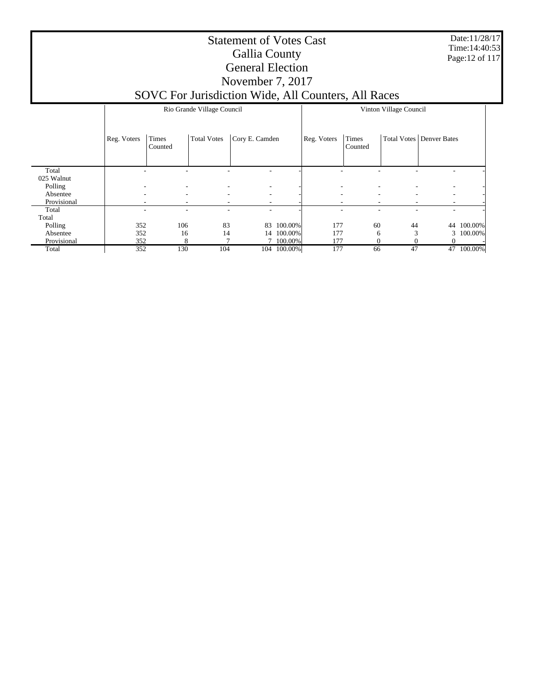Date:11/28/17 Time:14:40:53 Page:12 of 117

#### Statement of Votes Cast Gallia County General Election November 7, 2017

|             |             |                          | Rio Grande Village Council |                                                      | Vinton Village Council |             |                  |    |                                   |            |
|-------------|-------------|--------------------------|----------------------------|------------------------------------------------------|------------------------|-------------|------------------|----|-----------------------------------|------------|
|             | Reg. Voters | Times<br>Counted         | <b>Total Votes</b>         | Cory E. Camden                                       |                        | Reg. Voters | Times<br>Counted |    | <b>Total Votes   Denver Bates</b> |            |
| Total       |             |                          |                            |                                                      |                        |             |                  |    |                                   |            |
| 025 Walnut  |             |                          |                            |                                                      |                        |             |                  |    |                                   |            |
| Polling     |             | $\overline{\phantom{a}}$ | $\overline{\phantom{a}}$   | $\overline{\phantom{a}}$                             |                        |             |                  |    |                                   |            |
| Absentee    |             | $\overline{\phantom{a}}$ |                            | $\overline{\phantom{a}}$<br>$\overline{\phantom{a}}$ |                        |             |                  |    |                                   |            |
| Provisional |             |                          | ٠                          |                                                      |                        |             |                  |    |                                   |            |
| Total       |             |                          | ۰                          | ۰                                                    |                        |             |                  |    |                                   |            |
| Total       |             |                          |                            |                                                      |                        |             |                  |    |                                   |            |
| Polling     | 352         | 106                      | 83                         | 83                                                   | 100.00%                | 177         | 60               | 44 | 44                                | 100.00%    |
| Absentee    | 352         | 16                       | 14                         |                                                      | 14 100.00%             | 177         | 6                | 3  |                                   | 3 100.00%  |
| Provisional | 352         | 8                        |                            |                                                      | 7 100.00%              | 177         | $\Omega$         |    |                                   |            |
| Total       | 352         | 130                      | 104                        |                                                      | 104 100.00%            | 177         | 66               | 47 |                                   | 47 100.00% |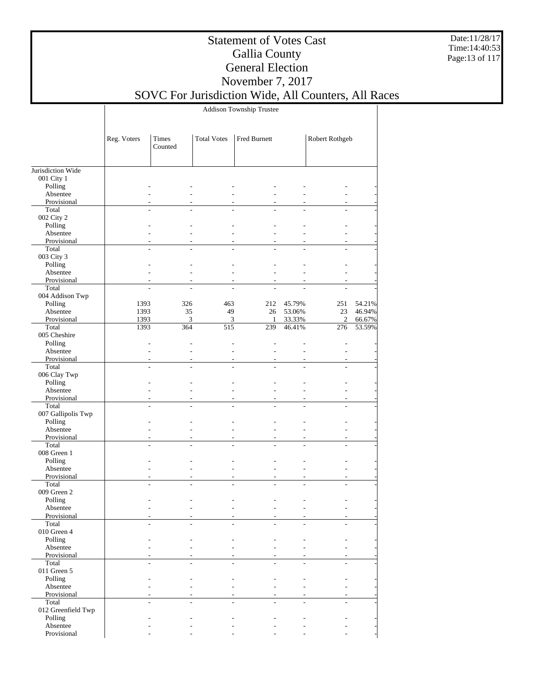Date:11/28/17 Time:14:40:53 Page:13 of 117

### Statement of Votes Cast Gallia County General Election November 7, 2017

SOVC For Jurisdiction Wide, All Counters, All Races

Addison Township Trustee

|                    | Reg. Voters | Times<br>Counted | <b>Total Votes</b> | Fred Burnett |                          | Robert Rothgeb |        |
|--------------------|-------------|------------------|--------------------|--------------|--------------------------|----------------|--------|
| Jurisdiction Wide  |             |                  |                    |              |                          |                |        |
| 001 City 1         |             |                  |                    |              |                          |                |        |
| Polling            |             |                  |                    |              |                          |                |        |
| Absentee           |             |                  |                    |              |                          |                |        |
| Provisional        |             |                  |                    |              |                          |                |        |
| Total              |             |                  |                    |              |                          |                |        |
| 002 City 2         |             |                  |                    |              |                          |                |        |
| Polling            |             |                  |                    |              |                          |                |        |
| Absentee           |             |                  |                    |              |                          |                |        |
| Provisional        |             |                  |                    |              |                          |                |        |
| Total              |             |                  |                    |              |                          |                |        |
| 003 City 3         |             |                  |                    |              |                          |                |        |
| Polling            |             |                  |                    |              |                          |                |        |
| Absentee           |             |                  |                    |              |                          |                |        |
| Provisional        |             |                  |                    |              | ٠                        |                |        |
| Total              |             |                  |                    |              |                          |                |        |
| 004 Addison Twp    |             |                  |                    |              |                          |                |        |
| Polling            | 1393        | 326              | 463                | 212          | 45.79%                   | 251            | 54.21% |
| Absentee           | 1393        | 35               | 49                 | 26           | 53.06%                   | $23\,$         | 46.94% |
| Provisional        | 1393        | 3                | $\mathfrak{Z}$     | 1            | 33.33%                   | $\mathfrak{2}$ | 66.67% |
| Total              | 1393        | 364              | 515                | 239          | 46.41%                   | 276            | 53.59% |
| 005 Cheshire       |             |                  |                    |              |                          |                |        |
| Polling            |             |                  |                    |              |                          |                |        |
| Absentee           |             |                  |                    |              |                          |                |        |
| Provisional        |             |                  |                    |              |                          |                |        |
| Total              |             |                  |                    |              |                          |                |        |
| 006 Clay Twp       |             |                  |                    |              |                          |                |        |
| Polling            |             |                  |                    |              |                          |                |        |
| Absentee           |             |                  |                    |              |                          |                |        |
| Provisional        |             |                  |                    |              |                          | ٠              |        |
| Total              |             |                  |                    |              |                          |                |        |
| 007 Gallipolis Twp |             |                  |                    |              |                          |                |        |
| Polling            |             |                  |                    |              |                          |                |        |
| Absentee           |             |                  |                    |              |                          |                |        |
| Provisional        |             |                  |                    | ٠            | $\overline{\phantom{a}}$ | ٠              |        |
| Total              |             |                  |                    |              |                          |                |        |
| 008 Green 1        |             |                  |                    |              |                          |                |        |
| Polling            |             |                  |                    |              |                          |                |        |
| Absentee           |             |                  |                    |              | ÷,                       |                |        |
| Provisional        |             |                  |                    |              | ٠                        |                |        |
| Total              |             |                  |                    |              |                          |                |        |
| 009 Green 2        |             |                  |                    |              |                          |                |        |
| Polling            |             |                  |                    |              |                          |                |        |
| Absentee           |             |                  |                    |              |                          |                |        |
| Provisional        |             |                  |                    |              |                          |                |        |
| Total              |             |                  |                    |              |                          |                |        |
| 010 Green 4        |             |                  |                    |              |                          |                |        |
| Polling            |             |                  |                    |              |                          |                |        |
| Absentee           |             |                  |                    |              |                          |                |        |
| Provisional        |             |                  |                    |              |                          |                |        |
| Total              |             |                  |                    |              |                          |                |        |
| 011 Green 5        |             |                  |                    |              |                          |                |        |
| Polling            |             |                  |                    |              |                          |                |        |
| Absentee           |             |                  |                    |              |                          |                |        |
| Provisional        |             |                  |                    |              |                          |                |        |
| Total              |             |                  |                    |              |                          |                |        |
| 012 Greenfield Twp |             |                  |                    |              |                          |                |        |
| Polling            |             |                  |                    |              |                          |                |        |
| Absentee           |             |                  |                    |              |                          |                |        |
| Provisional        |             |                  |                    |              |                          |                |        |
|                    |             |                  |                    |              |                          |                |        |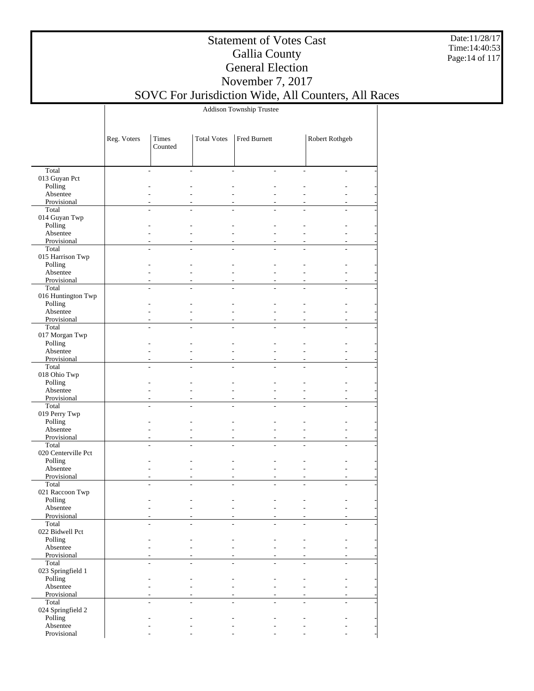Date:11/28/17 Time:14:40:53 Page:14 of 117

### Statement of Votes Cast Gallia County General Election November 7, 2017

SOVC For Jurisdiction Wide, All Counters, All Races

Addison Township Trustee

|                           | Reg. Voters | Times<br>Counted | <b>Total Votes</b> | Fred Burnett |                | Robert Rothgeb           |  |
|---------------------------|-------------|------------------|--------------------|--------------|----------------|--------------------------|--|
|                           |             |                  |                    |              |                |                          |  |
| Total                     |             |                  |                    |              | ÷              | $\overline{\phantom{a}}$ |  |
| 013 Guyan Pct             |             |                  |                    |              |                |                          |  |
| Polling                   |             |                  |                    |              |                |                          |  |
| Absentee                  |             |                  |                    |              |                |                          |  |
| Provisional               |             |                  |                    |              |                |                          |  |
| Total<br>014 Guyan Twp    |             |                  |                    |              |                |                          |  |
| Polling                   |             |                  |                    |              |                |                          |  |
| Absentee                  |             |                  |                    |              |                |                          |  |
| Provisional               |             |                  |                    |              |                |                          |  |
| Total                     |             |                  |                    |              |                |                          |  |
| 015 Harrison Twp          |             |                  |                    |              |                |                          |  |
| Polling                   |             |                  |                    |              |                |                          |  |
| Absentee                  |             |                  |                    |              |                |                          |  |
| Provisional               |             |                  |                    |              | $\overline{a}$ | $\overline{a}$           |  |
| Total                     |             |                  |                    |              |                | ÷.                       |  |
| 016 Huntington Twp        |             |                  |                    |              |                |                          |  |
| Polling                   |             |                  |                    |              |                |                          |  |
| Absentee                  |             |                  |                    |              | ÷              |                          |  |
| Provisional               |             |                  |                    |              | ÷.             | $\overline{a}$           |  |
| Total                     |             |                  |                    |              | ÷.             | ÷                        |  |
| 017 Morgan Twp<br>Polling |             |                  |                    |              |                |                          |  |
| Absentee                  |             |                  |                    |              | L.             |                          |  |
| Provisional               |             |                  |                    |              |                |                          |  |
| Total                     |             |                  |                    |              |                | ÷.                       |  |
| 018 Ohio Twp              |             |                  |                    |              |                |                          |  |
| Polling                   |             |                  |                    |              |                |                          |  |
| Absentee                  |             |                  |                    |              |                |                          |  |
| Provisional               |             |                  |                    |              | $\overline{a}$ |                          |  |
| Total                     |             |                  |                    |              |                |                          |  |
| 019 Perry Twp             |             |                  |                    |              |                |                          |  |
| Polling                   |             |                  |                    |              |                |                          |  |
| Absentee                  |             |                  |                    |              | L.             |                          |  |
| Provisional<br>Total      |             |                  |                    |              | $\overline{a}$ | $\overline{a}$           |  |
| 020 Centerville Pct       |             |                  |                    |              |                |                          |  |
| Polling                   |             |                  |                    |              |                |                          |  |
| Absentee                  |             |                  |                    |              | ÷              |                          |  |
| Provisional               |             |                  |                    |              | $\overline{a}$ |                          |  |
| Total                     |             |                  |                    |              | ÷.             | ÷.                       |  |
| 021 Raccoon Twp           |             |                  |                    |              |                |                          |  |
| Polling                   |             |                  |                    |              |                |                          |  |
| Absentee                  |             |                  |                    |              |                |                          |  |
| Provisional               |             |                  |                    |              |                |                          |  |
| Total<br>022 Bidwell Pct  |             |                  |                    |              |                |                          |  |
| Polling                   |             |                  |                    |              |                |                          |  |
| Absentee                  |             |                  |                    |              |                |                          |  |
| Provisional               |             |                  |                    |              |                |                          |  |
| Total                     |             |                  |                    |              | ÷              | ÷                        |  |
| 023 Springfield 1         |             |                  |                    |              |                |                          |  |
| Polling                   |             |                  |                    |              |                |                          |  |
| Absentee                  |             |                  |                    |              | ÷              |                          |  |
| Provisional               |             |                  |                    |              |                |                          |  |
| Total                     |             |                  |                    |              |                | ÷.                       |  |
| 024 Springfield 2         |             |                  |                    |              |                |                          |  |
| Polling                   |             |                  |                    |              |                |                          |  |
| Absentee                  |             |                  |                    |              |                |                          |  |
| Provisional               |             |                  |                    |              |                |                          |  |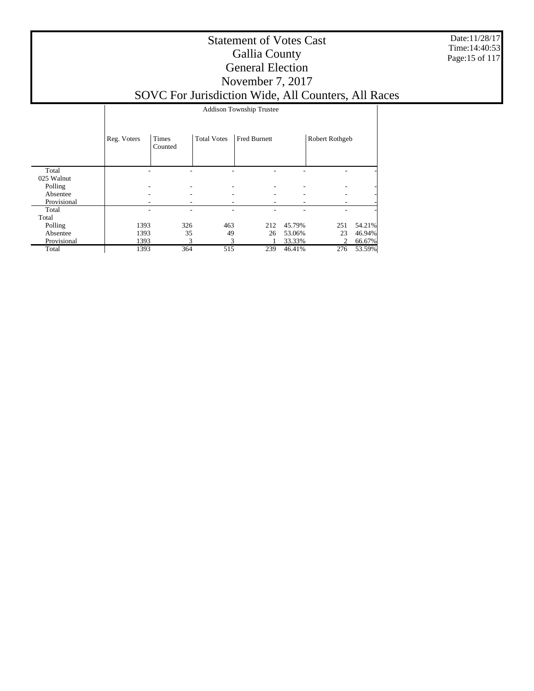Date:11/28/17 Time:14:40:53 Page:15 of 117

#### Statement of Votes Cast Gallia County General Election November 7, 2017 SOVC For Jurisdiction Wide, All Counters, All Races

 Total 025 Walnut Polling Absentee Provisional Total Total Polling Absentee Provisional Total Reg. Voters Times Counted Total Votes | Fred Burnett | Robert Rothgeb Addison Township Trustee - - - - - - - - - - - - - - - - - - - - - - - - - - - - - - - - - - - 1393 326 463 212 45.79% 251 54.21% 1393 35 49 26 53.06% 23 46.94% 1393 3 3 1 33.33% 2 66.67% 1393 364 515 239 46.41% 276 53.59%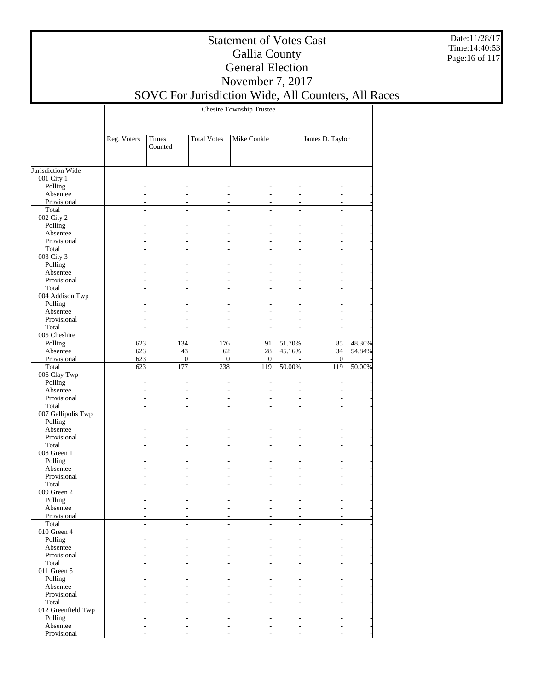Date:11/28/17 Time:14:40:53 Page:16 of 117

### Statement of Votes Cast Gallia County General Election November 7, 2017

SOVC For Jurisdiction Wide, All Counters, All Races

Chesire Township Trustee

|                         | Reg. Voters         | Times<br>Counted | <b>Total Votes</b>   | Mike Conkle      |                          | James D. Taylor          |        |
|-------------------------|---------------------|------------------|----------------------|------------------|--------------------------|--------------------------|--------|
| Jurisdiction Wide       |                     |                  |                      |                  |                          |                          |        |
| 001 City 1              |                     |                  |                      |                  |                          |                          |        |
| Polling                 |                     |                  |                      |                  |                          |                          |        |
| Absentee                |                     |                  |                      |                  |                          |                          |        |
| Provisional             | $\sim$              |                  | $\overline{a}$       |                  | ÷                        | $\overline{\phantom{a}}$ |        |
| Total                   |                     |                  |                      |                  |                          | $\overline{a}$           |        |
| 002 City 2              |                     |                  |                      |                  |                          |                          |        |
| Polling                 |                     |                  |                      |                  |                          |                          |        |
| Absentee                | ٠                   |                  | $\overline{a}$       |                  | L.                       |                          |        |
| Provisional             | $\overline{a}$      |                  | $\overline{a}$       |                  | $\overline{a}$           | $\overline{a}$           |        |
| Total                   |                     |                  | $\overline{a}$       |                  |                          | $\overline{a}$           |        |
| 003 City 3              |                     |                  |                      |                  |                          |                          |        |
| Polling                 | $\overline{a}$      |                  | L,                   |                  |                          |                          |        |
| Absentee                |                     |                  | ٠                    |                  | ٠                        |                          |        |
| Provisional             | $\overline{a}$      | ٠                | $\overline{a}$       | $\sim$           | $\overline{a}$           | $\overline{\phantom{a}}$ |        |
| Total                   |                     |                  |                      |                  |                          |                          |        |
| 004 Addison Twp         |                     |                  |                      |                  |                          |                          |        |
| Polling                 | $\overline{a}$      |                  |                      |                  |                          |                          |        |
| Absentee                | L.                  | ٠                | L.                   | ÷                | L.                       | $\overline{a}$           |        |
| Provisional             | $\overline{a}$      |                  | $\overline{a}$       |                  | $\overline{a}$           | $\overline{a}$           |        |
| Total                   | $\overline{a}$      | $\overline{a}$   | $\overline{a}$       | $\overline{a}$   |                          | $\overline{a}$           |        |
| 005 Cheshire            |                     |                  |                      |                  |                          |                          |        |
| Polling                 | 623                 | 134              | 176                  | 91               | 51.70%                   | 85                       | 48.30% |
| Absentee                | 623                 | 43               | 62                   | 28               | 45.16%                   | 34                       | 54.84% |
| Provisional             | 623                 | $\boldsymbol{0}$ | $\mathbf{0}$         | $\boldsymbol{0}$ | $\overline{\phantom{a}}$ | $\boldsymbol{0}$         |        |
| Total                   | 623                 | 177              | 238                  | 119              | 50.00%                   | 119                      | 50.00% |
| 006 Clay Twp            |                     |                  |                      |                  |                          |                          |        |
| Polling                 | L.                  | ÷                | $\overline{a}$       | L.               | L,<br>L.                 | $\overline{a}$           |        |
| Absentee<br>Provisional | ÷<br>$\overline{a}$ | ٠                | L.<br>$\overline{a}$ |                  | $\overline{a}$           | ÷<br>$\overline{a}$      |        |
| Total                   | $\overline{a}$      | ÷.               | $\overline{a}$       |                  |                          | $\overline{a}$           |        |
| 007 Gallipolis Twp      |                     |                  |                      |                  |                          |                          |        |
| Polling                 |                     |                  | L,                   |                  |                          |                          |        |
| Absentee                |                     |                  | ä,                   |                  | $\overline{a}$           |                          |        |
| Provisional             | $\overline{a}$      | ٠                | ÷,                   | ٠                | $\overline{a}$           | $\overline{\phantom{a}}$ |        |
| Total                   |                     |                  |                      |                  |                          |                          |        |
| 008 Green 1             |                     |                  |                      |                  |                          |                          |        |
| Polling                 | ٠                   |                  |                      |                  | L,                       |                          |        |
| Absentee                | $\overline{a}$      | ٠                | $\overline{a}$       | ÷                | L.                       | $\overline{a}$           |        |
| Provisional             | $\overline{a}$      | $\overline{a}$   | $\overline{a}$       | $\overline{a}$   | $\overline{a}$           | $\overline{\phantom{a}}$ |        |
| Total                   | $\overline{a}$      | $\overline{a}$   | $\overline{a}$       | $\overline{a}$   | $\overline{a}$           | $\overline{a}$           |        |
| 009 Green 2             |                     |                  |                      |                  |                          |                          |        |
| Polling                 |                     |                  |                      |                  |                          |                          |        |
| Absentee                |                     |                  |                      |                  |                          |                          |        |
| Provisional             |                     |                  |                      |                  |                          |                          |        |
| Total                   |                     |                  |                      |                  |                          |                          |        |
| 010 Green 4             |                     |                  |                      |                  |                          |                          |        |
| Polling                 |                     |                  |                      |                  |                          |                          |        |
| Absentee                |                     |                  |                      |                  |                          |                          |        |
| Provisional             |                     |                  |                      |                  |                          |                          |        |
| Total                   | $\overline{a}$      | $\overline{a}$   | $\overline{a}$       | $\overline{a}$   | $\overline{a}$           | $\overline{a}$           |        |
| 011 Green 5             |                     |                  |                      |                  |                          |                          |        |
| Polling                 |                     |                  |                      |                  |                          |                          |        |
| Absentee                |                     |                  |                      |                  |                          |                          |        |
| Provisional             | $\overline{a}$      |                  | $\overline{a}$       |                  | $\overline{a}$           | $\sim$                   |        |
| Total                   |                     | ÷.               | L.                   |                  | $\overline{a}$           | ÷.                       |        |
| 012 Greenfield Twp      |                     |                  |                      |                  |                          |                          |        |
| Polling                 |                     |                  |                      |                  |                          |                          |        |
| Absentee                |                     |                  |                      |                  |                          |                          |        |
| Provisional             |                     |                  |                      |                  |                          |                          |        |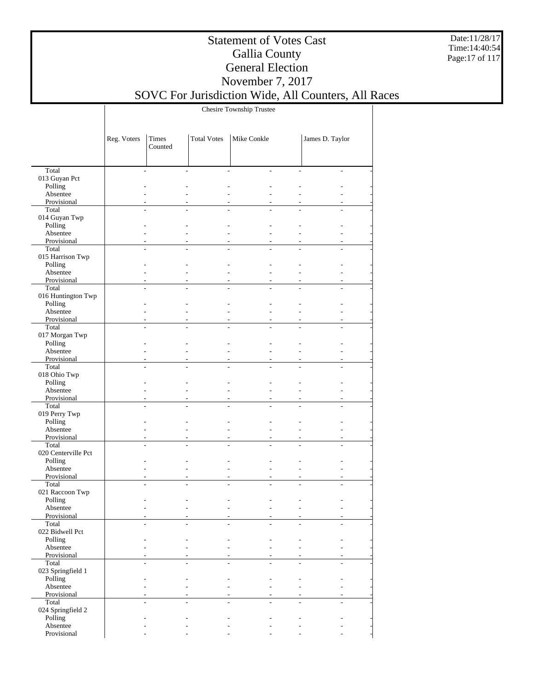Date:11/28/17 Time:14:40:54 Page:17 of 117

### Statement of Votes Cast Gallia County General Election November 7, 2017

SOVC For Jurisdiction Wide, All Counters, All Races

Chesire Township Trustee

|                         | Reg. Voters    | Times<br>Counted | <b>Total Votes</b> | Mike Conkle    |                          | James D. Taylor |  |
|-------------------------|----------------|------------------|--------------------|----------------|--------------------------|-----------------|--|
|                         |                |                  |                    |                |                          |                 |  |
| Total                   | $\overline{a}$ |                  | $\overline{a}$     | $\overline{a}$ |                          | ÷.              |  |
| 013 Guyan Pct           |                |                  |                    |                |                          |                 |  |
| Polling                 |                |                  |                    |                |                          |                 |  |
| Absentee                |                |                  |                    |                |                          |                 |  |
| Provisional             |                |                  |                    |                |                          |                 |  |
| Total                   |                |                  |                    |                |                          |                 |  |
| 014 Guyan Twp           |                |                  |                    |                |                          |                 |  |
| Polling                 |                |                  |                    |                |                          |                 |  |
| Absentee                |                |                  |                    | $\overline{a}$ |                          |                 |  |
| Provisional<br>Total    |                |                  |                    |                |                          |                 |  |
| 015 Harrison Twp        |                |                  |                    |                |                          |                 |  |
| Polling                 |                |                  |                    |                |                          |                 |  |
| Absentee                |                |                  | $\overline{a}$     |                |                          |                 |  |
| Provisional             | $\overline{a}$ |                  | $\overline{a}$     |                | $\overline{a}$           |                 |  |
| Total                   |                |                  |                    |                |                          |                 |  |
| 016 Huntington Twp      |                |                  |                    |                |                          |                 |  |
| Polling                 |                |                  |                    |                |                          |                 |  |
| Absentee                | $\overline{a}$ |                  | $\overline{a}$     |                | $\overline{a}$           |                 |  |
| Provisional             |                |                  |                    |                |                          |                 |  |
| Total                   | L,             | $\overline{a}$   | $\overline{a}$     | $\overline{a}$ |                          | $\overline{a}$  |  |
| 017 Morgan Twp          |                |                  |                    |                |                          |                 |  |
| Polling                 |                |                  |                    |                |                          |                 |  |
| Absentee                |                |                  | $\overline{a}$     |                |                          |                 |  |
| Provisional             |                |                  |                    |                |                          |                 |  |
| Total                   | L              |                  |                    |                |                          |                 |  |
| 018 Ohio Twp            |                |                  |                    |                |                          |                 |  |
| Polling                 |                |                  |                    |                |                          |                 |  |
| Absentee                |                |                  |                    | $\overline{a}$ |                          |                 |  |
| Provisional<br>Total    |                |                  |                    |                |                          |                 |  |
| 019 Perry Twp           |                |                  |                    |                |                          |                 |  |
| Polling                 |                |                  |                    |                |                          |                 |  |
| Absentee                |                |                  | $\overline{a}$     |                |                          |                 |  |
| Provisional             | $\overline{a}$ |                  | $\overline{a}$     |                | $\overline{\phantom{a}}$ |                 |  |
| Total                   |                |                  |                    |                |                          |                 |  |
| 020 Centerville Pct     |                |                  |                    |                |                          |                 |  |
| Polling                 |                |                  |                    |                |                          |                 |  |
| Absentee                | L              |                  | $\overline{a}$     |                | $\overline{a}$           |                 |  |
| Provisional             |                |                  | $\overline{a}$     |                |                          |                 |  |
| Total                   | L              |                  | $\overline{a}$     |                |                          |                 |  |
| 021 Raccoon Twp         |                |                  |                    |                |                          |                 |  |
| Polling                 |                |                  |                    |                |                          |                 |  |
| Absentee                |                |                  |                    |                |                          |                 |  |
| Provisional             |                |                  |                    |                |                          |                 |  |
| Total                   | $\overline{a}$ |                  |                    |                |                          |                 |  |
| 022 Bidwell Pct         |                |                  |                    |                |                          |                 |  |
| Polling                 |                |                  |                    |                |                          |                 |  |
| Absentee<br>Provisional |                |                  |                    |                |                          |                 |  |
| Total                   | $\overline{a}$ |                  |                    |                |                          | L.              |  |
| 023 Springfield 1       |                |                  |                    |                |                          |                 |  |
| Polling                 |                |                  |                    |                |                          |                 |  |
| Absentee                |                |                  |                    |                |                          |                 |  |
| Provisional             |                |                  |                    |                |                          |                 |  |
| Total                   |                |                  |                    |                |                          | $\overline{a}$  |  |
| 024 Springfield 2       |                |                  |                    |                |                          |                 |  |
| Polling                 |                |                  |                    |                |                          |                 |  |
| Absentee                |                |                  |                    |                |                          |                 |  |
| Provisional             |                |                  |                    |                |                          |                 |  |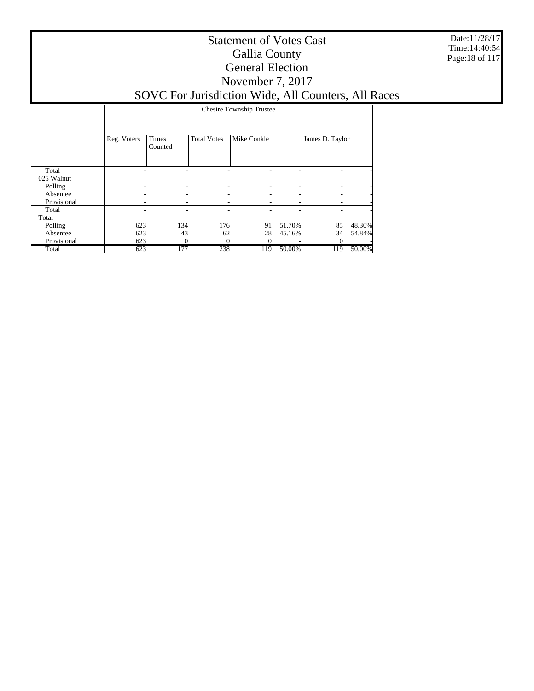Date:11/28/17 Time:14:40:54 Page:18 of 117

#### Statement of Votes Cast Gallia County General Election November 7, 2017 SOVC For Jurisdiction Wide, All Counters, All Races

|             |             | <b>Chesire Township Trustee</b> |                    |             |        |                 |        |  |  |
|-------------|-------------|---------------------------------|--------------------|-------------|--------|-----------------|--------|--|--|
|             | Reg. Voters | Times<br>Counted                | <b>Total Votes</b> | Mike Conkle |        | James D. Taylor |        |  |  |
| Total       |             |                                 |                    |             |        |                 |        |  |  |
| 025 Walnut  |             |                                 |                    |             |        |                 |        |  |  |
| Polling     |             |                                 |                    |             |        |                 |        |  |  |
| Absentee    |             |                                 |                    |             |        |                 |        |  |  |
| Provisional |             |                                 |                    |             |        |                 |        |  |  |
| Total       |             |                                 |                    |             |        |                 |        |  |  |
| Total       |             |                                 |                    |             |        |                 |        |  |  |
| Polling     | 623         | 134                             | 176                | 91          | 51.70% | 85              | 48.30% |  |  |
| Absentee    | 623         | 43                              | 62                 | 28          | 45.16% | 34              | 54.84% |  |  |
| Provisional | 623         | $\Omega$                        | $\Omega$           | $_{0}$      |        | $\theta$        |        |  |  |
| Total       | 623         | 177                             | 238                | 119         | 50.00% | 119             | 50.00% |  |  |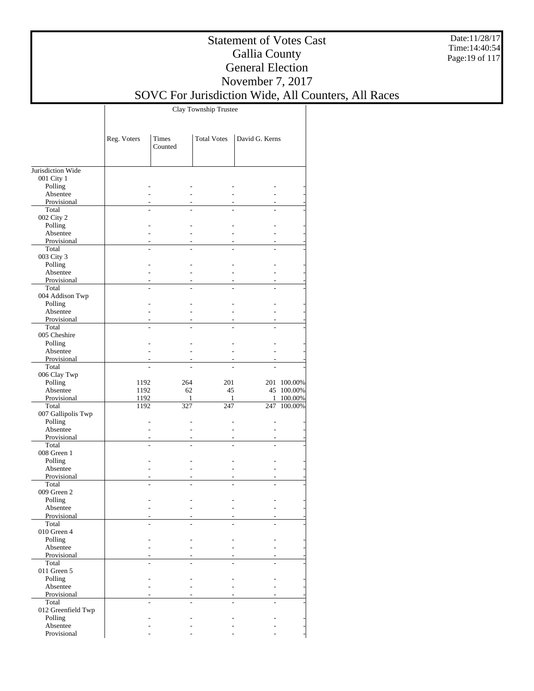Date:11/28/17 Time:14:40:54 Page:19 of 117

### Statement of Votes Cast Gallia County General Election November 7, 2017

# SOVC For Jurisdiction Wide, All Counters, All Races

Clay Township Trustee

|                         | Reg. Voters | Times<br>Counted | <b>Total Votes</b>       | David G. Kerns |             |
|-------------------------|-------------|------------------|--------------------------|----------------|-------------|
| Jurisdiction Wide       |             |                  |                          |                |             |
| 001 City 1              |             |                  |                          |                |             |
| Polling                 |             |                  |                          |                |             |
| Absentee                |             |                  | ÷.                       |                |             |
| Provisional             |             | ٠                | ÷.                       |                |             |
| Total                   |             |                  |                          |                |             |
| 002 City 2              |             |                  |                          |                |             |
| Polling                 |             |                  |                          |                |             |
| Absentee                |             |                  | ÷.                       |                |             |
| Provisional             |             | ٠                | ٠                        |                |             |
| Total                   |             |                  |                          |                |             |
| 003 City 3              |             |                  |                          |                |             |
| Polling                 |             |                  | L.                       |                |             |
| Absentee                |             | ٠                | ÷                        |                |             |
| Provisional<br>Total    | L.          | ÷.               | ÷<br>$\overline{a}$      |                |             |
| 004 Addison Twp         |             |                  |                          |                |             |
| Polling                 |             |                  | ÷                        |                |             |
| Absentee                |             |                  | ÷.                       |                |             |
| Provisional             |             | ٠                | $\overline{\phantom{a}}$ |                |             |
| Total                   |             |                  | L.                       |                |             |
| 005 Cheshire            |             |                  |                          |                |             |
| Polling                 |             |                  |                          |                |             |
| Absentee                |             |                  | ÷.                       |                |             |
| Provisional             |             |                  |                          |                |             |
| Total                   |             |                  |                          |                |             |
| 006 Clay Twp            |             |                  |                          |                |             |
| Polling                 | 1192        | 264              | 201                      |                | 201 100.00% |
| Absentee                | 1192        | 62               | 45                       |                | 45 100.00%  |
| Provisional             | 1192        | 1                | 1                        | 1              | 100.00%     |
| Total                   | 1192        | 327              | 247                      | 247            | 100.00%     |
| 007 Gallipolis Twp      |             |                  |                          |                |             |
| Polling                 |             |                  |                          |                |             |
| Absentee                |             |                  | ÷                        |                |             |
| Provisional             |             | ٠                | ٠                        |                |             |
| Total                   | L.          | ÷.               | $\overline{a}$           |                |             |
| 008 Green 1             |             |                  |                          |                |             |
| Polling<br>Absentee     |             |                  | ÷.                       |                |             |
| Provisional             |             | ٠                | $\overline{\phantom{a}}$ | $\sim$         |             |
| Total                   |             |                  | L.                       |                |             |
| 009 Green 2             |             |                  |                          |                |             |
| Polling                 |             |                  |                          |                |             |
| Absentee                |             |                  |                          |                |             |
| Provisional             |             |                  |                          |                |             |
| Total                   |             |                  |                          |                |             |
| 010 Green 4             |             |                  |                          |                |             |
| Polling                 |             |                  |                          |                |             |
| Absentee                |             |                  |                          |                |             |
| Provisional             |             |                  | ÷.                       |                |             |
| Total                   |             |                  |                          |                |             |
| 011 Green 5             |             |                  |                          |                |             |
| Polling                 |             |                  |                          |                |             |
| Absentee                |             |                  | ÷                        |                |             |
| Provisional             |             |                  | ÷.                       |                |             |
| Total                   |             | $\overline{a}$   | ÷.                       |                |             |
| 012 Greenfield Twp      |             |                  |                          |                |             |
| Polling                 |             |                  |                          |                |             |
| Absentee<br>Provisional |             |                  |                          |                |             |
|                         |             |                  |                          |                |             |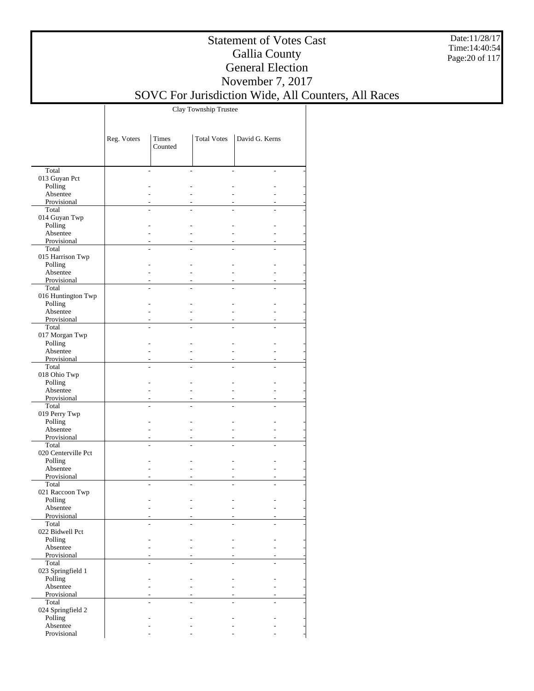Date:11/28/17 Time:14:40:54 Page:20 of 117

#### Statement of Votes Cast Gallia County General Election November 7, 2017

## SOVC For Jurisdiction Wide, All Counters, All Races

Clay Township Trustee

|                         | Reg. Voters | Times<br>Counted | <b>Total Votes</b> | David G. Kerns |  |
|-------------------------|-------------|------------------|--------------------|----------------|--|
|                         |             |                  |                    |                |  |
| Total                   |             |                  |                    |                |  |
| 013 Guyan Pct           |             |                  |                    |                |  |
| Polling                 |             |                  |                    |                |  |
| Absentee                |             |                  |                    |                |  |
| Provisional             |             |                  |                    |                |  |
| Total                   |             |                  |                    |                |  |
| 014 Guyan Twp           |             |                  |                    |                |  |
| Polling                 |             |                  |                    |                |  |
| Absentee                |             |                  |                    |                |  |
| Provisional             |             |                  |                    |                |  |
| Total                   |             |                  |                    |                |  |
| 015 Harrison Twp        |             |                  |                    |                |  |
| Polling                 |             |                  |                    |                |  |
| Absentee<br>Provisional |             |                  |                    |                |  |
| Total                   |             |                  |                    |                |  |
| 016 Huntington Twp      |             |                  |                    |                |  |
| Polling                 |             |                  |                    |                |  |
| Absentee                |             |                  |                    |                |  |
| Provisional             |             |                  |                    |                |  |
| Total                   |             |                  |                    |                |  |
| 017 Morgan Twp          |             |                  |                    |                |  |
| Polling                 |             |                  |                    |                |  |
| Absentee                |             |                  |                    |                |  |
| Provisional             |             |                  |                    |                |  |
| Total                   |             |                  |                    |                |  |
| 018 Ohio Twp            |             |                  |                    |                |  |
| Polling                 |             |                  |                    |                |  |
| Absentee                |             |                  |                    |                |  |
| Provisional             |             |                  |                    |                |  |
| Total                   |             |                  |                    |                |  |
| 019 Perry Twp           |             |                  |                    |                |  |
| Polling                 |             |                  |                    |                |  |
| Absentee                |             |                  |                    |                |  |
| Provisional             |             |                  |                    |                |  |
| Total                   |             |                  |                    |                |  |
| 020 Centerville Pct     |             |                  |                    |                |  |
| Polling<br>Absentee     |             |                  |                    |                |  |
| Provisional             |             |                  |                    |                |  |
| Total                   |             |                  |                    |                |  |
| 021 Raccoon Twp         |             |                  |                    |                |  |
| Polling                 |             |                  |                    |                |  |
| Absentee                |             |                  |                    |                |  |
| Provisional             |             |                  |                    |                |  |
| Total                   |             |                  |                    |                |  |
| 022 Bidwell Pct         |             |                  |                    |                |  |
| Polling                 |             |                  |                    |                |  |
| Absentee                |             |                  |                    |                |  |
| Provisional             |             |                  |                    |                |  |
| Total                   |             |                  |                    |                |  |
| 023 Springfield 1       |             |                  |                    |                |  |
| Polling                 |             |                  |                    |                |  |
| Absentee                |             |                  |                    |                |  |
| Provisional             |             |                  |                    |                |  |
| Total                   |             |                  |                    |                |  |
| 024 Springfield 2       |             |                  |                    |                |  |
| Polling<br>Absentee     |             |                  |                    |                |  |
| Provisional             |             |                  |                    |                |  |
|                         |             |                  |                    |                |  |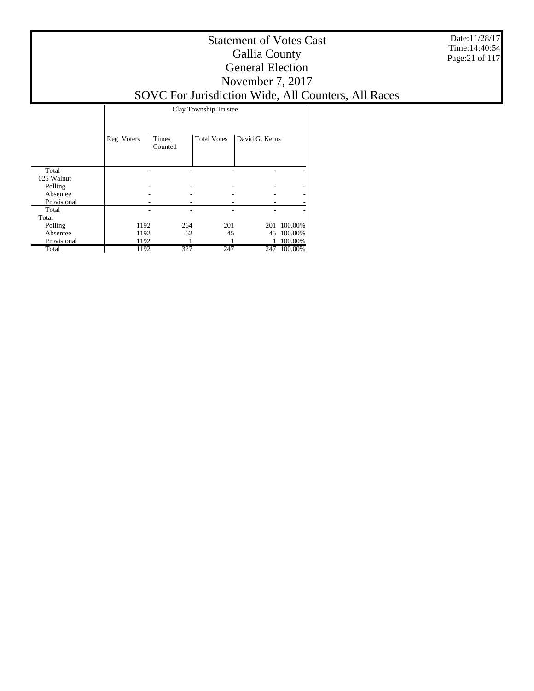Date:11/28/17 Time:14:40:54 Page:21 of 117

#### Statement of Votes Cast Gallia County General Election November 7, 2017 SOVC For Jurisdiction Wide, All Counters, All Races

Clay Township Trustee

|             | Reg. Voters | <b>Times</b><br>Counted | <b>Total Votes</b> | David G. Kerns |            |
|-------------|-------------|-------------------------|--------------------|----------------|------------|
| Total       |             |                         |                    |                |            |
| 025 Walnut  |             |                         |                    |                |            |
| Polling     |             |                         |                    |                | -          |
| Absentee    |             |                         |                    |                |            |
| Provisional |             |                         |                    |                |            |
| Total       |             |                         |                    |                |            |
| Total       |             |                         |                    |                |            |
| Polling     | 1192        | 264                     | 201                | 201            | 100.00%    |
| Absentee    | 1192        | 62                      | 45                 |                | 45 100.00% |
| Provisional | 1192        |                         |                    |                | 100.00%    |
| Total       | 1192        | 327                     | 247                | 247            | 100.00%    |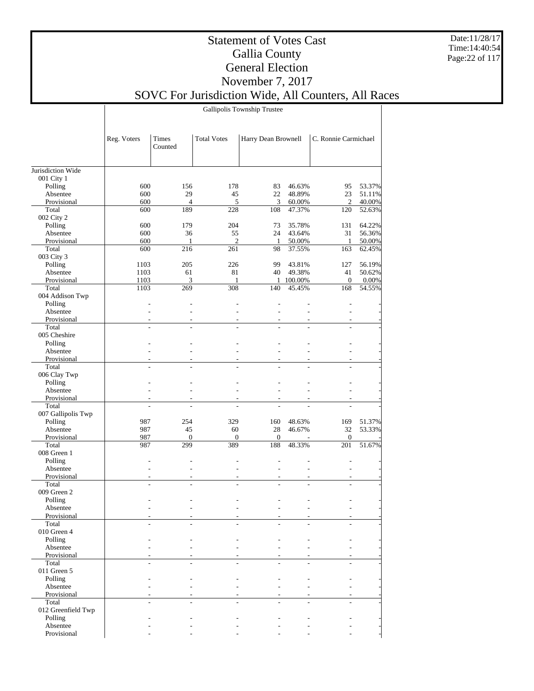Date:11/28/17 Time:14:40:54 Page:22 of 117

#### Statement of Votes Cast Gallia County General Election November 7, 2017 SOVC For Jurisdiction Wide, All Counters, All Races

Gallipolis Township Trustee

|                         | Reg. Voters    | Times<br>Counted   | <b>Total Votes</b> | Harry Dean Brownell |                  | C. Ronnie Carmichael   |                  |
|-------------------------|----------------|--------------------|--------------------|---------------------|------------------|------------------------|------------------|
| Jurisdiction Wide       |                |                    |                    |                     |                  |                        |                  |
| 001 City 1              |                |                    |                    |                     |                  |                        |                  |
| Polling                 | 600            | 156                | 178                | 83                  | 46.63%           | 95                     | 53.37%           |
| Absentee                | 600            | 29                 | 45                 | 22                  | 48.89%           | 23                     | 51.11%           |
| Provisional             | 600            | $\overline{4}$     | 5                  | 3                   | 60.00%           | $\mathfrak{2}$         | 40.00%           |
| Total                   | 600            | 189                | 228                | 108                 | 47.37%           | 120                    | 52.63%           |
| 002 City 2              |                |                    |                    |                     |                  |                        |                  |
| Polling                 | 600            | 179                | 204                | 73                  | 35.78%           | 131                    | 64.22%           |
| Absentee<br>Provisional | 600<br>600     | 36<br>$\mathbf{1}$ | 55<br>2            | 24<br>$\mathbf{1}$  | 43.64%<br>50.00% | 31<br>$\mathbf{1}$     | 56.36%<br>50.00% |
| Total                   | 600            | 216                | 261                | 98                  | 37.55%           | 163                    | 62.45%           |
| 003 City 3              |                |                    |                    |                     |                  |                        |                  |
| Polling                 | 1103           | 205                | 226                | 99                  | 43.81%           | 127                    | 56.19%           |
| Absentee                | 1103           | 61                 | 81                 | 40                  | 49.38%           | 41                     | 50.62%           |
| Provisional             | 1103           | 3                  | $\mathbf{1}$       |                     | 1 100.00%        | $\mathbf{0}$           | 0.00%            |
| Total                   | 1103           | 269                | 308                | 140                 | 45.45%           | 168                    | 54.55%           |
| 004 Addison Twp         |                |                    |                    |                     |                  |                        |                  |
| Polling                 |                |                    |                    |                     |                  |                        |                  |
| Absentee                | $\overline{a}$ |                    |                    | $\overline{a}$      | ÷,               | ÷,                     |                  |
| Provisional             |                |                    |                    |                     |                  |                        |                  |
| Total                   |                | L.                 | L,                 |                     |                  | ÷                      |                  |
| 005 Cheshire<br>Polling |                |                    |                    |                     |                  |                        |                  |
| Absentee                |                |                    |                    | L.                  |                  |                        |                  |
| Provisional             |                |                    |                    |                     |                  | ÷,                     |                  |
| Total                   |                |                    |                    |                     |                  |                        |                  |
| 006 Clay Twp            |                |                    |                    |                     |                  |                        |                  |
| Polling                 |                |                    |                    |                     |                  |                        |                  |
| Absentee                |                |                    |                    |                     |                  |                        |                  |
| Provisional             |                |                    |                    |                     |                  |                        |                  |
| Total                   |                |                    |                    |                     |                  |                        |                  |
| 007 Gallipolis Twp      |                |                    |                    |                     |                  |                        |                  |
| Polling                 | 987            | 254                | 329                | 160                 | 48.63%           | 169                    | 51.37%           |
| Absentee<br>Provisional | 987<br>987     | 45<br>$\mathbf{0}$ | 60<br>$\mathbf{0}$ | 28<br>$\mathbf{0}$  | 46.67%           | 32<br>$\boldsymbol{0}$ | 53.33%           |
| Total                   | 987            | 299                | 389                | 188                 | 48.33%           | 201                    | 51.67%           |
| 008 Green 1             |                |                    |                    |                     |                  |                        |                  |
| Polling                 |                |                    |                    |                     |                  |                        |                  |
| Absentee                | L.             |                    | L,                 | ÷,                  | ÷,               | $\overline{a}$         |                  |
| Provisional             |                |                    |                    |                     |                  |                        |                  |
| Total                   |                |                    |                    |                     |                  | L.                     |                  |
| 009 Green 2             |                |                    |                    |                     |                  |                        |                  |
| Polling                 |                |                    |                    |                     |                  |                        |                  |
| Absentee                |                |                    |                    |                     |                  |                        |                  |
| Provisional             |                |                    |                    |                     |                  |                        |                  |
| Total<br>010 Green 4    |                |                    |                    |                     |                  |                        |                  |
| Polling                 |                |                    |                    |                     |                  |                        |                  |
| Absentee                |                |                    |                    |                     |                  |                        |                  |
| Provisional             |                |                    |                    |                     |                  |                        |                  |
| Total                   |                |                    |                    |                     |                  |                        |                  |
| 011 Green 5             |                |                    |                    |                     |                  |                        |                  |
| Polling                 |                |                    |                    |                     |                  |                        |                  |
| Absentee                |                |                    |                    |                     |                  |                        |                  |
| Provisional             |                |                    |                    |                     |                  |                        |                  |
| Total                   |                |                    |                    |                     |                  |                        |                  |
| 012 Greenfield Twp      |                |                    |                    |                     |                  |                        |                  |
| Polling                 |                |                    |                    |                     |                  |                        |                  |
| Absentee                |                |                    |                    |                     |                  |                        |                  |
| Provisional             |                |                    |                    |                     |                  |                        |                  |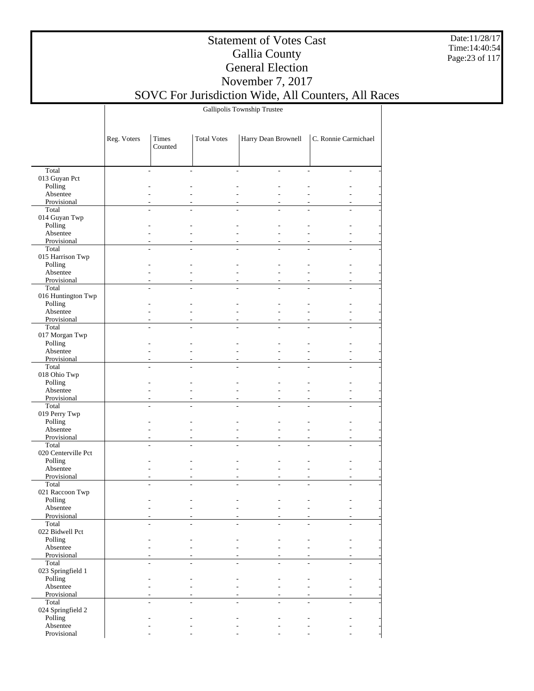Date:11/28/17 Time:14:40:54 Page:23 of 117

## Statement of Votes Cast Gallia County General Election November 7, 2017

SOVC For Jurisdiction Wide, All Counters, All Races

Gallipolis Township Trustee

|                               | Reg. Voters | Times<br>Counted | <b>Total Votes</b> | Harry Dean Brownell  |                | C. Ronnie Carmichael |                |
|-------------------------------|-------------|------------------|--------------------|----------------------|----------------|----------------------|----------------|
|                               |             |                  |                    |                      |                |                      |                |
| Total                         |             |                  |                    | L.                   | ÷              |                      |                |
| 013 Guyan Pct                 |             |                  |                    |                      |                |                      |                |
| Polling<br>Absentee           |             |                  |                    | L.                   |                |                      |                |
| Provisional                   |             |                  |                    |                      |                |                      |                |
| Total                         |             |                  |                    |                      |                |                      |                |
| 014 Guyan Twp                 |             |                  |                    |                      |                |                      |                |
| Polling                       |             |                  |                    |                      |                |                      |                |
| Absentee                      |             |                  |                    | L.                   |                |                      |                |
| Provisional<br>Total          |             |                  |                    | $\overline{a}$       |                |                      |                |
| 015 Harrison Twp              |             |                  |                    |                      |                |                      |                |
| Polling                       |             |                  |                    |                      |                |                      |                |
| Absentee                      |             | L.               |                    | L.                   | L.             |                      |                |
| Provisional                   |             |                  |                    |                      |                |                      |                |
| Total                         | ÷.          |                  | L.                 | $\overline{a}$<br>L. |                | ÷                    |                |
| 016 Huntington Twp<br>Polling |             |                  |                    |                      |                |                      |                |
| Absentee                      |             |                  |                    | L.                   |                |                      |                |
| Provisional                   |             |                  |                    |                      |                |                      |                |
| Total                         |             |                  |                    |                      |                |                      |                |
| 017 Morgan Twp                |             |                  |                    |                      |                |                      |                |
| Polling                       |             |                  |                    |                      |                |                      |                |
| Absentee                      |             |                  |                    | L.                   |                |                      |                |
| Provisional<br>Total          |             |                  |                    |                      |                |                      |                |
| 018 Ohio Twp                  |             |                  |                    |                      |                |                      |                |
| Polling                       |             |                  |                    |                      |                |                      |                |
| Absentee                      |             |                  |                    | L.                   |                |                      |                |
| Provisional                   |             |                  |                    | $\overline{a}$       |                |                      |                |
| Total                         |             |                  |                    |                      |                |                      |                |
| 019 Perry Twp<br>Polling      |             |                  |                    |                      |                |                      |                |
| Absentee                      |             |                  |                    | $\overline{a}$       | $\overline{a}$ |                      |                |
| Provisional                   |             |                  |                    |                      |                |                      |                |
| Total                         | ÷.          |                  | L.                 | L.<br>L.             | L.             |                      | $\overline{a}$ |
| 020 Centerville Pct           |             |                  |                    |                      |                |                      |                |
| Polling<br>Absentee           |             |                  |                    | L.                   |                |                      |                |
| Provisional                   |             |                  |                    | ÷,                   |                |                      | $\frac{1}{2}$  |
| Total                         |             |                  |                    |                      |                |                      |                |
| 021 Raccoon Twp               |             |                  |                    |                      |                |                      |                |
| Polling                       |             |                  |                    |                      |                |                      |                |
| Absentee                      |             |                  |                    |                      |                |                      |                |
| Provisional<br>Total          |             |                  |                    |                      |                |                      |                |
| 022 Bidwell Pct               |             |                  |                    |                      |                |                      |                |
| Polling                       |             |                  |                    |                      |                |                      |                |
| Absentee                      |             |                  |                    | ÷.                   | ÷,             |                      |                |
| Provisional                   |             |                  |                    |                      |                |                      |                |
| Total                         |             |                  |                    |                      |                |                      |                |
| 023 Springfield 1<br>Polling  |             |                  |                    |                      |                |                      |                |
| Absentee                      |             |                  |                    | L.                   | $\overline{a}$ |                      |                |
| Provisional                   |             |                  |                    |                      |                |                      |                |
| Total                         |             |                  |                    | L.                   |                | ÷                    |                |
| 024 Springfield 2             |             |                  |                    |                      |                |                      |                |
| Polling                       |             |                  |                    |                      |                |                      |                |
| Absentee<br>Provisional       |             |                  |                    |                      |                |                      |                |
|                               |             |                  |                    |                      |                |                      |                |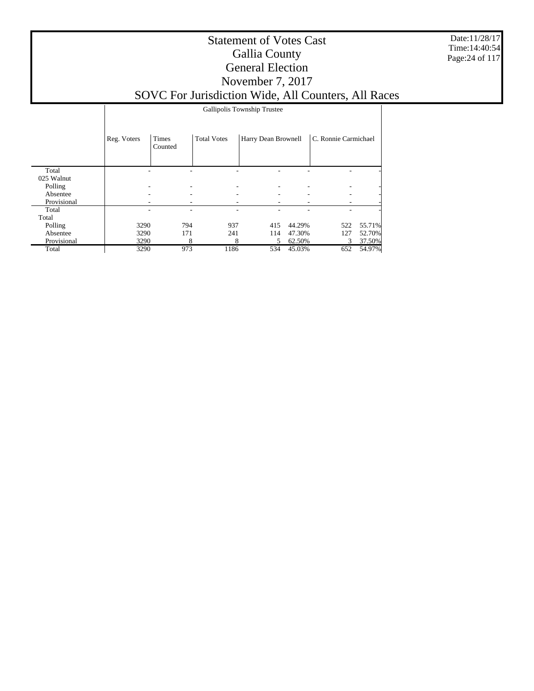Date:11/28/17 Time:14:40:54 Page:24 of 117

#### Statement of Votes Cast Gallia County General Election November 7, 2017 SOVC For Jurisdiction Wide, All Counters, All Races

Gallipolis Township Trustee

|             | Reg. Voters | <b>Times</b><br>Counted | <b>Total Votes</b> | Harry Dean Brownell |        | C. Ronnie Carmichael |        |
|-------------|-------------|-------------------------|--------------------|---------------------|--------|----------------------|--------|
| Total       |             |                         |                    |                     |        |                      |        |
| 025 Walnut  |             |                         |                    |                     |        |                      |        |
| Polling     |             | ٠                       |                    |                     | ۰      |                      | ۰      |
| Absentee    |             | ٠                       | ۰                  | ۰.                  | ۰      | ۰                    |        |
| Provisional |             | ۰                       | ۰                  | ۰                   | ۰      |                      |        |
| Total       |             | ۰                       |                    |                     |        |                      |        |
| Total       |             |                         |                    |                     |        |                      |        |
| Polling     | 3290        | 794                     | 937                | 415                 | 44.29% | 522                  | 55.71% |
| Absentee    | 3290        | 171                     | 241                | 114                 | 47.30% | 127                  | 52.70% |
| Provisional | 3290        | 8                       | 8                  | 5.                  | 62.50% | 3                    | 37.50% |
| Total       | 3290        | 973                     | 1186               | 534                 | 45.03% | 652                  | 54.97% |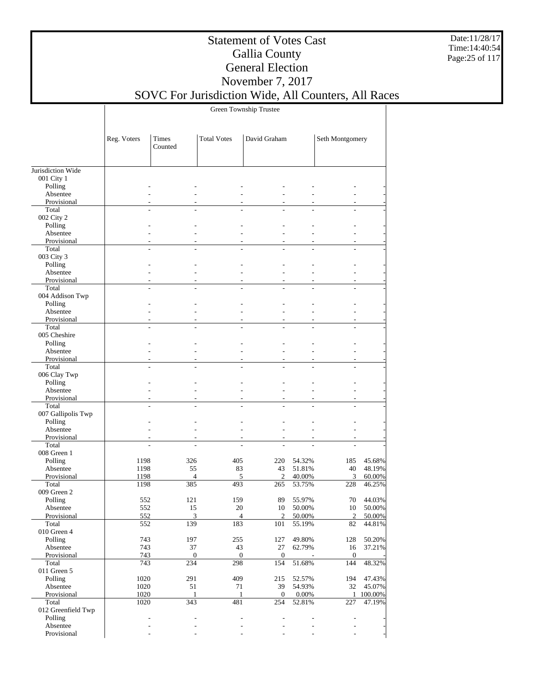Date:11/28/17 Time:14:40:54 Page:25 of 117

### Statement of Votes Cast Gallia County General Election November 7, 2017

SOVC For Jurisdiction Wide, All Counters, All Races

Green Township Trustee

|                      | Reg. Voters  | Times<br>Counted | <b>Total Votes</b> | David Graham     |                          | Seth Montgomery |                  |
|----------------------|--------------|------------------|--------------------|------------------|--------------------------|-----------------|------------------|
| Jurisdiction Wide    |              |                  |                    |                  |                          |                 |                  |
| 001 City 1           |              |                  |                    |                  |                          |                 |                  |
| Polling              |              |                  |                    |                  |                          |                 |                  |
| Absentee             |              |                  |                    |                  |                          |                 |                  |
| Provisional          |              |                  |                    |                  |                          |                 |                  |
| Total                |              |                  |                    |                  |                          |                 |                  |
| 002 City 2           |              |                  |                    |                  |                          |                 |                  |
| Polling<br>Absentee  |              |                  |                    |                  |                          |                 |                  |
| Provisional          |              |                  |                    |                  |                          |                 |                  |
| Total                |              |                  |                    |                  |                          |                 |                  |
| 003 City 3           |              |                  |                    |                  |                          |                 |                  |
| Polling              |              |                  |                    |                  |                          |                 |                  |
| Absentee             |              |                  |                    |                  |                          |                 |                  |
| Provisional<br>Total |              |                  |                    |                  |                          |                 |                  |
| 004 Addison Twp      |              |                  |                    |                  |                          |                 |                  |
| Polling              |              |                  |                    |                  |                          |                 |                  |
| Absentee             |              |                  |                    |                  |                          |                 |                  |
| Provisional          |              |                  |                    |                  |                          |                 |                  |
| Total                |              |                  |                    |                  |                          |                 |                  |
| 005 Cheshire         |              |                  |                    |                  |                          |                 |                  |
| Polling<br>Absentee  |              |                  |                    |                  |                          |                 |                  |
| Provisional          |              |                  |                    |                  |                          |                 |                  |
| Total                |              |                  |                    |                  |                          |                 |                  |
| 006 Clay Twp         |              |                  |                    |                  |                          |                 |                  |
| Polling              |              |                  |                    |                  |                          |                 |                  |
| Absentee             |              |                  |                    |                  |                          |                 |                  |
| Provisional<br>Total |              |                  |                    |                  |                          |                 |                  |
| 007 Gallipolis Twp   |              |                  |                    |                  |                          |                 |                  |
| Polling              |              |                  |                    |                  |                          |                 |                  |
| Absentee             |              |                  |                    |                  |                          |                 |                  |
| Provisional          |              |                  |                    |                  |                          |                 |                  |
| Total                |              |                  |                    |                  |                          |                 |                  |
| 008 Green 1          |              |                  |                    |                  |                          |                 |                  |
| Polling<br>Absentee  | 1198<br>1198 | 326<br>55        | 405<br>83          | 220<br>43        | 54.32%<br>51.81%         | 185<br>40       | 45.68%<br>48.19% |
| Provisional          | 1198         | $\overline{4}$   | 5                  | $\mathfrak{2}$   | 40.00%                   | $\mathfrak{Z}$  | 60.00%           |
| Total                | 1198         | 385              | 493                | 265              | 53.75%                   | 228             | 46.25%           |
| 009 Green 2          |              |                  |                    |                  |                          |                 |                  |
| Polling              | 552          | 121              | 159                | 89               | 55.97%                   | 70              | 44.03%           |
| Absentee             | 552          | 15               | 20                 | 10               | 50.00%                   | 10              | 50.00%           |
| Provisional          | 552          | $\mathbf{c}$     | $\Lambda$          | $\mathcal{D}$    | 50.00%                   | $\overline{2}$  | 50.00%           |
| Total<br>010 Green 4 | 552          | 139              | 183                | 101              | 55.19%                   | 82              | 44.81%           |
| Polling              | 743          | 197              | 255                | 127              | 49.80%                   | 128             | 50.20%           |
| Absentee             | 743          | 37               | 43                 | 27               | 62.79%                   | 16              | 37.21%           |
| Provisional          | 743          | $\boldsymbol{0}$ | $\boldsymbol{0}$   | $\boldsymbol{0}$ |                          | $\overline{0}$  |                  |
| Total                | 743          | 234              | 298                | 154              | 51.68%                   | 144             | 48.32%           |
| 011 Green 5          |              |                  |                    |                  |                          |                 |                  |
| Polling<br>Absentee  | 1020         | 291              | 409<br>71          | 215<br>39        | 52.57%<br>54.93%         | 194<br>32       | 47.43%<br>45.07% |
| Provisional          | 1020<br>1020 | 51<br>1          | 1                  | $\mathbf{0}$     | 0.00%                    | $\mathbf{1}$    | 100.00%          |
| Total                | 1020         | 343              | 481                | 254              | 52.81%                   | 227             | 47.19%           |
| 012 Greenfield Twp   |              |                  |                    |                  |                          |                 |                  |
| Polling              |              |                  |                    |                  |                          |                 |                  |
| Absentee             |              |                  |                    |                  |                          |                 |                  |
| Provisional          |              |                  |                    |                  | $\overline{\phantom{a}}$ |                 |                  |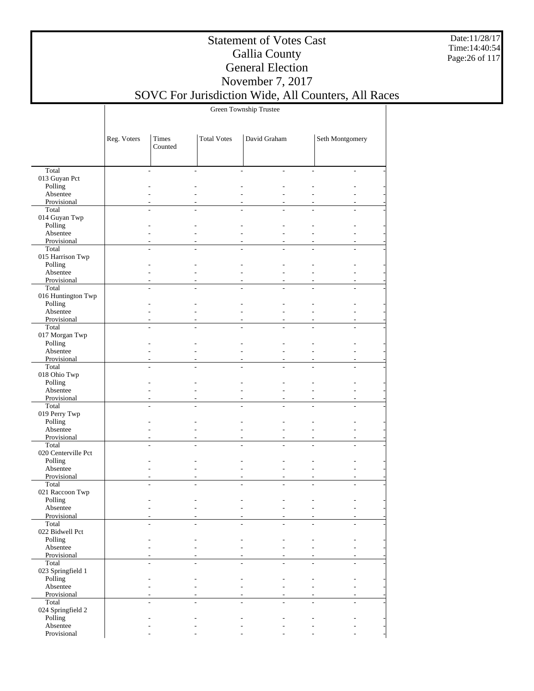Date:11/28/17 Time:14:40:54 Page:26 of 117

## Statement of Votes Cast Gallia County General Election November 7, 2017

SOVC For Jurisdiction Wide, All Counters, All Races

Green Township Trustee

|                             | Reg. Voters    | Times<br>Counted | <b>Total Votes</b> | David Graham                 | Seth Montgomery                  |
|-----------------------------|----------------|------------------|--------------------|------------------------------|----------------------------------|
|                             |                |                  |                    |                              |                                  |
| Total                       | ÷,             |                  | $\overline{a}$     | $\overline{\phantom{a}}$     | $\overline{a}$<br>$\overline{a}$ |
| 013 Guyan Pct               |                |                  |                    |                              |                                  |
| Polling                     |                |                  |                    |                              |                                  |
| Absentee                    |                |                  |                    |                              |                                  |
| Provisional<br>Total        |                |                  |                    |                              |                                  |
| 014 Guyan Twp               |                |                  |                    |                              |                                  |
| Polling                     |                |                  |                    |                              |                                  |
| Absentee                    |                |                  |                    | $\overline{a}$               |                                  |
| Provisional                 |                |                  |                    |                              |                                  |
| Total                       |                |                  |                    |                              |                                  |
| 015 Harrison Twp            |                |                  |                    |                              |                                  |
| Polling                     |                |                  |                    |                              |                                  |
| Absentee                    |                |                  |                    | $\overline{a}$               |                                  |
| Provisional                 | $\overline{a}$ |                  |                    | $\qquad \qquad \blacksquare$ |                                  |
| Total<br>016 Huntington Twp |                |                  |                    |                              |                                  |
| Polling                     |                |                  |                    |                              |                                  |
| Absentee                    | L,             |                  | $\overline{a}$     | L.                           | $\overline{a}$                   |
| Provisional                 |                |                  |                    |                              |                                  |
| Total                       | L.             | L,               | $\overline{a}$     | L.                           | $\overline{a}$<br>$\overline{a}$ |
| 017 Morgan Twp              |                |                  |                    |                              |                                  |
| Polling                     |                |                  |                    |                              |                                  |
| Absentee                    |                |                  |                    | $\overline{a}$               |                                  |
| Provisional                 |                |                  |                    |                              |                                  |
| Total                       | L,             |                  |                    |                              |                                  |
| 018 Ohio Twp                |                |                  |                    |                              |                                  |
| Polling<br>Absentee         |                |                  |                    | $\overline{a}$               |                                  |
| Provisional                 |                |                  |                    |                              |                                  |
| Total                       |                |                  |                    |                              |                                  |
| 019 Perry Twp               |                |                  |                    |                              |                                  |
| Polling                     |                |                  |                    |                              |                                  |
| Absentee                    |                |                  |                    |                              |                                  |
| Provisional                 | $\overline{a}$ |                  |                    | $\overline{\phantom{a}}$     | $\overline{a}$                   |
| Total                       |                |                  |                    |                              |                                  |
| 020 Centerville Pct         |                |                  |                    |                              |                                  |
| Polling                     |                |                  | $\overline{a}$     |                              | $\overline{a}$                   |
| Absentee<br>Provisional     |                |                  |                    | $\overline{a}$               |                                  |
| Total                       | L,             |                  |                    |                              |                                  |
| 021 Raccoon Twp             |                |                  |                    |                              |                                  |
| Polling                     |                |                  |                    |                              |                                  |
| Absentee                    |                |                  |                    |                              |                                  |
| Provisional                 |                |                  |                    |                              |                                  |
| Total                       | L,             |                  |                    |                              |                                  |
| 022 Bidwell Pct             |                |                  |                    |                              |                                  |
| Polling<br>Absentee         |                |                  |                    |                              |                                  |
| Provisional                 |                |                  |                    |                              |                                  |
| Total                       | ÷,             |                  | $\overline{a}$     | L.                           | $\overline{a}$<br>L.             |
| 023 Springfield 1           |                |                  |                    |                              |                                  |
| Polling                     |                |                  |                    | $\overline{a}$               | $\overline{a}$                   |
| Absentee                    |                |                  |                    |                              |                                  |
| Provisional                 |                |                  |                    |                              |                                  |
| Total                       |                |                  |                    |                              |                                  |
| 024 Springfield 2           |                |                  |                    |                              |                                  |
| Polling                     |                |                  |                    |                              |                                  |
| Absentee<br>Provisional     |                |                  |                    |                              |                                  |
|                             |                |                  |                    |                              |                                  |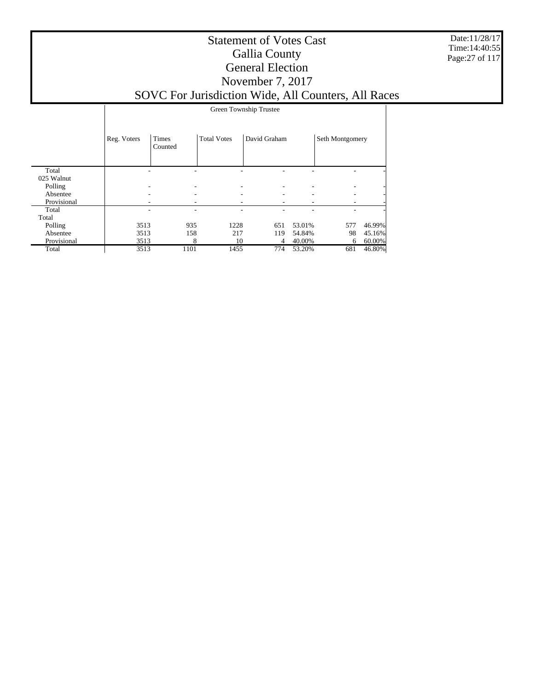Date:11/28/17 Time:14:40:55 Page:27 of 117

#### Statement of Votes Cast Gallia County General Election November 7, 2017 SOVC For Jurisdiction Wide, All Counters, All Races

|             |             | Green Township Trustee  |                    |              |        |                 |        |  |  |
|-------------|-------------|-------------------------|--------------------|--------------|--------|-----------------|--------|--|--|
|             | Reg. Voters | <b>Times</b><br>Counted | <b>Total Votes</b> | David Graham |        | Seth Montgomery |        |  |  |
| Total       |             |                         |                    |              |        |                 |        |  |  |
| 025 Walnut  |             |                         |                    |              |        |                 |        |  |  |
| Polling     |             |                         |                    |              |        |                 |        |  |  |
| Absentee    |             |                         |                    |              |        |                 |        |  |  |
| Provisional |             |                         |                    |              |        |                 |        |  |  |
| Total       |             |                         |                    |              |        |                 |        |  |  |
| Total       |             |                         |                    |              |        |                 |        |  |  |
| Polling     | 3513        | 935                     | 1228               | 651          | 53.01% | 577             | 46.99% |  |  |
| Absentee    | 3513        | 158                     | 217                | 119          | 54.84% | 98              | 45.16% |  |  |
| Provisional | 3513        | 8                       | 10                 | 4            | 40.00% | 6               | 60.00% |  |  |
| Total       | 3513        | 1101                    | 1455               | 774          | 53.20% | 681             | 46.80% |  |  |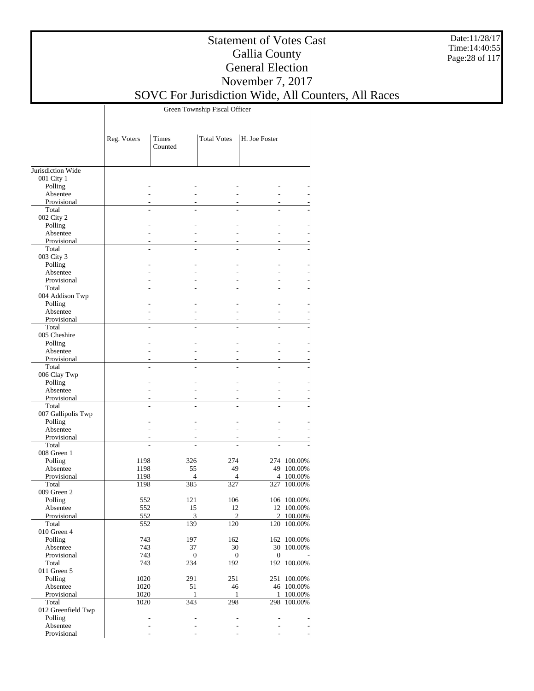Date:11/28/17 Time:14:40:55 Page:28 of 117

#### Statement of Votes Cast Gallia County General Election November 7, 2017

# SOVC For Jurisdiction Wide, All Counters, All Races

Green Township Fiscal Officer

|                                 | Reg. Voters    | Times<br>Counted | <b>Total Votes</b> | H. Joe Foster    |             |
|---------------------------------|----------------|------------------|--------------------|------------------|-------------|
|                                 |                |                  |                    |                  |             |
| Jurisdiction Wide<br>001 City 1 |                |                  |                    |                  |             |
| Polling                         |                |                  |                    |                  |             |
| Absentee                        |                |                  |                    |                  |             |
| Provisional                     |                |                  |                    |                  |             |
| Total                           |                |                  |                    |                  |             |
| 002 City 2                      |                |                  |                    |                  |             |
| Polling                         |                |                  |                    |                  |             |
| Absentee                        |                |                  |                    |                  |             |
| Provisional<br>Total            |                |                  |                    |                  |             |
| 003 City 3                      |                |                  |                    |                  |             |
| Polling                         |                |                  |                    |                  |             |
| Absentee                        |                |                  |                    |                  |             |
| Provisional                     |                |                  |                    |                  |             |
| Total                           |                | $\overline{a}$   |                    |                  |             |
| 004 Addison Twp                 |                |                  |                    |                  |             |
| Polling                         |                |                  |                    |                  |             |
| Absentee                        |                |                  |                    |                  |             |
| Provisional<br>Total            |                |                  |                    |                  |             |
| 005 Cheshire                    |                |                  |                    |                  |             |
| Polling                         |                |                  |                    |                  |             |
| Absentee                        |                |                  |                    |                  |             |
| Provisional                     |                |                  |                    |                  |             |
| Total                           |                |                  |                    |                  |             |
| 006 Clay Twp                    |                |                  |                    |                  |             |
| Polling                         |                |                  |                    |                  |             |
| Absentee                        |                |                  |                    |                  |             |
| Provisional                     |                |                  |                    |                  |             |
| Total<br>007 Gallipolis Twp     |                |                  |                    |                  |             |
| Polling                         |                |                  |                    |                  |             |
| Absentee                        |                |                  |                    |                  |             |
| Provisional                     |                |                  |                    |                  |             |
| Total                           |                |                  |                    |                  |             |
| 008 Green 1                     |                |                  |                    |                  |             |
| Polling                         | 1198           | 326              | 274                |                  | 274 100.00% |
| Absentee                        | 1198           | 55               | 49                 | 49               | 100.00%     |
| Provisional<br>Total            | 1198           | $\overline{4}$   | 4                  | $\overline{4}$   | 100.00%     |
| 009 Green 2                     | 1198           | 385              | 327                | 327              | 100.00%     |
| Polling                         | 552            | 121              | 106                |                  | 106 100.00% |
| Absentee                        | 552            | 15               | 12                 |                  | 12 100.00%  |
| Provisional                     | 552            | 3                | $\overline{2}$     | $\overline{c}$   | 100.00%     |
| Total                           | 552            | 139              | 120                |                  | 120 100.00% |
| 010 Green 4                     |                |                  |                    |                  |             |
| Polling                         | 743            | 197              | 162                |                  | 162 100.00% |
| Absentee                        | 743            | 37               | 30                 |                  | 30 100.00%  |
| Provisional                     | 743            | $\boldsymbol{0}$ | 0                  | $\boldsymbol{0}$ |             |
| Total<br>011 Green 5            | 743            | 234              | 192                | 192              | 100.00%     |
| Polling                         | 1020           | 291              | 251                |                  | 251 100.00% |
| Absentee                        | 1020           | 51               | 46                 |                  | 46 100.00%  |
| Provisional                     | 1020           | 1                | 1                  | $\mathbf{1}$     | 100.00%     |
| Total                           | 1020           | 343              | 298                |                  | 298 100.00% |
| 012 Greenfield Twp              |                |                  |                    |                  |             |
| Polling                         | $\overline{a}$ |                  | $\overline{a}$     | ÷,               |             |
| Absentee                        |                |                  |                    |                  |             |
| Provisional                     |                |                  |                    |                  |             |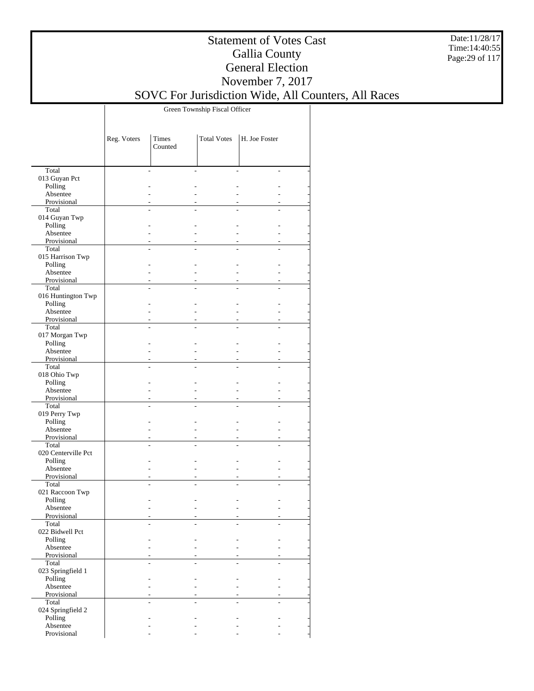Date:11/28/17 Time:14:40:55 Page:29 of 117

#### Statement of Votes Cast Gallia County General Election November 7, 2017

# SOVC For Jurisdiction Wide, All Counters, All Races

Green Township Fiscal Officer

|                         | Reg. Voters | Times<br>Counted | <b>Total Votes</b> | H. Joe Foster |  |
|-------------------------|-------------|------------------|--------------------|---------------|--|
|                         |             |                  |                    |               |  |
| Total                   |             |                  |                    |               |  |
| 013 Guyan Pct           |             |                  |                    |               |  |
| Polling                 |             |                  |                    |               |  |
| Absentee                |             |                  |                    |               |  |
| Provisional<br>Total    |             |                  |                    |               |  |
| 014 Guyan Twp           |             |                  |                    |               |  |
| Polling                 |             |                  |                    |               |  |
| Absentee                |             |                  |                    |               |  |
| Provisional             |             |                  |                    |               |  |
| Total                   |             |                  |                    |               |  |
| 015 Harrison Twp        |             |                  |                    |               |  |
| Polling                 |             |                  |                    |               |  |
| Absentee                |             |                  |                    |               |  |
| Provisional<br>Total    |             |                  |                    | L,            |  |
| 016 Huntington Twp      |             |                  |                    |               |  |
| Polling                 |             |                  |                    |               |  |
| Absentee                |             |                  |                    |               |  |
| Provisional             |             |                  |                    |               |  |
| Total                   |             |                  |                    |               |  |
| 017 Morgan Twp          |             |                  |                    |               |  |
| Polling                 |             |                  |                    |               |  |
| Absentee                |             |                  |                    |               |  |
| Provisional<br>Total    |             |                  |                    |               |  |
| 018 Ohio Twp            |             |                  |                    |               |  |
| Polling                 |             |                  |                    |               |  |
| Absentee                |             |                  |                    |               |  |
| Provisional             |             |                  |                    |               |  |
| Total                   |             |                  |                    |               |  |
| 019 Perry Twp           |             |                  |                    |               |  |
| Polling                 |             |                  |                    |               |  |
| Absentee                |             |                  |                    |               |  |
| Provisional<br>Total    |             |                  |                    | L,            |  |
| 020 Centerville Pct     |             |                  |                    |               |  |
| Polling                 |             |                  |                    |               |  |
| Absentee                |             |                  |                    |               |  |
| Provisional             |             |                  |                    |               |  |
| Total                   |             |                  |                    |               |  |
| 021 Raccoon Twp         |             |                  |                    |               |  |
| Polling                 |             |                  |                    |               |  |
| Absentee<br>Provisional |             |                  |                    |               |  |
| Total                   |             |                  |                    |               |  |
| 022 Bidwell Pct         |             |                  |                    |               |  |
| Polling                 |             |                  |                    |               |  |
| Absentee                |             |                  |                    |               |  |
| Provisional             |             |                  |                    |               |  |
| Total                   |             |                  |                    |               |  |
| 023 Springfield 1       |             |                  |                    |               |  |
| Polling                 |             |                  |                    |               |  |
| Absentee<br>Provisional |             |                  |                    |               |  |
| Total                   |             |                  |                    |               |  |
| 024 Springfield 2       |             |                  |                    |               |  |
| Polling                 |             |                  |                    |               |  |
| Absentee                |             |                  |                    |               |  |
| Provisional             |             |                  |                    |               |  |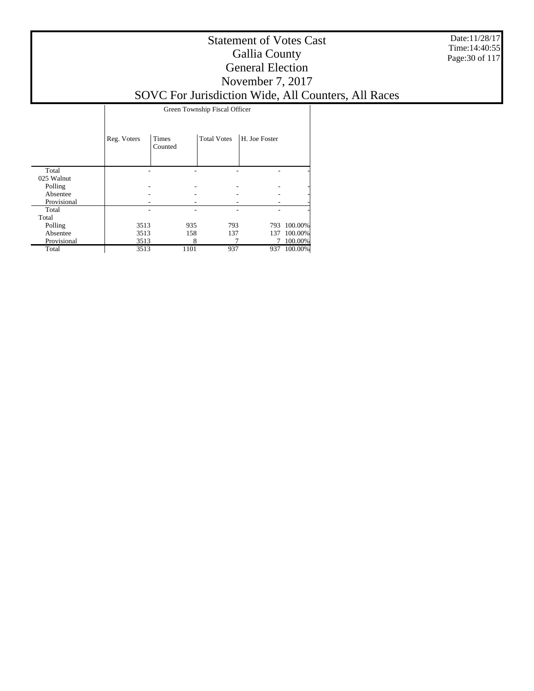Date:11/28/17 Time:14:40:55 Page:30 of 117

### Statement of Votes Cast Gallia County General Election November 7, 2017

# SOVC For Jurisdiction Wide, All Counters, All Races

Green Township Fiscal Officer

|             | Reg. Voters | <b>Times</b><br>Counted | <b>Total Votes</b> | H. Joe Foster |         |
|-------------|-------------|-------------------------|--------------------|---------------|---------|
| Total       |             |                         |                    |               |         |
| 025 Walnut  |             |                         |                    |               |         |
| Polling     |             |                         |                    |               | -       |
| Absentee    |             |                         |                    |               |         |
| Provisional |             |                         |                    |               |         |
| Total       |             |                         |                    |               | ۰       |
| Total       |             |                         |                    |               |         |
| Polling     | 3513        |                         | 935<br>793         | 793           | 100.00% |
| Absentee    | 3513        |                         | 158<br>137         | 137           | 100.00% |
| Provisional | 3513        |                         | 8                  |               | 100.00% |
| Total       | 3513        | 1101                    | 937                | 937           | 100.00% |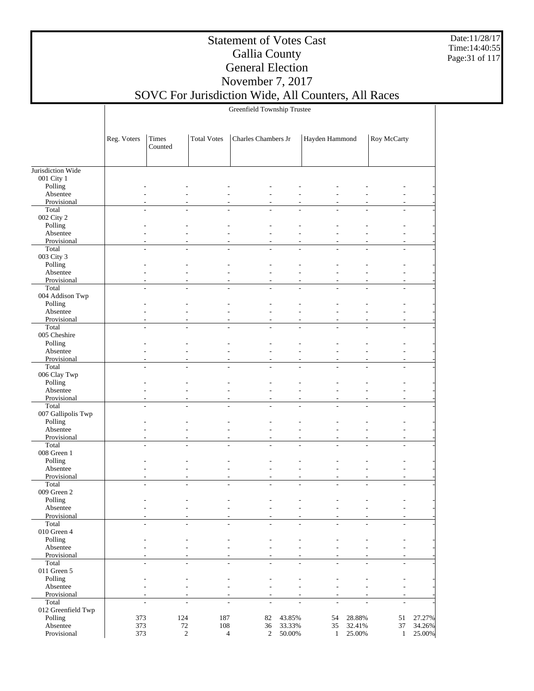Date:11/28/17 Time:14:40:55 Page:31 of 117

#### Statement of Votes Cast Gallia County General Election November 7, 2017

## SOVC For Jurisdiction Wide, All Counters, All Races

Greenfield Township Trustee

|                         | Reg. Voters | Times<br>Counted                       | <b>Total Votes</b> | Charles Chambers Jr                                                  |                | Hayden Hammond                                   |                | Roy McCarty  |        |
|-------------------------|-------------|----------------------------------------|--------------------|----------------------------------------------------------------------|----------------|--------------------------------------------------|----------------|--------------|--------|
| Jurisdiction Wide       |             |                                        |                    |                                                                      |                |                                                  |                |              |        |
| 001 City 1              |             |                                        |                    |                                                                      |                |                                                  |                |              |        |
| Polling                 |             |                                        |                    |                                                                      |                |                                                  |                |              |        |
| Absentee                |             |                                        |                    |                                                                      |                |                                                  |                |              |        |
| Provisional             |             |                                        |                    |                                                                      |                |                                                  |                |              |        |
| Total                   |             |                                        |                    |                                                                      |                |                                                  |                |              |        |
| 002 City 2              |             |                                        |                    |                                                                      |                |                                                  |                |              |        |
| Polling                 |             |                                        |                    |                                                                      |                |                                                  |                |              |        |
| Absentee                |             |                                        |                    |                                                                      |                |                                                  |                |              |        |
| Provisional<br>Total    |             |                                        |                    |                                                                      |                |                                                  |                |              |        |
| 003 City 3              |             |                                        |                    |                                                                      |                |                                                  |                |              |        |
| Polling                 |             |                                        |                    |                                                                      |                |                                                  |                |              |        |
| Absentee                |             |                                        |                    |                                                                      |                |                                                  |                |              |        |
| Provisional             |             |                                        |                    |                                                                      |                |                                                  |                |              |        |
| Total                   |             | $\overline{a}$                         |                    | $\overline{a}$<br>L,                                                 |                | L.                                               |                |              |        |
| 004 Addison Twp         |             |                                        |                    |                                                                      |                |                                                  |                |              |        |
| Polling                 |             |                                        |                    |                                                                      |                |                                                  |                |              |        |
| Absentee                |             |                                        |                    |                                                                      |                |                                                  |                |              |        |
| Provisional             |             |                                        |                    |                                                                      |                |                                                  |                |              |        |
| Total                   |             |                                        |                    |                                                                      |                |                                                  |                |              |        |
| 005 Cheshire            |             |                                        |                    |                                                                      |                |                                                  |                |              |        |
| Polling                 |             |                                        |                    |                                                                      |                |                                                  |                |              |        |
| Absentee<br>Provisional |             |                                        |                    |                                                                      |                |                                                  |                |              |        |
| Total                   |             |                                        |                    |                                                                      |                |                                                  |                |              |        |
| 006 Clay Twp            |             |                                        |                    |                                                                      |                |                                                  |                |              |        |
| Polling                 |             |                                        |                    |                                                                      |                |                                                  |                |              |        |
| Absentee                |             |                                        |                    |                                                                      |                |                                                  |                |              |        |
| Provisional             |             |                                        |                    |                                                                      |                |                                                  |                |              |        |
| Total                   |             |                                        |                    |                                                                      |                |                                                  |                |              |        |
| 007 Gallipolis Twp      |             |                                        |                    |                                                                      |                |                                                  |                |              |        |
| Polling                 |             |                                        |                    |                                                                      |                |                                                  |                |              |        |
| Absentee                |             |                                        |                    |                                                                      |                |                                                  |                |              |        |
| Provisional             |             |                                        |                    |                                                                      |                |                                                  |                |              |        |
| Total<br>008 Green 1    |             |                                        |                    |                                                                      |                |                                                  |                |              |        |
| Polling                 |             |                                        |                    |                                                                      |                |                                                  |                |              |        |
| Absentee                |             |                                        |                    |                                                                      |                |                                                  |                |              |        |
| Provisional             |             |                                        |                    |                                                                      |                |                                                  |                |              |        |
| Total                   |             |                                        |                    |                                                                      |                |                                                  |                |              |        |
| 009 Green 2             |             |                                        |                    |                                                                      |                |                                                  |                |              |        |
| Polling                 |             |                                        |                    |                                                                      |                |                                                  |                |              |        |
| Absentee                |             |                                        |                    |                                                                      |                |                                                  |                |              |        |
| Provisional             |             |                                        |                    |                                                                      |                |                                                  |                |              |        |
| Total                   |             |                                        |                    |                                                                      |                |                                                  |                |              |        |
| $010$ Green $4\,$       |             |                                        |                    |                                                                      |                |                                                  |                |              |        |
| Polling                 |             |                                        |                    |                                                                      |                |                                                  |                |              |        |
| Absentee                |             |                                        |                    |                                                                      |                |                                                  |                |              |        |
| Provisional<br>Total    |             | L,<br>$\overline{a}$<br>$\overline{a}$ |                    | $\overline{a}$<br>$\overline{a}$<br>$\overline{a}$<br>$\overline{a}$ | $\overline{a}$ | L,<br>$\overline{\phantom{a}}$<br>$\overline{a}$ | ÷,             | ÷,           |        |
| 011 Green 5             |             |                                        |                    |                                                                      |                |                                                  |                |              |        |
| Polling                 |             | $\overline{a}$                         |                    | L,                                                                   |                |                                                  |                |              |        |
| Absentee                |             |                                        |                    |                                                                      | $\overline{a}$ |                                                  |                |              |        |
| Provisional             |             |                                        |                    | $\overline{a}$<br>÷,                                                 |                | ÷,                                               |                |              |        |
| Total                   |             | L.<br>$\overline{a}$                   |                    | $\overline{a}$<br>÷,                                                 |                | $\overline{\phantom{a}}$<br>L.                   | $\overline{a}$ | ÷.           |        |
| 012 Greenfield Twp      |             |                                        |                    |                                                                      |                |                                                  |                |              |        |
| Polling                 | 373         | 124                                    | 187                | 82                                                                   | 43.85%         | 54                                               | 28.88%         | $51\,$       | 27.27% |
| Absentee                | 373         | $72\,$                                 | $108\,$            | 36                                                                   | 33.33%         | 35                                               | 32.41%         | 37           | 34.26% |
| Provisional             | 373         | $\sqrt{2}$                             |                    | $\overline{4}$<br>$\overline{2}$                                     | $50.00\%$      | $\mathbf{1}$                                     | 25.00%         | $\mathbf{1}$ | 25.00% |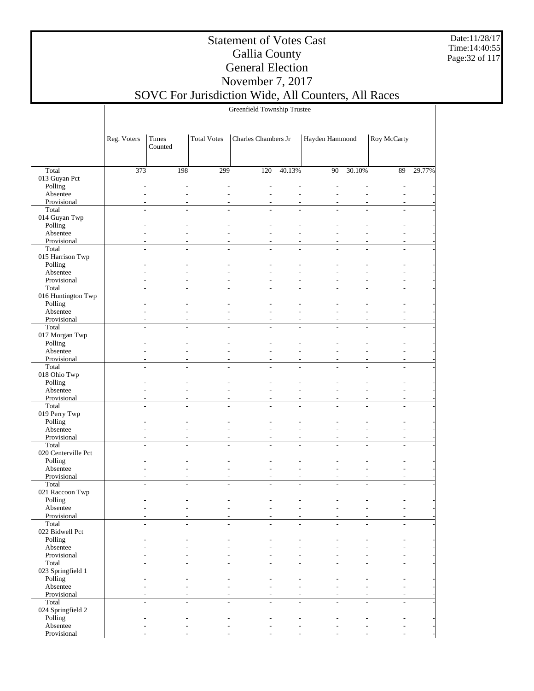Date:11/28/17 Time:14:40:55 Page:32 of 117

#### Statement of Votes Cast Gallia County General Election November 7, 2017 SOVC For Jurisdiction Wide, All Counters, All Races

Greenfield Township Trustee

 Total 013 Guyan Pct Polling Absentee Provisional Total 014 Guyan Twp Polling Absentee Provisional Total 015 Harrison Twp Polling Absentee Provisional Total 016 Huntington Twp Polling Absentee Provisional Total 017 Morgan Twp Polling Absentee Provisional Total 018 Ohio Twp Polling Absentee Provisional Total 019 Perry Twp Polling Absentee Provisional Total 020 Centerville Pct Polling Absentee Provisional Total 021 Raccoon Twp Polling Absentee Provisional Total 022 Bidwell Pct Polling Absentee Provisional Total 023 Springfield 1 Polling Absentee Provisional Total 024 Springfield 2 Polling Absentee Provisional Reg. Voters | Times Counted Total Votes | Charles Chambers Jr | Hayden Hammond | Roy McCarty 373 198 299 120 40.13% 90 30.10% 89 29.77% - - - - - - - - - - - - - - - - - - - - - - - - - - - - - - - - - - - - - - - - - - - - - - - - - - - - - - - - - - - - - - - - - - - - - - - - - - - - - - - - - - - - - - - - - - - - - - - - - - - - - - - - - - - - - - - - - - - - - - - - - - - - - - - - - - - - - - - - - - - - - - - - - - - - - - - - - - - - - - - - - - - - - - - - - - - - - - - - - - - - - - - - - - - - - - - - - - - - - - - - - - - - - - - - - - - - - - - - - - - - - - - - - - - - - - - - - - - - - - - - - - - - - - - - - - - - - - - - - - - - - - - - - - - - - - - - - - - - - - - - - - - - - - - - - - - - - - - - - - - - - - - - - - - - - - - - - - - - - - - - - - - - - - - - - - - - - - - - - - - - - - - - - - - - - - - - - - - - - - - - - - - - - - - - - - - - - - - - - - - - - - - - - - - - - - - - - - - - - - - - - - - - - - - - - - - - - -

- - - - - - - - -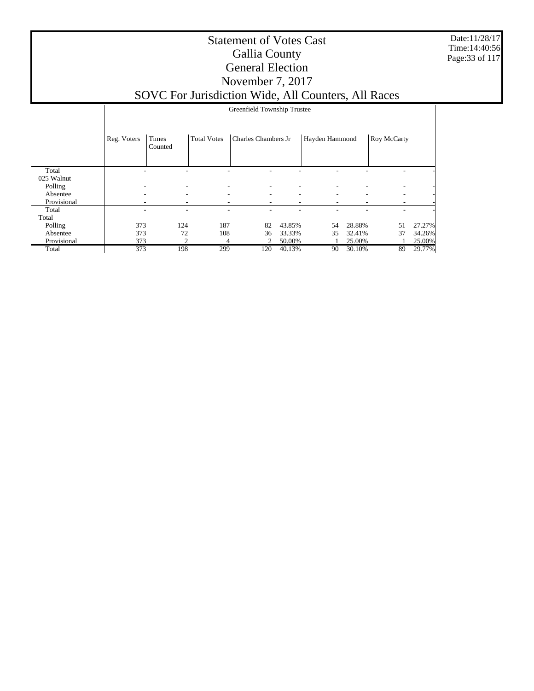Date:11/28/17 Time:14:40:56 Page:33 of 117

#### Statement of Votes Cast Gallia County General Election November 7, 2017 SOVC For Jurisdiction Wide, All Counters, All Races

|             |             | Greenfield Township Trustee   |                    |                          |        |                |        |             |        |  |  |
|-------------|-------------|-------------------------------|--------------------|--------------------------|--------|----------------|--------|-------------|--------|--|--|
|             | Reg. Voters | Times<br>Counted              | <b>Total Votes</b> | Charles Chambers Jr      |        | Hayden Hammond |        | Roy McCarty |        |  |  |
| Total       |             |                               |                    |                          |        |                |        |             |        |  |  |
| 025 Walnut  |             |                               |                    |                          |        |                |        |             |        |  |  |
| Polling     |             | $\overline{\phantom{a}}$      |                    |                          |        |                |        |             |        |  |  |
| Absentee    |             | $\overline{\phantom{a}}$<br>- | -                  | ٠                        | -      | ۰              | ۰      | ۰           |        |  |  |
| Provisional |             | ٠                             |                    | $\overline{\phantom{a}}$ |        | ۰              |        |             |        |  |  |
| Total       |             | ٠                             |                    |                          |        |                |        |             |        |  |  |
| Total       |             |                               |                    |                          |        |                |        |             |        |  |  |
| Polling     | 373         | 124                           | 187                | 82                       | 43.85% | 54             | 28.88% | 51          | 27.27% |  |  |
| Absentee    | 373         | 72                            | 108                | 36                       | 33.33% | 35             | 32.41% | 37          | 34.26% |  |  |
| Provisional | 373         | 2                             | 4                  | 2                        | 50.00% |                | 25.00% |             | 25.00% |  |  |
| Total       | 373         | 198                           | 299                | 120                      | 40.13% | 90             | 30.10% | 89          | 29.77% |  |  |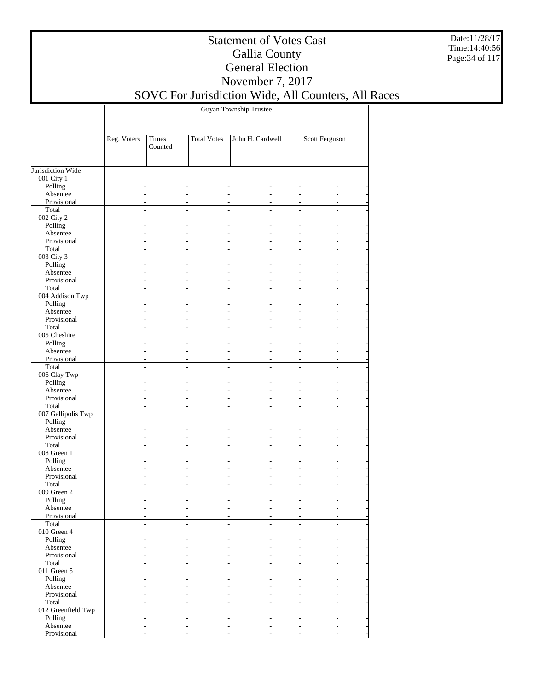Date:11/28/17 Time:14:40:56 Page:34 of 117

### Statement of Votes Cast Gallia County General Election November 7, 2017

SOVC For Jurisdiction Wide, All Counters, All Races

Guyan Township Trustee

|                             | Reg. Voters    | Times<br>Counted | <b>Total Votes</b> | John H. Cardwell |                      | Scott Ferguson |  |
|-----------------------------|----------------|------------------|--------------------|------------------|----------------------|----------------|--|
| Jurisdiction Wide           |                |                  |                    |                  |                      |                |  |
| 001 City 1                  |                |                  |                    |                  |                      |                |  |
| Polling                     |                |                  |                    |                  |                      |                |  |
| Absentee                    |                |                  |                    |                  |                      |                |  |
| Provisional                 |                |                  |                    |                  |                      |                |  |
| Total                       |                |                  |                    |                  |                      |                |  |
| 002 City 2                  |                |                  |                    |                  |                      |                |  |
| Polling                     |                |                  |                    |                  |                      |                |  |
| Absentee                    |                |                  |                    |                  |                      |                |  |
| Provisional                 |                |                  |                    |                  |                      |                |  |
| Total                       |                |                  |                    |                  |                      |                |  |
| 003 City 3                  |                |                  |                    |                  |                      |                |  |
| Polling                     |                |                  |                    |                  |                      |                |  |
| Absentee                    |                |                  |                    |                  | $\overline{a}$       |                |  |
| Provisional                 |                |                  |                    |                  | $\overline{a}$       |                |  |
| Total                       |                |                  |                    |                  |                      |                |  |
| 004 Addison Twp<br>Polling  |                |                  |                    |                  |                      |                |  |
| Absentee                    |                |                  |                    |                  | L.                   |                |  |
| Provisional                 |                |                  |                    |                  | ÷                    |                |  |
| Total                       | $\overline{a}$ |                  |                    |                  | $\overline{a}$<br>J. | L              |  |
| 005 Cheshire                |                |                  |                    |                  |                      |                |  |
| Polling                     |                |                  |                    |                  |                      |                |  |
| Absentee                    |                |                  |                    |                  |                      |                |  |
| Provisional                 |                |                  |                    |                  |                      |                |  |
| Total                       |                |                  |                    |                  |                      |                |  |
| 006 Clay Twp                |                |                  |                    |                  |                      |                |  |
| Polling                     |                |                  |                    |                  |                      |                |  |
| Absentee                    |                |                  |                    |                  |                      |                |  |
| Provisional                 |                |                  |                    |                  | $\overline{a}$       |                |  |
| Total                       |                |                  |                    |                  |                      |                |  |
| 007 Gallipolis Twp          |                |                  |                    |                  |                      |                |  |
| Polling                     |                |                  |                    |                  |                      |                |  |
| Absentee                    |                |                  |                    |                  |                      |                |  |
| Provisional                 |                |                  |                    |                  | ä,                   |                |  |
| Total<br>008 Green 1        |                |                  |                    |                  |                      |                |  |
| Polling                     |                |                  |                    |                  |                      |                |  |
| Absentee                    |                |                  |                    |                  | L.                   |                |  |
| Provisional                 |                |                  |                    |                  | ÷                    |                |  |
| Total                       |                |                  |                    |                  |                      |                |  |
| 009 Green 2                 |                |                  |                    |                  |                      |                |  |
| Polling                     |                |                  |                    |                  |                      |                |  |
| Absentee                    |                |                  |                    |                  |                      |                |  |
| Provisional                 |                |                  |                    |                  |                      |                |  |
| Total                       |                |                  |                    |                  |                      |                |  |
| 010 Green 4                 |                |                  |                    |                  |                      |                |  |
| Polling                     |                |                  |                    |                  |                      |                |  |
| Absentee                    |                |                  |                    |                  |                      |                |  |
| Provisional                 |                |                  |                    |                  |                      |                |  |
| Total                       | $\overline{a}$ |                  |                    |                  | L.                   |                |  |
| 011 Green 5                 |                |                  |                    |                  |                      |                |  |
| Polling                     |                |                  |                    |                  |                      |                |  |
| Absentee                    |                |                  |                    |                  |                      |                |  |
| Provisional                 |                |                  |                    |                  |                      |                |  |
| Total<br>012 Greenfield Twp |                |                  |                    |                  |                      |                |  |
| Polling                     |                |                  |                    |                  |                      |                |  |
| Absentee                    |                |                  |                    |                  |                      |                |  |
| Provisional                 |                |                  |                    |                  |                      |                |  |
|                             |                |                  |                    |                  |                      |                |  |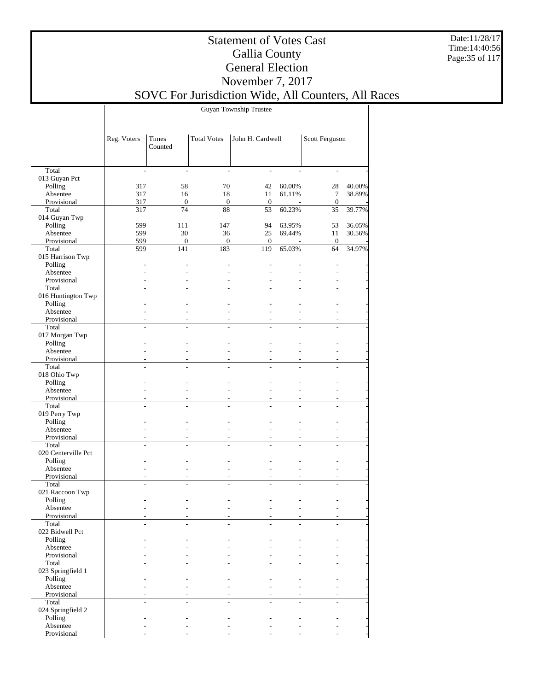Date:11/28/17 Time:14:40:56 Page:35 of 117

### Statement of Votes Cast Gallia County General Election November 7, 2017

SOVC For Jurisdiction Wide, All Counters, All Races

Guyan Township Trustee

|                         | Reg. Voters    | Times<br>Counted       | <b>Total Votes</b> | John H. Cardwell         |                          |                    | Scott Ferguson |
|-------------------------|----------------|------------------------|--------------------|--------------------------|--------------------------|--------------------|----------------|
|                         |                |                        |                    |                          |                          |                    |                |
| Total                   |                |                        |                    |                          |                          |                    |                |
| 013 Guyan Pct           |                |                        |                    |                          |                          |                    |                |
| Polling                 | 317            | 58                     | 70                 | 42                       | 60.00%                   | 28                 | 40.00%         |
| Absentee                | 317            | 16                     | 18                 | 11                       | 61.11%                   | $\tau$             | 38.89%         |
| Provisional<br>Total    | 317<br>317     | $\boldsymbol{0}$<br>74 | $\mathbf{0}$<br>88 | $\mathbf{0}$<br>53       | 60.23%                   | $\mathbf{0}$<br>35 | 39.77%         |
| 014 Guyan Twp           |                |                        |                    |                          |                          |                    |                |
| Polling                 | 599            | 111                    | 147                | 94                       | 63.95%                   | 53                 | 36.05%         |
| Absentee                | 599            | 30                     | 36                 | 25                       | 69.44%                   | 11                 | 30.56%         |
| Provisional             | 599            | $\boldsymbol{0}$       | $\mathbf{0}$       | $\mathbf{0}$             |                          | $\mathbf{0}$       |                |
| Total                   | 599            | 141                    | 183                | 119                      | 65.03%                   | 64                 | 34.97%         |
| 015 Harrison Twp        |                |                        |                    |                          |                          |                    |                |
| Polling                 |                |                        |                    |                          |                          |                    |                |
| Absentee                |                |                        |                    | L.                       |                          |                    |                |
| Provisional             |                |                        |                    | ٠                        |                          |                    |                |
| Total                   | $\overline{a}$ | $\overline{a}$         | ÷                  | $\overline{a}$           | L.                       |                    |                |
| 016 Huntington Twp      |                |                        |                    |                          |                          |                    |                |
| Polling                 |                |                        |                    |                          |                          |                    |                |
| Absentee                |                |                        |                    |                          |                          |                    |                |
| Provisional             |                |                        |                    | ٠                        |                          |                    |                |
| Total                   |                |                        |                    |                          |                          |                    |                |
| 017 Morgan Twp          |                |                        |                    |                          |                          |                    |                |
| Polling                 |                |                        |                    |                          |                          |                    |                |
| Absentee<br>Provisional |                |                        |                    |                          |                          |                    |                |
| Total                   |                |                        | ٠                  | ٠                        |                          | ٠                  |                |
| 018 Ohio Twp            |                |                        |                    |                          |                          |                    |                |
| Polling                 |                |                        |                    |                          |                          |                    |                |
| Absentee                |                |                        |                    |                          |                          |                    |                |
| Provisional             | $\overline{a}$ |                        |                    | $\overline{\phantom{a}}$ | $\overline{\phantom{a}}$ | ٠                  |                |
| Total                   |                |                        |                    |                          |                          |                    |                |
| 019 Perry Twp           |                |                        |                    |                          |                          |                    |                |
| Polling                 |                |                        |                    |                          |                          |                    |                |
| Absentee                |                |                        |                    | $\overline{a}$           |                          |                    |                |
| Provisional             |                |                        |                    | ۰                        |                          |                    |                |
| Total                   |                | L.                     |                    | ÷                        | $\overline{a}$           |                    |                |
| 020 Centerville Pct     |                |                        |                    |                          |                          |                    |                |
| Polling<br>Absentee     |                |                        |                    |                          |                          |                    |                |
| Provisional             |                |                        |                    | ۰                        |                          | ٠                  |                |
| Total                   |                |                        |                    |                          |                          |                    |                |
| 021 Raccoon Twp         |                |                        |                    |                          |                          |                    |                |
| Polling                 |                |                        |                    |                          |                          |                    |                |
| Absentee                |                |                        |                    |                          |                          |                    |                |
| Provisional             |                |                        |                    |                          |                          |                    |                |
| Total                   |                |                        |                    |                          |                          |                    |                |
| 022 Bidwell Pct         |                |                        |                    |                          |                          |                    |                |
| Polling                 |                |                        |                    |                          |                          |                    |                |
| Absentee                |                |                        |                    |                          |                          |                    |                |
| Provisional             |                |                        |                    |                          |                          |                    |                |
| Total                   |                |                        |                    |                          |                          |                    |                |
| 023 Springfield 1       |                |                        |                    |                          |                          |                    |                |
| Polling                 |                |                        |                    |                          |                          |                    |                |
| Absentee<br>Provisional |                |                        |                    |                          |                          |                    |                |
| Total                   |                |                        |                    |                          |                          |                    |                |
| 024 Springfield 2       |                |                        |                    |                          |                          |                    |                |
| Polling                 |                |                        |                    |                          |                          |                    |                |
| Absentee                |                |                        |                    |                          |                          |                    |                |
| Provisional             |                |                        |                    |                          |                          |                    |                |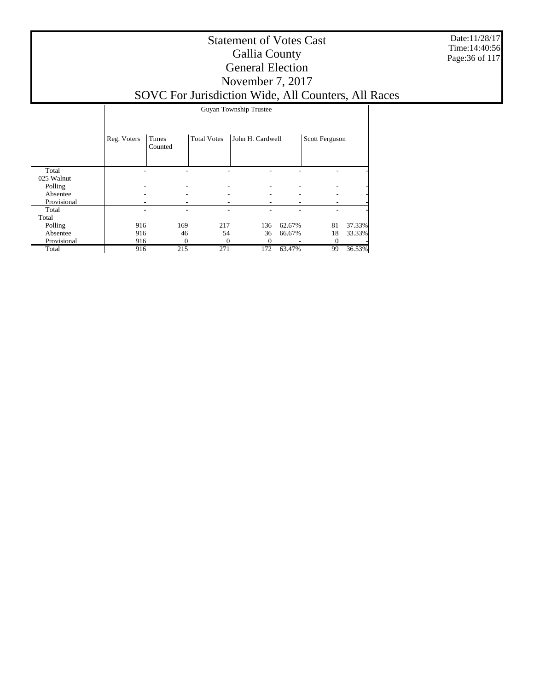Date:11/28/17 Time:14:40:56 Page:36 of 117

#### Statement of Votes Cast Gallia County General Election November 7, 2017 SOVC For Jurisdiction Wide, All Counters, All Races

|             |             | Guyan Township Trustee |                    |                  |        |                |        |  |  |
|-------------|-------------|------------------------|--------------------|------------------|--------|----------------|--------|--|--|
|             | Reg. Voters | Times<br>Counted       | <b>Total Votes</b> | John H. Cardwell |        | Scott Ferguson |        |  |  |
| Total       |             |                        |                    |                  |        |                |        |  |  |
| 025 Walnut  |             |                        |                    |                  |        |                |        |  |  |
| Polling     |             |                        |                    |                  |        |                |        |  |  |
| Absentee    |             |                        |                    |                  |        |                |        |  |  |
| Provisional |             |                        |                    |                  |        |                |        |  |  |
| Total       |             |                        |                    |                  |        |                |        |  |  |
| Total       |             |                        |                    |                  |        |                |        |  |  |
| Polling     | 916         | 169                    | 217                | 136              | 62.67% | 81             | 37.33% |  |  |
| Absentee    | 916         | 46                     | 54                 | 36               | 66.67% | 18             | 33.33% |  |  |
| Provisional | 916         |                        | 0                  | 0                |        | $\theta$       |        |  |  |
| Total       | 916         | 215                    | 271                | 172              | 63.47% | 99             | 36.53% |  |  |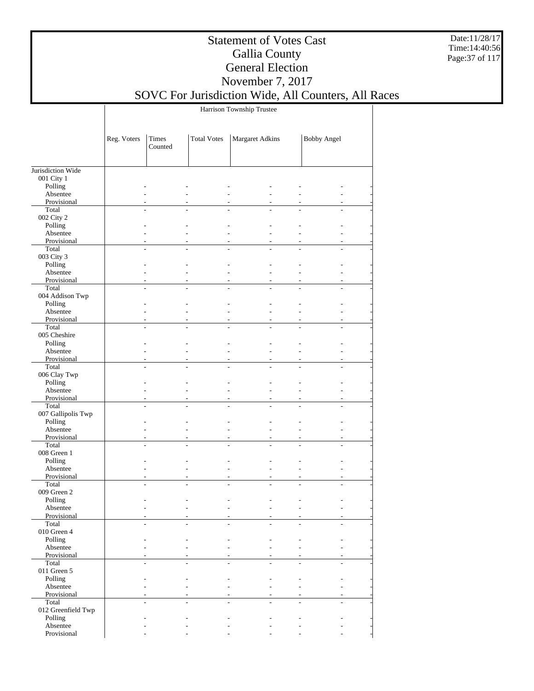Date:11/28/17 Time:14:40:56 Page:37 of 117

### Statement of Votes Cast Gallia County General Election November 7, 2017

## SOVC For Jurisdiction Wide, All Counters, All Races

Harrison Township Trustee

|                         | Reg. Voters    | Times<br>Counted | <b>Total Votes</b> | Margaret Adkins |    | <b>Bobby Angel</b> |
|-------------------------|----------------|------------------|--------------------|-----------------|----|--------------------|
|                         |                |                  |                    |                 |    |                    |
| Jurisdiction Wide       |                |                  |                    |                 |    |                    |
| 001 City 1              |                |                  |                    |                 |    |                    |
| Polling                 |                |                  |                    |                 |    |                    |
| Absentee<br>Provisional |                |                  |                    |                 |    |                    |
| Total                   |                |                  |                    |                 |    |                    |
| 002 City 2              |                |                  |                    |                 |    |                    |
| Polling                 |                |                  |                    |                 |    |                    |
| Absentee                |                |                  |                    |                 |    |                    |
| Provisional             |                |                  |                    |                 |    |                    |
| Total                   | L.             |                  |                    |                 |    |                    |
| 003 City 3              |                |                  |                    |                 |    |                    |
| Polling                 |                |                  |                    |                 |    |                    |
| Absentee                |                |                  |                    |                 |    |                    |
| Provisional             |                |                  |                    |                 |    |                    |
| Total                   | $\overline{a}$ |                  |                    |                 |    |                    |
| 004 Addison Twp         |                |                  |                    |                 |    |                    |
| Polling<br>Absentee     |                |                  |                    |                 |    |                    |
| Provisional             |                |                  |                    |                 | ÷  |                    |
| Total                   | ÷.             |                  | L.                 | L.              | L. | L.                 |
| 005 Cheshire            |                |                  |                    |                 |    |                    |
| Polling                 |                |                  |                    |                 |    |                    |
| Absentee                |                |                  |                    |                 |    |                    |
| Provisional             |                |                  |                    |                 |    |                    |
| Total                   |                |                  |                    |                 |    |                    |
| 006 Clay Twp            |                |                  |                    |                 |    |                    |
| Polling                 |                |                  |                    |                 |    |                    |
| Absentee                |                |                  |                    |                 |    |                    |
| Provisional<br>Total    |                |                  |                    |                 |    |                    |
| 007 Gallipolis Twp      |                |                  |                    |                 |    |                    |
| Polling                 |                |                  |                    |                 |    |                    |
| Absentee                |                |                  |                    |                 |    |                    |
| Provisional             |                |                  |                    |                 |    |                    |
| Total                   |                |                  |                    |                 |    |                    |
| 008 Green 1             |                |                  |                    |                 |    |                    |
| Polling                 |                |                  |                    |                 |    |                    |
| Absentee                | $\overline{a}$ |                  | $\overline{a}$     |                 | L. |                    |
| Provisional             |                |                  |                    |                 | ÷. |                    |
| Total                   | $\overline{a}$ |                  |                    |                 |    |                    |
| 009 Green 2             |                |                  |                    |                 |    |                    |
| Polling<br>Absentee     |                |                  |                    |                 |    |                    |
| Provisional             |                |                  |                    |                 |    |                    |
| Total                   |                |                  |                    |                 |    |                    |
| 010 Green 4             |                |                  |                    |                 |    |                    |
| Polling                 |                |                  |                    |                 |    |                    |
| Absentee                |                |                  |                    |                 |    |                    |
| Provisional             |                |                  |                    |                 |    |                    |
| Total                   | ÷              |                  | $\overline{a}$     |                 |    | $\overline{a}$     |
| 011 Green 5             |                |                  |                    |                 |    |                    |
| Polling                 |                |                  |                    |                 |    |                    |
| Absentee                |                |                  |                    |                 |    |                    |
| Provisional<br>Total    |                |                  |                    |                 |    |                    |
| 012 Greenfield Twp      |                |                  |                    |                 |    |                    |
| Polling                 |                |                  |                    |                 |    |                    |
| Absentee                |                |                  |                    |                 |    |                    |
| Provisional             |                |                  |                    |                 |    |                    |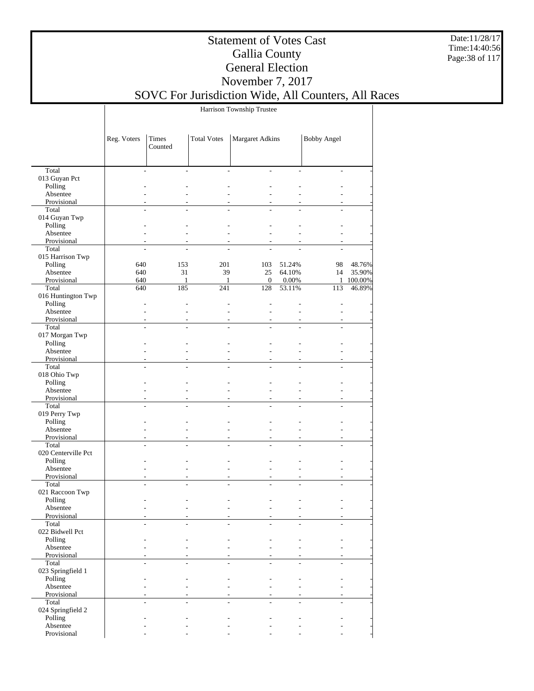Date:11/28/17 Time:14:40:56 Page:38 of 117

### Statement of Votes Cast Gallia County General Election November 7, 2017

## SOVC For Jurisdiction Wide, All Counters, All Races

Harrison Township Trustee

|                            | Reg. Voters          | Times<br>Counted | <b>Total Votes</b> | Margaret Adkins |        | <b>Bobby Angel</b> |         |
|----------------------------|----------------------|------------------|--------------------|-----------------|--------|--------------------|---------|
|                            |                      |                  |                    |                 |        |                    |         |
| Total                      | $\overline{a}$       | ÷                | $\overline{a}$     | ÷               |        | L.                 |         |
| 013 Guyan Pct              |                      |                  |                    |                 |        |                    |         |
| Polling                    |                      |                  |                    |                 |        |                    |         |
| Absentee                   |                      |                  |                    |                 |        |                    |         |
| Provisional                |                      |                  |                    |                 |        |                    |         |
| Total                      |                      |                  |                    |                 |        |                    |         |
| 014 Guyan Twp              |                      |                  |                    |                 |        |                    |         |
| Polling                    |                      |                  |                    |                 |        |                    |         |
| Absentee                   |                      |                  |                    |                 |        |                    |         |
| Provisional                | L,<br>$\overline{a}$ |                  |                    |                 |        |                    |         |
| Total<br>015 Harrison Twp  |                      |                  |                    |                 |        |                    |         |
| Polling                    | 640                  | 153              | 201                | 103             | 51.24% | 98                 | 48.76%  |
| Absentee                   | 640                  | 31               | 39                 | 25              | 64.10% | 14                 | 35.90%  |
| Provisional                | 640                  | $\mathbf{1}$     | $\mathbf{1}$       | $\theta$        | 0.00%  | $\mathbf{1}$       | 100.00% |
| Total                      | 640                  | 185              | 241                | 128             | 53.11% | 113                | 46.89%  |
| 016 Huntington Twp         |                      |                  |                    |                 |        |                    |         |
| Polling                    |                      |                  |                    |                 |        |                    |         |
| Absentee                   |                      |                  |                    |                 |        |                    |         |
| Provisional                |                      |                  |                    |                 |        |                    |         |
| Total                      | $\overline{a}$       | ÷.               | $\overline{a}$     | $\overline{a}$  |        |                    |         |
| 017 Morgan Twp             |                      |                  |                    |                 |        |                    |         |
| Polling                    |                      |                  |                    |                 |        |                    |         |
| Absentee                   |                      |                  |                    |                 |        |                    |         |
| Provisional                |                      |                  |                    |                 |        |                    |         |
| Total                      | $\overline{a}$       |                  |                    |                 |        | $\overline{a}$     |         |
| 018 Ohio Twp               |                      |                  |                    |                 |        |                    |         |
| Polling                    |                      |                  |                    |                 |        |                    |         |
| Absentee                   |                      |                  |                    |                 |        |                    |         |
| Provisional                | $\overline{a}$       |                  |                    |                 |        |                    |         |
| Total                      | $\overline{a}$       |                  |                    |                 |        |                    |         |
| 019 Perry Twp<br>Polling   |                      |                  |                    |                 |        |                    |         |
| Absentee                   |                      |                  |                    |                 |        |                    |         |
| Provisional                |                      |                  |                    |                 |        |                    |         |
| Total                      | $\overline{a}$       | $\overline{a}$   |                    |                 |        | $\overline{a}$     |         |
| 020 Centerville Pct        |                      |                  |                    |                 |        |                    |         |
| Polling                    |                      |                  |                    |                 |        |                    |         |
| Absentee                   |                      |                  |                    |                 |        |                    |         |
| Provisional                |                      |                  |                    |                 |        |                    |         |
| Total                      |                      | $\overline{a}$   |                    |                 |        |                    |         |
| 021 Raccoon Twp            |                      |                  |                    |                 |        |                    |         |
| Polling                    |                      |                  |                    |                 |        |                    |         |
| Absentee                   |                      |                  |                    |                 |        |                    |         |
| Provisional                |                      |                  |                    |                 |        |                    |         |
| Total                      |                      |                  |                    |                 |        |                    |         |
| 022 Bidwell Pct<br>Polling |                      |                  |                    |                 |        |                    |         |
| Absentee                   |                      |                  |                    |                 |        |                    |         |
| Provisional                |                      |                  |                    |                 |        |                    |         |
| Total                      | $\overline{a}$       |                  | $\overline{a}$     |                 |        | $\overline{a}$     |         |
| 023 Springfield 1          |                      |                  |                    |                 |        |                    |         |
| Polling                    |                      |                  |                    |                 |        |                    |         |
| Absentee                   |                      |                  |                    |                 |        |                    |         |
| Provisional                |                      |                  |                    |                 |        |                    |         |
| Total                      | $\overline{a}$       |                  |                    |                 |        | $\overline{a}$     |         |
| 024 Springfield 2          |                      |                  |                    |                 |        |                    |         |
| Polling                    |                      |                  |                    |                 |        |                    |         |
| Absentee                   |                      |                  |                    |                 |        |                    |         |
| Provisional                |                      |                  |                    |                 |        |                    |         |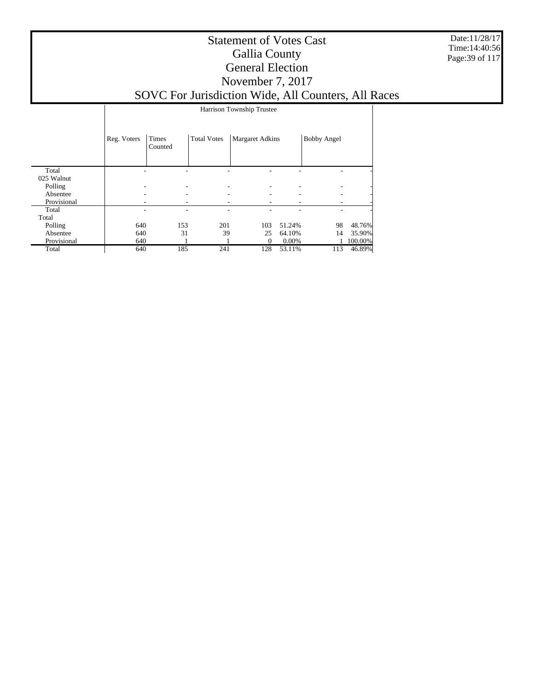Date:11/28/17 Time:14:40:56 Page:39 of 117

|             |             | Harrison Township Trustee |                    |                        |        |                    |         |  |  |
|-------------|-------------|---------------------------|--------------------|------------------------|--------|--------------------|---------|--|--|
|             | Reg. Voters | Times<br>Counted          | <b>Total Votes</b> | <b>Margaret Adkins</b> |        | <b>Bobby Angel</b> |         |  |  |
| Total       |             |                           |                    |                        |        |                    |         |  |  |
| 025 Walnut  |             |                           |                    |                        |        |                    |         |  |  |
| Polling     |             |                           |                    |                        |        |                    |         |  |  |
| Absentee    |             |                           |                    |                        |        |                    |         |  |  |
| Provisional |             |                           |                    |                        |        |                    |         |  |  |
| Total       |             |                           | -                  |                        |        | ۰                  |         |  |  |
| Total       |             |                           |                    |                        |        |                    |         |  |  |
| Polling     | 640         | 153                       | 201                | 103                    | 51.24% | 98                 | 48.76%  |  |  |
| Absentee    | 640         | 31                        | 39                 | 25                     | 64.10% | 14                 | 35.90%  |  |  |
| Provisional | 640         |                           |                    | $^{0}$                 | 0.00%  |                    | 100.00% |  |  |
| Total       | 640         | 185                       | 241                | 128                    | 53.11% | 113                | 46.89%  |  |  |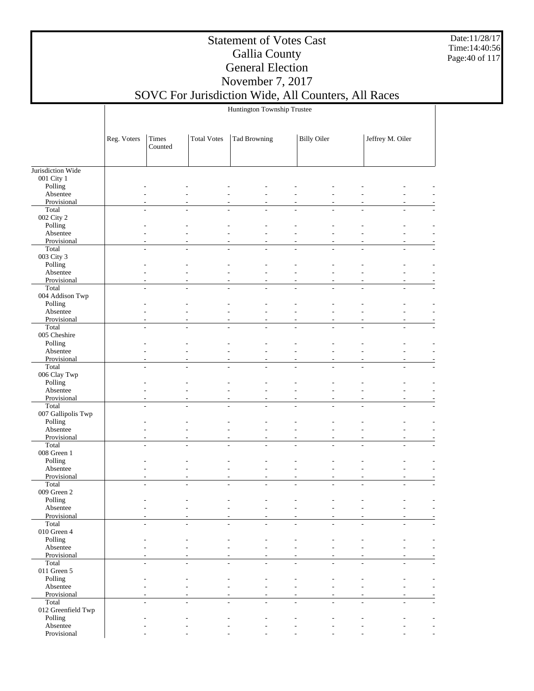Date:11/28/17 Time:14:40:56 Page:40 of 117

### Statement of Votes Cast Gallia County General Election November 7, 2017

#### SOVC For Jurisdiction Wide, All Counters, All Races Huntington Township Trustee

|                             | Reg. Voters | Times<br>Counted | <b>Total Votes</b> | Tad Browning                               | <b>Billy Oiler</b>            |   | Jeffrey M. Oiler |  |
|-----------------------------|-------------|------------------|--------------------|--------------------------------------------|-------------------------------|---|------------------|--|
|                             |             |                  |                    |                                            |                               |   |                  |  |
| Jurisdiction Wide           |             |                  |                    |                                            |                               |   |                  |  |
| 001 City 1                  |             |                  |                    |                                            |                               |   |                  |  |
| Polling                     |             |                  |                    |                                            |                               |   |                  |  |
| Absentee<br>Provisional     |             |                  |                    |                                            |                               |   |                  |  |
| Total                       |             |                  |                    | L.                                         |                               |   |                  |  |
| 002 City 2                  |             |                  |                    |                                            |                               |   |                  |  |
| Polling                     |             |                  |                    |                                            |                               |   |                  |  |
| Absentee                    |             |                  |                    |                                            |                               |   |                  |  |
| Provisional<br>Total        |             |                  | L.                 | $\overline{a}$<br>$\overline{a}$           | ٠<br>L.                       |   |                  |  |
| 003 City 3                  |             |                  |                    |                                            |                               |   |                  |  |
| Polling                     |             |                  |                    |                                            |                               |   |                  |  |
| Absentee                    |             |                  |                    | L,                                         |                               |   |                  |  |
| Provisional                 |             |                  |                    | $\overline{a}$                             | $\overline{\phantom{a}}$      |   |                  |  |
| Total                       |             | $\overline{a}$   | $\overline{a}$     | $\overline{a}$<br>÷                        | $\overline{a}$                |   |                  |  |
| 004 Addison Twp<br>Polling  |             |                  |                    |                                            |                               |   |                  |  |
| Absentee                    |             |                  |                    | L.                                         |                               |   |                  |  |
| Provisional                 |             |                  |                    | ÷,<br>$\sim$                               | ÷.<br>L.                      | ÷ |                  |  |
| Total                       |             | ÷.               | $\overline{a}$     | $\overline{\phantom{a}}$<br>÷,             | $\overline{a}$<br>÷.          | ÷ | ä,               |  |
| 005 Cheshire                |             |                  |                    |                                            |                               |   |                  |  |
| Polling                     |             |                  |                    |                                            |                               |   |                  |  |
| Absentee<br>Provisional     |             |                  |                    | L.                                         |                               |   |                  |  |
| Total                       |             |                  |                    | $\overline{a}$                             |                               |   |                  |  |
| 006 Clay Twp                |             |                  |                    |                                            |                               |   |                  |  |
| Polling                     |             |                  |                    |                                            |                               |   |                  |  |
| Absentee                    |             |                  |                    |                                            |                               |   |                  |  |
| Provisional                 |             |                  |                    | $\overline{a}$                             | ٠                             |   |                  |  |
| Total<br>007 Gallipolis Twp |             |                  |                    | ÷                                          |                               |   |                  |  |
| Polling                     |             |                  |                    |                                            |                               |   |                  |  |
| Absentee                    |             |                  |                    | L,                                         |                               |   |                  |  |
| Provisional                 |             |                  |                    | $\overline{a}$<br>$\overline{\phantom{a}}$ | $\overline{\phantom{a}}$<br>٠ |   |                  |  |
| Total                       |             |                  |                    | ÷.                                         |                               |   |                  |  |
| 008 Green 1                 |             |                  |                    |                                            |                               |   |                  |  |
| Polling<br>Absentee         |             |                  |                    | $\overline{a}$                             |                               |   |                  |  |
| Provisional                 |             |                  |                    | ÷,                                         | ÷,<br>÷.                      |   |                  |  |
| Total                       |             |                  | $\overline{a}$     | $\overline{a}$<br>÷,                       | $\overline{a}$<br>÷           | ÷ |                  |  |
| 009 Green 2                 |             |                  |                    |                                            |                               |   |                  |  |
| Polling                     |             |                  |                    |                                            |                               |   |                  |  |
| Absentee                    |             |                  |                    |                                            |                               |   |                  |  |
| Provisional<br>Total        |             |                  |                    |                                            |                               |   |                  |  |
| $010$ Green $4\,$           |             |                  |                    |                                            |                               |   |                  |  |
| Polling                     |             |                  |                    |                                            |                               |   |                  |  |
| Absentee                    |             |                  |                    |                                            |                               |   |                  |  |
| Provisional                 |             |                  |                    |                                            |                               |   |                  |  |
| Total                       |             | $\overline{a}$   | $\overline{a}$     | $\overline{a}$<br>$\overline{a}$           | $\overline{a}$<br>÷           | ÷ | ÷,               |  |
| 011 Green 5                 |             |                  |                    |                                            |                               |   |                  |  |
| Polling<br>Absentee         |             |                  |                    |                                            |                               |   |                  |  |
| Provisional                 |             |                  |                    |                                            |                               |   |                  |  |
| Total                       |             |                  |                    | ÷                                          |                               |   |                  |  |
| 012 Greenfield Twp          |             |                  |                    |                                            |                               |   |                  |  |
| Polling                     |             |                  |                    |                                            |                               |   |                  |  |
| Absentee                    |             |                  |                    |                                            |                               |   |                  |  |
| Provisional                 |             |                  |                    |                                            |                               |   |                  |  |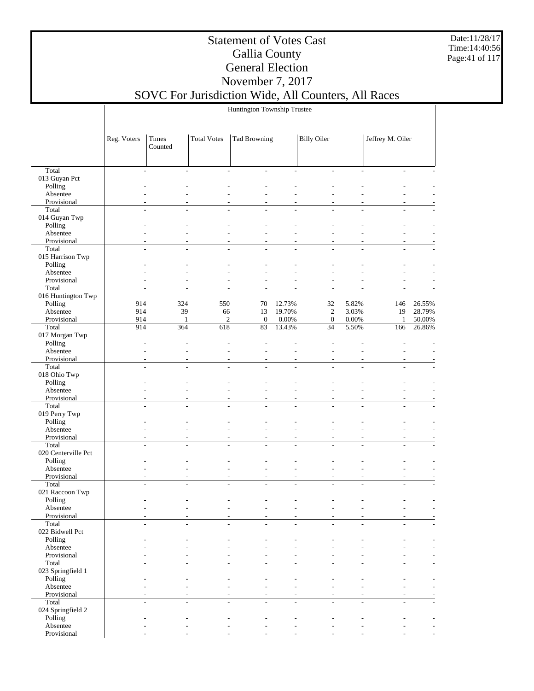Date:11/28/17 Time:14:40:56 Page:41 of 117

### Statement of Votes Cast Gallia County General Election November 7, 2017

### SOVC For Jurisdiction Wide, All Counters, All Races Huntington Township Trustee

|                               | Reg. Voters              | Times<br>Counted         | <b>Total Votes</b>       | <b>Tad Browning</b>              |                | <b>Billy Oiler</b>               |                          | Jeffrey M. Oiler         |        |
|-------------------------------|--------------------------|--------------------------|--------------------------|----------------------------------|----------------|----------------------------------|--------------------------|--------------------------|--------|
|                               |                          |                          |                          |                                  |                |                                  |                          |                          |        |
|                               |                          |                          |                          |                                  |                |                                  |                          |                          |        |
| Total                         | $\overline{\phantom{a}}$ | $\overline{\phantom{a}}$ | $\overline{\phantom{a}}$ | $\sim$                           | $\overline{a}$ | $\overline{\phantom{a}}$         |                          | ÷.                       |        |
| 013 Guyan Pct                 |                          |                          |                          |                                  |                |                                  |                          |                          |        |
| Polling                       |                          |                          |                          |                                  |                |                                  |                          |                          |        |
| Absentee<br>Provisional       |                          |                          |                          |                                  |                |                                  |                          |                          |        |
| Total                         | $\overline{a}$           | $\overline{a}$           | $\overline{a}$           |                                  |                | $\overline{a}$                   |                          |                          |        |
| 014 Guyan Twp                 |                          |                          |                          |                                  |                |                                  |                          |                          |        |
| Polling                       |                          |                          |                          |                                  |                |                                  |                          |                          |        |
| Absentee                      |                          |                          |                          |                                  |                |                                  |                          |                          |        |
| Provisional                   |                          |                          |                          | ÷,                               |                |                                  |                          |                          |        |
| Total                         | $\overline{a}$           | $\overline{a}$           | $\overline{\phantom{a}}$ | $\sim$                           |                | ÷,<br>$\overline{a}$             |                          | $\overline{a}$<br>÷      |        |
| 015 Harrison Twp              |                          |                          |                          |                                  |                |                                  |                          |                          |        |
| Polling                       |                          |                          |                          |                                  |                |                                  |                          |                          |        |
| Absentee                      |                          |                          |                          | $\overline{\phantom{a}}$         |                | L,                               |                          | ÷.                       |        |
| Provisional                   |                          |                          |                          | ÷,                               |                |                                  |                          |                          |        |
| Total                         | $\overline{a}$           | $\frac{1}{2}$            | $\overline{\phantom{a}}$ | $\overline{a}$                   |                | $\overline{a}$<br>$\overline{a}$ |                          | $\overline{a}$           |        |
| 016 Huntington Twp<br>Polling | 914                      | 324                      | 550                      | 70                               | 12.73%         | 32                               | 5.82%                    | 146                      | 26.55% |
| Absentee                      | 914                      | 39                       | 66                       | 13                               | 19.70%         | $\overline{c}$                   | 3.03%                    | 19                       | 28.79% |
| Provisional                   | 914                      | 1                        | $\mathfrak{2}$           | $\mathbf{0}$                     | $0.00\%$       | $\mathbf{0}$                     | 0.00%                    | 1                        | 50.00% |
| Total                         | 914                      | 364                      | 618                      | 83                               | 13.43%         | 34                               | 5.50%                    | 166                      | 26.86% |
| 017 Morgan Twp                |                          |                          |                          |                                  |                |                                  |                          |                          |        |
| Polling                       |                          |                          |                          |                                  |                |                                  |                          |                          |        |
| Absentee                      |                          |                          |                          | L,                               |                |                                  | $\overline{\phantom{a}}$ |                          |        |
| Provisional                   |                          |                          |                          |                                  |                |                                  |                          |                          |        |
| Total                         | $\overline{a}$           | $\overline{a}$           | $\overline{a}$           |                                  | ÷.             |                                  |                          |                          |        |
| 018 Ohio Twp                  |                          |                          |                          |                                  |                |                                  |                          |                          |        |
| Polling                       |                          |                          |                          |                                  |                |                                  |                          |                          |        |
| Absentee                      |                          |                          |                          |                                  |                |                                  |                          |                          |        |
| Provisional<br>Total          | $\overline{a}$           | ÷.                       | $\overline{a}$           | $\overline{a}$<br>$\overline{a}$ | ÷              | ÷.                               | $\overline{a}$           | L.                       |        |
| 019 Perry Twp                 |                          |                          |                          |                                  |                |                                  |                          |                          |        |
| Polling                       |                          |                          |                          |                                  |                |                                  |                          |                          |        |
| Absentee                      |                          |                          |                          | $\overline{\phantom{a}}$         |                |                                  |                          | ÷.                       |        |
| Provisional                   |                          |                          |                          |                                  |                |                                  |                          |                          |        |
| Total                         | $\overline{a}$           | $\overline{a}$           | $\overline{a}$           | $\overline{a}$                   |                | $\overline{a}$<br>$\overline{a}$ |                          | L.<br>L.                 |        |
| 020 Centerville Pct           |                          |                          |                          |                                  |                |                                  |                          |                          |        |
| Polling                       |                          |                          |                          |                                  |                |                                  |                          |                          |        |
| Absentee                      |                          |                          |                          | L,                               |                |                                  |                          |                          |        |
| Provisional                   |                          |                          |                          | $\overline{\phantom{a}}$         |                |                                  | $\overline{\phantom{a}}$ |                          |        |
| Total<br>021 Raccoon Twp      |                          | $\overline{a}$           | $\overline{\phantom{a}}$ | $\sim$                           |                | ÷,<br>$\overline{a}$             |                          | $\overline{\phantom{a}}$ |        |
| Polling                       |                          |                          |                          |                                  |                |                                  |                          |                          |        |
| Absentee                      |                          |                          |                          |                                  |                |                                  |                          |                          |        |
| Provisional                   |                          |                          |                          |                                  |                |                                  |                          |                          |        |
| Total                         |                          |                          |                          |                                  |                |                                  |                          |                          |        |
| 022 Bidwell Pct               |                          |                          |                          |                                  |                |                                  |                          |                          |        |
| Polling                       |                          |                          |                          |                                  |                |                                  |                          |                          |        |
| Absentee                      |                          |                          |                          |                                  |                |                                  |                          |                          |        |
| Provisional                   |                          |                          |                          |                                  |                |                                  |                          |                          |        |
| Total                         |                          |                          | ÷                        | ÷.                               | ÷              | ÷                                |                          |                          |        |
| 023 Springfield 1             |                          |                          |                          |                                  |                |                                  |                          |                          |        |
| Polling<br>Absentee           |                          |                          |                          |                                  |                |                                  |                          |                          |        |
| Provisional                   |                          |                          |                          |                                  |                |                                  |                          |                          |        |
| Total                         |                          |                          |                          |                                  |                |                                  |                          |                          |        |
| 024 Springfield 2             |                          |                          |                          |                                  |                |                                  |                          |                          |        |
| Polling                       |                          |                          |                          |                                  |                |                                  |                          |                          |        |
| Absentee                      |                          |                          |                          |                                  |                |                                  |                          |                          |        |
| Provisional                   |                          |                          |                          |                                  |                |                                  |                          |                          |        |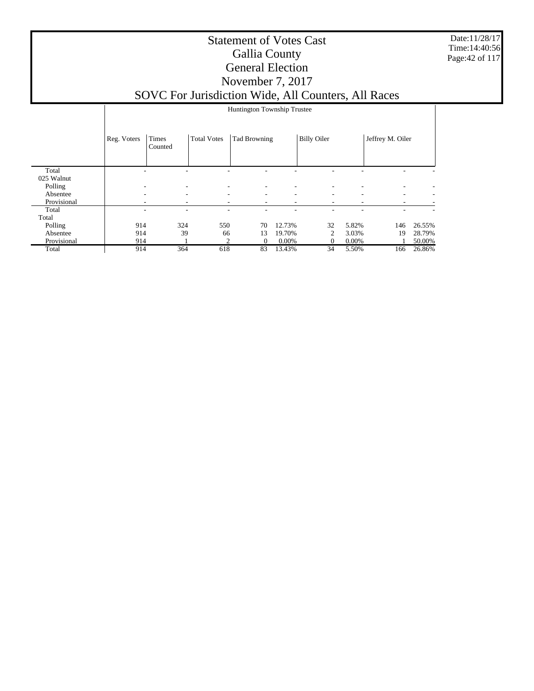Date:11/28/17 Time:14:40:56 Page:42 of 117

|             |                          |                          |                          | Huntington Township Trustee |        |                    |                          |                  |        |
|-------------|--------------------------|--------------------------|--------------------------|-----------------------------|--------|--------------------|--------------------------|------------------|--------|
|             | Reg. Voters              | Times<br>Counted         | <b>Total Votes</b>       | Tad Browning                |        | <b>Billy Oiler</b> |                          | Jeffrey M. Oiler |        |
| Total       |                          |                          |                          |                             |        |                    |                          |                  |        |
| 025 Walnut  |                          |                          |                          |                             |        |                    |                          |                  |        |
| Polling     | $\overline{\phantom{a}}$ | $\overline{\phantom{a}}$ | $\overline{\phantom{a}}$ |                             | ۰      |                    |                          | ۰                |        |
| Absentee    | $\overline{\phantom{a}}$ | $\overline{\phantom{a}}$ | $\overline{\phantom{a}}$ | ٠                           | ۰      | ۰                  | ۰.                       | ٠                | -      |
| Provisional | ٠                        | ۰                        | ۰.                       | ۰                           | ٠.     | ٠.                 | $\overline{\phantom{a}}$ | ۰.               |        |
| Total       |                          | ۰                        |                          |                             | ۰      |                    |                          | ۰                |        |
| Total       |                          |                          |                          |                             |        |                    |                          |                  |        |
| Polling     | 914                      | 324                      | 550                      | 70                          | 12.73% | 32                 | 5.82%                    | 146              | 26.55% |
| Absentee    | 914                      | 39                       | 66                       | 13                          | 19.70% | 2                  | 3.03%                    | 19               | 28.79% |
| Provisional | 914                      |                          | $\overline{c}$           | $\Omega$                    | 0.00%  | 0                  | 0.00%                    |                  | 50.00% |
| Total       | 914                      | 364                      | 618                      | 83                          | 13.43% | 34                 | 5.50%                    | 166              | 26.86% |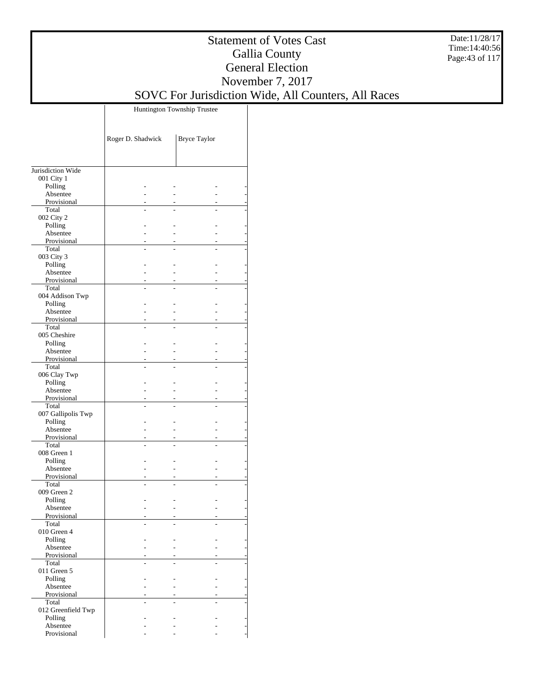Date:11/28/17 Time:14:40:56 Page:43 of 117

### Statement of Votes Cast Gallia County General Election November 7, 2017 SOVC For Jurisdiction Wide, All Counters, All Races

Huntington Township Trustee

|                          | Roger D. Shadwick | <b>Bryce Taylor</b> |  |
|--------------------------|-------------------|---------------------|--|
| Jurisdiction Wide        |                   |                     |  |
| 001 City 1               |                   |                     |  |
| Polling                  |                   |                     |  |
| Absentee                 |                   |                     |  |
| Provisional              |                   |                     |  |
| Total                    |                   |                     |  |
| 002 City 2<br>Polling    |                   |                     |  |
| Absentee                 |                   |                     |  |
| Provisional              |                   |                     |  |
| Total                    |                   |                     |  |
| 003 City 3               |                   |                     |  |
| Polling                  |                   |                     |  |
| Absentee                 |                   |                     |  |
| Provisional              |                   |                     |  |
| Total<br>004 Addison Twp |                   |                     |  |
| Polling                  |                   |                     |  |
| Absentee                 |                   |                     |  |
| Provisional              |                   |                     |  |
| Total                    |                   |                     |  |
| 005 Cheshire             |                   |                     |  |
| Polling                  |                   |                     |  |
| Absentee                 |                   |                     |  |
| Provisional<br>Total     |                   |                     |  |
| 006 Clay Twp             |                   |                     |  |
| Polling                  |                   |                     |  |
| Absentee                 |                   |                     |  |
| Provisional              |                   |                     |  |
| Total                    |                   |                     |  |
| 007 Gallipolis Twp       |                   |                     |  |
| Polling<br>Absentee      |                   |                     |  |
| Provisional              |                   |                     |  |
| Total                    |                   |                     |  |
| 008 Green 1              |                   |                     |  |
| Polling                  |                   |                     |  |
| Absentee                 |                   |                     |  |
| Provisional              |                   |                     |  |
| Total<br>009 Green 2     |                   |                     |  |
| Polling                  |                   |                     |  |
| Absentee                 |                   |                     |  |
| Provisional              |                   |                     |  |
| Total                    |                   |                     |  |
| 010 Green 4              |                   |                     |  |
| Polling                  |                   |                     |  |
| Absentee<br>Provisional  |                   |                     |  |
| Total                    |                   |                     |  |
| 011 Green 5              |                   |                     |  |
| Polling                  |                   |                     |  |
| Absentee                 |                   |                     |  |
| Provisional              |                   |                     |  |
| Total                    |                   |                     |  |
| 012 Greenfield Twp       |                   |                     |  |
| Polling<br>Absentee      |                   |                     |  |
| Provisional              |                   |                     |  |
|                          |                   |                     |  |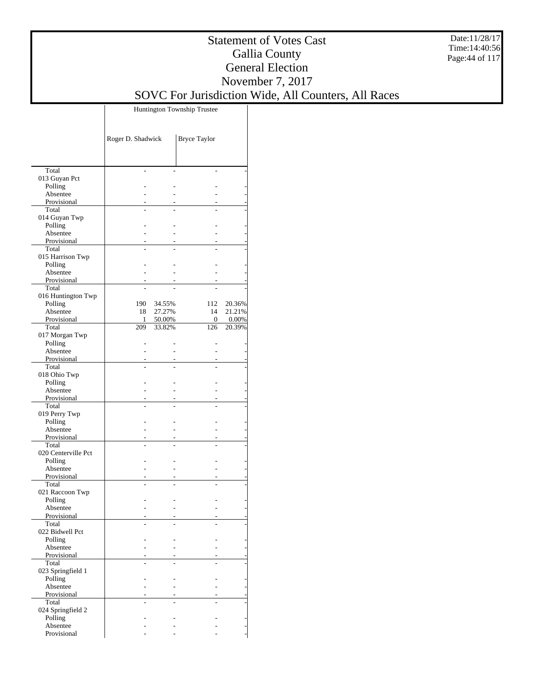Date:11/28/17 Time:14:40:56 Page:44 of 117

### Statement of Votes Cast Gallia County General Election November 7, 2017 SOVC For Jurisdiction Wide, All Counters, All Races

Huntington Township Trustee

|                             | Roger D. Shadwick |                  | <b>Bryce Taylor</b>     |                    |
|-----------------------------|-------------------|------------------|-------------------------|--------------------|
|                             |                   |                  |                         |                    |
| Total                       | $\overline{a}$    |                  |                         |                    |
| 013 Guyan Pct               |                   |                  |                         |                    |
| Polling                     |                   |                  |                         |                    |
| Absentee<br>Provisional     |                   |                  |                         |                    |
| Total                       |                   |                  |                         |                    |
| 014 Guyan Twp               |                   |                  |                         |                    |
| Polling                     |                   |                  |                         |                    |
| Absentee                    |                   |                  |                         |                    |
| Provisional                 |                   |                  |                         |                    |
| Total                       |                   |                  |                         |                    |
| 015 Harrison Twp<br>Polling |                   |                  |                         |                    |
| Absentee                    | $\overline{a}$    |                  |                         |                    |
| Provisional                 |                   |                  |                         |                    |
| Total                       |                   |                  |                         |                    |
| 016 Huntington Twp          |                   |                  |                         |                    |
| Polling                     | 190               | 34.55%           | 112                     | 20.36%             |
| Absentee<br>Provisional     | 18                | 27.27%           | 14                      | 21.21%             |
| Total                       | 1<br>209          | 50.00%<br>33.82% | $\boldsymbol{0}$<br>126 | $0.00\%$<br>20.39% |
| 017 Morgan Twp              |                   |                  |                         |                    |
| Polling                     | $\overline{a}$    | $\overline{a}$   |                         |                    |
| Absentee                    | $\overline{a}$    | $\overline{a}$   |                         |                    |
| Provisional                 |                   |                  |                         |                    |
| Total                       |                   |                  |                         |                    |
| 018 Ohio Twp<br>Polling     |                   |                  |                         |                    |
| Absentee                    |                   |                  |                         |                    |
| Provisional                 |                   |                  |                         |                    |
| Total                       |                   |                  |                         |                    |
| 019 Perry Twp               |                   |                  |                         |                    |
| Polling                     |                   |                  |                         |                    |
| Absentee                    |                   |                  |                         |                    |
| Provisional<br>Total        |                   |                  |                         |                    |
| 020 Centerville Pct         |                   |                  |                         |                    |
| Polling                     |                   |                  |                         |                    |
| Absentee                    |                   |                  |                         |                    |
| Provisional                 |                   | $\overline{a}$   |                         |                    |
| Total                       |                   |                  |                         |                    |
| 021 Raccoon Twp             |                   |                  |                         |                    |
| Polling<br>Absentee         |                   |                  |                         |                    |
| Provisional                 |                   |                  |                         |                    |
| Total                       |                   |                  |                         |                    |
| 022 Bidwell Pct             |                   |                  |                         |                    |
| Polling                     |                   |                  |                         |                    |
| Absentee                    |                   |                  |                         |                    |
| Provisional                 |                   |                  |                         |                    |
| Total<br>023 Springfield 1  |                   |                  |                         |                    |
| Polling                     |                   |                  |                         |                    |
| Absentee                    |                   |                  |                         |                    |
| Provisional                 |                   |                  |                         |                    |
| Total                       |                   |                  |                         |                    |
| 024 Springfield 2           |                   |                  |                         |                    |
| Polling                     |                   |                  |                         |                    |
| Absentee<br>Provisional     |                   |                  |                         |                    |
|                             |                   |                  |                         |                    |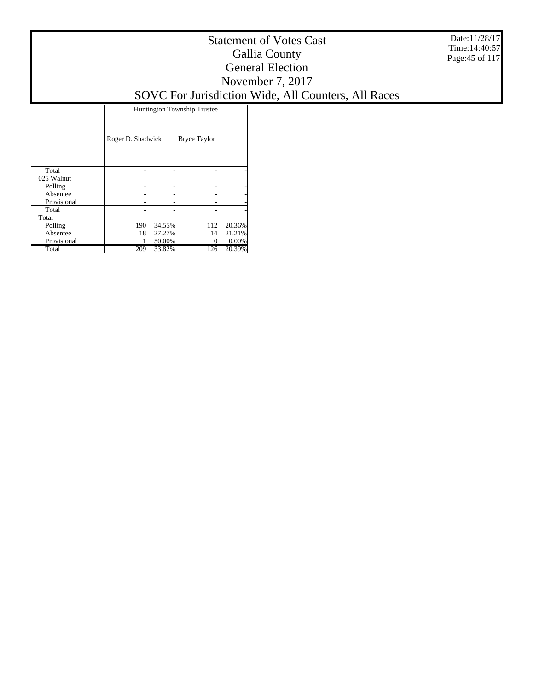Date:11/28/17 Time:14:40:57 Page:45 of 117

### Statement of Votes Cast Gallia County General Election November 7, 2017 SOVC For Jurisdiction Wide, All Counters, All Races

Huntington Township Trustee

|             | Roger D. Shadwick |        | <b>Bryce Taylor</b> |        |
|-------------|-------------------|--------|---------------------|--------|
| Total       |                   |        |                     |        |
| 025 Walnut  |                   |        |                     |        |
| Polling     |                   |        |                     |        |
| Absentee    |                   |        |                     |        |
| Provisional |                   |        |                     |        |
| Total       |                   |        |                     |        |
| Total       |                   |        |                     |        |
| Polling     | 190               | 34.55% | 112                 | 20.36% |
| Absentee    | 18                | 27.27% | 14                  | 21.21% |
| Provisional |                   | 50.00% |                     | 0.00%  |
| Total       | 209               | 33.82% | 126                 | 20.39% |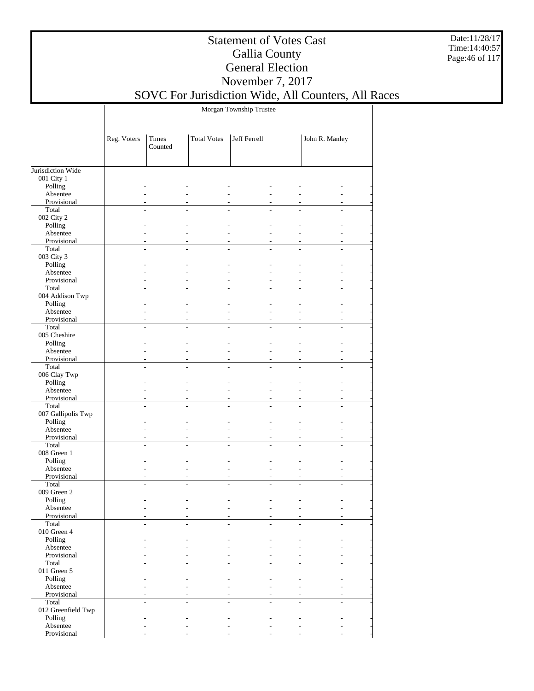Date:11/28/17 Time:14:40:57 Page:46 of 117

### Statement of Votes Cast Gallia County General Election November 7, 2017

# SOVC For Jurisdiction Wide, All Counters, All Races

Morgan Township Trustee

|                             | Reg. Voters    | Times<br>Counted | <b>Total Votes</b>       | Jeff Ferrell   | John R. Manley |
|-----------------------------|----------------|------------------|--------------------------|----------------|----------------|
|                             |                |                  |                          |                |                |
| Jurisdiction Wide           |                |                  |                          |                |                |
| 001 City 1                  |                |                  |                          |                |                |
| Polling<br>Absentee         |                |                  |                          |                |                |
| Provisional                 |                |                  |                          |                |                |
| Total                       |                |                  |                          |                |                |
| 002 City 2                  |                |                  |                          |                |                |
| Polling                     |                |                  |                          |                |                |
| Absentee                    |                |                  |                          |                |                |
| Provisional                 |                |                  |                          |                |                |
| Total                       |                |                  |                          |                |                |
| 003 City 3                  |                |                  |                          |                |                |
| Polling                     |                |                  |                          |                |                |
| Absentee                    |                |                  |                          |                |                |
| Provisional<br>Total        |                |                  |                          |                |                |
| 004 Addison Twp             |                |                  |                          |                |                |
| Polling                     |                |                  |                          |                |                |
| Absentee                    |                |                  | $\overline{a}$           |                | L.             |
| Provisional                 |                |                  |                          |                |                |
| Total                       | $\overline{a}$ |                  |                          | $\overline{a}$ | $\overline{a}$ |
| 005 Cheshire                |                |                  |                          |                |                |
| Polling                     |                |                  |                          |                |                |
| Absentee                    |                |                  |                          |                |                |
| Provisional                 |                |                  |                          |                |                |
| Total                       |                |                  |                          |                |                |
| 006 Clay Twp                |                |                  |                          |                |                |
| Polling                     |                |                  |                          |                |                |
| Absentee<br>Provisional     |                |                  |                          |                |                |
| Total                       |                |                  |                          |                |                |
| 007 Gallipolis Twp          |                |                  |                          |                |                |
| Polling                     |                |                  |                          |                |                |
| Absentee                    |                |                  |                          |                |                |
| Provisional                 |                |                  |                          |                |                |
| Total                       |                |                  |                          |                |                |
| 008 Green 1                 |                |                  |                          |                |                |
| Polling                     |                |                  |                          |                |                |
| Absentee                    |                |                  | $\overline{\phantom{0}}$ |                | $\overline{a}$ |
| Provisional                 |                |                  |                          |                |                |
| Total<br>009 Green 2        |                |                  |                          |                |                |
| Polling                     |                |                  |                          |                |                |
| Absentee                    |                |                  |                          |                |                |
| Provisional                 |                |                  |                          |                |                |
| Total                       |                |                  |                          |                |                |
| $010$ Green $4\,$           |                |                  |                          |                |                |
| Polling                     |                |                  |                          |                |                |
| Absentee                    |                |                  |                          |                |                |
| Provisional                 |                |                  |                          |                |                |
| Total                       |                |                  |                          |                |                |
| 011 Green 5                 |                |                  |                          |                |                |
| Polling                     |                |                  |                          |                |                |
| Absentee                    |                |                  |                          |                |                |
| Provisional                 |                |                  |                          |                |                |
| Total<br>012 Greenfield Twp |                |                  |                          |                |                |
| Polling                     |                |                  |                          |                |                |
| Absentee                    |                |                  |                          |                |                |
| Provisional                 |                |                  |                          |                |                |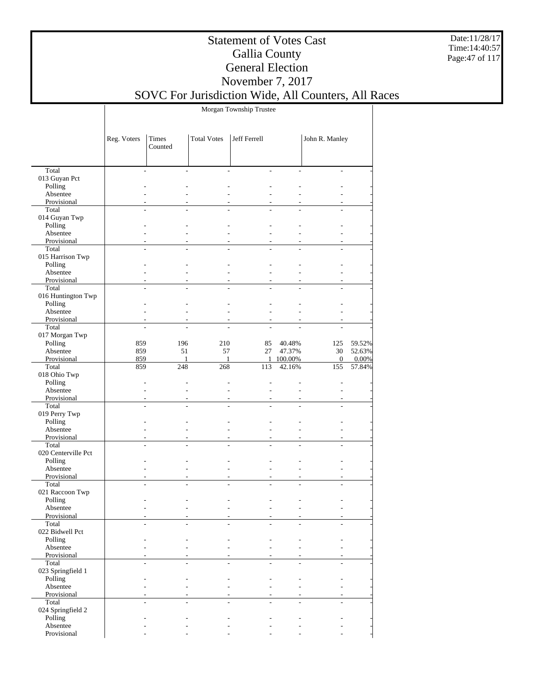Date:11/28/17 Time:14:40:57 Page:47 of 117

### Statement of Votes Cast Gallia County General Election November 7, 2017

## SOVC For Jurisdiction Wide, All Counters, All Races

Morgan Township Trustee

|                                | Reg. Voters    | Times<br>Counted    | <b>Total Votes</b>  | Jeff Ferrell   |                     | John R. Manley        |                 |
|--------------------------------|----------------|---------------------|---------------------|----------------|---------------------|-----------------------|-----------------|
|                                |                |                     |                     |                |                     |                       |                 |
| Total                          | $\overline{a}$ |                     | $\overline{a}$      |                |                     |                       |                 |
| 013 Guyan Pct                  |                |                     |                     |                |                     |                       |                 |
| Polling                        |                |                     |                     |                |                     |                       |                 |
| Absentee                       |                |                     |                     |                |                     |                       |                 |
| Provisional                    |                |                     |                     |                |                     |                       |                 |
| Total                          |                |                     |                     |                |                     |                       |                 |
| 014 Guyan Twp                  |                |                     |                     |                |                     |                       |                 |
| Polling                        |                |                     |                     |                |                     |                       |                 |
| Absentee                       |                |                     |                     |                |                     |                       |                 |
| Provisional                    | $\overline{a}$ |                     |                     |                |                     |                       |                 |
| Total                          |                |                     |                     |                |                     |                       |                 |
| 015 Harrison Twp<br>Polling    |                |                     |                     |                |                     |                       |                 |
| Absentee                       | $\overline{a}$ |                     | $\overline{a}$      |                | $\overline{a}$      |                       |                 |
| Provisional                    |                |                     |                     |                |                     |                       |                 |
| Total                          | L              |                     | $\overline{a}$      | $\overline{a}$ |                     | $\overline{a}$        |                 |
| 016 Huntington Twp             |                |                     |                     |                |                     |                       |                 |
| Polling                        |                |                     |                     |                |                     |                       |                 |
| Absentee                       | L,             |                     |                     |                |                     |                       |                 |
| Provisional                    |                |                     |                     |                |                     |                       |                 |
| Total                          |                |                     |                     |                |                     |                       |                 |
| 017 Morgan Twp                 |                |                     |                     |                |                     |                       |                 |
| Polling                        | 859            | 196                 | 210                 | 85             | 40.48%              | 125                   | 59.52%          |
| Absentee                       | 859            | 51                  | 57                  | 27             | 47.37%              | 30                    | 52.63%          |
| Provisional<br>Total           | 859<br>859     | $\mathbf{1}$<br>248 | $\mathbf{1}$<br>268 | 113            | 1 100.00%<br>42.16% | $\overline{0}$<br>155 | 0.00%<br>57.84% |
| 018 Ohio Twp                   |                |                     |                     |                |                     |                       |                 |
| Polling                        | L,             |                     |                     |                |                     |                       |                 |
| Absentee                       | L              |                     |                     |                |                     |                       |                 |
| Provisional                    | $\overline{a}$ |                     | $\overline{a}$      |                |                     |                       |                 |
| Total                          |                |                     |                     |                |                     |                       |                 |
| 019 Perry Twp                  |                |                     |                     |                |                     |                       |                 |
| Polling                        |                |                     |                     |                |                     |                       |                 |
| Absentee                       | L              |                     | $\overline{a}$      |                | $\overline{a}$      |                       |                 |
| Provisional                    |                |                     |                     |                |                     |                       |                 |
| Total                          | L              | $\overline{a}$      | $\overline{a}$      | $\overline{a}$ |                     | $\overline{a}$        |                 |
| 020 Centerville Pct<br>Polling |                |                     |                     |                |                     |                       |                 |
| Absentee                       |                |                     |                     |                |                     |                       |                 |
| Provisional                    |                |                     |                     |                |                     |                       |                 |
| Total                          |                |                     |                     |                |                     |                       |                 |
| 021 Raccoon Twp                |                |                     |                     |                |                     |                       |                 |
| Polling                        |                |                     |                     |                |                     |                       |                 |
| Absentee                       |                |                     |                     |                |                     |                       |                 |
| Provisional                    |                |                     |                     |                |                     |                       |                 |
| Total                          |                |                     |                     |                |                     |                       |                 |
| 022 Bidwell Pct                |                |                     |                     |                |                     |                       |                 |
| Polling                        |                |                     |                     |                |                     |                       |                 |
| Absentee                       |                |                     |                     |                |                     |                       |                 |
| Provisional<br>Total           |                |                     |                     |                |                     |                       |                 |
| 023 Springfield 1              |                |                     |                     |                |                     |                       |                 |
| Polling                        |                |                     |                     |                |                     |                       |                 |
| Absentee                       |                |                     | $\overline{a}$      |                |                     |                       |                 |
| Provisional                    |                |                     |                     |                |                     |                       |                 |
| Total                          |                |                     |                     |                |                     | $\overline{a}$        |                 |
| 024 Springfield 2              |                |                     |                     |                |                     |                       |                 |
| Polling                        |                |                     |                     |                |                     |                       |                 |
| Absentee                       |                |                     |                     |                |                     |                       |                 |
| Provisional                    |                |                     | $\overline{a}$      |                |                     |                       |                 |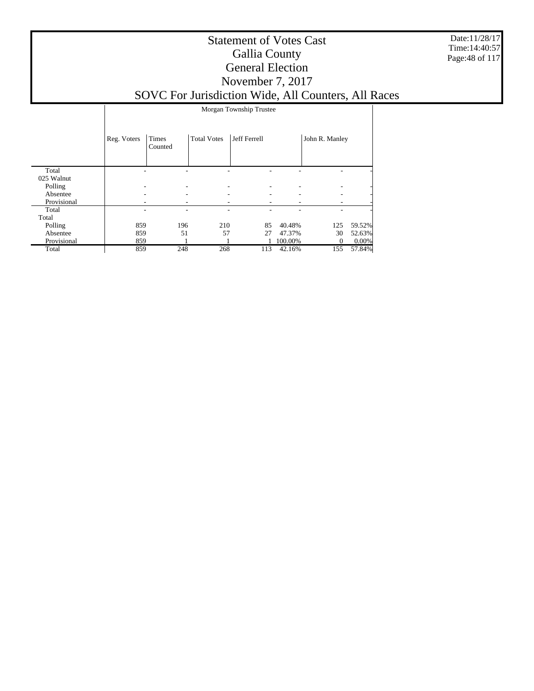Date:11/28/17 Time:14:40:57 Page:48 of 117

|             |             | Morgan Township Trustee |                    |              |         |                |          |  |  |
|-------------|-------------|-------------------------|--------------------|--------------|---------|----------------|----------|--|--|
|             | Reg. Voters | Times<br>Counted        | <b>Total Votes</b> | Jeff Ferrell |         | John R. Manley |          |  |  |
| Total       |             |                         |                    |              |         |                |          |  |  |
| 025 Walnut  |             |                         |                    |              |         |                |          |  |  |
| Polling     |             |                         |                    |              |         |                |          |  |  |
| Absentee    |             |                         |                    |              |         | ٠              |          |  |  |
| Provisional |             |                         |                    |              |         |                |          |  |  |
| Total       |             |                         |                    |              |         |                |          |  |  |
| Total       |             |                         |                    |              |         |                |          |  |  |
| Polling     | 859         | 196                     | 210                | 85           | 40.48%  | 125            | 59.52%   |  |  |
| Absentee    | 859         | 51                      | 57                 | 27           | 47.37%  | 30             | 52.63%   |  |  |
| Provisional | 859         |                         |                    |              | 100.00% | 0              | $0.00\%$ |  |  |
| Total       | 859         | 248                     | 268                | 113          | 42.16%  | 155            | 57.84%   |  |  |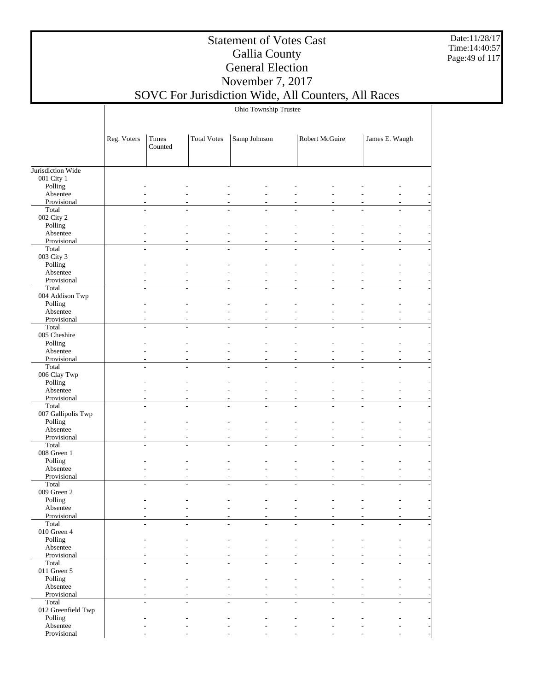Date:11/28/17 Time:14:40:57 Page:49 of 117

### Statement of Votes Cast Gallia County General Election November 7, 2017

## SOVC For Jurisdiction Wide, All Counters, All Races

Ohio Township Trustee

|                               | Reg. Voters              | Times<br>Counted             | <b>Total Votes</b>       | Samp Johnson             | Robert McGuire                                       | James E. Waugh                                       |
|-------------------------------|--------------------------|------------------------------|--------------------------|--------------------------|------------------------------------------------------|------------------------------------------------------|
| Jurisdiction Wide             |                          |                              |                          |                          |                                                      |                                                      |
| 001 City 1                    |                          |                              |                          |                          |                                                      |                                                      |
| Polling                       |                          |                              |                          |                          |                                                      |                                                      |
| Absentee                      |                          |                              |                          |                          |                                                      |                                                      |
| Provisional                   |                          |                              |                          |                          |                                                      |                                                      |
| Total                         |                          |                              |                          |                          |                                                      |                                                      |
| 002 City 2<br>Polling         |                          |                              |                          |                          |                                                      |                                                      |
| Absentee                      |                          |                              |                          |                          |                                                      |                                                      |
| Provisional                   |                          |                              |                          |                          |                                                      |                                                      |
| Total                         |                          |                              |                          |                          |                                                      |                                                      |
| 003 City 3                    |                          |                              |                          |                          |                                                      |                                                      |
| Polling                       |                          |                              |                          |                          |                                                      |                                                      |
| Absentee                      |                          |                              |                          |                          |                                                      |                                                      |
| Provisional                   |                          | $\overline{a}$               |                          |                          | $\overline{a}$                                       | ٠                                                    |
| Total                         |                          |                              | L.                       |                          |                                                      |                                                      |
| 004 Addison Twp               |                          |                              |                          |                          |                                                      |                                                      |
| Polling                       |                          |                              |                          |                          |                                                      |                                                      |
| Absentee<br>Provisional       |                          |                              |                          |                          |                                                      |                                                      |
| Total                         | $\overline{a}$           | $\overline{a}$               | $\overline{a}$           | ÷.                       |                                                      | L,<br>$\overline{a}$                                 |
| 005 Cheshire                  |                          |                              |                          |                          |                                                      |                                                      |
| Polling                       |                          |                              |                          |                          |                                                      |                                                      |
| Absentee                      |                          |                              |                          |                          |                                                      |                                                      |
| Provisional                   |                          |                              |                          |                          |                                                      |                                                      |
| Total                         |                          |                              |                          |                          |                                                      |                                                      |
| 006 Clay Twp                  |                          |                              |                          |                          |                                                      |                                                      |
| Polling                       |                          |                              |                          |                          |                                                      |                                                      |
| Absentee                      |                          |                              |                          |                          |                                                      |                                                      |
| Provisional                   |                          |                              |                          |                          |                                                      |                                                      |
| Total                         |                          |                              |                          |                          |                                                      |                                                      |
| 007 Gallipolis Twp<br>Polling |                          |                              |                          |                          |                                                      |                                                      |
| Absentee                      |                          |                              |                          |                          |                                                      |                                                      |
| Provisional                   | $\overline{\phantom{0}}$ | $\qquad \qquad -$            | $\overline{\phantom{0}}$ |                          | $\overline{\phantom{a}}$<br>$\overline{\phantom{a}}$ | $\overline{\phantom{a}}$<br>$\overline{\phantom{a}}$ |
| Total                         |                          |                              |                          |                          |                                                      |                                                      |
| 008 Green 1                   |                          |                              |                          |                          |                                                      |                                                      |
| Polling                       |                          |                              |                          |                          |                                                      |                                                      |
| Absentee                      |                          |                              |                          |                          |                                                      |                                                      |
| Provisional                   |                          |                              |                          |                          | $\overline{a}$                                       |                                                      |
| Total                         |                          | $\overline{a}$               | L,                       |                          |                                                      |                                                      |
| 009 Green 2                   |                          |                              |                          |                          |                                                      |                                                      |
| Polling                       |                          |                              |                          |                          |                                                      |                                                      |
| Absentee                      |                          |                              |                          |                          |                                                      |                                                      |
| Provisional<br>Total          | $\overline{\phantom{a}}$ | $\qquad \qquad \blacksquare$ | $\overline{a}$           | $\overline{\phantom{a}}$ | $\overline{\phantom{0}}$<br>$\overline{\phantom{a}}$ | $\overline{a}$<br>$\overline{\phantom{0}}$           |
| $010$ Green $4\,$             |                          |                              |                          |                          |                                                      |                                                      |
| Polling                       |                          |                              |                          |                          |                                                      |                                                      |
| Absentee                      |                          | ÷,                           |                          |                          | ÷,                                                   |                                                      |
| Provisional                   |                          |                              |                          |                          |                                                      |                                                      |
| Total                         | $\overline{a}$           | $\overline{a}$               | ÷,                       | $\overline{a}$           | ÷,<br>L,                                             | $\overline{a}$<br>$\overline{a}$                     |
| 011 Green $5$                 |                          |                              |                          |                          |                                                      |                                                      |
| Polling                       |                          | $\qquad \qquad \blacksquare$ | L,                       |                          | L,                                                   |                                                      |
| Absentee                      |                          | L,                           |                          |                          |                                                      |                                                      |
| Provisional                   |                          | $\overline{a}$               |                          |                          | $\overline{a}$<br>$\overline{\phantom{m}}$           |                                                      |
| Total<br>012 Greenfield Twp   |                          | $\overline{a}$               |                          |                          |                                                      | $\overline{a}$<br>$\overline{a}$                     |
| Polling                       |                          |                              |                          |                          |                                                      |                                                      |
| Absentee                      |                          |                              |                          |                          |                                                      |                                                      |
| Provisional                   |                          |                              |                          |                          |                                                      |                                                      |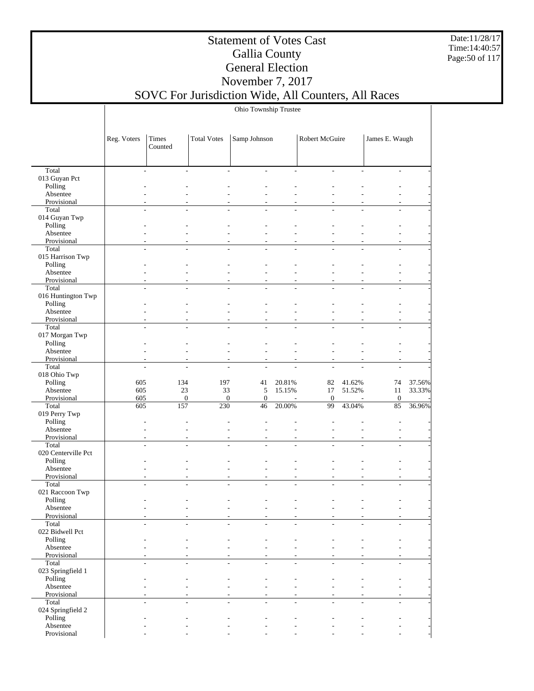Date:11/28/17 Time:14:40:57 Page:50 of 117

### Statement of Votes Cast Gallia County General Election November 7, 2017

## SOVC For Jurisdiction Wide, All Counters, All Races

Ohio Township Trustee

|                           | Reg. Voters              | Times<br>Counted | <b>Total Votes</b> | Samp Johnson   |                | Robert McGuire |                          | James E. Waugh           |        |
|---------------------------|--------------------------|------------------|--------------------|----------------|----------------|----------------|--------------------------|--------------------------|--------|
|                           |                          |                  |                    |                |                |                |                          |                          |        |
| Total                     | $\overline{\phantom{a}}$ | $\overline{a}$   | ÷.                 | $\overline{a}$ | $\overline{a}$ | $\overline{a}$ | $\overline{\phantom{a}}$ | $\overline{\phantom{a}}$ |        |
| 013 Guyan Pct             |                          |                  |                    |                |                |                |                          |                          |        |
| Polling                   |                          |                  |                    |                |                |                |                          |                          |        |
| Absentee                  |                          |                  |                    |                |                |                |                          |                          |        |
| Provisional               |                          |                  |                    |                |                |                |                          |                          |        |
| Total                     |                          |                  |                    |                |                |                |                          |                          |        |
| 014 Guyan Twp             |                          |                  |                    |                |                |                |                          |                          |        |
| Polling                   |                          |                  |                    |                |                |                |                          |                          |        |
| Absentee                  |                          |                  |                    |                |                |                |                          |                          |        |
| Provisional               |                          |                  |                    |                |                |                |                          |                          |        |
| Total                     |                          |                  |                    |                |                |                |                          |                          |        |
| 015 Harrison Twp          |                          |                  |                    |                |                |                |                          |                          |        |
| Polling                   |                          |                  |                    |                |                |                |                          |                          |        |
| Absentee                  |                          |                  |                    |                |                |                |                          |                          |        |
| Provisional               |                          |                  | $\overline{a}$     |                |                |                |                          |                          |        |
| Total                     |                          | $\overline{a}$   | L.                 | ٠              |                |                |                          |                          |        |
| 016 Huntington Twp        |                          |                  |                    |                |                |                |                          |                          |        |
| Polling                   |                          |                  |                    |                |                |                |                          |                          |        |
| Absentee                  |                          |                  |                    |                |                |                |                          |                          |        |
| Provisional               |                          |                  | L.                 |                |                |                |                          |                          |        |
| Total                     |                          | L.               |                    |                |                |                | ÷                        |                          |        |
| 017 Morgan Twp<br>Polling |                          |                  |                    |                |                |                |                          |                          |        |
| Absentee                  |                          |                  |                    |                |                |                |                          |                          |        |
| Provisional               |                          |                  |                    |                |                |                |                          |                          |        |
| Total                     |                          |                  |                    |                |                |                |                          |                          |        |
| 018 Ohio Twp              |                          |                  |                    |                |                |                |                          |                          |        |
| Polling                   | 605                      | 134              | 197                | 41             | 20.81%         | 82             | 41.62%                   | 74                       | 37.56% |
| Absentee                  | 605                      | 23               | 33                 | 5              | 15.15%         | 17             | 51.52%                   | 11                       | 33.33% |
| Provisional               | 605                      | $\boldsymbol{0}$ | $\mathbf{0}$       | $\mathbf{0}$   |                | $\mathbf{0}$   |                          | $\mathbf{0}$             |        |
| Total                     | 605                      | 157              | 230                | 46             | 20.00%         | 99             | 43.04%                   | 85                       | 36.96% |
| 019 Perry Twp             |                          |                  |                    |                |                |                |                          |                          |        |
| Polling                   |                          |                  |                    |                |                |                |                          | ÷,                       |        |
| Absentee                  |                          |                  |                    |                |                |                |                          |                          |        |
| Provisional               |                          |                  |                    |                |                |                |                          |                          |        |
| Total                     |                          |                  |                    |                |                |                |                          |                          |        |
| 020 Centerville Pct       |                          |                  |                    |                |                |                |                          |                          |        |
| Polling                   |                          |                  |                    |                |                |                |                          |                          |        |
| Absentee                  |                          | $\overline{a}$   |                    |                |                |                |                          |                          |        |
| Provisional               |                          |                  |                    |                |                |                |                          |                          |        |
| Total                     |                          |                  |                    |                |                |                |                          |                          |        |
| 021 Raccoon Twp           |                          |                  |                    |                |                |                |                          |                          |        |
| Polling                   |                          |                  |                    |                |                |                |                          |                          |        |
| Absentee                  |                          |                  |                    |                |                |                |                          |                          |        |
| Provisional               |                          |                  |                    |                |                |                |                          |                          |        |
| Total                     |                          |                  |                    |                |                |                |                          |                          |        |
| 022 Bidwell Pct           |                          |                  |                    |                |                |                |                          |                          |        |
| Polling                   |                          |                  |                    |                |                |                |                          |                          |        |
| Absentee                  |                          |                  |                    |                |                |                |                          |                          |        |
| Provisional               |                          |                  |                    |                |                |                |                          |                          |        |
| Total                     | ÷                        | ÷.               |                    |                | ÷              |                | ÷                        |                          |        |
| 023 Springfield 1         |                          |                  |                    |                |                |                |                          |                          |        |
| Polling                   |                          |                  |                    |                |                |                |                          |                          |        |
| Absentee                  |                          | $\overline{a}$   |                    | ٠              |                |                |                          |                          |        |
| Provisional               |                          |                  |                    |                |                |                |                          |                          |        |
| Total                     |                          |                  |                    |                |                |                |                          |                          |        |
| 024 Springfield 2         |                          |                  |                    |                |                |                |                          |                          |        |
| Polling                   |                          |                  |                    |                |                |                |                          |                          |        |
| Absentee                  |                          |                  |                    |                |                |                |                          |                          |        |
| Provisional               |                          |                  |                    |                |                |                |                          |                          |        |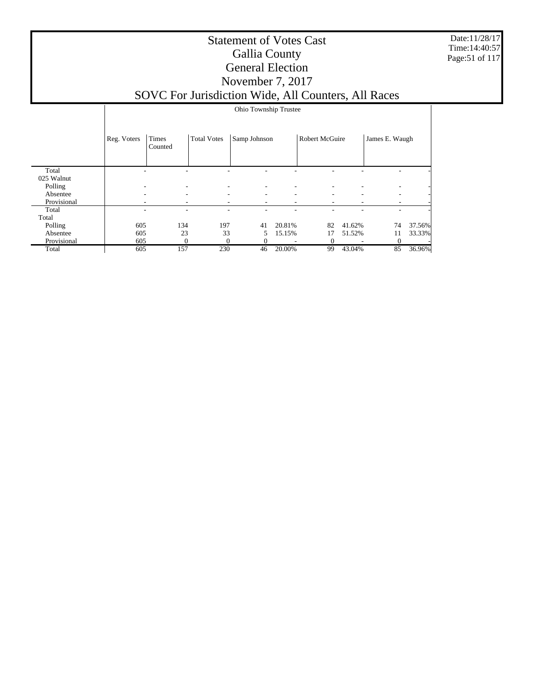Date:11/28/17 Time:14:40:57 Page:51 of 117

|                     |             | Ohio Township Trustee |                    |              |        |                       |        |                |        |
|---------------------|-------------|-----------------------|--------------------|--------------|--------|-----------------------|--------|----------------|--------|
|                     | Reg. Voters | Times<br>Counted      | <b>Total Votes</b> | Samp Johnson |        | <b>Robert McGuire</b> |        | James E. Waugh |        |
| Total<br>025 Walnut |             |                       |                    |              |        |                       |        |                |        |
| Polling             |             | ٠                     | ۰                  |              |        |                       |        |                |        |
| Absentee            |             | ۰                     | ۰                  | ۰            |        | ۰                     | -      | -              |        |
| Provisional         |             |                       | ۰                  | ۰            |        |                       |        |                |        |
| Total               |             |                       |                    |              |        |                       |        |                |        |
| Total               |             |                       |                    |              |        |                       |        |                |        |
| Polling             | 605         | 134                   | 197                | 41           | 20.81% | 82                    | 41.62% | 74             | 37.56% |
| Absentee            | 605         | 23                    | 33                 | 5.           | 15.15% | 17                    | 51.52% | 11             | 33.33% |
| Provisional         | 605         | $\theta$              | $\theta$           |              |        | $\Omega$              |        | $\theta$       |        |
| Total               | 605         | 157                   | 230                | 46           | 20.00% | 99                    | 43.04% | 85             | 36.96% |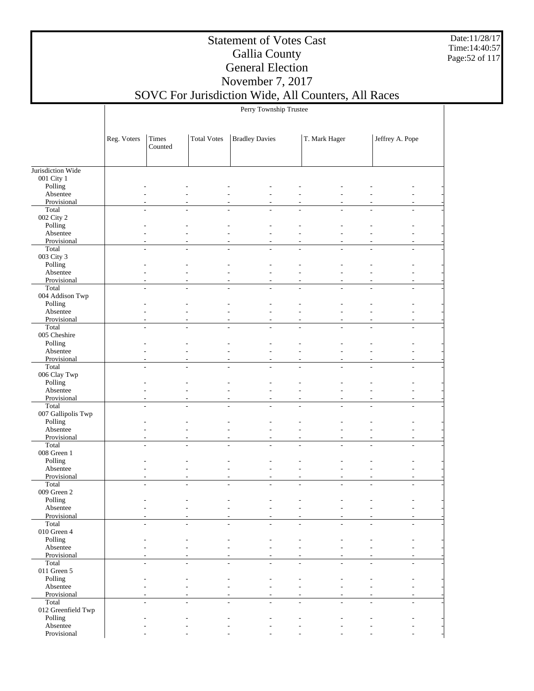Date:11/28/17 Time:14:40:57 Page:52 of 117

### Statement of Votes Cast Gallia County General Election November 7, 2017

## SOVC For Jurisdiction Wide, All Counters, All Races

Perry Township Trustee

|                         | Reg. Voters | Times<br>Counted | <b>Total Votes</b>       | <b>Bradley Davies</b>            |                                    | T. Mark Hager            |                | Jeffrey A. Pope |  |
|-------------------------|-------------|------------------|--------------------------|----------------------------------|------------------------------------|--------------------------|----------------|-----------------|--|
|                         |             |                  |                          |                                  |                                    |                          |                |                 |  |
| Jurisdiction Wide       |             |                  |                          |                                  |                                    |                          |                |                 |  |
| 001 City 1              |             |                  |                          |                                  |                                    |                          |                |                 |  |
| Polling<br>Absentee     |             |                  |                          |                                  |                                    |                          |                |                 |  |
| Provisional             |             |                  |                          |                                  |                                    |                          |                |                 |  |
| Total                   |             |                  |                          |                                  |                                    |                          |                |                 |  |
| 002 City 2              |             |                  |                          |                                  |                                    |                          |                |                 |  |
| Polling                 |             |                  |                          |                                  |                                    |                          |                |                 |  |
| Absentee                |             |                  |                          |                                  |                                    |                          |                |                 |  |
| Provisional             |             |                  |                          |                                  |                                    |                          |                |                 |  |
| Total                   | ÷,          |                  |                          |                                  | $\overline{a}$                     |                          |                |                 |  |
| 003 City 3              |             |                  |                          |                                  |                                    |                          |                |                 |  |
| Polling                 |             |                  |                          |                                  |                                    |                          |                |                 |  |
| Absentee                |             |                  |                          |                                  |                                    |                          |                |                 |  |
| Provisional<br>Total    | J.          |                  |                          | $\overline{a}$                   | L,                                 | $\overline{a}$           |                |                 |  |
| 004 Addison Twp         |             |                  |                          |                                  |                                    |                          |                |                 |  |
| Polling                 |             |                  |                          |                                  |                                    |                          |                |                 |  |
| Absentee                |             |                  |                          |                                  |                                    |                          |                |                 |  |
| Provisional             |             |                  |                          |                                  | ٠                                  |                          |                |                 |  |
| Total                   | L,          | ٠                | ٠                        | $\overline{\phantom{a}}$         | $\sim$                             | $\overline{\phantom{a}}$ | ÷,             | $\overline{a}$  |  |
| 005 Cheshire            |             |                  |                          |                                  |                                    |                          |                |                 |  |
| Polling                 |             |                  |                          |                                  |                                    |                          |                |                 |  |
| Absentee                |             |                  |                          |                                  |                                    |                          |                |                 |  |
| Provisional             |             |                  |                          |                                  |                                    |                          |                |                 |  |
| Total                   |             |                  |                          |                                  |                                    |                          |                |                 |  |
| 006 Clay Twp<br>Polling |             |                  |                          |                                  |                                    |                          |                |                 |  |
| Absentee                |             |                  |                          |                                  |                                    |                          |                |                 |  |
| Provisional             |             |                  |                          |                                  | L,                                 |                          |                |                 |  |
| Total                   |             |                  |                          |                                  |                                    |                          |                |                 |  |
| 007 Gallipolis Twp      |             |                  |                          |                                  |                                    |                          |                |                 |  |
| Polling                 |             |                  |                          |                                  |                                    |                          |                |                 |  |
| Absentee                |             |                  |                          |                                  |                                    |                          |                |                 |  |
| Provisional             |             |                  |                          | $\overline{a}$                   | ٠                                  |                          |                | $\overline{a}$  |  |
| Total                   |             |                  |                          |                                  | $\overline{a}$                     | $\overline{a}$           |                |                 |  |
| 008 Green 1             |             |                  |                          |                                  |                                    |                          |                |                 |  |
| Polling                 |             |                  |                          |                                  |                                    |                          |                |                 |  |
| Absentee                |             |                  |                          |                                  |                                    |                          |                |                 |  |
| Provisional<br>Total    |             | ٠                |                          | $\overline{a}$<br>$\overline{a}$ | $\overline{\phantom{a}}$<br>$\sim$ | $\overline{a}$           | L,             | L.              |  |
| 009 Green 2             |             |                  |                          |                                  |                                    |                          |                |                 |  |
| Polling                 |             |                  |                          |                                  |                                    |                          |                |                 |  |
| Absentee                |             |                  |                          |                                  |                                    |                          |                |                 |  |
| Provisional             |             |                  |                          |                                  |                                    |                          |                |                 |  |
| Total                   |             |                  |                          |                                  |                                    |                          |                |                 |  |
| $010$ Green $4\,$       |             |                  |                          |                                  |                                    |                          |                |                 |  |
| Polling                 |             |                  |                          |                                  |                                    |                          |                |                 |  |
| Absentee                |             |                  |                          |                                  |                                    |                          |                |                 |  |
| Provisional             |             |                  |                          |                                  |                                    | $\overline{a}$           |                |                 |  |
| Total<br>011 Green 5    | $\sim$      | ٠                | $\overline{\phantom{a}}$ | $\sim$                           | $\sim$                             | $\overline{\phantom{a}}$ | $\overline{a}$ | $\overline{a}$  |  |
| Polling                 |             |                  |                          |                                  |                                    |                          |                |                 |  |
| Absentee                |             |                  |                          |                                  |                                    |                          |                |                 |  |
| Provisional             |             |                  |                          | $\overline{a}$                   |                                    |                          |                |                 |  |
| Total                   | ٠           |                  |                          |                                  | $\overline{\phantom{a}}$           | ٠                        | $\overline{a}$ |                 |  |
| 012 Greenfield Twp      |             |                  |                          |                                  |                                    |                          |                |                 |  |
| Polling                 |             |                  |                          |                                  |                                    |                          |                |                 |  |
| Absentee                |             |                  |                          |                                  |                                    |                          |                |                 |  |
| Provisional             |             |                  |                          |                                  |                                    |                          |                |                 |  |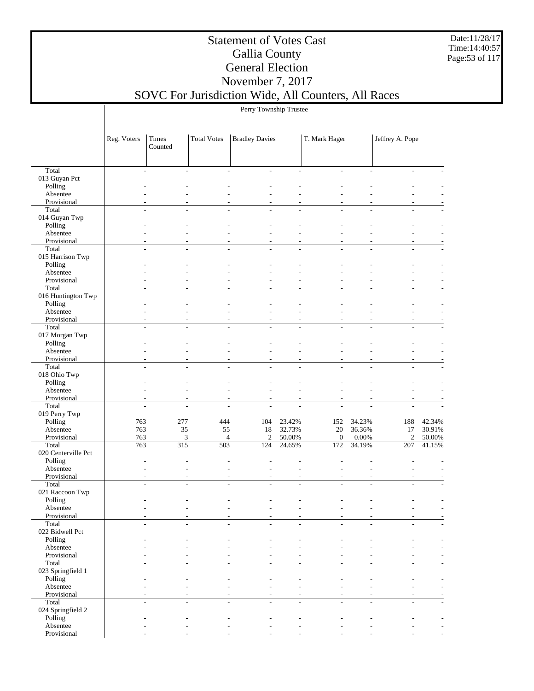Date:11/28/17 Time:14:40:57 Page:53 of 117

### Statement of Votes Cast Gallia County General Election November 7, 2017

## SOVC For Jurisdiction Wide, All Counters, All Races

Perry Township Trustee

|                            | Reg. Voters    | Times<br>Counted             | <b>Total Votes</b>    | <b>Bradley Davies</b> |                  | T. Mark Hager           |                 | Jeffrey A. Pope |                  |
|----------------------------|----------------|------------------------------|-----------------------|-----------------------|------------------|-------------------------|-----------------|-----------------|------------------|
|                            |                |                              |                       |                       |                  |                         |                 |                 |                  |
| Total                      | $\overline{a}$ | $\qquad \qquad \blacksquare$ |                       | $\overline{a}$        | $\overline{a}$   | $\frac{1}{2}$           |                 | $\overline{a}$  |                  |
| 013 Guyan Pct              |                |                              |                       |                       |                  |                         |                 |                 |                  |
| Polling                    |                |                              |                       |                       |                  |                         |                 |                 |                  |
| Absentee<br>Provisional    |                |                              |                       |                       |                  |                         |                 |                 |                  |
| Total                      |                |                              |                       |                       |                  |                         |                 |                 |                  |
| 014 Guyan Twp              |                |                              |                       |                       |                  |                         |                 |                 |                  |
| Polling                    |                |                              |                       |                       |                  |                         |                 |                 |                  |
| Absentee                   |                |                              |                       |                       |                  |                         |                 |                 |                  |
| Provisional                |                |                              |                       |                       |                  |                         |                 |                 |                  |
| Total                      |                |                              |                       |                       |                  |                         |                 |                 |                  |
| 015 Harrison Twp           |                |                              |                       |                       |                  |                         |                 |                 |                  |
| Polling                    |                |                              |                       |                       |                  |                         |                 |                 |                  |
| Absentee<br>Provisional    |                |                              |                       |                       |                  |                         |                 |                 |                  |
| Total                      | $\overline{a}$ |                              |                       |                       | Ĭ.               |                         |                 |                 |                  |
| 016 Huntington Twp         |                |                              |                       |                       |                  |                         |                 |                 |                  |
| Polling                    |                |                              |                       |                       |                  |                         |                 |                 |                  |
| Absentee                   |                |                              |                       |                       |                  |                         |                 |                 |                  |
| Provisional                |                |                              |                       |                       |                  |                         |                 |                 |                  |
| Total                      | Ĭ.             |                              |                       |                       | Ĭ.               |                         |                 |                 |                  |
| 017 Morgan Twp             |                |                              |                       |                       |                  |                         |                 |                 |                  |
| Polling                    |                |                              |                       |                       |                  |                         |                 |                 |                  |
| Absentee                   |                |                              |                       |                       |                  |                         |                 |                 |                  |
| Provisional<br>Total       |                |                              |                       |                       |                  |                         |                 |                 |                  |
| 018 Ohio Twp               |                |                              |                       |                       |                  |                         |                 |                 |                  |
| Polling                    |                |                              |                       |                       |                  |                         |                 |                 |                  |
| Absentee                   |                |                              |                       |                       |                  |                         |                 |                 |                  |
| Provisional                | L,             |                              |                       |                       |                  |                         |                 |                 |                  |
| Total                      | L,             |                              |                       |                       |                  |                         |                 |                 |                  |
| 019 Perry Twp              |                |                              |                       |                       |                  |                         |                 |                 |                  |
| Polling                    | 763            | 277                          | 444                   | 104                   | 23.42%           | 152                     | 34.23%          | 188             | 42.34%           |
| Absentee                   | 763            | 35                           | 55                    | 18                    | 32.73%           | 20                      | 36.36%          | 17              | 30.91%           |
| Provisional<br>Total       | 763<br>763     | 3<br>315                     | $\overline{4}$<br>503 | $\overline{2}$<br>124 | 50.00%<br>24.65% | $\boldsymbol{0}$<br>172 | 0.00%<br>34.19% | 2<br>207        | 50.00%<br>41.15% |
| 020 Centerville Pct        |                |                              |                       |                       |                  |                         |                 |                 |                  |
| Polling                    |                |                              |                       |                       |                  |                         |                 |                 |                  |
| Absentee                   |                |                              |                       |                       |                  |                         |                 |                 |                  |
| Provisional                |                |                              |                       |                       |                  |                         |                 |                 |                  |
| Total                      |                |                              |                       |                       |                  |                         |                 |                 |                  |
| 021 Raccoon Twp            |                |                              |                       |                       |                  |                         |                 |                 |                  |
| Polling                    |                |                              |                       |                       |                  |                         |                 |                 |                  |
| Absentee                   |                |                              |                       |                       |                  |                         |                 |                 |                  |
| Provisional<br>Total       |                |                              |                       |                       |                  |                         |                 |                 |                  |
| 022 Bidwell Pct            |                |                              |                       |                       |                  |                         |                 |                 |                  |
| Polling                    |                |                              |                       |                       |                  |                         |                 |                 |                  |
| Absentee                   |                |                              |                       |                       |                  |                         |                 |                 |                  |
| Provisional                |                |                              |                       |                       |                  |                         |                 |                 |                  |
| Total                      | L,             |                              |                       |                       | L,               |                         | $\overline{a}$  |                 |                  |
| 023 Springfield 1          |                |                              |                       |                       |                  |                         |                 |                 |                  |
| Polling                    |                |                              |                       |                       |                  |                         |                 |                 |                  |
| Absentee                   |                |                              |                       |                       |                  |                         |                 |                 |                  |
| Provisional                |                |                              |                       |                       |                  |                         |                 |                 |                  |
| Total<br>024 Springfield 2 | $\overline{a}$ |                              |                       |                       | ÷.               |                         | L.              | $\overline{a}$  |                  |
| Polling                    |                |                              |                       |                       |                  |                         |                 |                 |                  |
| Absentee                   |                |                              |                       |                       |                  |                         |                 |                 |                  |
| Provisional                |                |                              |                       |                       |                  |                         |                 |                 |                  |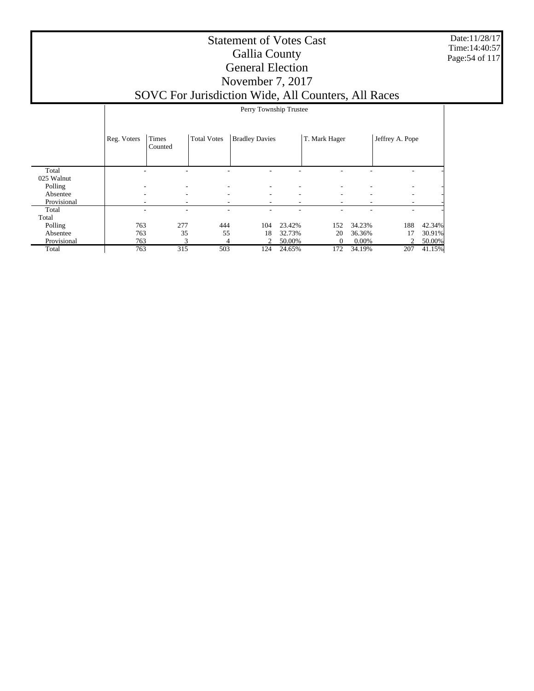Date:11/28/17 Time:14:40:57 Page:54 of 117

|             |             | Perry Township Trustee |                          |                          |        |               |        |                          |        |
|-------------|-------------|------------------------|--------------------------|--------------------------|--------|---------------|--------|--------------------------|--------|
|             | Reg. Voters | Times<br>Counted       | <b>Total Votes</b>       | <b>Bradley Davies</b>    |        | T. Mark Hager |        | Jeffrey A. Pope          |        |
| Total       |             |                        |                          |                          |        |               |        | ۰                        |        |
| 025 Walnut  |             |                        |                          |                          |        |               |        |                          |        |
| Polling     |             |                        | $\overline{\phantom{a}}$ |                          |        |               |        | $\overline{\phantom{a}}$ |        |
| Absentee    | ٠           | ۰                      | ٠                        | $\overline{\phantom{0}}$ |        | ٠             | ٠      | $\overline{\phantom{a}}$ |        |
| Provisional |             |                        | ٠                        |                          | ۰      |               |        |                          |        |
| Total       |             |                        |                          |                          |        |               |        | ۰                        |        |
| Total       |             |                        |                          |                          |        |               |        |                          |        |
| Polling     | 763         | 277                    | 444                      | 104                      | 23.42% | 152           | 34.23% | 188                      | 42.34% |
| Absentee    | 763         | 35                     | 55                       | 18                       | 32.73% | 20            | 36.36% | 17                       | 30.91% |
| Provisional | 763         | 3                      | 4                        | 2                        | 50.00% | $\theta$      | 0.00%  | 2                        | 50.00% |
| Total       | 763         | 315                    | 503                      | 124                      | 24.65% | 172           | 34.19% | 207                      | 41.15% |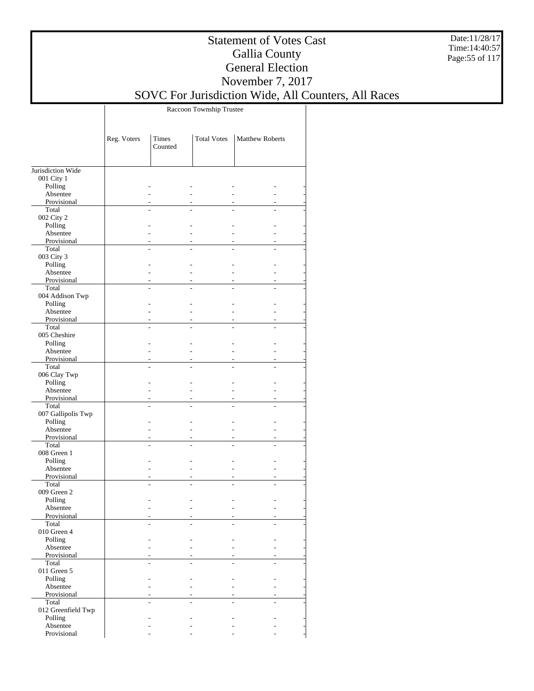Date:11/28/17 Time:14:40:57 Page:55 of 117

### Statement of Votes Cast Gallia County General Election November 7, 2017

## SOVC For Jurisdiction Wide, All Counters, All Races

Raccoon Township Trustee

|                         | Reg. Voters    | Times<br>Counted | <b>Total Votes</b> | <b>Matthew Roberts</b> |
|-------------------------|----------------|------------------|--------------------|------------------------|
|                         |                |                  |                    |                        |
| Jurisdiction Wide       |                |                  |                    |                        |
| 001 City 1              |                |                  |                    |                        |
| Polling<br>Absentee     |                |                  |                    |                        |
| Provisional             |                |                  |                    |                        |
| Total                   |                |                  |                    |                        |
| 002 City 2              |                |                  |                    |                        |
| Polling                 |                |                  |                    |                        |
| Absentee                |                | $\overline{a}$   |                    |                        |
| Provisional             |                |                  |                    |                        |
| Total                   | L.             |                  | $\overline{a}$     |                        |
| 003 City 3              |                |                  |                    |                        |
| Polling                 |                |                  |                    |                        |
| Absentee<br>Provisional |                | ÷<br>÷,          |                    |                        |
| Total                   | L.             |                  | $\overline{a}$     |                        |
| 004 Addison Twp         |                |                  |                    |                        |
| Polling                 |                | L.               |                    |                        |
| Absentee                |                | L,               |                    |                        |
| Provisional             |                |                  |                    |                        |
| Total                   |                |                  |                    |                        |
| 005 Cheshire            |                |                  |                    |                        |
| Polling                 |                |                  |                    |                        |
| Absentee                |                | L.               |                    |                        |
| Provisional             |                |                  |                    |                        |
| Total                   |                |                  |                    |                        |
| 006 Clay Twp<br>Polling |                | L.               |                    |                        |
| Absentee                |                | L.               |                    |                        |
| Provisional             |                |                  |                    |                        |
| Total                   | $\overline{a}$ |                  | $\overline{a}$     |                        |
| 007 Gallipolis Twp      |                |                  |                    |                        |
| Polling                 |                |                  |                    |                        |
| Absentee                |                | ÷,               |                    |                        |
| Provisional             |                |                  |                    |                        |
| Total                   | L.             |                  | $\overline{a}$     |                        |
| 008 Green 1             |                |                  |                    |                        |
| Polling                 |                |                  |                    |                        |
| Absentee<br>Provisional |                | L,               |                    |                        |
| Total                   |                |                  |                    |                        |
| 009 Green 2             |                |                  |                    |                        |
| Polling                 |                |                  |                    |                        |
| Absentee                |                |                  |                    |                        |
| Provisional             |                |                  |                    |                        |
| Total                   |                |                  |                    |                        |
| 010 Green 4             |                |                  |                    |                        |
| Polling                 |                |                  |                    |                        |
| Absentee                |                |                  |                    |                        |
| Provisional             |                |                  |                    |                        |
| Total<br>011 Green $5$  |                |                  |                    |                        |
| Polling                 |                |                  |                    |                        |
| Absentee                |                |                  |                    |                        |
| Provisional             |                |                  |                    |                        |
| Total                   |                |                  |                    |                        |
| 012 Greenfield Twp      |                |                  |                    |                        |
| Polling                 |                |                  |                    |                        |
| Absentee                |                |                  |                    |                        |
| Provisional             |                |                  |                    |                        |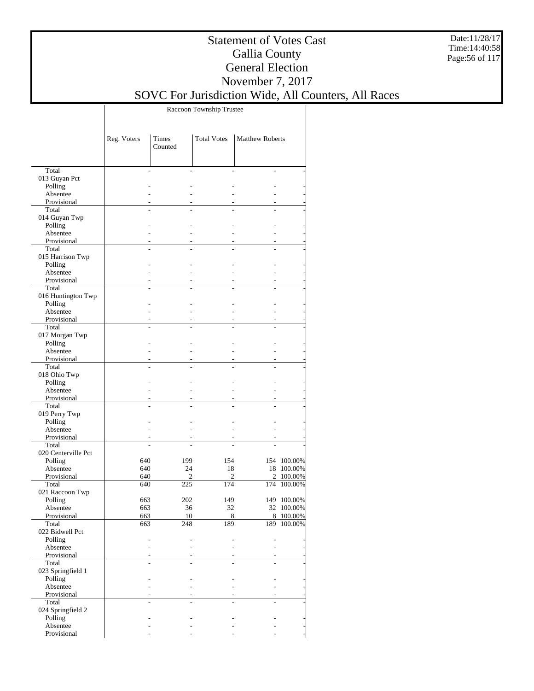Date:11/28/17 Time:14:40:58 Page:56 of 117

### Statement of Votes Cast Gallia County General Election November 7, 2017

## SOVC For Jurisdiction Wide, All Counters, All Races

Raccoon Township Trustee

|                          | Reg. Voters       | Times<br>Counted | <b>Total Votes</b> | <b>Matthew Roberts</b> |             |
|--------------------------|-------------------|------------------|--------------------|------------------------|-------------|
|                          |                   |                  |                    |                        |             |
| Total                    |                   |                  |                    |                        |             |
| 013 Guyan Pct<br>Polling |                   |                  |                    |                        |             |
| Absentee                 |                   |                  |                    |                        |             |
| Provisional              |                   |                  |                    |                        |             |
| Total                    |                   |                  |                    |                        |             |
| 014 Guyan Twp            |                   |                  |                    |                        |             |
| Polling                  |                   |                  |                    |                        |             |
| Absentee                 |                   |                  |                    |                        |             |
| Provisional              |                   |                  |                    |                        |             |
| Total                    |                   |                  |                    |                        |             |
| 015 Harrison Twp         |                   |                  |                    |                        |             |
| Polling<br>Absentee      |                   |                  |                    |                        |             |
| Provisional              |                   |                  |                    |                        |             |
| Total                    |                   |                  |                    |                        |             |
| 016 Huntington Twp       |                   |                  |                    |                        |             |
| Polling                  |                   |                  |                    |                        |             |
| Absentee                 |                   |                  |                    |                        |             |
| Provisional              |                   |                  |                    |                        |             |
| Total                    |                   |                  |                    |                        |             |
| 017 Morgan Twp           |                   |                  |                    |                        |             |
| Polling                  |                   |                  |                    |                        |             |
| Absentee                 |                   |                  |                    |                        |             |
| Provisional              |                   |                  |                    |                        |             |
| Total                    |                   |                  |                    |                        |             |
| 018 Ohio Twp<br>Polling  |                   |                  |                    |                        |             |
| Absentee                 |                   |                  |                    |                        |             |
| Provisional              |                   |                  |                    |                        |             |
| Total                    |                   |                  |                    |                        |             |
| 019 Perry Twp            |                   |                  |                    |                        |             |
| Polling                  |                   |                  |                    |                        |             |
| Absentee                 |                   |                  |                    |                        |             |
| Provisional              |                   |                  |                    |                        |             |
| Total                    |                   |                  |                    |                        |             |
| 020 Centerville Pct      |                   |                  |                    |                        |             |
| Polling                  | 640               | 199              | 154                |                        | 154 100.00% |
| Absentee                 | 640               | 24               | 18                 |                        | 18 100.00%  |
| Provisional              | 640               | 2                | 2                  | $\overline{2}$         | 100.00%     |
| Total<br>021 Raccoon Twp | 640               | 225              | 174                |                        | 174 100.00% |
| Polling                  | 663               | 202              | 149                |                        | 149 100.00% |
| Absentee                 | 663               | 36               | 32                 |                        | 32 100.00%  |
| Provisional              | 663               | 10               | 8                  |                        | 8 100.00%   |
| Total                    | $\frac{663}{663}$ | $\frac{248}{ }$  | 189                |                        | 189 100.00% |
| 022 Bidwell Pct          |                   |                  |                    |                        |             |
| Polling                  |                   |                  |                    |                        |             |
| Absentee                 |                   |                  |                    |                        |             |
| Provisional              |                   |                  |                    |                        |             |
| Total                    |                   |                  |                    |                        |             |
| 023 Springfield 1        |                   |                  |                    |                        |             |
| Polling                  |                   |                  |                    |                        |             |
| Absentee                 |                   |                  |                    |                        |             |
| Provisional<br>Total     |                   |                  |                    |                        |             |
| 024 Springfield 2        |                   |                  |                    |                        |             |
| Polling                  |                   |                  |                    |                        |             |
| Absentee                 |                   |                  |                    |                        |             |
| Provisional              |                   |                  |                    |                        |             |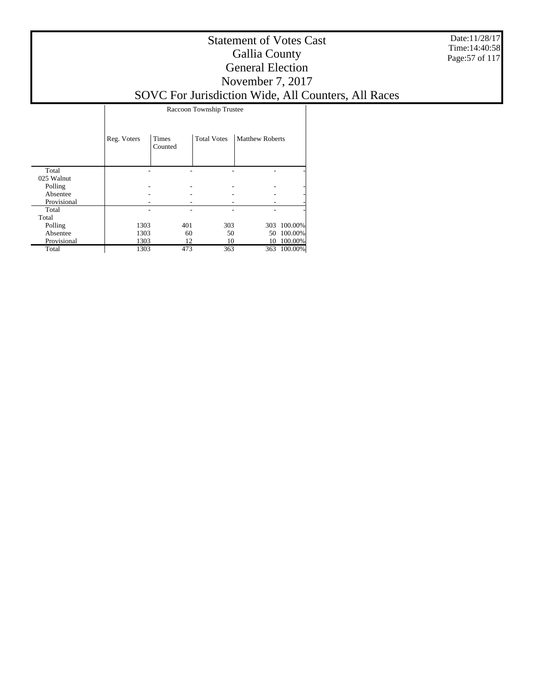Date:11/28/17 Time:14:40:58 Page:57 of 117

### Statement of Votes Cast Gallia County General Election November 7, 2017 SOVC For Jurisdiction Wide, All Counters, All Races

Raccoon Township Trustee

|             | Reg. Voters | Times<br>Counted | <b>Total Votes</b> | <b>Matthew Roberts</b> |         |
|-------------|-------------|------------------|--------------------|------------------------|---------|
| Total       |             |                  |                    |                        |         |
| 025 Walnut  |             |                  |                    |                        |         |
| Polling     |             |                  |                    |                        | -       |
| Absentee    |             |                  |                    |                        | -       |
| Provisional |             |                  |                    |                        |         |
| Total       |             |                  |                    |                        | ٠       |
| Total       |             |                  |                    |                        |         |
| Polling     | 1303        | 401              | 303                | 303                    | 100.00% |
| Absentee    | 1303        | 60               | 50                 | 50                     | 100.00% |
| Provisional | 1303        | 12               | 10                 | 10                     | 100.00% |
| Total       | 1303        | 473              | 363                | 363                    | 100.00% |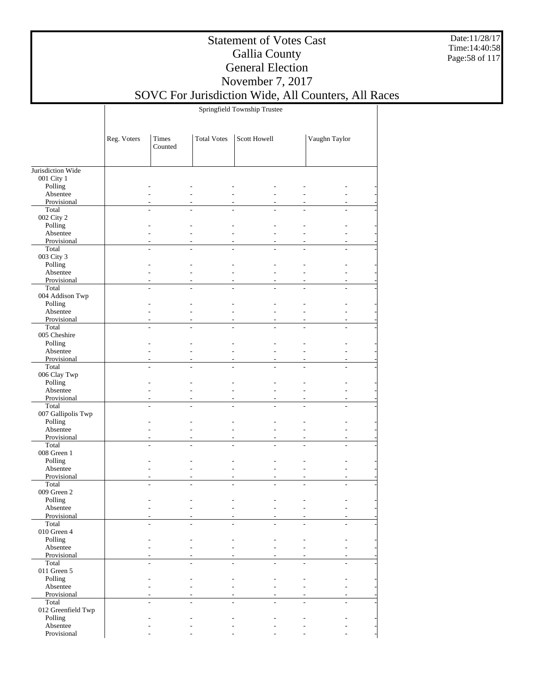Date:11/28/17 Time:14:40:58 Page:58 of 117

### Statement of Votes Cast Gallia County General Election November 7, 2017

## SOVC For Jurisdiction Wide, All Counters, All Races

Springfield Township Trustee

|                         | Reg. Voters | Times<br>Counted | <b>Total Votes</b> | Scott Howell |    | Vaughn Taylor            |  |
|-------------------------|-------------|------------------|--------------------|--------------|----|--------------------------|--|
| Jurisdiction Wide       |             |                  |                    |              |    |                          |  |
| 001 City 1              |             |                  |                    |              |    |                          |  |
| Polling                 |             |                  |                    |              |    |                          |  |
| Absentee                |             |                  |                    |              |    |                          |  |
| Provisional             |             |                  |                    |              |    |                          |  |
| Total<br>002 City 2     |             |                  |                    |              | L. | ÷                        |  |
| Polling                 |             |                  |                    |              |    |                          |  |
| Absentee                |             |                  |                    |              |    |                          |  |
| Provisional             |             |                  |                    |              |    |                          |  |
| Total                   |             |                  |                    |              |    | ÷.                       |  |
| 003 City 3              |             |                  |                    |              |    |                          |  |
| Polling                 |             |                  |                    |              |    |                          |  |
| Absentee<br>Provisional |             |                  |                    |              |    |                          |  |
| Total                   |             |                  |                    |              |    | ÷                        |  |
| 004 Addison Twp         |             |                  |                    |              |    |                          |  |
| Polling                 |             |                  |                    |              |    |                          |  |
| Absentee                |             |                  |                    |              |    |                          |  |
| Provisional             |             |                  |                    |              | ÷. | $\overline{a}$           |  |
| Total<br>005 Cheshire   |             |                  |                    |              |    | ÷.                       |  |
| Polling                 |             |                  |                    |              |    |                          |  |
| Absentee                |             |                  |                    |              | L. |                          |  |
| Provisional             |             |                  |                    |              | ÷  | ÷.                       |  |
| Total                   |             |                  |                    |              | L. | ÷                        |  |
| 006 Clay Twp            |             |                  |                    |              |    |                          |  |
| Polling                 |             |                  |                    |              |    |                          |  |
| Absentee<br>Provisional |             |                  |                    |              |    | $\overline{a}$           |  |
| Total                   |             |                  |                    |              |    | ÷.                       |  |
| 007 Gallipolis Twp      |             |                  |                    |              |    |                          |  |
| Polling                 |             |                  |                    |              |    |                          |  |
| Absentee                |             |                  |                    |              |    |                          |  |
| Provisional             |             |                  |                    |              | ٠  |                          |  |
| Total<br>008 Green 1    |             |                  |                    |              |    |                          |  |
| Polling                 |             |                  |                    |              |    |                          |  |
| Absentee                |             |                  |                    |              | L. |                          |  |
| Provisional             |             |                  |                    |              | ٠  | ÷                        |  |
| Total                   |             |                  |                    |              |    |                          |  |
| 009 Green 2             |             |                  |                    |              |    |                          |  |
| Polling                 |             |                  |                    |              |    |                          |  |
| Absentee<br>Provisional |             |                  |                    |              |    |                          |  |
| Total                   |             |                  |                    |              |    |                          |  |
| 010 Green 4             |             |                  |                    |              |    |                          |  |
| Polling                 |             |                  |                    |              |    |                          |  |
| Absentee                |             |                  |                    |              |    |                          |  |
| Provisional             |             |                  |                    |              |    |                          |  |
| Total<br>011 Green 5    |             |                  |                    |              |    |                          |  |
| Polling                 |             |                  |                    |              |    |                          |  |
| Absentee                |             |                  |                    |              |    |                          |  |
| Provisional             |             |                  |                    |              |    |                          |  |
| Total                   |             |                  |                    |              | ÷. | $\overline{\phantom{a}}$ |  |
| 012 Greenfield Twp      |             |                  |                    |              |    |                          |  |
| Polling<br>Absentee     |             |                  |                    |              |    |                          |  |
| Provisional             |             |                  |                    |              |    |                          |  |
|                         |             |                  |                    |              |    |                          |  |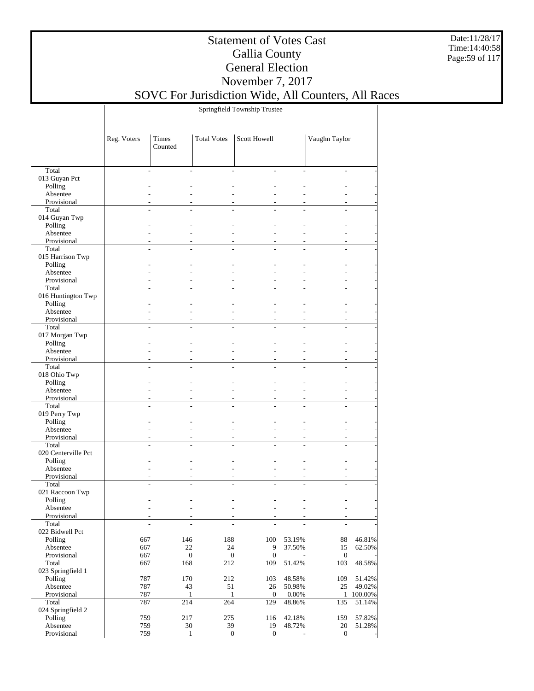Date:11/28/17 Time:14:40:58 Page:59 of 117

### Statement of Votes Cast Gallia County General Election November 7, 2017

## SOVC For Jurisdiction Wide, All Counters, All Races

Springfield Township Trustee

|                        | Reg. Voters | Times<br>Counted                                     | <b>Total Votes</b> | Scott Howell                              |        | Vaughn Taylor            |         |
|------------------------|-------------|------------------------------------------------------|--------------------|-------------------------------------------|--------|--------------------------|---------|
|                        |             |                                                      |                    | ÷                                         |        | ÷.                       |         |
| Total<br>013 Guyan Pct | ÷,          |                                                      |                    |                                           | L.     |                          |         |
| Polling                |             |                                                      |                    |                                           |        |                          |         |
| Absentee               |             |                                                      |                    |                                           | L.     |                          |         |
| Provisional            |             |                                                      |                    |                                           |        |                          |         |
| Total                  |             |                                                      |                    |                                           |        |                          |         |
| 014 Guyan Twp          |             |                                                      |                    |                                           |        |                          |         |
| Polling                |             |                                                      |                    |                                           |        |                          |         |
| Absentee               |             |                                                      |                    |                                           |        |                          |         |
| Provisional            |             |                                                      |                    |                                           |        |                          |         |
| Total                  |             |                                                      |                    |                                           |        |                          |         |
| 015 Harrison Twp       |             |                                                      |                    |                                           |        |                          |         |
| Polling                |             |                                                      |                    |                                           |        |                          |         |
| Absentee               |             |                                                      |                    |                                           | L.     |                          |         |
| Provisional            |             |                                                      |                    |                                           |        |                          |         |
| Total                  |             | L.<br>L.                                             |                    | L.<br>$\overline{a}$                      | L.     | L.                       |         |
| 016 Huntington Twp     |             |                                                      |                    |                                           |        |                          |         |
| Polling                |             |                                                      |                    |                                           |        |                          |         |
| Absentee               |             |                                                      |                    |                                           |        |                          |         |
| Provisional            |             |                                                      |                    |                                           |        |                          |         |
| Total                  | L.          | ÷.                                                   |                    | L.<br>L.                                  | L.     | L.                       |         |
| 017 Morgan Twp         |             |                                                      |                    |                                           |        |                          |         |
| Polling                |             |                                                      |                    |                                           |        |                          |         |
| Absentee               |             |                                                      |                    |                                           | L.     |                          |         |
| Provisional            |             |                                                      |                    |                                           |        |                          |         |
| Total                  |             |                                                      |                    |                                           |        |                          |         |
| 018 Ohio Twp           |             |                                                      |                    |                                           |        |                          |         |
| Polling                |             |                                                      |                    |                                           |        |                          |         |
| Absentee               |             |                                                      |                    |                                           | L.     |                          |         |
| Provisional            |             |                                                      |                    |                                           |        |                          |         |
| Total                  |             |                                                      |                    |                                           |        |                          |         |
| 019 Perry Twp          |             |                                                      |                    |                                           |        |                          |         |
| Polling                |             |                                                      |                    |                                           |        |                          |         |
| Absentee               |             |                                                      |                    |                                           | L.     |                          |         |
| Provisional            |             |                                                      |                    |                                           |        |                          |         |
| Total                  |             | L.<br>L.                                             |                    | L.<br>$\overline{a}$                      | L.     | L.                       |         |
| 020 Centerville Pct    |             |                                                      |                    |                                           |        |                          |         |
| Polling                |             |                                                      |                    |                                           |        |                          |         |
| Absentee               |             |                                                      |                    |                                           |        |                          |         |
| Provisional            |             |                                                      |                    |                                           |        |                          |         |
| Total                  | L.          | L.                                                   |                    |                                           | L.     | $\overline{a}$           |         |
| 021 Raccoon Twp        |             |                                                      |                    |                                           |        |                          |         |
| Polling                |             |                                                      |                    |                                           |        |                          |         |
| Absentee               |             |                                                      |                    |                                           |        |                          |         |
| Provisional<br>Total   |             |                                                      |                    |                                           |        |                          |         |
| 022 Bidwell Pct        |             | $\overline{\phantom{a}}$<br>$\overline{\phantom{a}}$ |                    | $\overline{\phantom{a}}$<br>$\frac{1}{2}$ |        | $\overline{\phantom{a}}$ |         |
| Polling                | 667         | 146                                                  | 188                | 100                                       | 53.19% | $88\,$                   | 46.81%  |
| Absentee               |             | $22\,$                                               | $24\,$             | 9                                         | 37.50% | 15                       |         |
| Provisional            | 667<br>667  | $\overline{0}$                                       |                    | $\overline{0}$<br>$\mathbf{0}$            | ÷,     | $\mathbf{0}$             | 62.50%  |
| Total                  | 667         | 168                                                  | $\overline{212}$   | 109                                       | 51.42% | 103                      | 48.58%  |
| 023 Springfield 1      |             |                                                      |                    |                                           |        |                          |         |
| Polling                | 787         | 170                                                  | 212                | 103                                       | 48.58% | 109                      | 51.42%  |
| Absentee               | 787         | 43                                                   | 51                 | 26                                        | 50.98% | 25                       | 49.02%  |
| Provisional            | 787         | 1                                                    | $\mathbf{1}$       | $\overline{0}$                            | 0.00%  | $\mathbf{1}$             | 100.00% |
| Total                  | 787         | 214                                                  | 264                | 129                                       | 48.86% | 135                      | 51.14%  |
| 024 Springfield 2      |             |                                                      |                    |                                           |        |                          |         |
| Polling                | 759         | 217                                                  | 275                | 116                                       | 42.18% | 159                      | 57.82%  |
| Absentee               | 759         | $30\,$                                               | 39                 | 19                                        | 48.72% | 20                       | 51.28%  |
| Provisional            | 759         | $\mathbf{1}$                                         |                    | $\boldsymbol{0}$<br>$\overline{0}$        |        | $\boldsymbol{0}$         |         |
|                        |             |                                                      |                    |                                           |        |                          |         |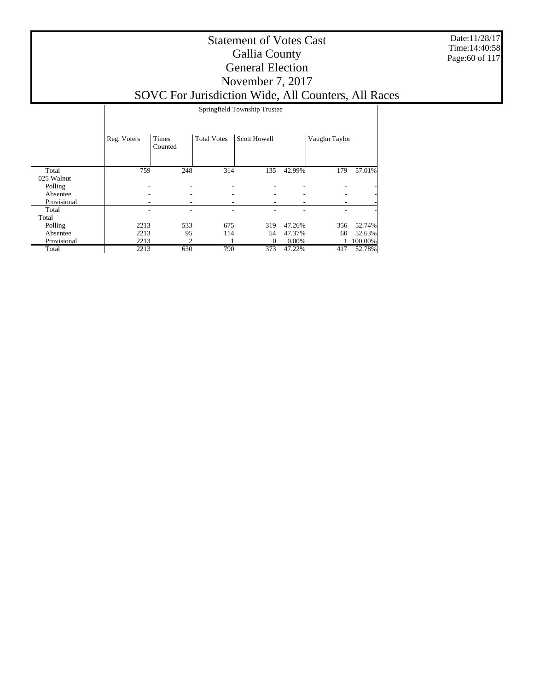Date:11/28/17 Time:14:40:58 Page:60 of 117

|             |             | Springfield Township Trustee |                    |              |        |               |         |  |  |
|-------------|-------------|------------------------------|--------------------|--------------|--------|---------------|---------|--|--|
|             | Reg. Voters | Times<br>Counted             | <b>Total Votes</b> | Scott Howell |        | Vaughn Taylor |         |  |  |
| Total       | 759         | 248                          | 314                | 135          | 42.99% | 179           | 57.01%  |  |  |
| 025 Walnut  |             |                              |                    |              |        |               |         |  |  |
| Polling     | ٠           |                              |                    |              |        |               |         |  |  |
| Absentee    |             |                              |                    |              |        |               |         |  |  |
| Provisional |             |                              |                    |              |        |               |         |  |  |
| Total       |             |                              |                    |              |        |               |         |  |  |
| Total       |             |                              |                    |              |        |               |         |  |  |
| Polling     | 2213        | 533                          | 675                | 319          | 47.26% | 356           | 52.74%  |  |  |
| Absentee    | 2213        | 95                           | 114                | 54           | 47.37% | 60            | 52.63%  |  |  |
| Provisional | 2213        | 2                            |                    | $\theta$     | 0.00%  |               | 100.00% |  |  |
| Total       | 2213        | 630                          | 790                | 373          | 47.22% | 417           | 52.78%  |  |  |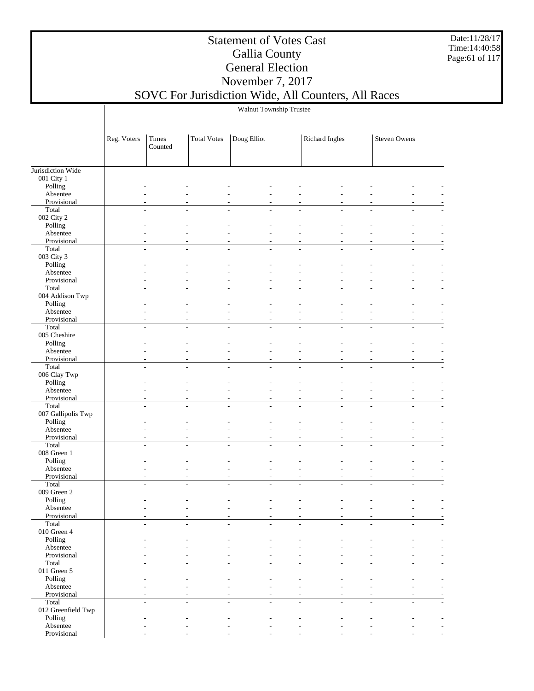Date:11/28/17 Time:14:40:58 Page:61 of 117

### Statement of Votes Cast Gallia County General Election November 7, 2017

## SOVC For Jurisdiction Wide, All Counters, All Races

Walnut Township Trustee

|                      | Reg. Voters | Times<br>Counted | <b>Total Votes</b> | Doug Elliot    | Richard Ingles                                   | Steven Owens |
|----------------------|-------------|------------------|--------------------|----------------|--------------------------------------------------|--------------|
| Jurisdiction Wide    |             |                  |                    |                |                                                  |              |
| 001 City 1           |             |                  |                    |                |                                                  |              |
| Polling              |             |                  |                    |                |                                                  |              |
| Absentee             |             |                  |                    |                |                                                  |              |
| Provisional          |             |                  |                    |                |                                                  |              |
| Total                |             |                  |                    |                |                                                  |              |
| 002 City 2           |             |                  |                    |                |                                                  |              |
| Polling              |             |                  |                    |                |                                                  |              |
| Absentee             |             |                  |                    |                |                                                  |              |
| Provisional          |             |                  |                    |                |                                                  |              |
| Total                | J.          |                  |                    |                |                                                  |              |
| 003 City 3           |             |                  |                    |                |                                                  |              |
| Polling              |             |                  |                    |                |                                                  |              |
| Absentee             |             |                  |                    |                |                                                  |              |
| Provisional<br>Total | L,          |                  |                    |                | ÷.                                               |              |
| 004 Addison Twp      |             |                  |                    |                |                                                  |              |
| Polling              |             |                  |                    |                |                                                  |              |
| Absentee             |             |                  |                    |                |                                                  |              |
| Provisional          |             |                  |                    |                |                                                  |              |
| Total                | J.          | $\overline{a}$   |                    | $\overline{a}$ | $\overline{\phantom{a}}$<br>$\overline{a}$<br>L, |              |
| 005 Cheshire         |             |                  |                    |                |                                                  |              |
| Polling              |             |                  |                    |                |                                                  |              |
| Absentee             |             |                  |                    |                |                                                  |              |
| Provisional          |             |                  |                    |                |                                                  |              |
| Total                |             |                  |                    |                |                                                  |              |
| 006 Clay Twp         |             |                  |                    |                |                                                  |              |
| Polling              |             |                  |                    |                |                                                  |              |
| Absentee             |             |                  |                    |                |                                                  |              |
| Provisional          |             |                  |                    |                |                                                  |              |
| Total                |             |                  |                    |                |                                                  |              |
| 007 Gallipolis Twp   |             |                  |                    |                |                                                  |              |
| Polling              |             |                  |                    |                |                                                  |              |
| Absentee             |             |                  |                    |                |                                                  |              |
| Provisional          |             |                  |                    |                |                                                  |              |
| Total<br>008 Green 1 | J.          |                  |                    | J.             |                                                  |              |
| Polling              |             |                  |                    |                |                                                  |              |
| Absentee             |             |                  |                    | $\overline{a}$ |                                                  |              |
| Provisional          |             |                  |                    | $\overline{a}$ | ÷,                                               |              |
| Total                |             | $\overline{a}$   |                    | ÷              | L.                                               |              |
| 009 Green 2          |             |                  |                    |                |                                                  |              |
| Polling              |             |                  |                    |                |                                                  |              |
| Absentee             |             |                  |                    |                |                                                  |              |
| Provisional          |             |                  |                    |                |                                                  |              |
| Total                |             |                  |                    |                |                                                  |              |
| $010$ Green $4\,$    |             |                  |                    |                |                                                  |              |
| Polling              |             |                  |                    |                |                                                  |              |
| Absentee             |             |                  |                    |                |                                                  |              |
| Provisional          |             |                  |                    |                |                                                  |              |
| Total<br>011 Green 5 | J.          |                  |                    | ÷              | L.                                               |              |
| Polling              |             |                  |                    |                |                                                  |              |
| Absentee             |             |                  |                    |                |                                                  |              |
| Provisional          |             |                  |                    |                |                                                  |              |
| Total                |             |                  |                    |                |                                                  |              |
| 012 Greenfield Twp   |             |                  |                    |                |                                                  |              |
| Polling              |             |                  |                    |                |                                                  |              |
| Absentee             |             |                  |                    |                |                                                  |              |
| Provisional          |             |                  |                    |                |                                                  |              |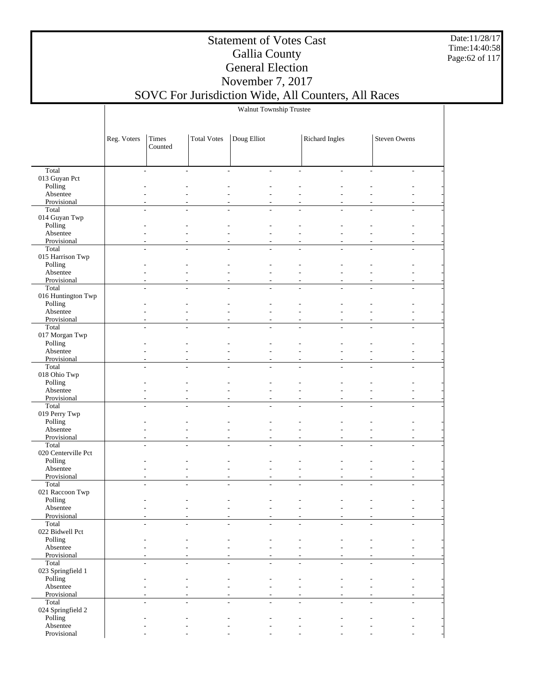Date:11/28/17 Time:14:40:58 Page:62 of 117

### Statement of Votes Cast Gallia County General Election November 7, 2017

## SOVC For Jurisdiction Wide, All Counters, All Races

Walnut Township Trustee

|                               | Reg. Voters    | Times<br>Counted         | <b>Total Votes</b> | Doug Elliot                                |                          | Richard Ingles           |                          | Steven Owens             |  |
|-------------------------------|----------------|--------------------------|--------------------|--------------------------------------------|--------------------------|--------------------------|--------------------------|--------------------------|--|
|                               |                |                          |                    |                                            |                          |                          |                          |                          |  |
| Total                         | $\sim$         | $\overline{\phantom{a}}$ |                    | $\overline{a}$<br>$\overline{\phantom{a}}$ | $\overline{\phantom{a}}$ | $\overline{\phantom{a}}$ | $\overline{\phantom{a}}$ | $\overline{\phantom{a}}$ |  |
| 013 Guyan Pct<br>Polling      |                |                          |                    |                                            |                          |                          |                          |                          |  |
| Absentee                      |                |                          |                    |                                            |                          |                          |                          |                          |  |
| Provisional                   |                |                          |                    |                                            |                          |                          |                          |                          |  |
| Total<br>014 Guyan Twp        |                |                          |                    |                                            |                          |                          |                          |                          |  |
| Polling                       |                |                          |                    |                                            |                          |                          |                          |                          |  |
| Absentee                      |                |                          |                    |                                            |                          |                          |                          |                          |  |
| Provisional                   |                |                          |                    |                                            |                          |                          |                          |                          |  |
| Total                         | $\overline{a}$ |                          |                    |                                            | L.                       |                          | $\overline{a}$           |                          |  |
| 015 Harrison Twp<br>Polling   |                |                          |                    |                                            |                          |                          |                          |                          |  |
| Absentee                      |                |                          |                    |                                            |                          |                          |                          |                          |  |
| Provisional                   |                |                          |                    |                                            |                          |                          |                          | $\overline{a}$           |  |
| Total                         | $\overline{a}$ | $\overline{\phantom{a}}$ |                    | $\overline{a}$                             | L,                       | $\overline{a}$           | $\overline{a}$           |                          |  |
| 016 Huntington Twp<br>Polling |                |                          |                    |                                            |                          |                          |                          |                          |  |
| Absentee                      |                |                          |                    |                                            |                          |                          |                          |                          |  |
| Provisional                   |                |                          |                    |                                            | ٠                        |                          |                          |                          |  |
| Total                         | ÷.             | $\overline{a}$           |                    | L.                                         | $\sim$                   | $\overline{a}$           | $\sim$                   | L.                       |  |
| 017 Morgan Twp<br>Polling     |                |                          |                    |                                            |                          |                          |                          |                          |  |
| Absentee                      |                |                          |                    |                                            |                          |                          |                          |                          |  |
| Provisional                   |                |                          |                    |                                            |                          |                          |                          |                          |  |
| Total                         |                | ٠                        |                    |                                            | ÷,                       |                          |                          |                          |  |
| 018 Ohio Twp<br>Polling       |                |                          |                    |                                            |                          |                          |                          |                          |  |
| Absentee                      |                |                          |                    |                                            |                          |                          |                          |                          |  |
| Provisional                   |                |                          |                    |                                            | L,                       |                          |                          |                          |  |
| Total                         |                |                          |                    |                                            |                          |                          |                          |                          |  |
| 019 Perry Twp                 |                |                          |                    |                                            |                          |                          |                          |                          |  |
| Polling<br>Absentee           |                |                          |                    |                                            |                          |                          |                          |                          |  |
| Provisional                   |                |                          |                    |                                            | ٠                        |                          |                          | $\overline{a}$           |  |
| Total                         | $\overline{a}$ | $\overline{a}$           |                    |                                            | L.                       |                          | $\overline{a}$           |                          |  |
| 020 Centerville Pct           |                |                          |                    |                                            |                          |                          |                          |                          |  |
| Polling<br>Absentee           |                |                          |                    |                                            |                          |                          |                          |                          |  |
| Provisional                   |                |                          |                    |                                            | ٠                        |                          |                          |                          |  |
| Total                         |                | $\overline{\phantom{a}}$ |                    | $\overline{a}$                             | $\overline{a}$           |                          | $\overline{a}$           |                          |  |
| 021 Raccoon Twp               |                |                          |                    |                                            |                          |                          |                          |                          |  |
| Polling<br>Absentee           |                |                          |                    |                                            |                          |                          |                          |                          |  |
| Provisional                   |                |                          |                    |                                            |                          |                          |                          |                          |  |
| Total                         |                |                          |                    |                                            |                          |                          |                          |                          |  |
| 022 Bidwell Pct               |                |                          |                    |                                            |                          |                          |                          |                          |  |
| Polling<br>Absentee           |                |                          |                    |                                            |                          |                          |                          |                          |  |
| Provisional                   |                |                          |                    |                                            |                          |                          | $\overline{\phantom{a}}$ |                          |  |
| Total                         | $\sim$         | ٠                        |                    | $\overline{a}$<br>$\overline{a}$           | $\sim$                   | ٠                        | $\overline{\phantom{a}}$ | $\mathbf{r}$             |  |
| 023 Springfield 1             |                |                          |                    |                                            |                          |                          |                          |                          |  |
| Polling<br>Absentee           |                |                          |                    | L.<br>$\overline{a}$                       |                          |                          |                          |                          |  |
| Provisional                   |                |                          |                    |                                            |                          |                          |                          |                          |  |
| Total                         | $\overline{a}$ | $\overline{a}$           |                    |                                            | $\overline{a}$           |                          | $\overline{\phantom{a}}$ | ÷                        |  |
| 024 Springfield 2             |                |                          |                    |                                            |                          |                          |                          |                          |  |
| Polling<br>Absentee           |                |                          |                    |                                            |                          |                          |                          |                          |  |
| Provisional                   |                |                          |                    |                                            |                          |                          |                          |                          |  |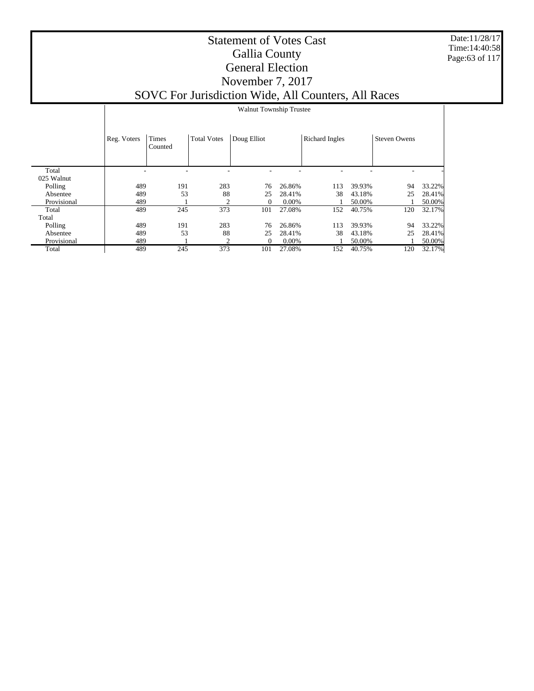Date:11/28/17 Time:14:40:58 Page:63 of 117

|             | <b>Walnut Township Trustee</b> |                  |                    |             |          |                       |        |                     |        |
|-------------|--------------------------------|------------------|--------------------|-------------|----------|-----------------------|--------|---------------------|--------|
|             | Reg. Voters                    | Times<br>Counted | <b>Total Votes</b> | Doug Elliot |          | <b>Richard Ingles</b> |        | <b>Steven Owens</b> |        |
|             |                                |                  |                    |             |          |                       |        |                     |        |
| Total       |                                |                  |                    |             |          |                       |        |                     |        |
| 025 Walnut  |                                |                  |                    |             |          |                       |        |                     |        |
| Polling     | 489                            | 191              | 283                | 76          | 26.86%   | 113                   | 39.93% | 94                  | 33.22% |
| Absentee    | 489                            | 53               | 88                 | 25          | 28.41%   | 38                    | 43.18% | 25                  | 28.41% |
| Provisional | 489                            |                  |                    | $\Omega$    | $0.00\%$ |                       | 50.00% |                     | 50.00% |
| Total       | 489                            | 245              | 373                | 101         | 27.08%   | 152                   | 40.75% | 120                 | 32.17% |
| Total       |                                |                  |                    |             |          |                       |        |                     |        |
| Polling     | 489                            | 191              | 283                | 76          | 26.86%   | 113                   | 39.93% | 94                  | 33.22% |
| Absentee    | 489                            | 53               | 88                 | 25          | 28.41%   | 38                    | 43.18% | 25                  | 28.41% |
| Provisional | 489                            |                  | 2                  | $\Omega$    | $0.00\%$ |                       | 50.00% |                     | 50.00% |
| Total       | 489                            | 245              | 373                | 101         | 27.08%   | 152                   | 40.75% | 120                 | 32.17% |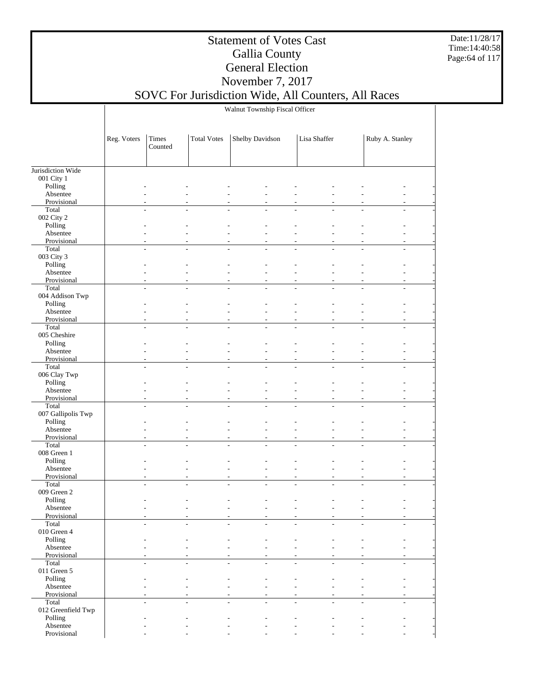Date:11/28/17 Time:14:40:58 Page:64 of 117

### Statement of Votes Cast Gallia County General Election November 7, 2017

#### SOVC For Jurisdiction Wide, All Counters, All Races Walnut Township Fiscal Officer

|                          | Reg. Voters | Times   | <b>Total Votes</b> | Shelby Davidson | Lisa Shaffer | Ruby A. Stanley |  |
|--------------------------|-------------|---------|--------------------|-----------------|--------------|-----------------|--|
|                          |             | Counted |                    |                 |              |                 |  |
|                          |             |         |                    |                 |              |                 |  |
| Jurisdiction Wide        |             |         |                    |                 |              |                 |  |
| 001 City 1               |             |         |                    |                 |              |                 |  |
| Polling                  |             |         |                    |                 |              |                 |  |
| Absentee                 |             |         |                    |                 |              |                 |  |
| Provisional              |             |         |                    |                 |              |                 |  |
| Total                    | L.          |         |                    | L,              | L,           | L.              |  |
| 002 City 2               |             |         |                    |                 |              |                 |  |
| Polling                  |             |         |                    |                 |              |                 |  |
| Absentee                 |             |         |                    |                 |              |                 |  |
| Provisional              |             |         |                    | L,              |              |                 |  |
| Total                    |             |         |                    |                 | L,           |                 |  |
| 003 City 3<br>Polling    |             |         |                    |                 |              |                 |  |
| Absentee                 |             |         |                    |                 |              |                 |  |
| Provisional              |             |         |                    |                 |              |                 |  |
| Total                    |             |         |                    |                 |              |                 |  |
| 004 Addison Twp          |             |         |                    |                 |              |                 |  |
| Polling                  |             |         |                    |                 |              |                 |  |
| Absentee                 |             |         |                    |                 |              |                 |  |
| Provisional              |             |         |                    |                 |              |                 |  |
| Total                    |             |         |                    |                 |              |                 |  |
| 005 Cheshire             |             |         |                    |                 |              |                 |  |
| Polling                  |             |         |                    |                 |              |                 |  |
| Absentee                 |             |         |                    |                 |              |                 |  |
| Provisional              |             |         |                    |                 |              |                 |  |
| Total                    | L.          |         |                    | L,              | L,           | L.              |  |
| 006 Clay Twp<br>Polling  |             |         |                    |                 |              |                 |  |
| Absentee                 |             |         |                    |                 |              |                 |  |
| Provisional              |             |         |                    |                 |              |                 |  |
| Total                    |             |         |                    | L,              | L,           |                 |  |
| 007 Gallipolis Twp       |             |         |                    |                 |              |                 |  |
| Polling                  |             |         |                    |                 |              |                 |  |
| Absentee                 |             |         |                    |                 |              |                 |  |
| Provisional              |             |         |                    |                 |              |                 |  |
| Total                    |             |         |                    |                 |              |                 |  |
| 008 Green 1              |             |         |                    |                 |              |                 |  |
| Polling                  |             |         |                    |                 |              |                 |  |
| Absentee                 |             |         |                    |                 |              |                 |  |
| Provisional<br>Total     |             |         |                    | ÷,              |              | L,              |  |
| 009 Green 2              |             |         |                    |                 |              |                 |  |
| Polling                  |             |         |                    |                 |              |                 |  |
| Absentee                 |             |         |                    |                 |              |                 |  |
| Provisional              |             |         |                    |                 |              |                 |  |
| Total                    |             |         |                    |                 |              |                 |  |
| $010$ Green $4\,$        |             |         |                    |                 |              |                 |  |
| Polling                  |             |         |                    |                 |              |                 |  |
| Absentee                 |             |         |                    |                 |              |                 |  |
| Provisional              |             |         |                    |                 |              |                 |  |
| Total                    |             |         |                    |                 |              |                 |  |
| 011 Green $5$<br>Polling |             |         |                    |                 |              |                 |  |
| Absentee                 |             |         |                    |                 |              |                 |  |
| Provisional              |             |         |                    |                 |              |                 |  |
| Total                    | L.          |         |                    | L,              | L,<br>L.     | $\overline{a}$  |  |
| 012 Greenfield Twp       |             |         |                    |                 |              |                 |  |
| Polling                  |             |         |                    |                 |              |                 |  |
| Absentee                 |             |         |                    |                 |              |                 |  |
| Provisional              |             |         |                    |                 |              |                 |  |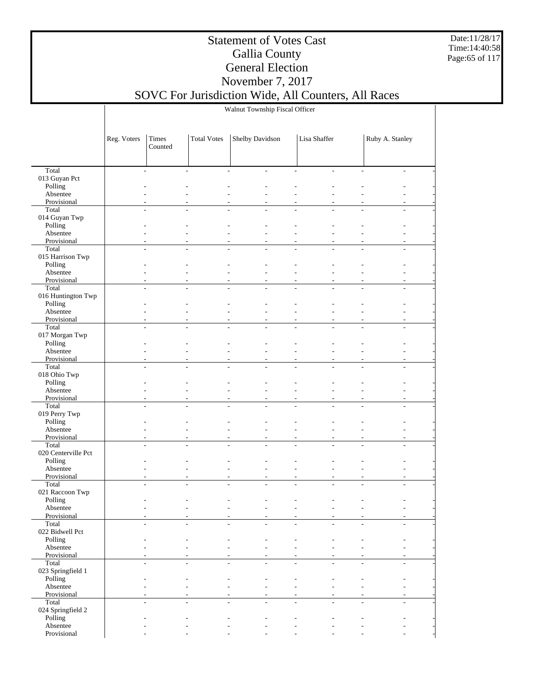Date:11/28/17 Time:14:40:58 Page:65 of 117

### Statement of Votes Cast Gallia County General Election November 7, 2017

### SOVC For Jurisdiction Wide, All Counters, All Races Walnut Township Fiscal Officer

|                            | Reg. Voters | Times          | <b>Total Votes</b>           | Shelby Davidson          |                          | Lisa Shaffer                                   |                | Ruby A. Stanley |  |
|----------------------------|-------------|----------------|------------------------------|--------------------------|--------------------------|------------------------------------------------|----------------|-----------------|--|
|                            |             | Counted        |                              |                          |                          |                                                |                |                 |  |
|                            |             |                |                              |                          |                          |                                                |                |                 |  |
| Total                      |             | $\overline{a}$ | $\overline{a}$               | $\overline{a}$           | $\overline{\phantom{a}}$ | $\sim$<br>$\overline{a}$                       | L.             | ÷               |  |
| 013 Guyan Pct              |             |                |                              |                          |                          |                                                |                |                 |  |
| Polling                    |             |                |                              |                          |                          |                                                |                |                 |  |
| Absentee<br>Provisional    |             |                |                              |                          |                          |                                                |                |                 |  |
| Total                      |             | L.             |                              | ÷.                       |                          | L.                                             |                |                 |  |
| 014 Guyan Twp              |             |                |                              |                          |                          |                                                |                |                 |  |
| Polling                    |             |                |                              |                          |                          |                                                |                |                 |  |
| Absentee                   |             |                |                              | L,                       |                          |                                                |                |                 |  |
| Provisional                |             |                |                              |                          |                          |                                                |                |                 |  |
| Total<br>015 Harrison Twp  |             | $\frac{1}{2}$  | $\overline{a}$               | $\overline{\phantom{a}}$ | $\frac{1}{2}$            | $\overline{a}$<br>$\qquad \qquad \blacksquare$ | $\overline{a}$ | L,              |  |
| Polling                    |             |                |                              |                          |                          |                                                |                |                 |  |
| Absentee                   |             |                |                              | L,                       |                          |                                                |                |                 |  |
| Provisional                |             |                |                              |                          |                          |                                                |                |                 |  |
| Total                      |             | $\overline{a}$ |                              |                          |                          |                                                |                |                 |  |
| 016 Huntington Twp         |             |                |                              |                          |                          |                                                |                |                 |  |
| Polling<br>Absentee        |             |                |                              |                          |                          |                                                |                |                 |  |
| Provisional                |             |                |                              | ÷,                       |                          |                                                |                |                 |  |
| Total                      |             |                |                              |                          |                          | L.                                             |                |                 |  |
| 017 Morgan Twp             |             |                |                              |                          |                          |                                                |                |                 |  |
| Polling                    |             |                |                              |                          |                          |                                                |                |                 |  |
| Absentee                   |             |                |                              |                          |                          |                                                |                |                 |  |
| Provisional                |             |                |                              | $\overline{a}$           |                          |                                                |                |                 |  |
| Total<br>018 Ohio Twp      |             | ÷              |                              | L.                       |                          |                                                |                |                 |  |
| Polling                    |             |                |                              |                          |                          |                                                |                |                 |  |
| Absentee                   |             |                |                              | L,                       |                          | L,                                             |                |                 |  |
| Provisional                |             |                |                              | ÷                        |                          |                                                |                |                 |  |
| Total                      |             | $\frac{1}{2}$  | $\qquad \qquad \blacksquare$ | $\overline{\phantom{a}}$ | $\frac{1}{2}$            | $\overline{a}$<br>÷,                           | $\overline{a}$ | L,              |  |
| 019 Perry Twp              |             |                |                              |                          |                          |                                                |                |                 |  |
| Polling<br>Absentee        |             |                |                              | L,                       |                          |                                                |                |                 |  |
| Provisional                |             |                |                              | ÷                        |                          |                                                |                |                 |  |
| Total                      |             | L,             | L,                           | $\overline{a}$<br>L,     |                          | L,                                             |                |                 |  |
| 020 Centerville Pct        |             |                |                              |                          |                          |                                                |                |                 |  |
| Polling                    |             |                |                              |                          |                          |                                                |                |                 |  |
| Absentee                   |             |                |                              |                          |                          |                                                |                |                 |  |
| Provisional<br>Total       |             |                |                              |                          |                          |                                                |                |                 |  |
| 021 Raccoon Twp            |             |                |                              |                          |                          |                                                |                |                 |  |
| Polling                    |             |                |                              |                          |                          |                                                |                |                 |  |
| Absentee                   |             |                |                              |                          |                          |                                                |                |                 |  |
| Provisional                |             |                |                              |                          |                          |                                                |                |                 |  |
| Total                      |             |                |                              |                          |                          |                                                |                |                 |  |
| 022 Bidwell Pct<br>Polling |             |                |                              |                          |                          |                                                |                |                 |  |
| Absentee                   |             |                |                              |                          |                          |                                                |                |                 |  |
| Provisional                |             |                |                              |                          |                          |                                                |                |                 |  |
| Total                      |             |                |                              |                          |                          |                                                |                |                 |  |
| 023 Springfield 1          |             |                |                              |                          |                          |                                                |                |                 |  |
| Polling                    |             |                |                              |                          |                          |                                                |                |                 |  |
| Absentee                   |             |                |                              |                          |                          |                                                |                |                 |  |
| Provisional<br>Total       |             |                |                              |                          |                          |                                                |                |                 |  |
| 024 Springfield 2          |             |                |                              |                          |                          |                                                |                |                 |  |
| Polling                    |             |                |                              |                          |                          |                                                |                |                 |  |
| Absentee                   |             |                |                              |                          |                          |                                                |                |                 |  |
| Provisional                |             |                |                              |                          |                          |                                                |                |                 |  |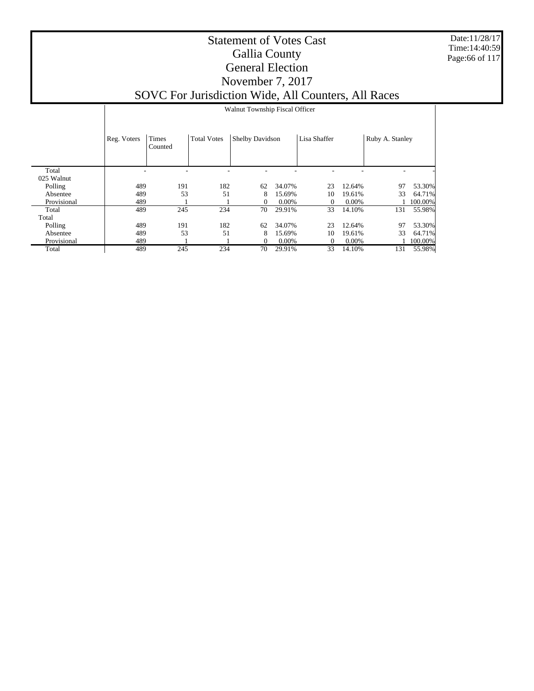Date:11/28/17 Time:14:40:59 Page:66 of 117

|                     |             | Walnut Township Fiscal Officer |                    |                 |          |              |          |                 |         |  |
|---------------------|-------------|--------------------------------|--------------------|-----------------|----------|--------------|----------|-----------------|---------|--|
|                     | Reg. Voters | Times<br>Counted               | <b>Total Votes</b> | Shelby Davidson |          | Lisa Shaffer |          | Ruby A. Stanley |         |  |
| Total<br>025 Walnut |             |                                |                    |                 |          |              |          |                 |         |  |
| Polling             | 489         | 191                            | 182                | 62              | 34.07%   | 23           | 12.64%   | 97              | 53.30%  |  |
| Absentee            | 489         | 53                             | 51                 | 8               | 15.69%   | 10           | 19.61%   | 33              | 64.71%  |  |
| Provisional         | 489         |                                |                    | $\Omega$        | $0.00\%$ | 0            | $0.00\%$ |                 | 100.00% |  |
| Total               | 489         | 245                            | 234                | 70              | 29.91%   | 33           | 14.10%   | 131             | 55.98%  |  |
| Total               |             |                                |                    |                 |          |              |          |                 |         |  |
| Polling             | 489         | 191                            | 182                | 62              | 34.07%   | 23           | 12.64%   | 97              | 53.30%  |  |
| Absentee            | 489         | 53                             | 51                 | 8               | 15.69%   | 10           | 19.61%   | 33              | 64.71%  |  |
| Provisional         | 489         |                                |                    | $\Omega$        | 0.00%    | $\Omega$     | 0.00%    |                 | 100.00% |  |
| Total               | 489         | 245                            | 234                | 70              | 29.91%   | 33           | 14.10%   | 131             | 55.98%  |  |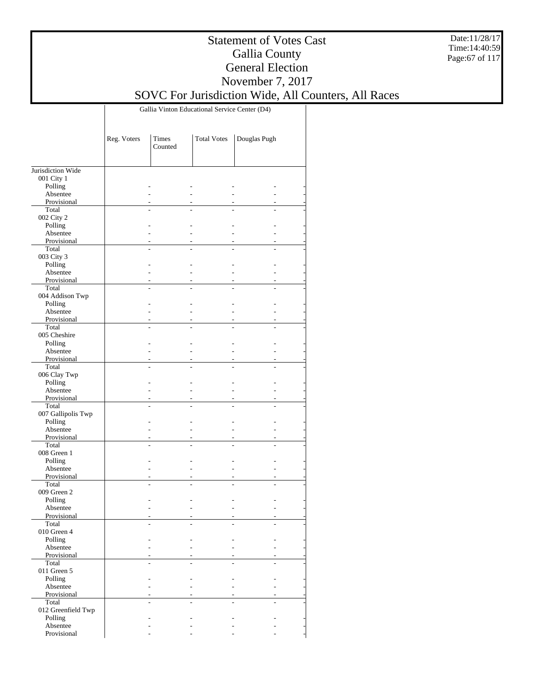Date:11/28/17 Time:14:40:59 Page:67 of 117

### Statement of Votes Cast Gallia County General Election November 7, 2017

SOVC For Jurisdiction Wide, All Counters, All Races

Gallia Vinton Educational Service Center (D4)

|                         | Reg. Voters | Times<br>Counted | <b>Total Votes</b> | Douglas Pugh |  |
|-------------------------|-------------|------------------|--------------------|--------------|--|
|                         |             |                  |                    |              |  |
| Jurisdiction Wide       |             |                  |                    |              |  |
| 001 City 1              |             |                  |                    |              |  |
| Polling                 |             |                  |                    |              |  |
| Absentee                |             |                  |                    |              |  |
| Provisional             |             |                  |                    |              |  |
| Total                   |             |                  |                    |              |  |
| 002 City 2              |             |                  |                    |              |  |
| Polling                 |             |                  |                    |              |  |
| Absentee<br>Provisional |             |                  |                    |              |  |
| Total                   |             |                  |                    |              |  |
| 003 City 3              |             |                  |                    |              |  |
| Polling                 |             |                  |                    |              |  |
| Absentee                |             |                  |                    |              |  |
| Provisional             |             |                  |                    |              |  |
| Total                   |             |                  |                    |              |  |
| 004 Addison Twp         |             |                  |                    |              |  |
| Polling                 |             |                  |                    |              |  |
| Absentee                |             |                  |                    |              |  |
| Provisional             |             |                  |                    |              |  |
| Total                   |             |                  |                    |              |  |
| 005 Cheshire            |             |                  |                    |              |  |
| Polling                 |             |                  |                    |              |  |
| Absentee                |             |                  |                    |              |  |
| Provisional             |             |                  |                    |              |  |
| Total                   |             |                  |                    |              |  |
| 006 Clay Twp<br>Polling |             |                  |                    |              |  |
| Absentee                |             |                  |                    |              |  |
| Provisional             |             |                  |                    |              |  |
| Total                   |             |                  |                    |              |  |
| 007 Gallipolis Twp      |             |                  |                    |              |  |
| Polling                 |             |                  |                    |              |  |
| Absentee                |             |                  |                    |              |  |
| Provisional             |             |                  |                    |              |  |
| Total                   |             |                  |                    |              |  |
| 008 Green 1             |             |                  |                    |              |  |
| Polling                 |             |                  |                    |              |  |
| Absentee                |             |                  |                    |              |  |
| Provisional             |             |                  |                    |              |  |
| Total                   |             |                  |                    |              |  |
| 009 Green 2             |             |                  |                    |              |  |
| Polling                 |             |                  |                    |              |  |
| Absentee<br>Provisional |             |                  |                    |              |  |
| Total                   |             |                  |                    |              |  |
| 010 Green 4             |             |                  |                    |              |  |
| Polling                 |             |                  |                    |              |  |
| Absentee                |             |                  |                    |              |  |
| Provisional             |             |                  |                    |              |  |
| Total                   |             |                  |                    |              |  |
| 011 Green 5             |             |                  |                    |              |  |
| Polling                 |             |                  |                    |              |  |
| Absentee                |             |                  |                    |              |  |
| Provisional             |             |                  |                    |              |  |
| Total                   |             |                  |                    |              |  |
| 012 Greenfield Twp      |             |                  |                    |              |  |
| Polling                 |             |                  |                    |              |  |
| Absentee                |             |                  |                    |              |  |
| Provisional             |             |                  |                    |              |  |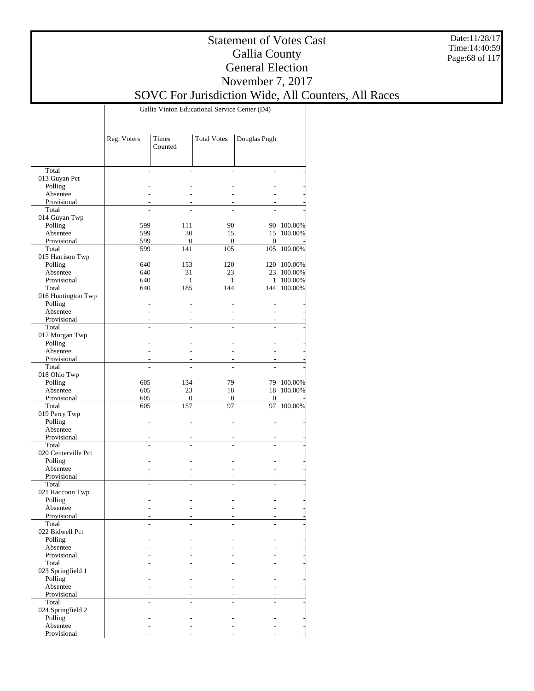Date:11/28/17 Time:14:40:59 Page:68 of 117

### Statement of Votes Cast Gallia County General Election November 7, 2017

## SOVC For Jurisdiction Wide, All Counters, All Races

Gallia Vinton Educational Service Center (D4)

|                          | Reg. Voters    | Times<br>Counted | <b>Total Votes</b> | Douglas Pugh |             |
|--------------------------|----------------|------------------|--------------------|--------------|-------------|
|                          |                |                  |                    |              |             |
| Total                    |                | L.               |                    |              |             |
| 013 Guyan Pct            |                |                  |                    |              |             |
| Polling<br>Absentee      |                |                  |                    |              |             |
| Provisional              |                |                  |                    |              |             |
| Total                    |                |                  |                    |              |             |
| 014 Guyan Twp            |                |                  |                    |              |             |
| Polling                  | 599            | 111              | 90                 |              | 90 100.00%  |
| Absentee                 | 599            | 30               | 15                 | 15           | 100.00%     |
| Provisional              | 599            | 0                | $\mathbf{0}$       | $\mathbf{0}$ |             |
| Total                    | 599            | 141              | 105                | 105          | 100.00%     |
| 015 Harrison Twp         |                |                  |                    |              |             |
| Polling                  | 640            | 153              | 120                |              | 120 100.00% |
| Absentee                 | 640            | 31               | 23                 |              | 23 100.00%  |
| Provisional              | 640            | 1                | 1                  | $\mathbf{1}$ | 100.00%     |
| Total                    | 640            | 185              | 144                | 144          | 100.00%     |
| 016 Huntington Twp       |                |                  |                    |              |             |
| Polling                  |                |                  |                    |              |             |
| Absentee                 |                |                  |                    |              |             |
| Provisional              |                |                  |                    |              |             |
| Total                    | $\overline{a}$ |                  |                    |              |             |
| 017 Morgan Twp           |                |                  |                    |              |             |
| Polling                  |                |                  |                    |              |             |
| Absentee                 |                |                  |                    |              |             |
| Provisional              |                |                  |                    |              |             |
| Total                    |                |                  |                    |              |             |
| 018 Ohio Twp             |                |                  |                    |              |             |
| Polling                  | 605            | 134              | 79                 | 79           | 100.00%     |
| Absentee                 | 605            | 23               | 18                 | 18           | 100.00%     |
| Provisional              | 605            | 0                | $\mathbf{0}$       | 0            |             |
| Total                    | 605            | 157              | 97                 | 97           | 100.00%     |
| 019 Perry Twp<br>Polling |                |                  |                    |              |             |
| Absentee                 |                |                  |                    |              |             |
| Provisional              |                |                  |                    |              |             |
| Total                    | L.             |                  |                    |              |             |
| 020 Centerville Pct      |                |                  |                    |              |             |
| Polling                  |                |                  |                    |              |             |
| Absentee                 |                |                  |                    |              |             |
| Provisional              |                |                  |                    |              |             |
| Total                    |                |                  |                    |              |             |
| 021 Raccoon Twp          |                |                  |                    |              |             |
| Polling                  |                |                  |                    |              |             |
| Absentee                 |                |                  |                    |              |             |
| Provisional              |                |                  |                    |              |             |
| Total                    |                |                  |                    |              |             |
| 022 Bidwell Pct          |                |                  |                    |              |             |
| Polling                  |                |                  |                    |              |             |
| Absentee                 |                |                  |                    |              |             |
| Provisional              |                |                  |                    |              |             |
| Total                    |                |                  |                    |              |             |
| 023 Springfield 1        |                |                  |                    |              |             |
| Polling                  |                |                  |                    |              |             |
| Absentee                 |                |                  |                    |              |             |
| Provisional              |                |                  |                    |              |             |
| Total                    |                |                  |                    |              |             |
| 024 Springfield 2        |                |                  |                    |              |             |
| Polling                  |                |                  |                    |              |             |
| Absentee                 |                |                  |                    |              |             |
| Provisional              |                |                  |                    |              |             |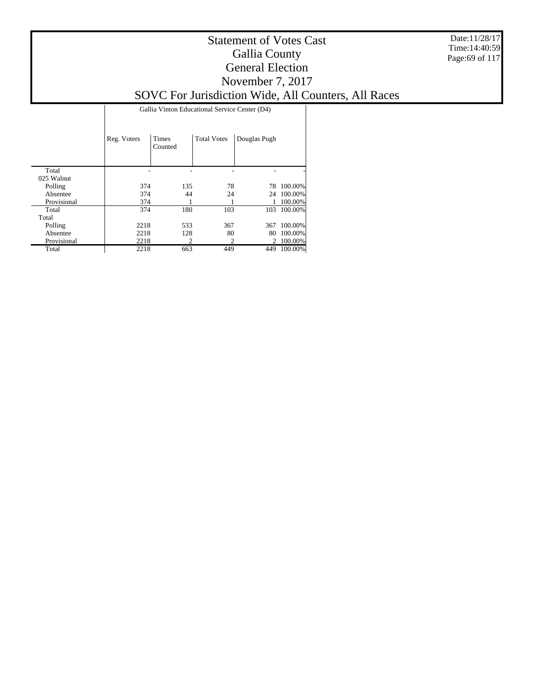Date:11/28/17 Time:14:40:59 Page:69 of 117

### Statement of Votes Cast Gallia County General Election November 7, 2017

# SOVC For Jurisdiction Wide, All Counters, All Races

Gallia Vinton Educational Service Center (D4)

|             | Reg. Voters | <b>Times</b><br>Counted | <b>Total Votes</b> | Douglas Pugh |         |
|-------------|-------------|-------------------------|--------------------|--------------|---------|
| Total       |             |                         |                    |              |         |
| 025 Walnut  |             |                         |                    |              |         |
| Polling     | 374         | 135                     | 78                 | 78           | 100.00% |
| Absentee    | 374         | 44                      | 24                 | 24           | 100.00% |
| Provisional | 374         |                         |                    |              | 100.00% |
| Total       | 374         | 180                     | 103                | 103          | 100.00% |
| Total       |             |                         |                    |              |         |
| Polling     | 2218        | 533                     | 367                | 367          | 100.00% |
| Absentee    | 2218        | 128                     | 80                 | 80           | 100.00% |
| Provisional | 2218        | $\mathfrak{D}$          |                    | 2            | 100.00% |
| Total       | 2218        | 663                     | 449                | 449          | 100.00% |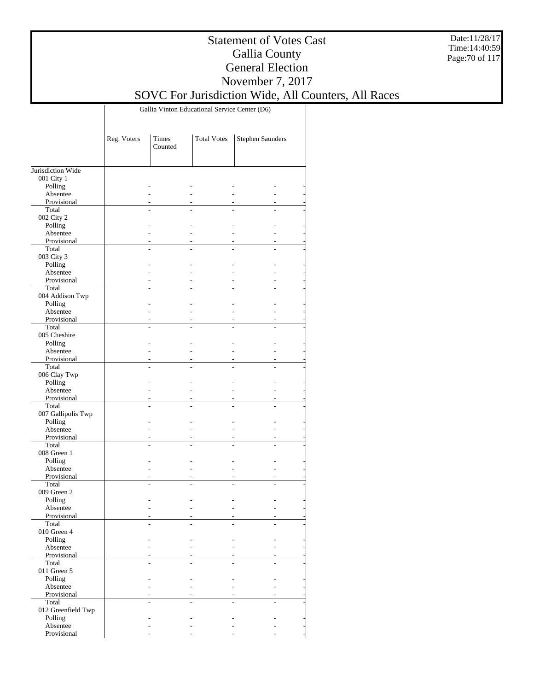Date:11/28/17 Time:14:40:59 Page:70 of 117

### Statement of Votes Cast Gallia County General Election November 7, 2017

## SOVC For Jurisdiction Wide, All Counters, All Races

Gallia Vinton Educational Service Center (D6)

|                         | Reg. Voters    | Times<br>Counted         | <b>Total Votes</b> | Stephen Saunders |  |
|-------------------------|----------------|--------------------------|--------------------|------------------|--|
|                         |                |                          |                    |                  |  |
| Jurisdiction Wide       |                |                          |                    |                  |  |
| 001 City 1              |                |                          |                    |                  |  |
| Polling                 |                | ٠                        |                    |                  |  |
| Absentee                |                | ÷.                       |                    |                  |  |
| Provisional             |                | ٠                        |                    |                  |  |
| Total                   |                |                          |                    |                  |  |
| 002 City 2              |                |                          |                    |                  |  |
| Polling                 |                | ٠                        |                    |                  |  |
| Absentee<br>Provisional |                | ÷                        |                    |                  |  |
| Total                   | $\overline{a}$ | $\sim$<br>L.             | L.                 | $\overline{a}$   |  |
| 003 City 3              |                |                          |                    |                  |  |
|                         |                | ٠                        |                    |                  |  |
| Polling<br>Absentee     |                | ÷.                       |                    |                  |  |
| Provisional             |                | $\sim$                   |                    |                  |  |
| Total                   | L              |                          |                    |                  |  |
| 004 Addison Twp         |                |                          |                    |                  |  |
| Polling                 |                | L.                       |                    |                  |  |
| Absentee                |                | ÷.                       |                    |                  |  |
| Provisional             |                | $\overline{\phantom{a}}$ |                    |                  |  |
| Total                   |                |                          |                    |                  |  |
| 005 Cheshire            |                |                          |                    |                  |  |
| Polling                 |                | ٠                        |                    |                  |  |
| Absentee                |                | ÷.                       |                    |                  |  |
| Provisional             | ٠              | ٠                        | ٠                  |                  |  |
| Total                   |                |                          |                    |                  |  |
| 006 Clay Twp            |                |                          |                    |                  |  |
| Polling                 |                | ÷.                       |                    |                  |  |
| Absentee                |                | ÷                        |                    |                  |  |
| Provisional             |                | $\overline{\phantom{a}}$ |                    |                  |  |
| Total                   | $\overline{a}$ | L.                       |                    |                  |  |
| 007 Gallipolis Twp      |                |                          |                    |                  |  |
| Polling                 |                | L.                       |                    |                  |  |
| Absentee                |                | ÷.                       |                    |                  |  |
| Provisional             | ٠              | $\overline{\phantom{a}}$ |                    |                  |  |
| Total                   | L.             | L.                       |                    |                  |  |
| 008 Green 1             |                |                          |                    |                  |  |
| Polling                 |                | L.                       |                    |                  |  |
| Absentee                |                | ٠                        |                    |                  |  |
| Provisional             | ÷.             | $\sim$                   |                    | ٠                |  |
| Total                   |                |                          |                    |                  |  |
| 009 Green 2             |                |                          |                    |                  |  |
| Polling                 |                |                          |                    |                  |  |
| Absentee                |                |                          |                    |                  |  |
| Provisional             |                | $\overline{a}$           |                    |                  |  |
| Total                   |                |                          |                    |                  |  |
| 010 Green 4             |                |                          |                    |                  |  |
| Polling                 |                |                          |                    |                  |  |
| Absentee                |                | ÷.                       |                    |                  |  |
| Provisional             |                | ÷                        |                    |                  |  |
| Total                   |                |                          |                    |                  |  |
| 011 Green 5             |                |                          |                    |                  |  |
| Polling                 |                |                          |                    |                  |  |
| Absentee                |                | ÷.                       |                    |                  |  |
| Provisional             |                | ٠                        |                    |                  |  |
| Total                   |                |                          |                    |                  |  |
| 012 Greenfield Twp      |                |                          |                    |                  |  |
| Polling                 |                |                          |                    |                  |  |
| Absentee                |                |                          |                    |                  |  |
| Provisional             |                |                          |                    |                  |  |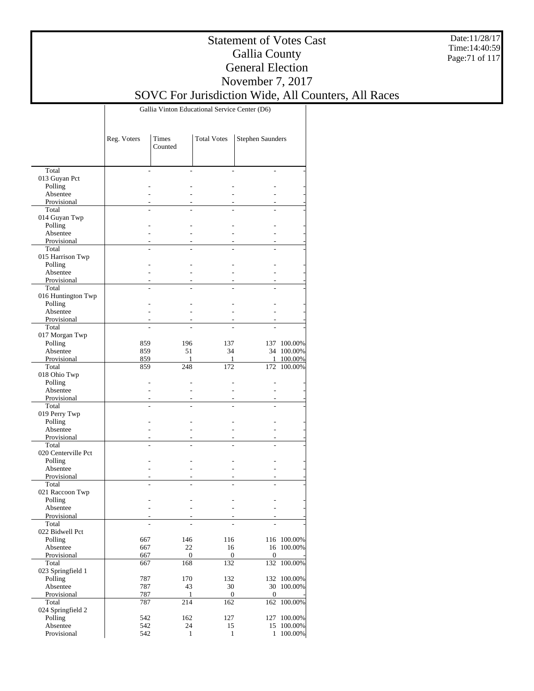Date:11/28/17 Time:14:40:59 Page:71 of 117

### Statement of Votes Cast Gallia County General Election November 7, 2017

SOVC For Jurisdiction Wide, All Counters, All Races

Gallia Vinton Educational Service Center (D6)

|                         | Reg. Voters | Times<br>Counted | <b>Total Votes</b> | <b>Stephen Saunders</b> |                      |
|-------------------------|-------------|------------------|--------------------|-------------------------|----------------------|
|                         |             |                  |                    |                         |                      |
| Total                   |             |                  |                    |                         |                      |
| 013 Guyan Pct           |             |                  |                    |                         |                      |
| Polling                 |             |                  |                    |                         |                      |
| Absentee                |             |                  |                    |                         |                      |
| Provisional             |             |                  |                    |                         |                      |
| Total                   |             |                  |                    |                         |                      |
| 014 Guyan Twp           |             |                  |                    |                         |                      |
| Polling                 |             |                  |                    |                         |                      |
| Absentee                |             |                  |                    |                         |                      |
| Provisional             |             |                  |                    |                         |                      |
| Total                   |             |                  |                    |                         |                      |
| 015 Harrison Twp        |             |                  |                    |                         |                      |
| Polling                 |             |                  |                    |                         |                      |
| Absentee                |             |                  |                    |                         |                      |
| Provisional             |             |                  |                    |                         |                      |
| Total                   |             |                  |                    |                         |                      |
| 016 Huntington Twp      |             |                  |                    |                         |                      |
| Polling                 |             |                  |                    |                         |                      |
| Absentee                |             |                  |                    |                         |                      |
| Provisional             |             |                  |                    |                         |                      |
| Total                   |             |                  |                    |                         |                      |
| 017 Morgan Twp          |             |                  |                    |                         |                      |
| Polling                 | 859         | 196              | 137                |                         | 137 100.00%          |
| Absentee                | 859         | 51               | 34                 |                         | 34 100.00%           |
| Provisional             | 859         | 1                | 1                  |                         | 1 100.00%<br>100.00% |
| Total                   | 859         | 248              | 172                | 172                     |                      |
| 018 Ohio Twp            |             |                  |                    |                         |                      |
| Polling                 |             |                  |                    |                         |                      |
| Absentee<br>Provisional |             |                  |                    |                         |                      |
| Total                   |             |                  |                    |                         |                      |
| 019 Perry Twp           |             |                  |                    |                         |                      |
| Polling                 |             |                  |                    |                         |                      |
| Absentee                |             |                  |                    |                         |                      |
| Provisional             |             |                  |                    |                         |                      |
| Total                   |             |                  |                    |                         |                      |
| 020 Centerville Pct     |             |                  |                    |                         |                      |
| Polling                 |             |                  |                    |                         |                      |
| Absentee                |             |                  |                    |                         |                      |
| Provisional             |             |                  |                    |                         |                      |
| Total                   |             |                  |                    |                         |                      |
| 021 Raccoon Twp         |             |                  |                    |                         |                      |
| Polling                 |             |                  |                    |                         |                      |
| Absentee                |             |                  |                    |                         |                      |
| Provisional             |             |                  |                    |                         |                      |
| Total                   |             |                  |                    |                         |                      |
| 022 Bidwell Pct         |             |                  |                    |                         |                      |
| Polling                 | 667         | 146              | 116                |                         | 116 100.00%          |
| Absentee                | 667         | 22               | 16                 |                         | 16 100.00%           |
| Provisional             | 667         | $\boldsymbol{0}$ | $\boldsymbol{0}$   | $\mathbf{0}$            |                      |
| Total                   | 667         | 168              | 132                |                         | 132 100.00%          |
| 023 Springfield 1       |             |                  |                    |                         |                      |
| Polling                 | 787         | 170              | 132                |                         | 132 100.00%          |
| Absentee                | 787         | 43               | 30                 |                         | 30 100.00%           |
| Provisional             | 787         | 1                | $\boldsymbol{0}$   | $\boldsymbol{0}$        |                      |
| Total                   | 787         | 214              | 162                | 162                     | 100.00%              |
| 024 Springfield 2       |             |                  |                    |                         |                      |
| Polling                 | 542         | 162              | 127                | 127                     | 100.00%              |
| Absentee                | 542         | 24               | 15                 |                         | 15 100.00%           |
| Provisional             | 542         | $\mathbf{1}$     | $\mathbf{1}$       | $\mathbf{1}$            | 100.00%              |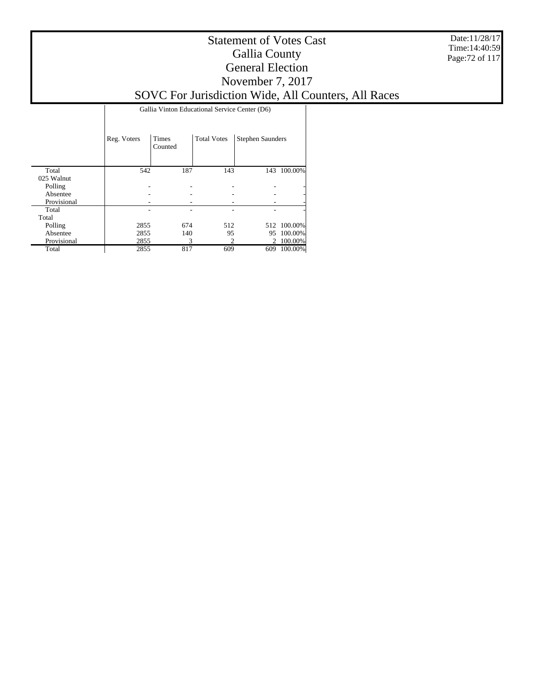Date:11/28/17 Time:14:40:59 Page:72 of 117

### Statement of Votes Cast Gallia County General Election November 7, 2017

SOVC For Jurisdiction Wide, All Counters, All Races

Gallia Vinton Educational Service Center (D6)

|             | Reg. Voters | <b>Times</b><br>Counted | <b>Total Votes</b> | <b>Stephen Saunders</b> |                |
|-------------|-------------|-------------------------|--------------------|-------------------------|----------------|
| Total       | 542         | 187                     | 143                |                         | 143 100.00%    |
| 025 Walnut  |             |                         |                    |                         |                |
| Polling     |             |                         |                    |                         | -              |
| Absentee    |             |                         |                    |                         |                |
| Provisional |             |                         |                    |                         |                |
| Total       |             |                         |                    |                         | $\overline{a}$ |
| Total       |             |                         |                    |                         |                |
| Polling     | 2855        | 674                     | 512                |                         | 512 100.00%    |
| Absentee    | 2855        | 140                     | 95                 | 95                      | 100.00%        |
| Provisional | 2855        | 3                       |                    | 2                       | 100.00%        |
| Total       | 2855        | 817                     | 609                | 609                     | 100.00%        |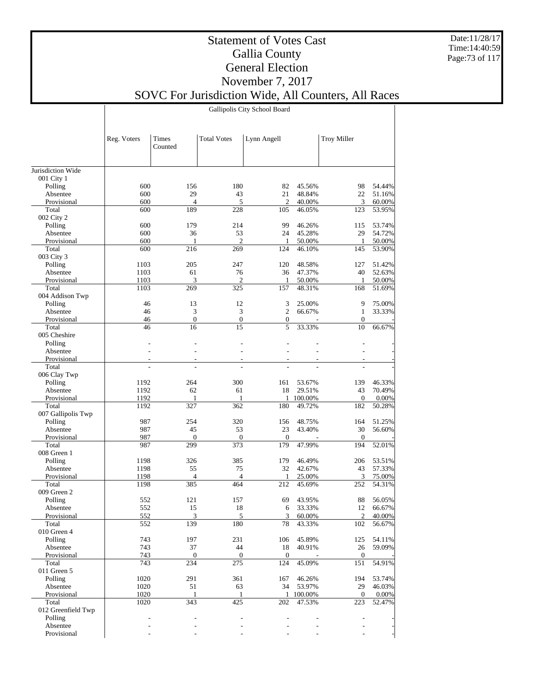Date:11/28/17 Time:14:40:59 Page:73 of 117

## Statement of Votes Cast Gallia County General Election November 7, 2017

SOVC For Jurisdiction Wide, All Counters, All Races

Gallipolis City School Board

|                       | Reg. Voters    | Times<br>Counted         | <b>Total Votes</b>       | Lynn Angell        |         | <b>Troy Miller</b>      |          |
|-----------------------|----------------|--------------------------|--------------------------|--------------------|---------|-------------------------|----------|
| Jurisdiction Wide     |                |                          |                          |                    |         |                         |          |
| 001 City 1            |                |                          |                          |                    |         |                         |          |
| Polling               | 600            | 156                      | 180                      | 82                 | 45.56%  | 98                      | 54.44%   |
| Absentee              | 600            | 29                       | 43                       | 21                 | 48.84%  | 22                      | 51.16%   |
| Provisional           | 600            | $\overline{4}$           | 5                        | $\overline{2}$     | 40.00%  | 3                       | 60.00%   |
| Total                 | 600            | 189                      | 228                      | 105                | 46.05%  | 123                     | 53.95%   |
| 002 City 2            |                |                          |                          |                    |         |                         |          |
| Polling               | 600            | 179                      | 214                      | 99                 | 46.26%  | 115                     | 53.74%   |
| Absentee              | 600            | 36                       | 53                       | 24                 | 45.28%  | 29                      | 54.72%   |
| Provisional           | 600            | $\mathbf{1}$<br>216      | $\overline{c}$<br>269    | 1                  | 50.00%  | 1<br>145                | 50.00%   |
| Total                 | 600            |                          |                          | 124                | 46.10%  |                         | 53.90%   |
| 003 City 3<br>Polling | 1103           | 205                      | 247                      | 120                | 48.58%  | 127                     | 51.42%   |
| Absentee              | 1103           | 61                       | 76                       | 36                 | 47.37%  | 40                      | 52.63%   |
| Provisional           | 1103           | 3                        | $\overline{c}$           | 1                  | 50.00%  | 1                       | 50.00%   |
| Total                 | 1103           | 269                      | 325                      | 157                | 48.31%  | 168                     | 51.69%   |
| 004 Addison Twp       |                |                          |                          |                    |         |                         |          |
| Polling               | 46             | 13                       | 12                       | 3                  | 25.00%  | 9                       | 75.00%   |
| Absentee              | 46             | 3                        | 3                        | $\overline{c}$     | 66.67%  | $\mathbf{1}$            | 33.33%   |
| Provisional           | 46             | $\boldsymbol{0}$         | $\boldsymbol{0}$         | $\boldsymbol{0}$   |         | 0                       |          |
| Total                 | 46             | 16                       | 15                       | 5                  | 33.33%  | 10                      | 66.67%   |
| 005 Cheshire          |                |                          |                          |                    |         |                         |          |
| Polling               |                |                          |                          |                    |         |                         |          |
| Absentee              |                |                          |                          |                    |         |                         |          |
| Provisional           | ÷.             | $\overline{\phantom{a}}$ | $\overline{\phantom{a}}$ | ÷                  | ÷       | ÷                       |          |
| Total                 | $\overline{a}$ |                          |                          |                    |         |                         |          |
| 006 Clay Twp          |                |                          |                          |                    |         |                         |          |
| Polling               | 1192           | 264                      | 300                      | 161                | 53.67%  | 139                     | 46.33%   |
| Absentee              | 1192           | 62                       | 61                       | 18                 | 29.51%  | 43                      | 70.49%   |
| Provisional           | 1192           | 1                        | 1                        | 1                  | 100.00% | $\boldsymbol{0}$        | $0.00\%$ |
| Total                 | 1192           | 327                      | 362                      | 180                | 49.72%  | 182                     | 50.28%   |
| 007 Gallipolis Twp    |                |                          |                          |                    |         |                         |          |
| Polling               | 987            | 254                      | 320                      | 156                | 48.75%  | 164                     | 51.25%   |
| Absentee              | 987            | 45<br>$\mathbf{0}$       | 53<br>$\theta$           | 23<br>$\mathbf{0}$ | 43.40%  | 30                      | 56.60%   |
| Provisional<br>Total  | 987<br>987     | 299                      | 373                      | 179                | 47.99%  | $\boldsymbol{0}$<br>194 | 52.01%   |
| 008 Green 1           |                |                          |                          |                    |         |                         |          |
| Polling               | 1198           | 326                      | 385                      | 179                | 46.49%  | 206                     | 53.51%   |
| Absentee              | 1198           | 55                       | 75                       | 32                 | 42.67%  | 43                      | 57.33%   |
| Provisional           | 1198           | $\overline{4}$           | $\overline{4}$           | 1                  | 25.00%  | 3                       | 75.00%   |
| Total                 | 1198           | 385                      | 464                      | 212                | 45.69%  | 252                     | 54.31%   |
| 009 Green 2           |                |                          |                          |                    |         |                         |          |
| Polling               | 552            | 121                      | 157                      | 69                 | 43.95%  | 88                      | 56.05%   |
| Absentee              | 552            | 15                       | 18                       | 6                  | 33.33%  | 12                      | 66.67%   |
| Provisional           | 552            | 3                        | 5                        | 3                  | 60.00%  | $\overline{c}$          | 40.00%   |
| Total                 | 552            | 139                      | 180                      | 78                 | 43.33%  | $\overline{102}$        | 56.67%   |
| 010 Green 4           |                |                          |                          |                    |         |                         |          |
| Polling               | 743            | 197                      | 231                      | 106                | 45.89%  | 125                     | 54.11%   |
| Absentee              | 743            | 37                       | 44                       | 18                 | 40.91%  | 26                      | 59.09%   |
| Provisional           | 743            | $\boldsymbol{0}$         | $\mathbf{0}$             | $\boldsymbol{0}$   |         | $\mathbf{0}$            |          |
| Total                 | 743            | 234                      | 275                      | 124                | 45.09%  | 151                     | 54.91%   |
| 011 Green 5           |                |                          |                          |                    |         |                         |          |
| Polling               | 1020           | 291                      | 361                      | 167                | 46.26%  | 194                     | 53.74%   |
| Absentee              | 1020           | 51                       | 63                       | 34                 | 53.97%  | 29                      | 46.03%   |
| Provisional           | 1020           | $\mathbf{1}$             | $\mathbf{1}$             | 1                  | 100.00% | 0                       | $0.00\%$ |
| Total                 | 1020           | 343                      | 425                      | 202                | 47.53%  | 223                     | 52.47%   |
| 012 Greenfield Twp    |                |                          |                          |                    |         | ÷                       |          |
| Polling<br>Absentee   |                |                          |                          |                    |         |                         |          |
| Provisional           |                |                          |                          |                    |         |                         |          |
|                       |                |                          |                          |                    |         |                         |          |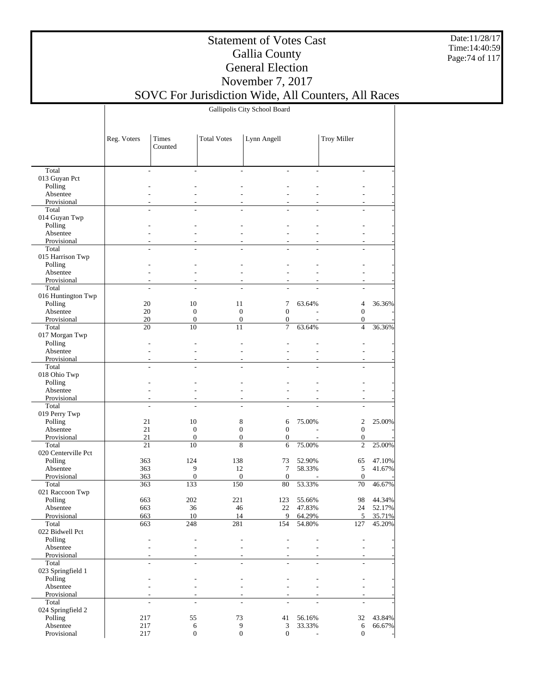Date:11/28/17 Time:14:40:59 Page:74 of 117

## Statement of Votes Cast Gallia County General Election November 7, 2017

SOVC For Jurisdiction Wide, All Counters, All Races

Gallipolis City School Board

|                           | Reg. Voters          | Times<br>Counted   | <b>Total Votes</b>       | Lynn Angell           |                          | <b>Troy Miller</b> |                  |
|---------------------------|----------------------|--------------------|--------------------------|-----------------------|--------------------------|--------------------|------------------|
|                           |                      |                    |                          |                       |                          |                    |                  |
| Total<br>013 Guyan Pct    | ÷                    | ÷                  | $\overline{\phantom{a}}$ | $\sim$                | $\overline{\phantom{a}}$ | ÷                  |                  |
| Polling                   |                      |                    |                          |                       |                          |                    |                  |
| Absentee                  |                      |                    |                          |                       |                          |                    |                  |
| Provisional               |                      |                    | $\overline{\phantom{a}}$ | ٠                     | ٠                        | $\overline{a}$     |                  |
| Total                     |                      |                    |                          |                       |                          |                    |                  |
| 014 Guyan Twp             |                      |                    |                          |                       |                          |                    |                  |
| Polling                   |                      |                    |                          |                       |                          |                    |                  |
| Absentee                  |                      |                    |                          |                       |                          |                    |                  |
| Provisional               | ÷                    |                    | $\overline{a}$           |                       |                          | $\overline{a}$     |                  |
| Total<br>015 Harrison Twp | L.                   |                    |                          |                       |                          |                    |                  |
| Polling                   |                      |                    |                          |                       |                          |                    |                  |
| Absentee                  |                      |                    |                          |                       |                          |                    |                  |
| Provisional               | ÷                    |                    | $\overline{\phantom{a}}$ | ٠                     | ٠                        | $\overline{a}$     |                  |
| Total                     | L.                   |                    |                          |                       |                          | $\overline{a}$     |                  |
| 016 Huntington Twp        |                      |                    |                          |                       |                          |                    |                  |
| Polling                   | 20                   | 10                 | 11                       | 7                     | 63.64%                   | 4                  | 36.36%           |
| Absentee                  | 20                   | $\mathbf{0}$       | $\boldsymbol{0}$         | $\mathbf{0}$          |                          | $\mathbf{0}$       |                  |
| Provisional               | 20                   | $\boldsymbol{0}$   | $\boldsymbol{0}$         | $\boldsymbol{0}$      |                          | $\boldsymbol{0}$   |                  |
| Total                     | 20                   | 10                 | 11                       | $\overline{7}$        | 63.64%                   | $\overline{4}$     | 36.36%           |
| 017 Morgan Twp            |                      |                    |                          |                       |                          |                    |                  |
| Polling<br>Absentee       |                      |                    |                          |                       |                          |                    |                  |
| Provisional               | ÷                    | $\overline{a}$     | $\overline{\phantom{a}}$ | $\overline{a}$        | $\overline{a}$           | ÷                  |                  |
| Total                     | $\overline{a}$       |                    |                          |                       | $\overline{a}$           | L.                 |                  |
| 018 Ohio Twp              |                      |                    |                          |                       |                          |                    |                  |
| Polling                   |                      |                    |                          |                       |                          |                    |                  |
| Absentee                  |                      |                    | $\overline{a}$           |                       |                          |                    |                  |
| Provisional               | ÷                    |                    | $\overline{a}$           |                       |                          | $\sim$             |                  |
| Total                     | L.                   |                    |                          | ÷.                    |                          | L.                 |                  |
| 019 Perry Twp             |                      |                    |                          |                       |                          |                    |                  |
| Polling                   | 21<br>21             | 10<br>$\mathbf{0}$ | 8<br>$\mathbf{0}$        | 6<br>$\boldsymbol{0}$ | 75.00%<br>$\overline{a}$ | 2<br>$\mathbf{0}$  | 25.00%           |
| Absentee<br>Provisional   | 21                   | $\boldsymbol{0}$   | $\boldsymbol{0}$         | $\boldsymbol{0}$      | $\overline{\phantom{a}}$ | $\boldsymbol{0}$   |                  |
| Total                     | 21                   | 10                 | 8                        | 6                     | 75.00%                   | $\overline{2}$     | 25.00%           |
| 020 Centerville Pct       |                      |                    |                          |                       |                          |                    |                  |
| Polling                   | 363                  | 124                | 138                      | 73                    | 52.90%                   | 65                 | 47.10%           |
| Absentee                  | 363                  | 9                  | 12                       | 7                     | 58.33%                   | 5                  | 41.67%           |
| Provisional               | 363                  | $\boldsymbol{0}$   | $\boldsymbol{0}$         | $\boldsymbol{0}$      |                          | $\mathbf{0}$       |                  |
| Total                     | 363                  | 133                | 150                      | 80                    | 53.33%                   | 70                 | 46.67%           |
| 021 Raccoon Twp           |                      |                    |                          |                       |                          |                    |                  |
| Polling                   | 663                  | 202                | 221                      | 123                   | 55.66%                   | 98                 | 44.34%           |
| Absentee<br>Provisional   | 663<br>663           | 36<br>10           | 46<br>14                 | 22<br>9               | 47.83%<br>64.29%         | 24<br>5            | 52.17%<br>35.71% |
| Total                     | 663                  | 248                | 281                      | 154                   | 54.80%                   | 127                | 45.20%           |
| 022 Bidwell Pct           |                      |                    |                          |                       |                          |                    |                  |
| Polling                   |                      | ٠                  | L.                       |                       |                          |                    |                  |
| Absentee                  | ÷                    | ٠                  | ÷                        |                       |                          | $\overline{a}$     |                  |
| Provisional               |                      |                    | $\sim$                   |                       |                          |                    |                  |
| Total                     | $\overline{a}$       | $\overline{a}$     | $\overline{\phantom{a}}$ | $\sim$                | $\sim$                   | $\sim$             |                  |
| 023 Springfield 1         |                      |                    |                          |                       |                          |                    |                  |
| Polling                   |                      |                    | $\overline{a}$           |                       |                          |                    |                  |
| Absentee<br>Provisional   |                      |                    | ٠                        |                       |                          |                    |                  |
| Total                     | $\overline{a}$<br>L. | ÷                  | $\sim$                   |                       |                          | ÷<br>÷             |                  |
| 024 Springfield 2         |                      |                    |                          |                       |                          |                    |                  |
| Polling                   | 217                  | 55                 | 73                       | 41                    | 56.16%                   | 32                 | 43.84%           |
| Absentee                  | 217                  | 6                  | $\boldsymbol{9}$         | 3                     | 33.33%                   | 6                  | 66.67%           |
| Provisional               | 217                  | $\mathbf{0}$       | $\boldsymbol{0}$         | $\boldsymbol{0}$      |                          | $\mathbf{0}$       |                  |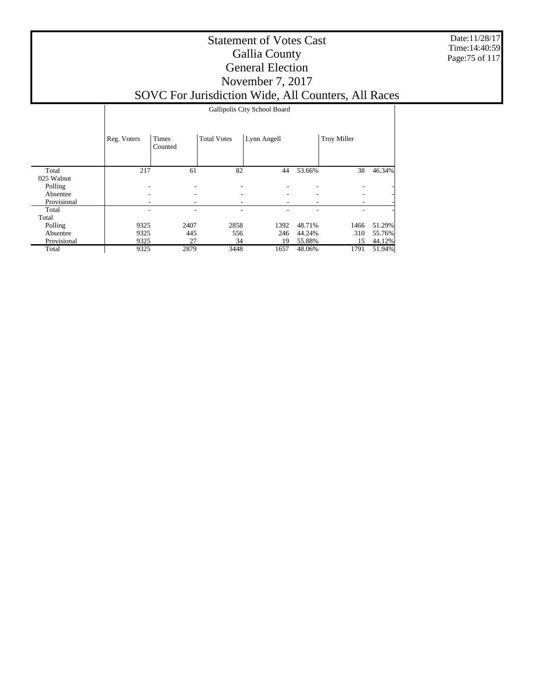Date:11/28/17 Time:14:40:59 Page:75 of 117

|             |             | Gallipolis City School Board |                          |             |        |                    |        |  |  |  |  |  |
|-------------|-------------|------------------------------|--------------------------|-------------|--------|--------------------|--------|--|--|--|--|--|
|             | Reg. Voters | Times<br>Counted             | <b>Total Votes</b>       | Lynn Angell |        | <b>Troy Miller</b> |        |  |  |  |  |  |
| Total       | 217         | 61                           | 82                       | 44          | 53.66% | 38                 | 46.34% |  |  |  |  |  |
| 025 Walnut  |             |                              |                          |             |        |                    |        |  |  |  |  |  |
| Polling     |             | $\overline{\phantom{a}}$     | $\overline{\phantom{a}}$ |             |        |                    |        |  |  |  |  |  |
| Absentee    |             | ۰                            | $\overline{\phantom{a}}$ |             |        |                    |        |  |  |  |  |  |
| Provisional |             |                              |                          |             |        |                    |        |  |  |  |  |  |
| Total       | ۰           | ۰                            | $\overline{\phantom{a}}$ |             |        |                    |        |  |  |  |  |  |
| Total       |             |                              |                          |             |        |                    |        |  |  |  |  |  |
| Polling     | 9325        | 2407                         | 2858                     | 1392        | 48.71% | 1466               | 51.29% |  |  |  |  |  |
| Absentee    | 9325        | 445                          | 556                      | 246         | 44.24% | 310                | 55.76% |  |  |  |  |  |
| Provisional | 9325        | 27                           | 34                       | 19          | 55.88% | 15                 | 44.12% |  |  |  |  |  |
| Total       | 9325        | 2879                         | 3448                     | 1657        | 48.06% | 1791               | 51.94% |  |  |  |  |  |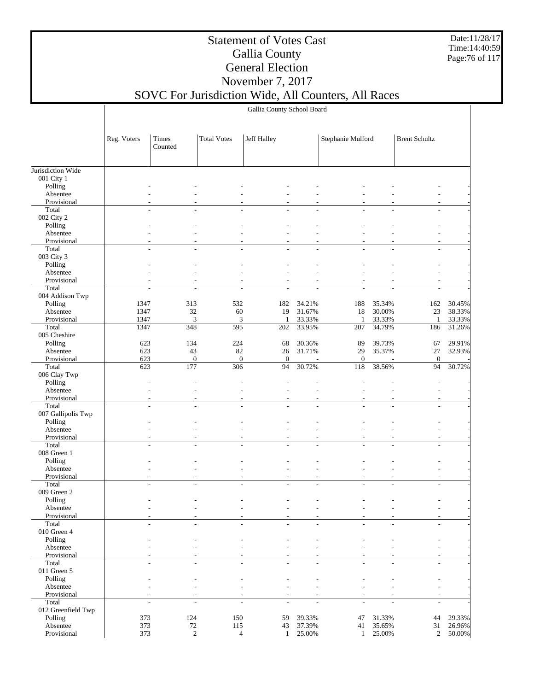Date:11/28/17 Time:14:40:59 Page:76 of 117

## Statement of Votes Cast Gallia County General Election November 7, 2017

## SOVC For Jurisdiction Wide, All Counters, All Races

Gallia County School Board

|                               | Reg. Voters              | Times<br>Counted         | <b>Total Votes</b>       | Jeff Halley   |                          | Stephanie Mulford |                          | <b>Brent Schultz</b>     |        |
|-------------------------------|--------------------------|--------------------------|--------------------------|---------------|--------------------------|-------------------|--------------------------|--------------------------|--------|
| Jurisdiction Wide             |                          |                          |                          |               |                          |                   |                          |                          |        |
| 001 City 1                    |                          |                          |                          |               |                          |                   |                          |                          |        |
| Polling                       |                          |                          |                          |               |                          |                   |                          |                          |        |
| Absentee                      |                          |                          |                          |               |                          |                   |                          |                          |        |
| Provisional                   |                          |                          |                          |               |                          |                   |                          |                          |        |
| Total                         |                          |                          |                          |               |                          |                   |                          |                          |        |
| 002 City 2                    |                          |                          |                          |               |                          |                   |                          |                          |        |
| Polling                       |                          |                          |                          |               |                          |                   |                          |                          |        |
| Absentee                      |                          |                          |                          |               |                          |                   |                          |                          |        |
| Provisional                   |                          |                          |                          |               |                          |                   |                          |                          |        |
| Total                         |                          |                          |                          |               |                          |                   |                          |                          |        |
| 003 City 3                    |                          |                          |                          |               |                          |                   |                          |                          |        |
| Polling                       |                          |                          |                          |               |                          |                   |                          |                          |        |
| Absentee                      |                          |                          |                          |               |                          |                   |                          |                          |        |
| Provisional<br>Total          | $\overline{a}$           |                          |                          | ÷,            |                          |                   |                          |                          |        |
| 004 Addison Twp               |                          |                          |                          |               |                          |                   |                          |                          |        |
| Polling                       | 1347                     | 313                      | 532                      | 182           | 34.21%                   | 188               | 35.34%                   | 162                      | 30.45% |
| Absentee                      | 1347                     | 32                       | 60                       | 19            | 31.67%                   | 18                | 30.00%                   | 23                       | 38.33% |
| Provisional                   | 1347                     | 3                        | 3                        | 1             | 33.33%                   | $\mathbf{1}$      | 33.33%                   | 1                        | 33.33% |
| Total                         | 1347                     | 348                      | 595                      | 202           | 33.95%                   | 207               | 34.79%                   | 186                      | 31.26% |
| 005 Cheshire                  |                          |                          |                          |               |                          |                   |                          |                          |        |
| Polling                       | 623                      | 134                      | 224                      | 68            | 30.36%                   | 89                | 39.73%                   | 67                       | 29.91% |
| Absentee                      | 623                      | 43                       | 82                       | 26            | 31.71%                   | 29                | 35.37%                   | 27                       | 32.93% |
| Provisional                   | 623                      | $\boldsymbol{0}$         | $\boldsymbol{0}$         | $\mathbf{0}$  | ä,                       | $\boldsymbol{0}$  |                          | $\mathbf{0}$             |        |
| Total                         | 623                      | 177                      | 306                      | 94            | 30.72%                   | 118               | 38.56%                   | 94                       | 30.72% |
| 006 Clay Twp                  |                          |                          |                          |               |                          |                   |                          |                          |        |
| Polling                       |                          |                          |                          |               |                          |                   |                          |                          |        |
| Absentee                      |                          |                          |                          |               |                          |                   |                          |                          |        |
| Provisional                   |                          |                          |                          |               |                          |                   |                          |                          |        |
| Total                         | L,                       |                          |                          |               |                          |                   |                          |                          |        |
| 007 Gallipolis Twp<br>Polling |                          |                          |                          |               |                          |                   |                          |                          |        |
| Absentee                      |                          |                          |                          |               |                          |                   |                          |                          |        |
| Provisional                   |                          |                          |                          |               |                          |                   |                          |                          |        |
| Total                         |                          |                          |                          |               |                          |                   |                          |                          |        |
| 008 Green 1                   |                          |                          |                          |               |                          |                   |                          |                          |        |
| Polling                       |                          |                          |                          |               |                          |                   |                          |                          |        |
| Absentee                      |                          |                          |                          |               |                          |                   |                          |                          |        |
| Provisional                   |                          |                          |                          |               |                          |                   |                          |                          |        |
| Total                         | ÷,                       | L,                       | $\overline{a}$           |               | $\overline{a}$           |                   |                          |                          |        |
| 009 Green 2                   |                          |                          |                          |               |                          |                   |                          |                          |        |
| Polling                       |                          |                          |                          |               |                          |                   |                          |                          |        |
| Absentee                      |                          |                          |                          |               |                          |                   |                          |                          |        |
| Provisional                   |                          |                          |                          |               |                          |                   |                          |                          |        |
| Total                         | $\overline{\phantom{a}}$ | $\overline{\phantom{a}}$ | $\frac{1}{2}$            | $\frac{1}{2}$ | L,                       | $\frac{1}{2}$     | $\overline{\phantom{a}}$ | $\overline{\phantom{a}}$ |        |
| 010 Green 4                   |                          |                          |                          |               |                          |                   |                          |                          |        |
| Polling<br>Absentee           |                          |                          |                          |               |                          |                   |                          |                          |        |
| Provisional                   |                          |                          |                          |               |                          |                   |                          |                          |        |
| Total                         | $\overline{\phantom{a}}$ | $\overline{\phantom{a}}$ | $\frac{1}{2}$            | $\frac{1}{2}$ | $\overline{a}$           | $\overline{a}$    | $\overline{\phantom{a}}$ | $\overline{\phantom{a}}$ |        |
| 011 Green 5                   |                          |                          |                          |               |                          |                   |                          |                          |        |
| Polling                       |                          |                          |                          |               |                          |                   |                          |                          |        |
| Absentee                      |                          |                          |                          |               |                          |                   |                          |                          |        |
| Provisional                   |                          |                          |                          |               |                          |                   |                          |                          |        |
| Total                         | $\overline{a}$           | $\overline{\phantom{a}}$ | $\overline{\phantom{a}}$ | ÷,            | $\overline{\phantom{a}}$ | ÷,                | L.                       | $\overline{\phantom{a}}$ |        |
| 012 Greenfield Twp            |                          |                          |                          |               |                          |                   |                          |                          |        |
| Polling                       | 373                      | 124                      | 150                      | 59            | 39.33%                   | 47                | 31.33%                   | 44                       | 29.33% |
| Absentee                      | 373                      | 72                       | 115                      | 43            | 37.39%                   | 41                | 35.65%                   | 31                       | 26.96% |
| Provisional                   | 373                      | $\overline{c}$           | $\overline{4}$           | $\mathbf{1}$  | 25.00%                   | 1                 | 25.00%                   | $\boldsymbol{2}$         | 50.00% |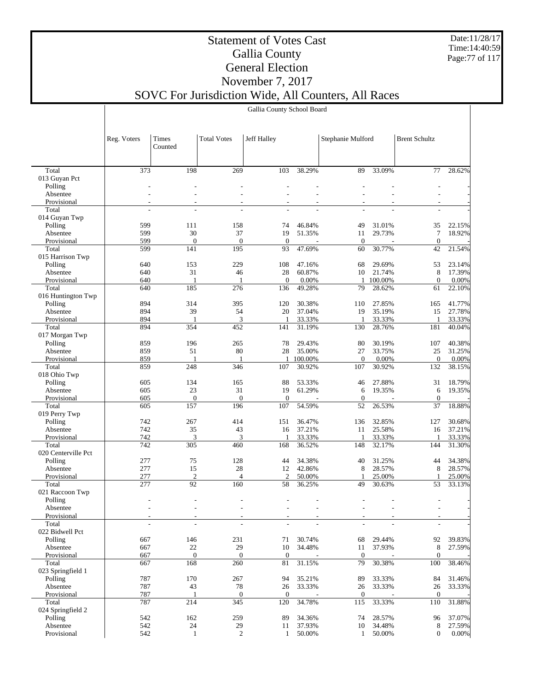Date:11/28/17 Time:14:40:59 Page:77 of 117

## Statement of Votes Cast Gallia County General Election November 7, 2017

## SOVC For Jurisdiction Wide, All Counters, All Races

Gallia County School Board

|                         | Reg. Voters              | Times<br>Counted             | <b>Total Votes</b>       | Jeff Halley      |                   | Stephanie Mulford |                 | <b>Brent Schultz</b> |                 |
|-------------------------|--------------------------|------------------------------|--------------------------|------------------|-------------------|-------------------|-----------------|----------------------|-----------------|
|                         |                          |                              |                          |                  |                   |                   |                 |                      |                 |
| Total                   | 373                      | 198                          | 269                      | 103              | 38.29%            | 89                | 33.09%          | 77                   | 28.62%          |
| 013 Guyan Pct           |                          |                              |                          |                  |                   |                   |                 |                      |                 |
| Polling                 |                          |                              |                          |                  |                   |                   |                 |                      |                 |
| Absentee                |                          |                              |                          |                  |                   |                   |                 |                      |                 |
| Provisional             |                          |                              |                          |                  |                   |                   |                 |                      |                 |
| Total<br>014 Guyan Twp  | ÷,                       |                              |                          |                  |                   |                   |                 |                      |                 |
| Polling                 | 599                      | 111                          | 158                      | 74               | 46.84%            | 49                | 31.01%          | 35                   | 22.15%          |
| Absentee                | 599                      | 30                           | 37                       | 19               | 51.35%            | 11                | 29.73%          | $\tau$               | 18.92%          |
| Provisional             | 599                      | $\overline{0}$               | $\mathbf{0}$             | $\mathbf{0}$     |                   | $\boldsymbol{0}$  |                 | $\mathbf{0}$         |                 |
| Total                   | 599                      | 141                          | 195                      | 93               | 47.69%            | 60                | 30.77%          | 42                   | 21.54%          |
| 015 Harrison Twp        |                          |                              |                          |                  |                   |                   |                 |                      |                 |
| Polling                 | 640                      | 153                          | 229                      | 108              | 47.16%            | 68                | 29.69%          | 53                   | 23.14%          |
| Absentee                | 640                      | 31                           | 46                       | 28               | 60.87%            | 10                | 21.74%          | 8                    | 17.39%          |
| Provisional             | 640                      | -1                           | $\mathbf{1}$             | $\mathbf{0}$     | 0.00%             | 1                 | 100.00%         | $\mathbf{0}$         | 0.00%           |
| Total                   | 640                      | 185                          | 276                      | 136              | 49.28%            | 79                | 28.62%          | 61                   | 22.10%          |
| 016 Huntington Twp      |                          |                              |                          |                  |                   |                   |                 |                      |                 |
| Polling                 | 894                      | 314                          | 395                      | 120              | 30.38%            | 110               | 27.85%          | 165                  | 41.77%          |
| Absentee                | 894                      | 39                           | 54                       | 20               | 37.04%            | 19                | 35.19%          | 15                   | 27.78%          |
| Provisional             | 894                      | 1                            | 3                        |                  | 33.33%            | $\mathbf{1}$      | 33.33%          | 1                    | 33.33%          |
| Total                   | 894                      | 354                          | 452                      | 141              | 31.19%            | 130               | 28.76%          | 181                  | 40.04%          |
| 017 Morgan Twp          |                          |                              |                          |                  |                   |                   |                 |                      |                 |
| Polling                 | 859                      | 196                          | 265                      | 78               | 29.43%            | 80                | 30.19%          | 107                  | 40.38%          |
| Absentee                | 859                      | 51                           | 80                       | 28               | 35.00%<br>100.00% | 27                | 33.75%          | 25                   | 31.25%          |
| Provisional<br>Total    | 859<br>859               | 1<br>248                     | $\mathbf{1}$<br>346      | $\mathbf{1}$     |                   | $\mathbf{0}$      | 0.00%<br>30.92% | $\theta$             | 0.00%<br>38.15% |
|                         |                          |                              |                          | 107              | 30.92%            | 107               |                 | 132                  |                 |
| 018 Ohio Twp<br>Polling | 605                      | 134                          | 165                      | 88               | 53.33%            | 46                | 27.88%          | 31                   | 18.79%          |
| Absentee                | 605                      | 23                           | 31                       | 19               | 61.29%            | 6                 | 19.35%          | 6                    | 19.35%          |
| Provisional             | 605                      | $\mathbf{0}$                 | $\mathbf{0}$             | $\boldsymbol{0}$ |                   | $\boldsymbol{0}$  |                 | $\mathbf{0}$         |                 |
| Total                   | 605                      | 157                          | 196                      | 107              | 54.59%            | 52                | 26.53%          | 37                   | 18.88%          |
| 019 Perry Twp           |                          |                              |                          |                  |                   |                   |                 |                      |                 |
| Polling                 | 742                      | 267                          | 414                      | 151              | 36.47%            | 136               | 32.85%          | 127                  | 30.68%          |
| Absentee                | 742                      | 35                           | 43                       | 16               | 37.21%            | 11                | 25.58%          | 16                   | 37.21%          |
| Provisional             | 742                      | 3                            | 3                        | 1                | 33.33%            | $\overline{1}$    | 33.33%          | 1                    | 33.33%          |
| Total                   | 742                      | 305                          | 460                      | 168              | 36.52%            | 148               | 32.17%          | 144                  | 31.30%          |
| 020 Centerville Pct     |                          |                              |                          |                  |                   |                   |                 |                      |                 |
| Polling                 | 277                      | 75                           | 128                      | 44               | 34.38%            | 40                | 31.25%          | 44                   | 34.38%          |
| Absentee                | 277                      | 15                           | 28                       | 12               | 42.86%            | 8                 | 28.57%          | 8                    | 28.57%          |
| Provisional             | 277                      | $\overline{2}$               | $\overline{4}$           | $\mathbf{2}$     | 50.00%            | 1                 | 25.00%          | 1                    | 25.00%          |
| Total                   | 277                      | 92                           | 160                      | 58               | 36.25%            | 49                | 30.63%          | 53                   | 33.13%          |
| 021 Raccoon Twp         |                          |                              |                          |                  |                   |                   |                 |                      |                 |
| Polling<br>Absentee     |                          |                              |                          |                  |                   |                   |                 |                      |                 |
| Provisional             |                          |                              |                          |                  |                   |                   |                 |                      |                 |
| Total                   | $\overline{\phantom{m}}$ | $\qquad \qquad \blacksquare$ | $\overline{\phantom{a}}$ |                  |                   |                   |                 |                      |                 |
| 022 Bidwell Pct         |                          |                              |                          |                  |                   |                   |                 |                      |                 |
| Polling                 | 667                      | 146                          | 231                      | 71               | 30.74%            | 68                | 29.44%          | 92                   | 39.83%          |
| Absentee                | 667                      | 22                           | 29                       | 10               | 34.48%            | 11                | 37.93%          | 8                    | 27.59%          |
| Provisional             | 667                      | $\mathbf{0}$                 | $\boldsymbol{0}$         | $\mathbf{0}$     |                   | $\boldsymbol{0}$  |                 | $\mathbf{0}$         |                 |
| Total                   | 667                      | 168                          | 260                      | 81               | 31.15%            | 79                | 30.38%          | 100                  | 38.46%          |
| 023 Springfield 1       |                          |                              |                          |                  |                   |                   |                 |                      |                 |
| Polling                 | 787                      | 170                          | 267                      | 94               | 35.21%            | 89                | 33.33%          | 84                   | 31.46%          |
| Absentee                | 787                      | 43                           | 78                       | 26               | 33.33%            | 26                | 33.33%          | 26                   | 33.33%          |
| Provisional             | 787                      | 1                            | $\mathbf{0}$             | $\mathbf{0}$     |                   | $\mathbf{0}$      |                 | $\overline{0}$       |                 |
| Total                   | 787                      | 214                          | 345                      | 120              | 34.78%            | 115               | 33.33%          | 110                  | 31.88%          |
| 024 Springfield 2       |                          |                              |                          |                  |                   |                   |                 |                      |                 |
| Polling                 | 542                      | 162                          | 259                      | 89               | 34.36%            | 74                | 28.57%          | 96                   | 37.07%          |
| Absentee                | 542                      | 24                           | 29                       | 11               | 37.93%            | 10                | 34.48%          | 8                    | 27.59%          |
| Provisional             | 542                      | $\mathbf{1}$                 | $\overline{2}$           | $\mathbf{1}$     | 50.00%            | 1                 | 50.00%          | $\boldsymbol{0}$     | $0.00\%$        |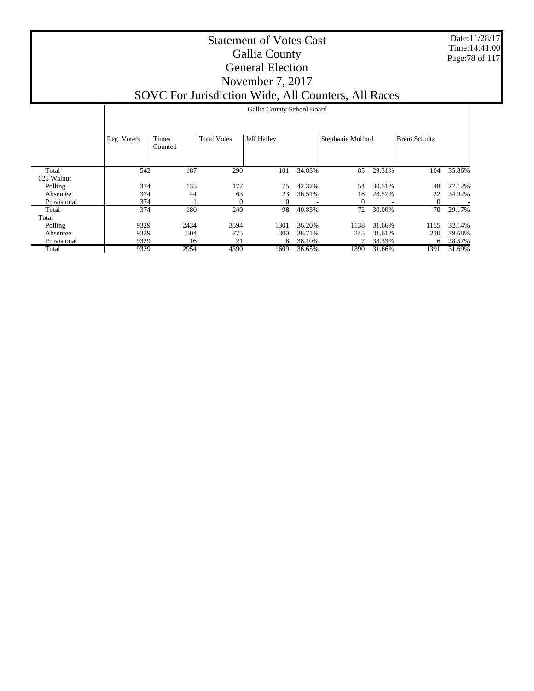Date:11/28/17 Time:14:41:00 Page:78 of 117

|             |             |                  |                    | Gallia County School Board |        |                   |        |                      |        |
|-------------|-------------|------------------|--------------------|----------------------------|--------|-------------------|--------|----------------------|--------|
|             | Reg. Voters | Times<br>Counted | <b>Total Votes</b> | Jeff Halley                |        | Stephanie Mulford |        | <b>Brent Schultz</b> |        |
| Total       | 542         | 187              | 290                | 101                        | 34.83% | 85                | 29.31% | 104                  | 35.86% |
| 025 Walnut  |             |                  |                    |                            |        |                   |        |                      |        |
| Polling     | 374         | 135              | 177                | 75                         | 42.37% | 54                | 30.51% | 48                   | 27.12% |
| Absentee    | 374         | 44               | 63                 | 23                         | 36.51% | 18                | 28.57% | 22                   | 34.92% |
| Provisional | 374         |                  | $\Omega$           | $\Omega$                   |        | 0                 |        | 0                    |        |
| Total       | 374         | 180              | 240                | 98                         | 40.83% | 72                | 30.00% | 70                   | 29.17% |
| Total       |             |                  |                    |                            |        |                   |        |                      |        |
| Polling     | 9329        | 2434             | 3594               | 1301                       | 36.20% | 1138              | 31.66% | 1155                 | 32.14% |
| Absentee    | 9329        | 504              | 775                | 300                        | 38.71% | 245               | 31.61% | 230                  | 29.68% |
| Provisional | 9329        | 16               | 21                 | 8                          | 38.10% |                   | 33.33% | 6                    | 28.57% |
| Total       | 9329        | 2954             | 4390               | 1609                       | 36.65% | 1390              | 31.66% | 1391                 | 31.69% |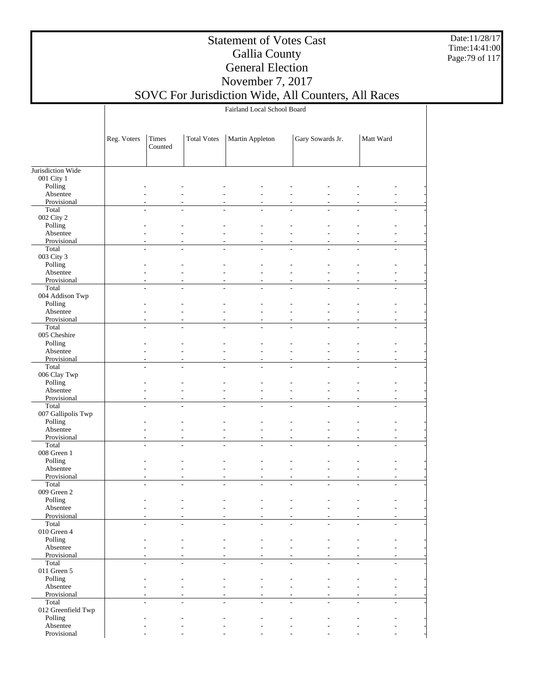Date:11/28/17 Time:14:41:00 Page:79 of 117

### Statement of Votes Cast Gallia County General Election November 7, 2017

## SOVC For Jurisdiction Wide, All Counters, All Races

Fairland Local School Board

|                                 | Reg. Voters | Times<br>Counted                | <b>Total Votes</b> | Martin Appleton |                          | Gary Sowards Jr. |                | Matt Ward |  |
|---------------------------------|-------------|---------------------------------|--------------------|-----------------|--------------------------|------------------|----------------|-----------|--|
|                                 |             |                                 |                    |                 |                          |                  |                |           |  |
| Jurisdiction Wide<br>001 City 1 |             |                                 |                    |                 |                          |                  |                |           |  |
| Polling                         |             |                                 |                    |                 |                          |                  |                |           |  |
| Absentee                        |             |                                 |                    |                 |                          |                  |                |           |  |
| Provisional                     |             |                                 |                    |                 |                          |                  |                |           |  |
| Total                           |             |                                 |                    |                 | ÷.                       |                  |                |           |  |
| 002 City 2                      |             |                                 |                    |                 |                          |                  |                |           |  |
| Polling<br>Absentee             |             |                                 |                    |                 |                          |                  |                |           |  |
| Provisional                     |             |                                 |                    |                 |                          |                  |                |           |  |
| Total                           |             | ÷.                              |                    |                 |                          |                  |                |           |  |
| 003 City 3                      |             |                                 |                    |                 |                          |                  |                |           |  |
| Polling                         |             |                                 |                    |                 |                          |                  |                |           |  |
| Absentee                        |             |                                 |                    |                 |                          |                  |                |           |  |
| Provisional                     |             |                                 |                    |                 |                          |                  |                |           |  |
| Total                           | L.          |                                 |                    |                 |                          |                  |                |           |  |
| 004 Addison Twp                 |             |                                 |                    |                 |                          |                  |                |           |  |
| Polling                         |             |                                 |                    |                 |                          |                  |                |           |  |
| Absentee<br>Provisional         |             |                                 |                    |                 |                          |                  |                |           |  |
| Total                           |             | $\overline{a}$<br>÷,            | L.                 | ÷,              | $\overline{\phantom{a}}$ |                  | $\overline{a}$ |           |  |
| 005 Cheshire                    |             |                                 |                    |                 |                          |                  |                |           |  |
| Polling                         |             |                                 |                    |                 |                          |                  |                |           |  |
| Absentee                        |             |                                 |                    |                 |                          |                  |                |           |  |
| Provisional                     |             |                                 |                    |                 | ÷,                       |                  |                |           |  |
| Total                           | L,          | L.                              | L,                 |                 | L,                       |                  |                |           |  |
| 006 Clay Twp                    |             |                                 |                    |                 |                          |                  |                |           |  |
| Polling                         |             |                                 |                    |                 |                          |                  |                |           |  |
| Absentee                        |             |                                 |                    |                 |                          |                  |                |           |  |
| Provisional<br>Total            |             | ÷.<br>L,                        |                    | L.              |                          |                  |                |           |  |
| 007 Gallipolis Twp              |             |                                 |                    |                 |                          |                  |                |           |  |
| Polling                         |             |                                 |                    |                 |                          |                  |                |           |  |
| Absentee                        |             |                                 |                    |                 |                          |                  |                |           |  |
| Provisional                     |             |                                 |                    |                 | ÷,                       |                  |                |           |  |
| Total                           | L.          |                                 |                    |                 |                          |                  |                |           |  |
| 008 Green 1                     |             |                                 |                    |                 |                          |                  |                |           |  |
| Polling                         |             |                                 |                    |                 |                          |                  |                |           |  |
| Absentee                        |             |                                 |                    |                 |                          |                  |                |           |  |
| Provisional<br>Total            |             | $\overline{a}$<br>L,            | L.                 | L.              | $\overline{a}$           |                  | $\overline{a}$ |           |  |
| 009 Green 2                     |             |                                 |                    |                 |                          |                  |                |           |  |
| Polling                         |             |                                 |                    |                 |                          |                  |                |           |  |
| Absentee                        |             |                                 |                    |                 |                          |                  |                |           |  |
| Provisional                     |             |                                 |                    |                 |                          |                  |                |           |  |
| Total                           |             | $\frac{1}{2}$<br>$\overline{a}$ | L,                 | ÷,              | L,                       | $\overline{a}$   |                |           |  |
| 010 Green 4                     |             |                                 |                    |                 |                          |                  |                |           |  |
| Polling                         |             |                                 |                    |                 |                          |                  |                |           |  |
| Absentee                        |             |                                 |                    |                 |                          |                  |                |           |  |
| Provisional<br>Total            |             | $\frac{1}{2}$<br>÷,             | L.                 | $\overline{a}$  | $\overline{\phantom{a}}$ | L.               | $\overline{a}$ | ÷         |  |
| 011 Green 5                     |             |                                 |                    |                 |                          |                  |                |           |  |
| Polling                         |             |                                 |                    |                 |                          |                  |                |           |  |
| Absentee                        |             |                                 |                    |                 |                          |                  |                |           |  |
| Provisional                     |             |                                 |                    |                 | ٠                        |                  |                |           |  |
| Total                           |             | ÷,<br>$\overline{a}$            | L,                 | L.              | ÷,                       | L.               |                |           |  |
| 012 Greenfield Twp              |             |                                 |                    |                 |                          |                  |                |           |  |
| Polling                         |             |                                 |                    |                 |                          |                  |                |           |  |
| Absentee                        |             |                                 |                    |                 |                          |                  |                |           |  |
| Provisional                     |             |                                 |                    |                 |                          |                  |                |           |  |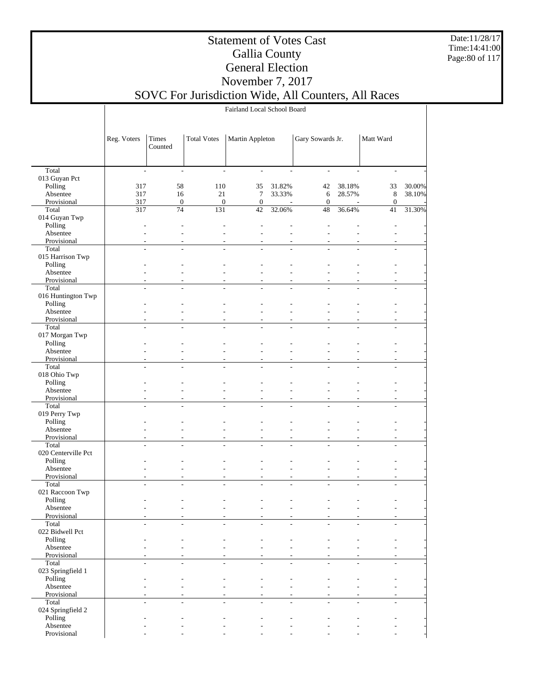Date:11/28/17 Time:14:41:00 Page:80 of 117

### Statement of Votes Cast Gallia County General Election November 7, 2017

## SOVC For Jurisdiction Wide, All Counters, All Races

Fairland Local School Board

|                         | Reg. Voters              | Times<br>Counted         | <b>Total Votes</b> | Martin Appleton          |                                            | Gary Sowards Jr.                 |                      | Matt Ward                |        |
|-------------------------|--------------------------|--------------------------|--------------------|--------------------------|--------------------------------------------|----------------------------------|----------------------|--------------------------|--------|
|                         |                          |                          |                    |                          |                                            |                                  |                      |                          |        |
| Total                   | $\blacksquare$           | $\overline{\phantom{a}}$ | $\blacksquare$     | $\overline{\phantom{a}}$ | $\overline{\phantom{a}}$                   | $\overline{\phantom{a}}$         | $\overline{a}$       | $\overline{\phantom{a}}$ |        |
| 013 Guyan Pct           |                          |                          |                    |                          |                                            |                                  |                      |                          |        |
| Polling                 | 317                      | 58                       | 110                | 35                       | 31.82%                                     | 42                               | 38.18%               | 33                       | 30.00% |
| Absentee                | 317                      | 16                       | 21                 | 7                        | 33.33%                                     | 6                                | 28.57%               | $\,$ 8 $\,$              | 38.10% |
| Provisional             | 317                      | $\mathbf{0}$             | $\boldsymbol{0}$   | $\mathbf{0}$             | $\overline{\phantom{a}}$                   | $\mathbf{0}$                     |                      | $\mathbf{0}$             |        |
| Total                   | 317                      | $\overline{74}$          | 131                | 42                       | 32.06%                                     | $\overline{48}$                  | 36.64%               | 41                       | 31.30% |
| 014 Guyan Twp           |                          |                          |                    |                          |                                            |                                  |                      |                          |        |
| Polling                 |                          |                          |                    |                          |                                            |                                  |                      |                          |        |
| Absentee                |                          | ÷                        | ٠                  |                          | ÷                                          |                                  |                      |                          |        |
| Provisional             | $\overline{a}$           | $\sim$                   | L.                 | L.                       | $\overline{a}$                             | $\overline{a}$<br>$\overline{a}$ | $\sim$               | ÷.                       |        |
| Total                   |                          |                          |                    |                          |                                            |                                  |                      |                          |        |
| 015 Harrison Twp        |                          |                          |                    |                          |                                            |                                  |                      |                          |        |
| Polling<br>Absentee     |                          |                          |                    |                          |                                            |                                  |                      |                          |        |
| Provisional             | $\overline{a}$           | ٠                        |                    | $\overline{a}$           | $\overline{a}$                             | $\overline{\phantom{a}}$         |                      |                          |        |
| Total                   | ÷.                       | L,                       | ÷.                 | ÷                        | L.                                         | $\overline{a}$                   | L.                   |                          |        |
| 016 Huntington Twp      |                          |                          |                    |                          |                                            |                                  |                      |                          |        |
| Polling                 |                          |                          |                    |                          |                                            |                                  |                      |                          |        |
| Absentee                |                          |                          |                    | ÷                        | ÷.                                         |                                  |                      |                          |        |
| Provisional             | $\overline{a}$           |                          |                    | $\overline{a}$           | ÷                                          | $\overline{a}$                   |                      |                          |        |
| Total                   | $\overline{a}$           | L.                       |                    | ÷.                       |                                            | L.                               | L.                   |                          |        |
| 017 Morgan Twp          |                          |                          |                    |                          |                                            |                                  |                      |                          |        |
| Polling                 |                          |                          |                    |                          |                                            |                                  |                      |                          |        |
| Absentee                |                          |                          |                    |                          |                                            |                                  |                      |                          |        |
| Provisional             | $\overline{\phantom{a}}$ | ٠                        | ٠                  | $\overline{\phantom{a}}$ | $\overline{\phantom{a}}$                   | $\sim$                           | $\overline{a}$       |                          |        |
| Total                   | ÷.                       | L.                       |                    | ÷.                       |                                            |                                  |                      |                          |        |
| 018 Ohio Twp            |                          |                          |                    |                          |                                            |                                  |                      |                          |        |
| Polling                 |                          |                          |                    |                          |                                            |                                  |                      |                          |        |
| Absentee                |                          |                          |                    | ÷                        | ÷                                          |                                  |                      |                          |        |
| Provisional             | $\overline{a}$           |                          |                    | ÷                        | ÷.                                         | $\overline{a}$                   |                      |                          |        |
| Total                   | $\overline{a}$           | L.                       | L                  | ÷,                       | $\overline{a}$                             | $\overline{a}$                   | $\overline{a}$       |                          |        |
| 019 Perry Twp           |                          |                          |                    |                          |                                            |                                  |                      |                          |        |
| Polling                 |                          |                          |                    |                          |                                            |                                  |                      |                          |        |
| Absentee                |                          |                          |                    |                          |                                            |                                  |                      |                          |        |
| Provisional<br>Total    | $\overline{a}$<br>÷.     | ÷,<br>÷.                 | ٠<br>L.            | $\overline{a}$<br>÷.     | $\overline{\phantom{a}}$<br>$\overline{a}$ | $\overline{\phantom{a}}$<br>÷    | $\overline{a}$<br>÷. |                          |        |
| 020 Centerville Pct     |                          |                          |                    |                          |                                            |                                  |                      |                          |        |
| Polling                 |                          |                          |                    |                          |                                            |                                  |                      |                          |        |
| Absentee                |                          |                          |                    | ÷                        | ÷.                                         | $\overline{a}$                   |                      |                          |        |
| Provisional             | $\overline{\phantom{a}}$ |                          |                    | ۰                        | ÷                                          | $\overline{\phantom{a}}$         |                      |                          |        |
| Total                   | L.                       |                          |                    |                          |                                            |                                  | ÷.                   |                          |        |
| 021 Raccoon Twp         |                          |                          |                    |                          |                                            |                                  |                      |                          |        |
| Polling                 |                          |                          |                    |                          |                                            |                                  |                      |                          |        |
| Absentee                |                          |                          |                    |                          |                                            |                                  |                      |                          |        |
| Provisional             |                          |                          |                    |                          |                                            |                                  |                      |                          |        |
| Total                   |                          |                          |                    |                          |                                            |                                  |                      |                          |        |
| 022 Bidwell Pct         |                          |                          |                    |                          |                                            |                                  |                      |                          |        |
| Polling                 |                          |                          |                    |                          |                                            |                                  |                      |                          |        |
| Absentee                |                          |                          |                    |                          | ÷                                          |                                  |                      |                          |        |
| Provisional             |                          |                          |                    |                          | ÷                                          |                                  |                      |                          |        |
| Total                   | $\overline{a}$           |                          |                    |                          |                                            |                                  |                      |                          |        |
| 023 Springfield 1       |                          |                          |                    |                          |                                            |                                  |                      |                          |        |
| Polling                 |                          |                          |                    |                          |                                            |                                  |                      |                          |        |
| Absentee<br>Provisional |                          | ٠                        |                    | $\overline{a}$           | $\overline{\phantom{a}}$                   | $\overline{a}$                   |                      |                          |        |
| Total                   |                          | L.                       |                    |                          | L.                                         | $\overline{a}$                   |                      |                          |        |
| 024 Springfield 2       |                          |                          |                    |                          |                                            |                                  |                      |                          |        |
| Polling                 |                          |                          |                    |                          |                                            |                                  |                      |                          |        |
| Absentee                |                          |                          |                    |                          |                                            |                                  |                      |                          |        |
| Provisional             |                          |                          |                    |                          |                                            |                                  |                      |                          |        |
|                         |                          |                          |                    |                          |                                            |                                  |                      |                          |        |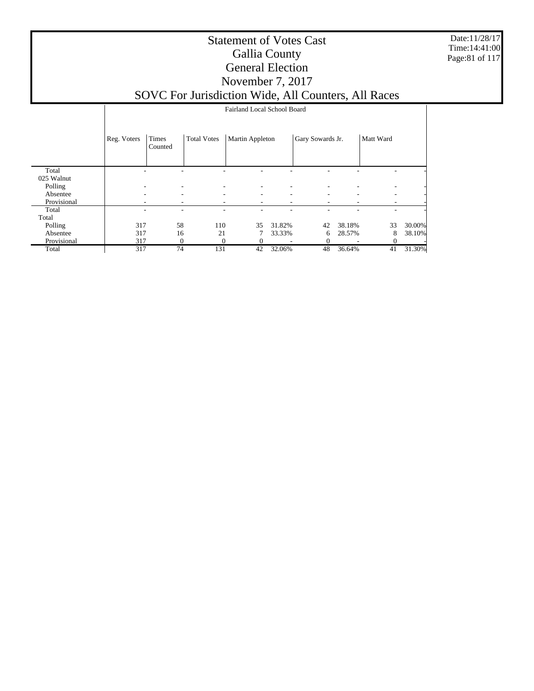Date:11/28/17 Time:14:41:00 Page:81 of 117

|             |             | Fairland Local School Board |                    |                 |                          |                          |        |           |        |  |  |  |
|-------------|-------------|-----------------------------|--------------------|-----------------|--------------------------|--------------------------|--------|-----------|--------|--|--|--|
|             | Reg. Voters | Times<br>Counted            | <b>Total Votes</b> | Martin Appleton |                          | Gary Sowards Jr.         |        | Matt Ward |        |  |  |  |
| Total       |             |                             |                    |                 |                          |                          |        |           |        |  |  |  |
| 025 Walnut  |             |                             |                    |                 |                          |                          |        |           |        |  |  |  |
| Polling     | ۰           | ٠                           | ۰                  | ٠               | $\overline{a}$           |                          |        |           |        |  |  |  |
| Absentee    | ۰           | ۰                           | ۰                  | ٠               | $\overline{\phantom{0}}$ | $\overline{\phantom{a}}$ | ۰      |           |        |  |  |  |
| Provisional |             | ۰                           |                    | ۰               | -                        | $\overline{\phantom{a}}$ |        |           |        |  |  |  |
| Total       |             |                             |                    |                 |                          |                          |        |           |        |  |  |  |
| Total       |             |                             |                    |                 |                          |                          |        |           |        |  |  |  |
| Polling     | 317         | 58                          | 110                | 35              | 31.82%                   | 42                       | 38.18% | 33        | 30.00% |  |  |  |
| Absentee    | 317         | 16                          | 21                 |                 | 33.33%                   | 6                        | 28.57% | 8         | 38.10% |  |  |  |
| Provisional | 317         | 0                           | 0                  |                 |                          | $\Omega$                 |        | 0         |        |  |  |  |
| Total       | 317         | 74                          | 131                | 42              | 32.06%                   | 48                       | 36.64% | 41        | 31.30% |  |  |  |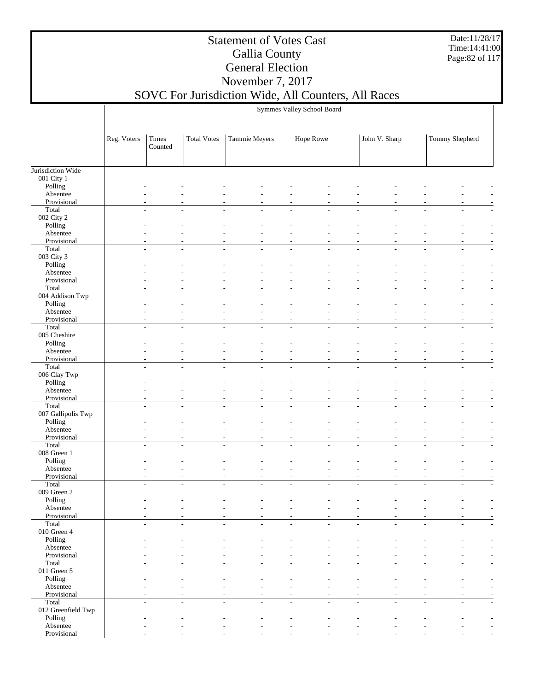Date:11/28/17 Time:14:41:00 Page:82 of 117

## Statement of Votes Cast Gallia County General Election November 7, 2017

Symmes Valley School Board

## SOVC For Jurisdiction Wide, All Counters, All Races

|                    | Reg. Voters              | Times<br>Counted | <b>Total Votes</b> | Tammie Meyers |                | Hope Rowe |        | John V. Sharp            |                | Tommy Shepherd |        |
|--------------------|--------------------------|------------------|--------------------|---------------|----------------|-----------|--------|--------------------------|----------------|----------------|--------|
|                    |                          |                  |                    |               |                |           |        |                          |                |                |        |
| Jurisdiction Wide  |                          |                  |                    |               |                |           |        |                          |                |                |        |
| 001 City 1         |                          |                  |                    |               |                |           |        |                          |                |                |        |
| Polling            |                          |                  |                    |               |                |           |        |                          |                |                |        |
| Absentee           |                          |                  |                    |               |                |           |        |                          |                |                |        |
| Provisional        |                          |                  |                    |               |                |           |        |                          |                |                |        |
| Total              |                          |                  |                    |               |                |           |        |                          |                |                |        |
| 002 City 2         |                          |                  |                    |               |                |           |        |                          |                |                |        |
| Polling            |                          |                  |                    |               |                |           |        |                          |                |                |        |
| Absentee           |                          |                  |                    |               |                |           |        |                          |                |                |        |
| Provisional        |                          |                  |                    |               |                |           |        |                          |                |                |        |
| Total              |                          |                  |                    |               |                |           |        |                          |                |                |        |
| 003 City 3         |                          |                  |                    |               |                |           |        |                          |                |                |        |
| Polling            |                          |                  |                    |               |                |           |        |                          |                |                |        |
| Absentee           |                          |                  |                    |               |                |           |        |                          |                |                |        |
| Provisional        |                          |                  |                    |               |                |           |        |                          |                |                |        |
| Total              | $\sim$                   | ÷.               | ÷                  | L.            | L.             | ÷         | ÷      | L.                       | L.             |                | ÷      |
| 004 Addison Twp    |                          |                  |                    |               |                |           |        |                          |                |                |        |
| Polling            |                          |                  |                    |               |                |           |        |                          |                |                |        |
| Absentee           |                          |                  |                    |               |                |           |        |                          |                |                |        |
| Provisional        |                          |                  |                    |               |                |           |        |                          |                |                |        |
| Total              | $\sim$                   | ÷                |                    | L.            | $\overline{a}$ |           |        | ÷                        |                |                |        |
| 005 Cheshire       |                          |                  |                    |               |                |           |        |                          |                |                |        |
| Polling            |                          |                  |                    |               |                |           |        |                          |                |                |        |
| Absentee           |                          |                  |                    |               |                |           |        |                          |                |                |        |
| Provisional        |                          |                  |                    |               |                |           |        |                          |                |                |        |
| Total              |                          |                  |                    |               |                |           |        |                          |                |                |        |
| 006 Clay Twp       |                          |                  |                    |               |                |           |        |                          |                |                |        |
| Polling            |                          |                  |                    |               |                |           |        |                          |                |                |        |
| Absentee           |                          |                  |                    |               |                |           |        |                          |                |                |        |
| Provisional        |                          |                  |                    |               |                |           |        |                          |                |                |        |
| Total              |                          |                  |                    |               |                |           |        |                          |                |                |        |
| 007 Gallipolis Twp |                          |                  |                    |               |                |           |        |                          |                |                |        |
| Polling            |                          |                  |                    |               |                |           |        |                          |                |                |        |
| Absentee           |                          |                  |                    |               |                |           |        |                          |                |                |        |
| Provisional        |                          |                  |                    |               |                |           |        |                          |                |                |        |
| Total              |                          |                  |                    |               |                |           |        | L                        |                |                |        |
| 008 Green 1        |                          |                  |                    |               |                |           |        |                          |                |                |        |
| Polling            |                          |                  |                    |               |                |           |        |                          |                |                |        |
| Absentee           |                          |                  |                    |               |                |           |        |                          |                |                |        |
| Provisional        |                          |                  |                    |               |                |           |        |                          |                |                |        |
| Total              | ÷                        | ÷                |                    | L.            | ÷              |           |        | L.                       | J.             |                | ٠      |
| 009 Green 2        |                          |                  |                    |               |                |           |        |                          |                |                |        |
| Polling            |                          |                  |                    |               |                |           |        |                          |                |                |        |
| Absentee           |                          |                  |                    |               |                |           |        |                          |                |                |        |
| Provisional        |                          |                  |                    |               |                |           |        |                          |                |                |        |
| Total              |                          |                  |                    |               |                |           |        |                          |                |                |        |
| 010 Green 4        |                          |                  |                    |               |                |           |        |                          |                |                |        |
| Polling            |                          |                  |                    |               |                |           |        |                          |                |                |        |
| Absentee           |                          |                  |                    |               |                |           |        |                          |                |                |        |
| Provisional        |                          |                  |                    |               |                |           |        |                          |                |                |        |
| Total              | $\overline{\phantom{a}}$ | ÷,               | $\overline{a}$     | L,            | $\overline{a}$ | $\sim$    | $\sim$ | $\overline{\phantom{a}}$ | $\overline{a}$ |                | $\sim$ |
| 011 Green 5        |                          |                  |                    |               |                |           |        |                          |                |                |        |
| Polling            |                          |                  |                    |               |                |           |        |                          |                |                |        |
| Absentee           |                          |                  |                    |               |                |           |        |                          |                |                |        |
| Provisional        |                          |                  |                    |               |                |           |        |                          |                |                |        |
| Total              |                          | $\overline{a}$   | L,                 | L,            | $\overline{a}$ | $\sim$    |        | ÷,                       | $\overline{a}$ |                | $\sim$ |
| 012 Greenfield Twp |                          |                  |                    |               |                |           |        |                          |                |                |        |
| Polling            |                          |                  |                    |               |                |           |        |                          |                |                |        |
| Absentee           |                          |                  |                    |               |                |           |        |                          |                |                |        |
| Provisional        |                          |                  |                    |               |                |           |        |                          |                |                |        |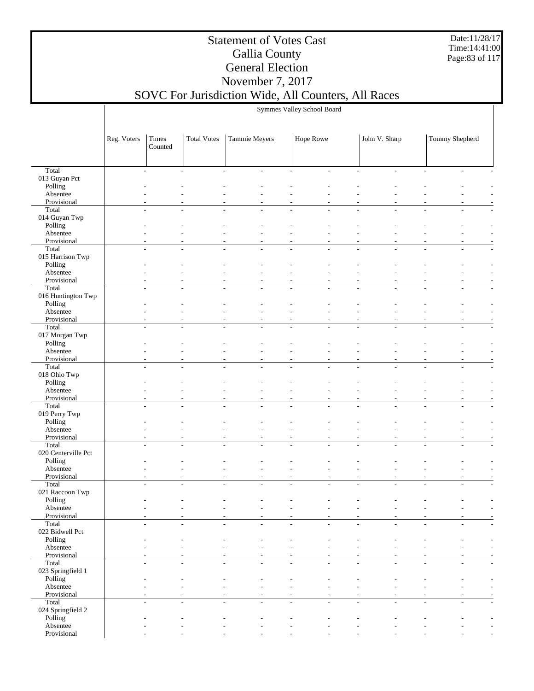Date:11/28/17 Time:14:41:00 Page:83 of 117

## Statement of Votes Cast Gallia County General Election November 7, 2017

# SOVC For Jurisdiction Wide, All Counters, All Races

| Symmes Valley School Board |  |  |  |
|----------------------------|--|--|--|
|----------------------------|--|--|--|

|                         | Reg. Voters              | Times<br>Counted                   | <b>Total Votes</b>       | Tammie Meyers                              | Hope Rowe                                                                        |                          | John V. Sharp  |                | Tommy Shepherd           |                          |
|-------------------------|--------------------------|------------------------------------|--------------------------|--------------------------------------------|----------------------------------------------------------------------------------|--------------------------|----------------|----------------|--------------------------|--------------------------|
|                         |                          |                                    |                          |                                            |                                                                                  |                          |                |                |                          |                          |
| Total                   |                          | L,                                 |                          | $\overline{a}$                             |                                                                                  |                          |                |                |                          |                          |
| 013 Guyan Pct           |                          |                                    |                          |                                            |                                                                                  |                          |                |                |                          |                          |
| Polling<br>Absentee     |                          |                                    |                          |                                            |                                                                                  |                          |                |                |                          |                          |
| Provisional             |                          |                                    |                          |                                            |                                                                                  |                          |                |                |                          |                          |
| Total                   | $\overline{a}$           |                                    |                          |                                            |                                                                                  |                          |                |                |                          |                          |
| 014 Guyan Twp           |                          |                                    |                          |                                            |                                                                                  |                          |                |                |                          |                          |
| Polling<br>Absentee     |                          |                                    |                          |                                            |                                                                                  |                          |                |                |                          |                          |
| Provisional             |                          |                                    |                          |                                            |                                                                                  |                          |                |                |                          |                          |
| Total                   |                          | $\overline{\phantom{a}}$<br>L,     |                          | L.                                         |                                                                                  | ÷.                       |                |                |                          |                          |
| 015 Harrison Twp        |                          |                                    |                          |                                            |                                                                                  |                          |                |                |                          |                          |
| Polling<br>Absentee     |                          |                                    |                          |                                            |                                                                                  |                          |                |                |                          |                          |
| Provisional             |                          |                                    |                          |                                            |                                                                                  |                          |                |                |                          |                          |
| Total                   |                          | $\overline{\phantom{a}}$<br>L.     |                          | L,                                         | L.<br>L.                                                                         | $\overline{\phantom{a}}$ | L,             |                | L.                       |                          |
| 016 Huntington Twp      |                          |                                    |                          |                                            |                                                                                  |                          |                |                |                          |                          |
| Polling<br>Absentee     |                          |                                    |                          |                                            |                                                                                  |                          |                |                |                          |                          |
| Provisional             |                          |                                    |                          |                                            |                                                                                  |                          |                |                |                          |                          |
| Total                   | $\overline{a}$           | L,                                 |                          |                                            |                                                                                  |                          |                |                |                          |                          |
| 017 Morgan Twp          |                          |                                    |                          |                                            |                                                                                  |                          |                |                |                          |                          |
| Polling<br>Absentee     |                          |                                    |                          |                                            |                                                                                  |                          |                |                |                          |                          |
| Provisional             |                          |                                    |                          |                                            |                                                                                  |                          |                |                |                          |                          |
| Total                   |                          |                                    |                          |                                            |                                                                                  |                          |                |                |                          |                          |
| 018 Ohio Twp            |                          |                                    |                          |                                            |                                                                                  |                          |                |                |                          |                          |
| Polling                 |                          |                                    |                          |                                            |                                                                                  |                          |                |                |                          |                          |
| Absentee<br>Provisional |                          |                                    |                          |                                            |                                                                                  |                          |                |                |                          |                          |
| Total                   |                          |                                    |                          |                                            |                                                                                  |                          |                |                |                          |                          |
| 019 Perry Twp           |                          |                                    |                          |                                            |                                                                                  |                          |                |                |                          |                          |
| Polling                 |                          |                                    |                          |                                            |                                                                                  |                          |                |                |                          |                          |
| Absentee<br>Provisional |                          |                                    |                          |                                            |                                                                                  |                          |                |                |                          |                          |
| Total                   |                          | $\overline{\phantom{a}}$<br>L.     |                          | ÷,                                         | L.<br>L.                                                                         | $\overline{\phantom{a}}$ | L,             |                | $\overline{a}$           |                          |
| 020 Centerville Pct     |                          |                                    |                          |                                            |                                                                                  |                          |                |                |                          |                          |
| Polling                 |                          |                                    |                          |                                            |                                                                                  |                          |                |                |                          |                          |
| Absentee<br>Provisional |                          |                                    |                          |                                            |                                                                                  |                          |                |                |                          |                          |
| Total                   | L,                       | L,                                 |                          |                                            |                                                                                  | $\overline{a}$           |                |                |                          |                          |
| 021 Raccoon Twp         |                          |                                    |                          |                                            |                                                                                  |                          |                |                |                          |                          |
| Polling                 |                          |                                    |                          |                                            |                                                                                  |                          |                |                |                          |                          |
| Absentee<br>Provisional |                          |                                    |                          |                                            |                                                                                  |                          |                |                |                          |                          |
| Total                   | $\overline{\phantom{0}}$ |                                    |                          |                                            |                                                                                  |                          |                |                |                          |                          |
| 022 Bidwell Pct         |                          |                                    |                          |                                            |                                                                                  |                          |                |                |                          |                          |
| Polling                 |                          |                                    |                          |                                            |                                                                                  |                          |                |                |                          |                          |
| Absentee<br>Provisional |                          | $\overline{\phantom{a}}$           | $\overline{\phantom{a}}$ | $\overline{\phantom{a}}$                   | $\overline{a}$<br>$\overline{\phantom{a}}$                                       | $\overline{a}$           | L,             | $\overline{a}$ |                          |                          |
| Total                   |                          | $\overline{\phantom{a}}$<br>L.     | ÷                        | ÷                                          | L.<br>L.                                                                         | $\sim$                   | ÷              | L.             | $\overline{\phantom{a}}$ |                          |
| 023 Springfield 1       |                          |                                    |                          |                                            |                                                                                  |                          |                |                |                          |                          |
| Polling                 |                          |                                    |                          |                                            |                                                                                  |                          |                |                |                          |                          |
| Absentee<br>Provisional |                          |                                    |                          | $\overline{a}$<br>$\overline{\phantom{a}}$ | $\overline{a}$<br>$\sim$<br>$\overline{\phantom{a}}$<br>$\overline{\phantom{a}}$ | $\overline{\phantom{a}}$ | $\overline{a}$ | $\overline{a}$ | $\overline{\phantom{a}}$ |                          |
| Total                   |                          | $\overline{\phantom{a}}$<br>$\sim$ | ÷                        | L.                                         | $\overline{\phantom{a}}$<br>$\mathcal{L}$                                        | $\sim$                   | ÷.             | $\sim$         | $\overline{\phantom{a}}$ |                          |
| 024 Springfield 2       |                          |                                    |                          |                                            |                                                                                  |                          |                |                |                          |                          |
| Polling                 |                          |                                    |                          |                                            |                                                                                  |                          |                |                |                          |                          |
| Absentee<br>Provisional |                          |                                    |                          | $\overline{a}$                             | $\overline{a}$<br>$\overline{\phantom{a}}$                                       |                          |                |                |                          |                          |
|                         |                          | $\overline{a}$                     |                          |                                            |                                                                                  |                          |                |                |                          | $\overline{\phantom{a}}$ |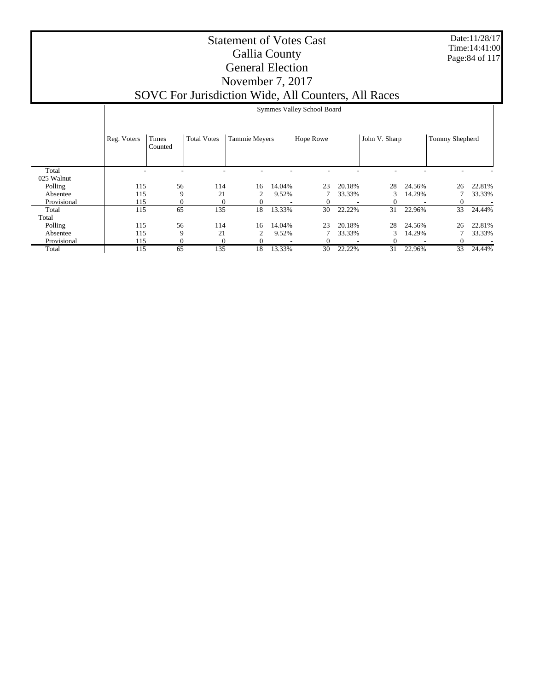Date:11/28/17 Time:14:41:00 Page:84 of 117

|             |             | Symmes Valley School Board |                    |                      |        |                  |        |               |        |                |        |  |
|-------------|-------------|----------------------------|--------------------|----------------------|--------|------------------|--------|---------------|--------|----------------|--------|--|
|             | Reg. Voters | Times<br>Counted           | <b>Total Votes</b> | <b>Tammie Meyers</b> |        | <b>Hope Rowe</b> |        | John V. Sharp |        | Tommy Shepherd |        |  |
| Total       |             |                            |                    |                      |        |                  |        |               |        |                |        |  |
| 025 Walnut  |             |                            |                    |                      |        |                  |        |               |        |                |        |  |
| Polling     | 115         | 56                         | 114                | 16                   | 14.04% | 23               | 20.18% | 28            | 24.56% | 26             | 22.81% |  |
| Absentee    | 115         | 9                          | 21                 | 2                    | 9.52%  |                  | 33.33% | 3             | 14.29% |                | 33.33% |  |
| Provisional | 115         | 0                          | $\Omega$           | 0                    |        |                  |        |               |        | $\Omega$       |        |  |
| Total       | 115         | 65                         | 135                | 18                   | 13.33% | 30               | 22.22% | 31            | 22.96% | 33             | 24.44% |  |
| Total       |             |                            |                    |                      |        |                  |        |               |        |                |        |  |
| Polling     | 115         | 56                         | 114                | 16                   | 14.04% | 23               | 20.18% | 28            | 24.56% | 26             | 22.81% |  |
| Absentee    | 115         | 9                          | 21                 | 2                    | 9.52%  |                  | 33.33% | 3             | 14.29% |                | 33.33% |  |
| Provisional | 115         | $\mathbf{0}$               | 0                  | 0                    |        |                  |        | $\Omega$      | ۰      |                |        |  |
| Total       | 115         | 65                         | 135                | 18                   | 13.33% | 30               | 22.22% | 31            | 22.96% | 33             | 24.44% |  |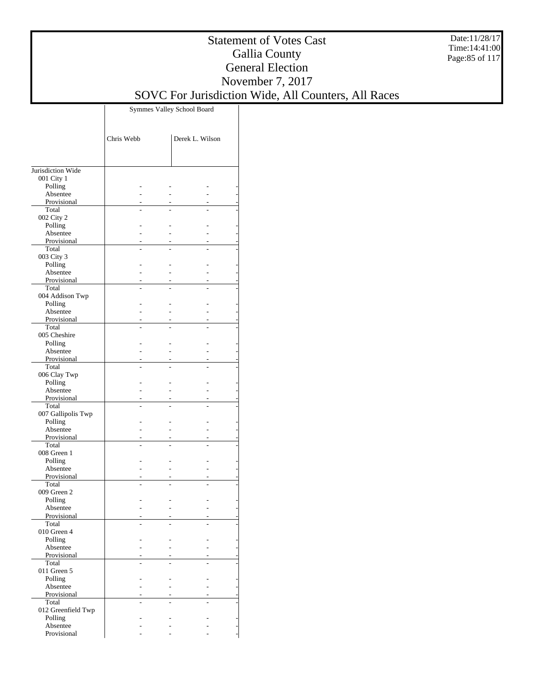Date:11/28/17 Time:14:41:00 Page:85 of 117

### Statement of Votes Cast Gallia County General Election November 7, 2017 SOVC For Jurisdiction Wide, All Counters, All Races

Symmes Valley School Board

|                             | Chris Webb | Derek L. Wilson |
|-----------------------------|------------|-----------------|
|                             |            |                 |
| Jurisdiction Wide           |            |                 |
| 001 City 1<br>Polling       |            |                 |
| Absentee                    |            |                 |
| Provisional                 |            |                 |
| Total                       |            |                 |
| 002 City 2                  |            |                 |
| Polling<br>Absentee         |            |                 |
| Provisional                 |            |                 |
| Total                       |            |                 |
| 003 City 3                  |            |                 |
| Polling                     |            |                 |
| Absentee<br>Provisional     |            |                 |
| Total                       |            |                 |
| 004 Addison Twp             |            |                 |
| Polling                     |            |                 |
| Absentee<br>Provisional     |            |                 |
| Total                       |            |                 |
| 005 Cheshire                |            |                 |
| Polling                     |            |                 |
| Absentee                    |            |                 |
| Provisional<br>Total        |            |                 |
| 006 Clay Twp                |            | -               |
| Polling                     |            |                 |
| Absentee                    |            |                 |
| Provisional                 |            |                 |
| Total<br>007 Gallipolis Twp |            |                 |
| Polling                     |            |                 |
| Absentee                    |            |                 |
| Provisional                 |            |                 |
| Total<br>008 Green 1        |            | -               |
| Polling                     |            |                 |
| Absentee                    |            |                 |
| Provisional                 |            |                 |
| Total<br>009 Green 2        |            |                 |
| Polling                     |            |                 |
| Absentee                    |            |                 |
| Provisional                 |            |                 |
| Total                       |            |                 |
| 010 Green 4<br>Polling      |            |                 |
| Absentee                    |            |                 |
| Provisional                 |            |                 |
| Total                       |            |                 |
| 011 Green 5                 |            |                 |
| Polling<br>Absentee         |            |                 |
| Provisional                 |            |                 |
| Total                       |            |                 |
| 012 Greenfield Twp          |            |                 |
| Polling<br>Absentee         |            |                 |
| Provisional                 |            |                 |
|                             |            |                 |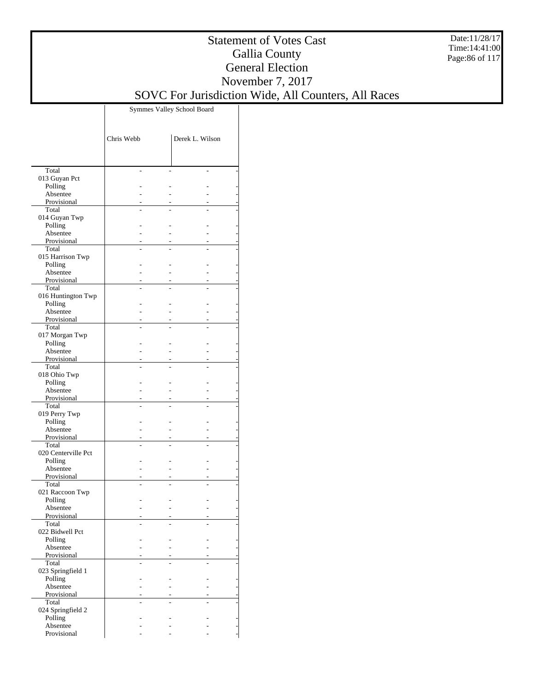Date:11/28/17 Time:14:41:00 Page:86 of 117

### Statement of Votes Cast Gallia County General Election November 7, 2017 SOVC For Jurisdiction Wide, All Counters, All Races

Symmes Valley School Board

|                              | Chris Webb | Derek L. Wilson |
|------------------------------|------------|-----------------|
|                              |            |                 |
| Total                        |            |                 |
| 013 Guyan Pct<br>Polling     |            |                 |
| Absentee                     |            |                 |
| Provisional                  |            |                 |
| Total                        |            |                 |
| 014 Guyan Twp                |            |                 |
| Polling<br>Absentee          |            |                 |
| Provisional                  |            |                 |
| Total                        |            |                 |
| 015 Harrison Twp             |            |                 |
| Polling<br>Absentee          |            |                 |
| Provisional                  |            |                 |
| Total                        |            |                 |
| 016 Huntington Twp           |            |                 |
| Polling                      |            |                 |
| Absentee<br>Provisional      |            |                 |
| Total                        |            |                 |
| 017 Morgan Twp               |            |                 |
| Polling                      |            |                 |
| Absentee<br>Provisional      |            |                 |
| Total                        |            |                 |
| 018 Ohio Twp                 |            |                 |
| Polling                      |            |                 |
| Absentee                     |            |                 |
| Provisional<br>Total         |            |                 |
| 019 Perry Twp                |            |                 |
| Polling                      |            |                 |
| Absentee                     |            |                 |
| Provisional<br>Total         |            |                 |
| 020 Centerville Pct          |            |                 |
| Polling                      |            |                 |
| Absentee                     |            |                 |
| Provisional                  |            |                 |
| Total<br>021 Raccoon Twp     |            |                 |
| Polling                      |            |                 |
| Absentee                     |            |                 |
| Provisional                  |            |                 |
| Total<br>022 Bidwell Pct     |            |                 |
| Polling                      |            |                 |
| Absentee                     |            |                 |
| Provisional                  |            |                 |
| Total                        |            |                 |
| 023 Springfield 1<br>Polling |            |                 |
| Absentee                     |            |                 |
| Provisional                  |            |                 |
| Total                        |            |                 |
| 024 Springfield 2            |            |                 |
| Polling<br>Absentee          |            |                 |
| Provisional                  |            |                 |
|                              |            |                 |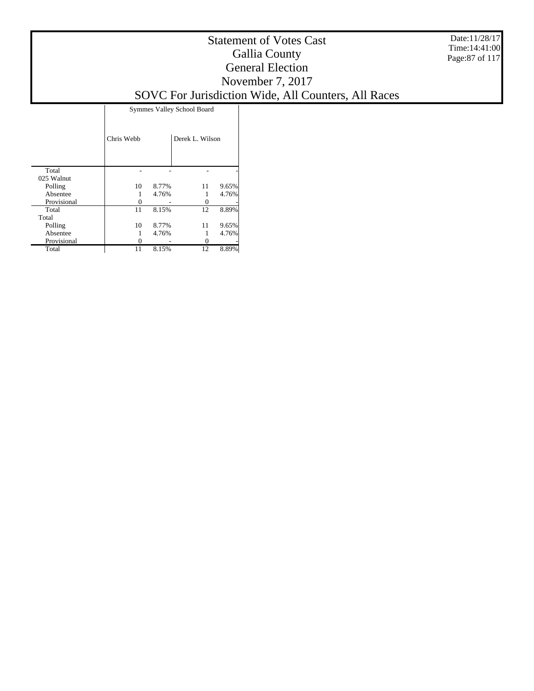Date:11/28/17 Time:14:41:00 Page:87 of 117

|             | <b>Symmes Valley School Board</b> |       |                 |       |  |  |  |  |  |  |
|-------------|-----------------------------------|-------|-----------------|-------|--|--|--|--|--|--|
|             | Chris Webb                        |       | Derek L. Wilson |       |  |  |  |  |  |  |
| Total       |                                   |       |                 |       |  |  |  |  |  |  |
| 025 Walnut  |                                   |       |                 |       |  |  |  |  |  |  |
| Polling     | 10                                | 8.77% | 11              | 9.65% |  |  |  |  |  |  |
| Absentee    |                                   | 4.76% |                 | 4.76% |  |  |  |  |  |  |
| Provisional | 0                                 |       | 0               |       |  |  |  |  |  |  |
| Total       | 11                                | 8.15% | 12              | 8.89% |  |  |  |  |  |  |
| Total       |                                   |       |                 |       |  |  |  |  |  |  |
| Polling     | 10                                | 8.77% | 11              | 9.65% |  |  |  |  |  |  |
| Absentee    |                                   | 4.76% |                 | 4.76% |  |  |  |  |  |  |
| Provisional |                                   |       |                 |       |  |  |  |  |  |  |
| Total       | 11                                | 8.15% | 12              | 8.89% |  |  |  |  |  |  |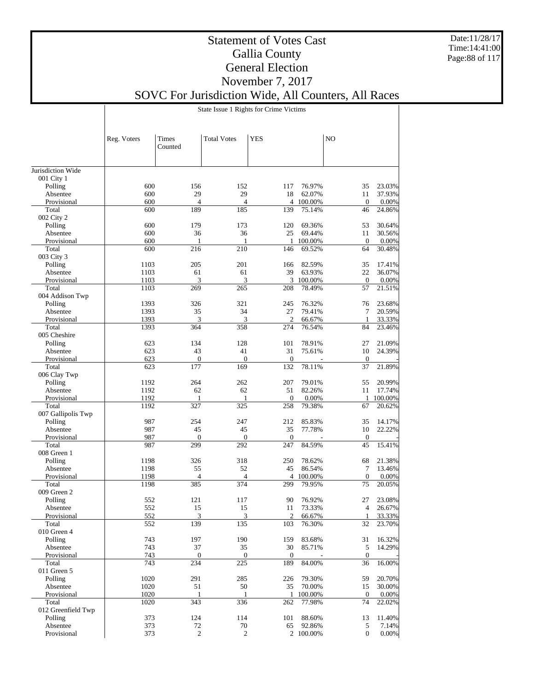Date:11/28/17 Time:14:41:00 Page:88 of 117

## Statement of Votes Cast Gallia County General Election November 7, 2017

# SOVC For Jurisdiction Wide, All Counters, All Races

State Issue 1 Rights for Crime Victims

|                            | Reg. Voters  | Times                 | <b>Total Votes</b>    | <b>YES</b>            |                   | N <sub>O</sub>     |                    |
|----------------------------|--------------|-----------------------|-----------------------|-----------------------|-------------------|--------------------|--------------------|
|                            |              | Counted               |                       |                       |                   |                    |                    |
|                            |              |                       |                       |                       |                   |                    |                    |
| Jurisdiction Wide          |              |                       |                       |                       |                   |                    |                    |
| 001 City 1                 |              |                       |                       |                       |                   |                    |                    |
| Polling                    | 600          | 156                   | 152                   | 117                   | 76.97%            | 35                 | 23.03%             |
| Absentee                   | 600          | 29                    | 29                    | 18                    | 62.07%            | 11                 | 37.93%             |
| Provisional<br>Total       | 600<br>600   | $\overline{4}$<br>189 | $\overline{4}$<br>185 | $\overline{4}$<br>139 | 100.00%<br>75.14% | $\mathbf{0}$<br>46 | 0.00%<br>24.86%    |
| 002 City 2                 |              |                       |                       |                       |                   |                    |                    |
| Polling                    | 600          | 179                   | 173                   | 120                   | 69.36%            | 53                 | 30.64%             |
| Absentee                   | 600          | 36                    | 36                    | 25                    | 69.44%            | 11                 | 30.56%             |
| Provisional                | 600          | 1                     | 1                     | 1                     | 100.00%           | $\boldsymbol{0}$   | 0.00%              |
| Total                      | 600          | 216                   | 210                   | 146                   | 69.52%            | 64                 | 30.48%             |
| 003 City 3                 |              |                       |                       |                       |                   |                    |                    |
| Polling                    | 1103         | 205                   | 201                   | 166                   | 82.59%            | 35                 | 17.41%             |
| Absentee                   | 1103         | 61                    | 61                    | 39                    | 63.93%            | 22                 | 36.07%             |
| Provisional                | 1103         | 3                     | 3                     |                       | 3 100.00%         | $\mathbf{0}$       | 0.00%              |
| Total                      | 1103         | 269                   | 265                   | 208                   | 78.49%            | 57                 | 21.51%             |
| 004 Addison Twp<br>Polling | 1393         | 326                   | 321                   | 245                   | 76.32%            | 76                 | 23.68%             |
| Absentee                   | 1393         | 35                    | 34                    | 27                    | 79.41%            | 7                  | 20.59%             |
| Provisional                | 1393         | 3                     | 3                     | $\mathfrak{2}$        | 66.67%            | 1                  | 33.33%             |
| Total                      | 1393         | 364                   | 358                   | 274                   | 76.54%            | 84                 | 23.46%             |
| 005 Cheshire               |              |                       |                       |                       |                   |                    |                    |
| Polling                    | 623          | 134                   | 128                   | 101                   | 78.91%            | 27                 | 21.09%             |
| Absentee                   | 623          | 43                    | 41                    | 31                    | 75.61%            | 10                 | 24.39%             |
| Provisional                | 623          | $\boldsymbol{0}$      | $\boldsymbol{0}$      | $\mathbf{0}$          |                   | $\boldsymbol{0}$   |                    |
| Total                      | 623          | 177                   | 169                   | 132                   | 78.11%            | 37                 | 21.89%             |
| 006 Clay Twp               |              |                       |                       |                       |                   |                    |                    |
| Polling                    | 1192         | 264                   | 262                   | 207                   | 79.01%            | 55                 | 20.99%             |
| Absentee<br>Provisional    | 1192<br>1192 | 62<br>1               | 62<br>1               | 51<br>$\overline{0}$  | 82.26%<br>0.00%   | 11<br>$\mathbf{1}$ | 17.74%<br>100.00%  |
| Total                      | 1192         | 327                   | 325                   | 258                   | 79.38%            | 67                 | 20.62%             |
| 007 Gallipolis Twp         |              |                       |                       |                       |                   |                    |                    |
| Polling                    | 987          | 254                   | 247                   | 212                   | 85.83%            | 35                 | 14.17%             |
| Absentee                   | 987          | 45                    | 45                    | 35                    | 77.78%            | 10                 | 22.22%             |
| Provisional                | 987          | $\mathbf{0}$          | $\mathbf{0}$          | $\mathbf{0}$          |                   | $\mathbf{0}$       |                    |
| Total                      | 987          | 299                   | 292                   | 247                   | 84.59%            | 45                 | 15.41%             |
| 008 Green 1                |              |                       |                       |                       |                   |                    |                    |
| Polling                    | 1198         | 326                   | 318                   | 250                   | 78.62%            | 68                 | 21.38%             |
| Absentee                   | 1198         | 55                    | 52                    | 45                    | 86.54%            | 7                  | 13.46%             |
| Provisional<br>Total       | 1198         | $\overline{4}$        | 4                     | 4                     | 100.00%           | $\boldsymbol{0}$   | 0.00%<br>20.05%    |
| 009 Green 2                | 1198         | 385                   | 374                   | 299                   | 79.95%            | 75                 |                    |
| Polling                    | 552          | 121                   | 117                   | 90                    | 76.92%            | 27                 | 23.08%             |
| Absentee                   | 552          | 15                    | 15                    | 11                    | 73.33%            | 4                  | 26.67%             |
| Provisional                | 552          | 3                     | 3                     | $\overline{2}$        | 66.67%            | 1                  | 33.33%             |
| Total                      | 552          | 139                   | 135                   | 103                   | 76.30%            | 32                 | 23.70%             |
| 010 Green 4                |              |                       |                       |                       |                   |                    |                    |
| Polling                    | 743          | 197                   | 190                   | 159                   | 83.68%            | 31                 | 16.32%             |
| Absentee                   | 743          | 37                    | 35                    | 30                    | 85.71%            | 5                  | 14.29%             |
| Provisional                | 743          | $\boldsymbol{0}$      | $\boldsymbol{0}$      | $\boldsymbol{0}$      |                   | $\mathbf{0}$       |                    |
| Total                      | 743          | 234                   | $\overline{225}$      | 189                   | 84.00%            | 36                 | 16.00%             |
| 011 Green 5                |              |                       |                       |                       |                   |                    |                    |
| Polling                    | 1020         | 291                   | 285                   | 226                   | 79.30%            | 59                 | 20.70%             |
| Absentee                   | 1020         | 51                    | 50                    | 35                    | 70.00%            | 15                 | 30.00%             |
| Provisional<br>Total       | 1020<br>1020 | 1<br>343              | $\mathbf{1}$<br>336   | $\mathbf{1}$<br>262   | 100.00%<br>77.98% | $\mathbf{0}$<br>74 | $0.00\%$<br>22.02% |
| 012 Greenfield Twp         |              |                       |                       |                       |                   |                    |                    |
| Polling                    | 373          | 124                   | 114                   | 101                   | 88.60%            | 13                 | 11.40%             |
| Absentee                   | 373          | 72                    | $70\,$                | 65                    | 92.86%            | 5                  | 7.14%              |
| Provisional                | 373          | $\sqrt{2}$            | $\sqrt{2}$            |                       | 2 100.00%         | $\mathbf{0}$       | $0.00\%$           |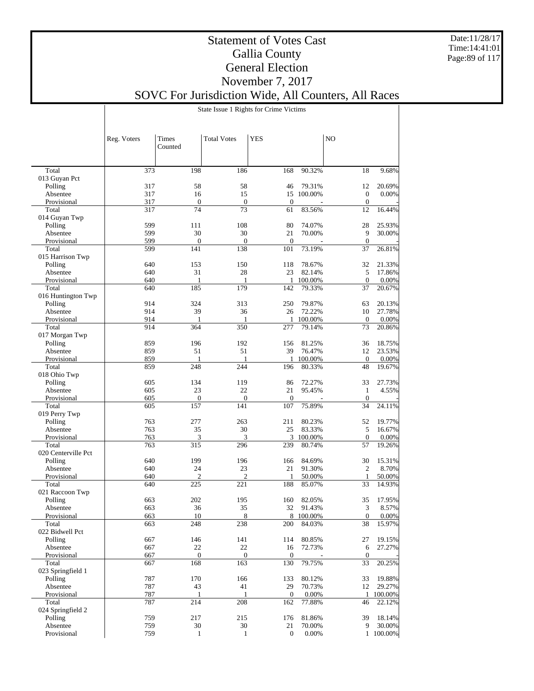Date:11/28/17 Time:14:41:01 Page:89 of 117

## Statement of Votes Cast Gallia County General Election November 7, 2017

SOVC For Jurisdiction Wide, All Counters, All Races

State Issue 1 Rights for Crime Victims

|                          | Reg. Voters | <b>Times</b><br>Counted | <b>Total Votes</b> | <b>YES</b>         |            | N <sub>O</sub>         |           |
|--------------------------|-------------|-------------------------|--------------------|--------------------|------------|------------------------|-----------|
|                          |             |                         |                    |                    |            |                        |           |
| Total                    | 373         | 198                     | 186                | 168                | 90.32%     | 18                     | 9.68%     |
| 013 Guyan Pct            |             |                         |                    |                    |            |                        |           |
| Polling                  | 317         | 58                      | 58                 | 46                 | 79.31%     | 12                     | 20.69%    |
| Absentee                 | 317         | 16                      | 15                 |                    | 15 100.00% | $\boldsymbol{0}$       | $0.00\%$  |
| Provisional              | 317         | $\mathbf{0}$            | $\mathbf{0}$       | $\theta$           |            | $\boldsymbol{0}$       |           |
| Total                    | 317         | 74                      | 73                 | 61                 | 83.56%     | 12                     | 16.44%    |
| 014 Guyan Twp            |             |                         |                    |                    |            |                        |           |
| Polling                  | 599         | 111                     | 108                | 80                 | 74.07%     | 28                     | 25.93%    |
| Absentee<br>Provisional  | 599<br>599  | 30<br>$\overline{0}$    | 30<br>$\mathbf{0}$ | 21<br>$\mathbf{0}$ | 70.00%     | 9                      | 30.00%    |
| Total                    | 599         | 141                     | 138                | 101                | 73.19%     | $\boldsymbol{0}$<br>37 | 26.81%    |
| 015 Harrison Twp         |             |                         |                    |                    |            |                        |           |
| Polling                  | 640         | 153                     | 150                | 118                | 78.67%     | 32                     | 21.33%    |
| Absentee                 | 640         | 31                      | 28                 | 23                 | 82.14%     | 5                      | 17.86%    |
| Provisional              | 640         | 1                       | 1                  | 1                  | 100.00%    | $\boldsymbol{0}$       | $0.00\%$  |
| Total                    | 640         | 185                     | 179                | 142                | 79.33%     | 37                     | 20.67%    |
| 016 Huntington Twp       |             |                         |                    |                    |            |                        |           |
| Polling                  | 914         | 324                     | 313                | 250                | 79.87%     | 63                     | 20.13%    |
| Absentee                 | 914         | 39                      | 36                 | 26                 | 72.22%     | 10                     | 27.78%    |
| Provisional              | 914         | $\mathbf{1}$            | 1                  | 1                  | 100.00%    | $\mathbf{0}$           | $0.00\%$  |
| Total                    | 914         | 364                     | 350                | 277                | 79.14%     | 73                     | 20.86%    |
| 017 Morgan Twp           |             |                         |                    |                    |            |                        |           |
| Polling                  | 859         | 196                     | 192                | 156                | 81.25%     | 36                     | 18.75%    |
| Absentee                 | 859         | 51                      | 51                 | 39                 | 76.47%     | 12                     | 23.53%    |
| Provisional              | 859         | $\mathbf{1}$            | 1                  | 1                  | 100.00%    | $\boldsymbol{0}$       | $0.00\%$  |
| Total                    | 859         | 248                     | 244                | 196                | 80.33%     | 48                     | 19.67%    |
| 018 Ohio Twp             |             |                         |                    |                    |            |                        |           |
| Polling                  | 605         | 134                     | 119<br>22          | 86                 | 72.27%     | 33                     | 27.73%    |
| Absentee                 | 605<br>605  | 23<br>$\overline{0}$    | $\mathbf{0}$       | 21<br>$\mathbf{0}$ | 95.45%     | 1<br>$\boldsymbol{0}$  | 4.55%     |
| Provisional<br>Total     | 605         | 157                     | 141                | 107                | 75.89%     | 34                     | 24.11%    |
| 019 Perry Twp            |             |                         |                    |                    |            |                        |           |
| Polling                  | 763         | 277                     | 263                | 211                | 80.23%     | 52                     | 19.77%    |
| Absentee                 | 763         | 35                      | 30                 | 25                 | 83.33%     | 5                      | 16.67%    |
| Provisional              | 763         | 3                       | $\mathfrak{Z}$     | 3                  | 100.00%    | $\boldsymbol{0}$       | $0.00\%$  |
| Total                    | 763         | 315                     | 296                | 239                | 80.74%     | 57                     | 19.26%    |
| 020 Centerville Pct      |             |                         |                    |                    |            |                        |           |
| Polling                  | 640         | 199                     | 196                | 166                | 84.69%     | 30                     | 15.31%    |
| Absentee                 | 640         | 24                      | 23                 | 21                 | 91.30%     | $\mathfrak{2}$         | 8.70%     |
| Provisional              | 640         | $\overline{2}$          | $\overline{c}$     | 1                  | 50.00%     | $\mathbf{1}$           | 50.00%    |
| Total                    | 640         | 225                     | 221                | 188                | 85.07%     | 33                     | 14.93%    |
| 021 Raccoon Twp          |             |                         |                    |                    |            |                        |           |
| Polling                  | 663         | 202                     | 195                | 160                | 82.05%     | 35                     | 17.95%    |
| Absentee                 | 663         | 36                      | 35                 | 32                 | 91.43%     | 3                      | 8.57%     |
| Provisional              | 663         | 10                      | 8                  | 8                  | 100.00%    | $\mathbf{0}$           | $0.00\%$  |
| Total<br>022 Bidwell Pct | 663         | 248                     | 238                | 200                | 84.03%     | 38                     | 15.97%    |
| Polling                  | 667         | 146                     | 141                | 114                | 80.85%     | 27                     | 19.15%    |
| Absentee                 | 667         | 22                      | $22\,$             | 16                 | 72.73%     | 6                      | 27.27%    |
| Provisional              | 667         | $\mathbf{0}$            | $\overline{0}$     | $\theta$           |            | $\overline{0}$         |           |
| Total                    | 667         | 168                     | 163                | 130                | 79.75%     | 33                     | 20.25%    |
| 023 Springfield 1        |             |                         |                    |                    |            |                        |           |
| Polling                  | 787         | 170                     | 166                | 133                | 80.12%     | 33                     | 19.88%    |
| Absentee                 | 787         | 43                      | 41                 | 29                 | 70.73%     | 12                     | 29.27%    |
| Provisional              | 787         | 1                       | $\mathbf{1}$       | $\mathbf{0}$       | 0.00%      | $\mathbf{1}$           | 100.00%   |
| Total                    | 787         | 214                     | 208                | 162                | 77.88%     | 46                     | 22.12%    |
| 024 Springfield 2        |             |                         |                    |                    |            |                        |           |
| Polling                  | 759         | 217                     | 215                | 176                | 81.86%     | 39                     | 18.14%    |
| Absentee                 | 759         | 30                      | 30                 | 21                 | 70.00%     | 9                      | 30.00%    |
| Provisional              | 759         | $\mathbf{1}$            | $\mathbf{1}$       | $\boldsymbol{0}$   | 0.00%      |                        | 1 100.00% |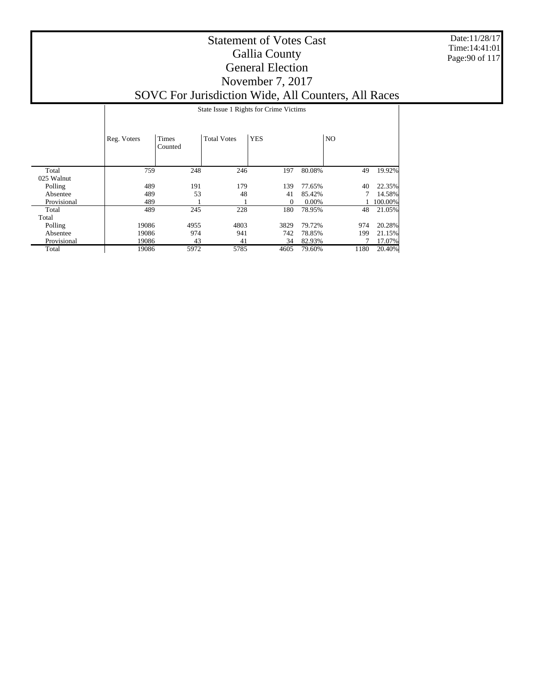Date:11/28/17 Time:14:41:01 Page:90 of 117

|             |             | State Issue 1 Rights for Crime Victims |                    |            |          |                |         |  |  |  |  |
|-------------|-------------|----------------------------------------|--------------------|------------|----------|----------------|---------|--|--|--|--|
|             | Reg. Voters | <b>Times</b><br>Counted                | <b>Total Votes</b> | <b>YES</b> |          | N <sub>O</sub> |         |  |  |  |  |
| Total       | 759         | 248                                    | 246                | 197        | 80.08%   | 49             | 19.92%  |  |  |  |  |
| 025 Walnut  |             |                                        |                    |            |          |                |         |  |  |  |  |
| Polling     | 489         | 191                                    | 179                | 139        | 77.65%   | 40             | 22.35%  |  |  |  |  |
| Absentee    | 489         | 53                                     | 48                 | 41         | 85.42%   |                | 14.58%  |  |  |  |  |
| Provisional | 489         |                                        |                    | 0          | $0.00\%$ |                | 100.00% |  |  |  |  |
| Total       | 489         | 245                                    | 228                | 180        | 78.95%   | 48             | 21.05%  |  |  |  |  |
| Total       |             |                                        |                    |            |          |                |         |  |  |  |  |
| Polling     | 19086       | 4955                                   | 4803               | 3829       | 79.72%   | 974            | 20.28%  |  |  |  |  |
| Absentee    | 19086       | 974                                    | 941                | 742        | 78.85%   | 199            | 21.15%  |  |  |  |  |
| Provisional | 19086       | 43                                     | 41                 | 34         | 82.93%   |                | 17.07%  |  |  |  |  |
| Total       | 19086       | 5972                                   | 5785               | 4605       | 79.60%   | 1180           | 20.40%  |  |  |  |  |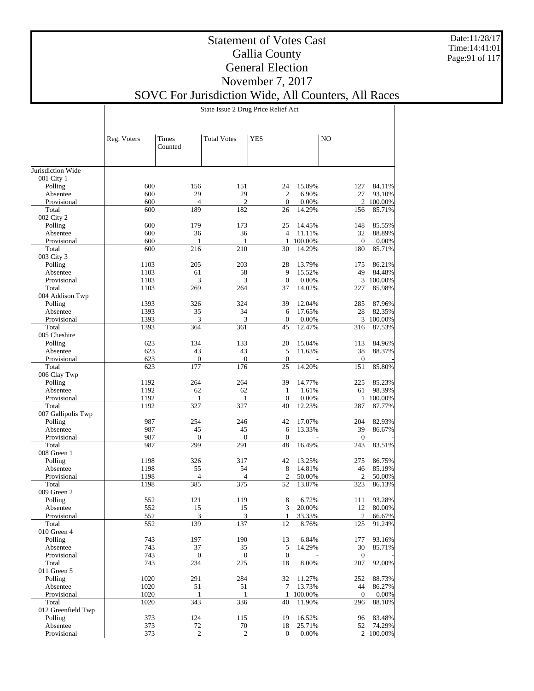Date:11/28/17 Time:14:41:01 Page:91 of 117

## Statement of Votes Cast Gallia County General Election November 7, 2017

# SOVC For Jurisdiction Wide, All Counters, All Races

State Issue 2 Drug Price Relief Act

| Counted<br>Jurisdiction Wide<br>001 City 1<br>600<br>156<br>151<br>24<br>15.89%<br>127<br>84.11%<br>Polling<br>600<br>29<br>29<br>$\overline{2}$<br>6.90%<br>27<br>93.10%<br>Absentee<br>600<br>$\overline{4}$<br>$\overline{2}$<br>$\mathbf{0}$<br>0.00%<br>100.00%<br>Provisional<br>2<br>600<br>189<br>182<br>14.29%<br>85.71%<br>Total<br>26<br>156<br>002 City 2<br>600<br>Polling<br>179<br>173<br>25<br>14.45%<br>148<br>85.55%<br>600<br>36<br>32<br>88.89%<br>Absentee<br>36<br>$\overline{4}$<br>11.11%<br>Provisional<br>600<br>1<br>1<br>1<br>100.00%<br>$\mathbf{0}$<br>0.00%<br>600<br>216<br>210<br>14.29%<br>180<br>85.71%<br>Total<br>30<br>003 City 3<br>203<br>28<br>86.21%<br>Polling<br>1103<br>205<br>13.79%<br>175<br>58<br>9<br>15.52%<br>49<br>84.48%<br>Absentee<br>1103<br>61<br>3<br>$\mathbf{0}$<br>3<br>100.00%<br>Provisional<br>1103<br>3<br>0.00%<br>1103<br>269<br>37<br>14.02%<br>85.98%<br>Total<br>264<br>227<br>004 Addison Twp<br>324<br>39<br>Polling<br>1393<br>326<br>12.04%<br>285<br>87.96%<br>1393<br>35<br>34<br>28<br>82.35%<br>Absentee<br>6<br>17.65%<br>3<br>3<br>3 100.00%<br>Provisional<br>1393<br>$\boldsymbol{0}$<br>0.00%<br>Total<br>1393<br>45<br>12.47%<br>87.53%<br>364<br>361<br>316<br>005 Cheshire<br>84.96%<br>Polling<br>623<br>134<br>133<br>20<br>15.04%<br>113<br>623<br>43<br>43<br>5<br>11.63%<br>38<br>88.37%<br>Absentee<br>$\boldsymbol{0}$<br>$\mathbf{0}$<br>$\boldsymbol{0}$<br>Provisional<br>623<br>$\mathbf{0}$<br>176<br>85.80%<br>Total<br>623<br>177<br>25<br>14.20%<br>151<br>006 Clay Twp<br>264<br>39<br>85.23%<br>Polling<br>1192<br>264<br>14.77%<br>225<br>1192<br>62<br>98.39%<br>Absentee<br>62<br>1<br>1.61%<br>61<br>$\mathbf{0}$<br>0.00%<br>Provisional<br>1192<br>1<br>100.00%<br>1<br>1<br>327<br>1192<br>327<br>40<br>12.23%<br>287<br>87.77%<br>Total<br>007 Gallipolis Twp<br>254<br>204<br>82.93%<br>Polling<br>987<br>246<br>42<br>17.07%<br>987<br>13.33%<br>39<br>86.67%<br>Absentee<br>45<br>45<br>6<br>Provisional<br>987<br>$\overline{0}$<br>$\mathbf{0}$<br>$\mathbf{0}$<br>$\mathbf{0}$<br>83.51%<br>Total<br>987<br>299<br>291<br>48<br>16.49%<br>243<br>008 Green 1<br>86.75%<br>1198<br>326<br>317<br>42<br>13.25%<br>275<br>Polling<br>54<br>8<br>85.19%<br>1198<br>55<br>14.81%<br>46<br>Absentee<br>2<br>Provisional<br>1198<br>4<br>4<br>2<br>50.00%<br>50.00%<br>385<br>375<br>Total<br>1198<br>52<br>13.87%<br>323<br>86.13%<br>009 Green 2<br>93.28%<br>Polling<br>552<br>121<br>119<br>8<br>6.72%<br>111<br>3<br>552<br>15<br>15<br>20.00%<br>12<br>80.00%<br>Absentee<br>$\mathbf{3}$<br>$\mathbf{R}$<br>33.33%<br>66.67%<br>Provisional<br>552<br>1<br>2<br>139<br>137<br>12<br>91.24%<br>Total<br>552<br>8.76%<br>125<br>010 Green 4<br>197<br>190<br>93.16%<br>Polling<br>743<br>13<br>6.84%<br>177<br>37<br>35<br>Absentee<br>743<br>5<br>14.29%<br>30<br>85.71%<br>Provisional<br>743<br>$\boldsymbol{0}$<br>$\boldsymbol{0}$<br>$\boldsymbol{0}$<br>$\boldsymbol{0}$<br>743<br>234<br>225<br>8.00%<br>92.00%<br>Total<br>18<br>207<br>011 Green 5<br>88.73%<br>Polling<br>1020<br>291<br>284<br>32<br>11.27%<br>252<br>51<br>86.27%<br>Absentee<br>1020<br>51<br>7<br>13.73%<br>44<br>1020<br>Provisional<br>$\mathbf{1}$<br>100.00%<br>$\boldsymbol{0}$<br>$0.00\%$<br>1<br>1<br>343<br>336<br>Total<br>1020<br>40<br>11.90%<br>296<br>88.10%<br>012 Greenfield Twp<br>83.48%<br>Polling<br>373<br>124<br>115<br>19<br>16.52%<br>96<br>Absentee<br>373<br>74.29%<br>72<br>70<br>18<br>25.71%<br>52<br>Provisional<br>373<br>$\overline{c}$<br>2<br>$\boldsymbol{0}$<br>0.00%<br>2 100.00% | Reg. Voters | Times | <b>Total Votes</b> | YES | NO |  |
|---------------------------------------------------------------------------------------------------------------------------------------------------------------------------------------------------------------------------------------------------------------------------------------------------------------------------------------------------------------------------------------------------------------------------------------------------------------------------------------------------------------------------------------------------------------------------------------------------------------------------------------------------------------------------------------------------------------------------------------------------------------------------------------------------------------------------------------------------------------------------------------------------------------------------------------------------------------------------------------------------------------------------------------------------------------------------------------------------------------------------------------------------------------------------------------------------------------------------------------------------------------------------------------------------------------------------------------------------------------------------------------------------------------------------------------------------------------------------------------------------------------------------------------------------------------------------------------------------------------------------------------------------------------------------------------------------------------------------------------------------------------------------------------------------------------------------------------------------------------------------------------------------------------------------------------------------------------------------------------------------------------------------------------------------------------------------------------------------------------------------------------------------------------------------------------------------------------------------------------------------------------------------------------------------------------------------------------------------------------------------------------------------------------------------------------------------------------------------------------------------------------------------------------------------------------------------------------------------------------------------------------------------------------------------------------------------------------------------------------------------------------------------------------------------------------------------------------------------------------------------------------------------------------------------------------------------------------------------------------------------------------------------------------------------------------------------------------------------------------------------------------------------------------------------------------------------------------------------------------------------------------------------------------------------------------------------------------------------------------------------------------------------------------------------------------------------------------------------------------------------------------------------------------------------------------------------------------------------------------------------|-------------|-------|--------------------|-----|----|--|
|                                                                                                                                                                                                                                                                                                                                                                                                                                                                                                                                                                                                                                                                                                                                                                                                                                                                                                                                                                                                                                                                                                                                                                                                                                                                                                                                                                                                                                                                                                                                                                                                                                                                                                                                                                                                                                                                                                                                                                                                                                                                                                                                                                                                                                                                                                                                                                                                                                                                                                                                                                                                                                                                                                                                                                                                                                                                                                                                                                                                                                                                                                                                                                                                                                                                                                                                                                                                                                                                                                                                                                                                                           |             |       |                    |     |    |  |
|                                                                                                                                                                                                                                                                                                                                                                                                                                                                                                                                                                                                                                                                                                                                                                                                                                                                                                                                                                                                                                                                                                                                                                                                                                                                                                                                                                                                                                                                                                                                                                                                                                                                                                                                                                                                                                                                                                                                                                                                                                                                                                                                                                                                                                                                                                                                                                                                                                                                                                                                                                                                                                                                                                                                                                                                                                                                                                                                                                                                                                                                                                                                                                                                                                                                                                                                                                                                                                                                                                                                                                                                                           |             |       |                    |     |    |  |
|                                                                                                                                                                                                                                                                                                                                                                                                                                                                                                                                                                                                                                                                                                                                                                                                                                                                                                                                                                                                                                                                                                                                                                                                                                                                                                                                                                                                                                                                                                                                                                                                                                                                                                                                                                                                                                                                                                                                                                                                                                                                                                                                                                                                                                                                                                                                                                                                                                                                                                                                                                                                                                                                                                                                                                                                                                                                                                                                                                                                                                                                                                                                                                                                                                                                                                                                                                                                                                                                                                                                                                                                                           |             |       |                    |     |    |  |
|                                                                                                                                                                                                                                                                                                                                                                                                                                                                                                                                                                                                                                                                                                                                                                                                                                                                                                                                                                                                                                                                                                                                                                                                                                                                                                                                                                                                                                                                                                                                                                                                                                                                                                                                                                                                                                                                                                                                                                                                                                                                                                                                                                                                                                                                                                                                                                                                                                                                                                                                                                                                                                                                                                                                                                                                                                                                                                                                                                                                                                                                                                                                                                                                                                                                                                                                                                                                                                                                                                                                                                                                                           |             |       |                    |     |    |  |
|                                                                                                                                                                                                                                                                                                                                                                                                                                                                                                                                                                                                                                                                                                                                                                                                                                                                                                                                                                                                                                                                                                                                                                                                                                                                                                                                                                                                                                                                                                                                                                                                                                                                                                                                                                                                                                                                                                                                                                                                                                                                                                                                                                                                                                                                                                                                                                                                                                                                                                                                                                                                                                                                                                                                                                                                                                                                                                                                                                                                                                                                                                                                                                                                                                                                                                                                                                                                                                                                                                                                                                                                                           |             |       |                    |     |    |  |
|                                                                                                                                                                                                                                                                                                                                                                                                                                                                                                                                                                                                                                                                                                                                                                                                                                                                                                                                                                                                                                                                                                                                                                                                                                                                                                                                                                                                                                                                                                                                                                                                                                                                                                                                                                                                                                                                                                                                                                                                                                                                                                                                                                                                                                                                                                                                                                                                                                                                                                                                                                                                                                                                                                                                                                                                                                                                                                                                                                                                                                                                                                                                                                                                                                                                                                                                                                                                                                                                                                                                                                                                                           |             |       |                    |     |    |  |
|                                                                                                                                                                                                                                                                                                                                                                                                                                                                                                                                                                                                                                                                                                                                                                                                                                                                                                                                                                                                                                                                                                                                                                                                                                                                                                                                                                                                                                                                                                                                                                                                                                                                                                                                                                                                                                                                                                                                                                                                                                                                                                                                                                                                                                                                                                                                                                                                                                                                                                                                                                                                                                                                                                                                                                                                                                                                                                                                                                                                                                                                                                                                                                                                                                                                                                                                                                                                                                                                                                                                                                                                                           |             |       |                    |     |    |  |
|                                                                                                                                                                                                                                                                                                                                                                                                                                                                                                                                                                                                                                                                                                                                                                                                                                                                                                                                                                                                                                                                                                                                                                                                                                                                                                                                                                                                                                                                                                                                                                                                                                                                                                                                                                                                                                                                                                                                                                                                                                                                                                                                                                                                                                                                                                                                                                                                                                                                                                                                                                                                                                                                                                                                                                                                                                                                                                                                                                                                                                                                                                                                                                                                                                                                                                                                                                                                                                                                                                                                                                                                                           |             |       |                    |     |    |  |
|                                                                                                                                                                                                                                                                                                                                                                                                                                                                                                                                                                                                                                                                                                                                                                                                                                                                                                                                                                                                                                                                                                                                                                                                                                                                                                                                                                                                                                                                                                                                                                                                                                                                                                                                                                                                                                                                                                                                                                                                                                                                                                                                                                                                                                                                                                                                                                                                                                                                                                                                                                                                                                                                                                                                                                                                                                                                                                                                                                                                                                                                                                                                                                                                                                                                                                                                                                                                                                                                                                                                                                                                                           |             |       |                    |     |    |  |
|                                                                                                                                                                                                                                                                                                                                                                                                                                                                                                                                                                                                                                                                                                                                                                                                                                                                                                                                                                                                                                                                                                                                                                                                                                                                                                                                                                                                                                                                                                                                                                                                                                                                                                                                                                                                                                                                                                                                                                                                                                                                                                                                                                                                                                                                                                                                                                                                                                                                                                                                                                                                                                                                                                                                                                                                                                                                                                                                                                                                                                                                                                                                                                                                                                                                                                                                                                                                                                                                                                                                                                                                                           |             |       |                    |     |    |  |
|                                                                                                                                                                                                                                                                                                                                                                                                                                                                                                                                                                                                                                                                                                                                                                                                                                                                                                                                                                                                                                                                                                                                                                                                                                                                                                                                                                                                                                                                                                                                                                                                                                                                                                                                                                                                                                                                                                                                                                                                                                                                                                                                                                                                                                                                                                                                                                                                                                                                                                                                                                                                                                                                                                                                                                                                                                                                                                                                                                                                                                                                                                                                                                                                                                                                                                                                                                                                                                                                                                                                                                                                                           |             |       |                    |     |    |  |
|                                                                                                                                                                                                                                                                                                                                                                                                                                                                                                                                                                                                                                                                                                                                                                                                                                                                                                                                                                                                                                                                                                                                                                                                                                                                                                                                                                                                                                                                                                                                                                                                                                                                                                                                                                                                                                                                                                                                                                                                                                                                                                                                                                                                                                                                                                                                                                                                                                                                                                                                                                                                                                                                                                                                                                                                                                                                                                                                                                                                                                                                                                                                                                                                                                                                                                                                                                                                                                                                                                                                                                                                                           |             |       |                    |     |    |  |
|                                                                                                                                                                                                                                                                                                                                                                                                                                                                                                                                                                                                                                                                                                                                                                                                                                                                                                                                                                                                                                                                                                                                                                                                                                                                                                                                                                                                                                                                                                                                                                                                                                                                                                                                                                                                                                                                                                                                                                                                                                                                                                                                                                                                                                                                                                                                                                                                                                                                                                                                                                                                                                                                                                                                                                                                                                                                                                                                                                                                                                                                                                                                                                                                                                                                                                                                                                                                                                                                                                                                                                                                                           |             |       |                    |     |    |  |
|                                                                                                                                                                                                                                                                                                                                                                                                                                                                                                                                                                                                                                                                                                                                                                                                                                                                                                                                                                                                                                                                                                                                                                                                                                                                                                                                                                                                                                                                                                                                                                                                                                                                                                                                                                                                                                                                                                                                                                                                                                                                                                                                                                                                                                                                                                                                                                                                                                                                                                                                                                                                                                                                                                                                                                                                                                                                                                                                                                                                                                                                                                                                                                                                                                                                                                                                                                                                                                                                                                                                                                                                                           |             |       |                    |     |    |  |
|                                                                                                                                                                                                                                                                                                                                                                                                                                                                                                                                                                                                                                                                                                                                                                                                                                                                                                                                                                                                                                                                                                                                                                                                                                                                                                                                                                                                                                                                                                                                                                                                                                                                                                                                                                                                                                                                                                                                                                                                                                                                                                                                                                                                                                                                                                                                                                                                                                                                                                                                                                                                                                                                                                                                                                                                                                                                                                                                                                                                                                                                                                                                                                                                                                                                                                                                                                                                                                                                                                                                                                                                                           |             |       |                    |     |    |  |
|                                                                                                                                                                                                                                                                                                                                                                                                                                                                                                                                                                                                                                                                                                                                                                                                                                                                                                                                                                                                                                                                                                                                                                                                                                                                                                                                                                                                                                                                                                                                                                                                                                                                                                                                                                                                                                                                                                                                                                                                                                                                                                                                                                                                                                                                                                                                                                                                                                                                                                                                                                                                                                                                                                                                                                                                                                                                                                                                                                                                                                                                                                                                                                                                                                                                                                                                                                                                                                                                                                                                                                                                                           |             |       |                    |     |    |  |
|                                                                                                                                                                                                                                                                                                                                                                                                                                                                                                                                                                                                                                                                                                                                                                                                                                                                                                                                                                                                                                                                                                                                                                                                                                                                                                                                                                                                                                                                                                                                                                                                                                                                                                                                                                                                                                                                                                                                                                                                                                                                                                                                                                                                                                                                                                                                                                                                                                                                                                                                                                                                                                                                                                                                                                                                                                                                                                                                                                                                                                                                                                                                                                                                                                                                                                                                                                                                                                                                                                                                                                                                                           |             |       |                    |     |    |  |
|                                                                                                                                                                                                                                                                                                                                                                                                                                                                                                                                                                                                                                                                                                                                                                                                                                                                                                                                                                                                                                                                                                                                                                                                                                                                                                                                                                                                                                                                                                                                                                                                                                                                                                                                                                                                                                                                                                                                                                                                                                                                                                                                                                                                                                                                                                                                                                                                                                                                                                                                                                                                                                                                                                                                                                                                                                                                                                                                                                                                                                                                                                                                                                                                                                                                                                                                                                                                                                                                                                                                                                                                                           |             |       |                    |     |    |  |
|                                                                                                                                                                                                                                                                                                                                                                                                                                                                                                                                                                                                                                                                                                                                                                                                                                                                                                                                                                                                                                                                                                                                                                                                                                                                                                                                                                                                                                                                                                                                                                                                                                                                                                                                                                                                                                                                                                                                                                                                                                                                                                                                                                                                                                                                                                                                                                                                                                                                                                                                                                                                                                                                                                                                                                                                                                                                                                                                                                                                                                                                                                                                                                                                                                                                                                                                                                                                                                                                                                                                                                                                                           |             |       |                    |     |    |  |
|                                                                                                                                                                                                                                                                                                                                                                                                                                                                                                                                                                                                                                                                                                                                                                                                                                                                                                                                                                                                                                                                                                                                                                                                                                                                                                                                                                                                                                                                                                                                                                                                                                                                                                                                                                                                                                                                                                                                                                                                                                                                                                                                                                                                                                                                                                                                                                                                                                                                                                                                                                                                                                                                                                                                                                                                                                                                                                                                                                                                                                                                                                                                                                                                                                                                                                                                                                                                                                                                                                                                                                                                                           |             |       |                    |     |    |  |
|                                                                                                                                                                                                                                                                                                                                                                                                                                                                                                                                                                                                                                                                                                                                                                                                                                                                                                                                                                                                                                                                                                                                                                                                                                                                                                                                                                                                                                                                                                                                                                                                                                                                                                                                                                                                                                                                                                                                                                                                                                                                                                                                                                                                                                                                                                                                                                                                                                                                                                                                                                                                                                                                                                                                                                                                                                                                                                                                                                                                                                                                                                                                                                                                                                                                                                                                                                                                                                                                                                                                                                                                                           |             |       |                    |     |    |  |
|                                                                                                                                                                                                                                                                                                                                                                                                                                                                                                                                                                                                                                                                                                                                                                                                                                                                                                                                                                                                                                                                                                                                                                                                                                                                                                                                                                                                                                                                                                                                                                                                                                                                                                                                                                                                                                                                                                                                                                                                                                                                                                                                                                                                                                                                                                                                                                                                                                                                                                                                                                                                                                                                                                                                                                                                                                                                                                                                                                                                                                                                                                                                                                                                                                                                                                                                                                                                                                                                                                                                                                                                                           |             |       |                    |     |    |  |
|                                                                                                                                                                                                                                                                                                                                                                                                                                                                                                                                                                                                                                                                                                                                                                                                                                                                                                                                                                                                                                                                                                                                                                                                                                                                                                                                                                                                                                                                                                                                                                                                                                                                                                                                                                                                                                                                                                                                                                                                                                                                                                                                                                                                                                                                                                                                                                                                                                                                                                                                                                                                                                                                                                                                                                                                                                                                                                                                                                                                                                                                                                                                                                                                                                                                                                                                                                                                                                                                                                                                                                                                                           |             |       |                    |     |    |  |
|                                                                                                                                                                                                                                                                                                                                                                                                                                                                                                                                                                                                                                                                                                                                                                                                                                                                                                                                                                                                                                                                                                                                                                                                                                                                                                                                                                                                                                                                                                                                                                                                                                                                                                                                                                                                                                                                                                                                                                                                                                                                                                                                                                                                                                                                                                                                                                                                                                                                                                                                                                                                                                                                                                                                                                                                                                                                                                                                                                                                                                                                                                                                                                                                                                                                                                                                                                                                                                                                                                                                                                                                                           |             |       |                    |     |    |  |
|                                                                                                                                                                                                                                                                                                                                                                                                                                                                                                                                                                                                                                                                                                                                                                                                                                                                                                                                                                                                                                                                                                                                                                                                                                                                                                                                                                                                                                                                                                                                                                                                                                                                                                                                                                                                                                                                                                                                                                                                                                                                                                                                                                                                                                                                                                                                                                                                                                                                                                                                                                                                                                                                                                                                                                                                                                                                                                                                                                                                                                                                                                                                                                                                                                                                                                                                                                                                                                                                                                                                                                                                                           |             |       |                    |     |    |  |
|                                                                                                                                                                                                                                                                                                                                                                                                                                                                                                                                                                                                                                                                                                                                                                                                                                                                                                                                                                                                                                                                                                                                                                                                                                                                                                                                                                                                                                                                                                                                                                                                                                                                                                                                                                                                                                                                                                                                                                                                                                                                                                                                                                                                                                                                                                                                                                                                                                                                                                                                                                                                                                                                                                                                                                                                                                                                                                                                                                                                                                                                                                                                                                                                                                                                                                                                                                                                                                                                                                                                                                                                                           |             |       |                    |     |    |  |
|                                                                                                                                                                                                                                                                                                                                                                                                                                                                                                                                                                                                                                                                                                                                                                                                                                                                                                                                                                                                                                                                                                                                                                                                                                                                                                                                                                                                                                                                                                                                                                                                                                                                                                                                                                                                                                                                                                                                                                                                                                                                                                                                                                                                                                                                                                                                                                                                                                                                                                                                                                                                                                                                                                                                                                                                                                                                                                                                                                                                                                                                                                                                                                                                                                                                                                                                                                                                                                                                                                                                                                                                                           |             |       |                    |     |    |  |
|                                                                                                                                                                                                                                                                                                                                                                                                                                                                                                                                                                                                                                                                                                                                                                                                                                                                                                                                                                                                                                                                                                                                                                                                                                                                                                                                                                                                                                                                                                                                                                                                                                                                                                                                                                                                                                                                                                                                                                                                                                                                                                                                                                                                                                                                                                                                                                                                                                                                                                                                                                                                                                                                                                                                                                                                                                                                                                                                                                                                                                                                                                                                                                                                                                                                                                                                                                                                                                                                                                                                                                                                                           |             |       |                    |     |    |  |
|                                                                                                                                                                                                                                                                                                                                                                                                                                                                                                                                                                                                                                                                                                                                                                                                                                                                                                                                                                                                                                                                                                                                                                                                                                                                                                                                                                                                                                                                                                                                                                                                                                                                                                                                                                                                                                                                                                                                                                                                                                                                                                                                                                                                                                                                                                                                                                                                                                                                                                                                                                                                                                                                                                                                                                                                                                                                                                                                                                                                                                                                                                                                                                                                                                                                                                                                                                                                                                                                                                                                                                                                                           |             |       |                    |     |    |  |
|                                                                                                                                                                                                                                                                                                                                                                                                                                                                                                                                                                                                                                                                                                                                                                                                                                                                                                                                                                                                                                                                                                                                                                                                                                                                                                                                                                                                                                                                                                                                                                                                                                                                                                                                                                                                                                                                                                                                                                                                                                                                                                                                                                                                                                                                                                                                                                                                                                                                                                                                                                                                                                                                                                                                                                                                                                                                                                                                                                                                                                                                                                                                                                                                                                                                                                                                                                                                                                                                                                                                                                                                                           |             |       |                    |     |    |  |
|                                                                                                                                                                                                                                                                                                                                                                                                                                                                                                                                                                                                                                                                                                                                                                                                                                                                                                                                                                                                                                                                                                                                                                                                                                                                                                                                                                                                                                                                                                                                                                                                                                                                                                                                                                                                                                                                                                                                                                                                                                                                                                                                                                                                                                                                                                                                                                                                                                                                                                                                                                                                                                                                                                                                                                                                                                                                                                                                                                                                                                                                                                                                                                                                                                                                                                                                                                                                                                                                                                                                                                                                                           |             |       |                    |     |    |  |
|                                                                                                                                                                                                                                                                                                                                                                                                                                                                                                                                                                                                                                                                                                                                                                                                                                                                                                                                                                                                                                                                                                                                                                                                                                                                                                                                                                                                                                                                                                                                                                                                                                                                                                                                                                                                                                                                                                                                                                                                                                                                                                                                                                                                                                                                                                                                                                                                                                                                                                                                                                                                                                                                                                                                                                                                                                                                                                                                                                                                                                                                                                                                                                                                                                                                                                                                                                                                                                                                                                                                                                                                                           |             |       |                    |     |    |  |
|                                                                                                                                                                                                                                                                                                                                                                                                                                                                                                                                                                                                                                                                                                                                                                                                                                                                                                                                                                                                                                                                                                                                                                                                                                                                                                                                                                                                                                                                                                                                                                                                                                                                                                                                                                                                                                                                                                                                                                                                                                                                                                                                                                                                                                                                                                                                                                                                                                                                                                                                                                                                                                                                                                                                                                                                                                                                                                                                                                                                                                                                                                                                                                                                                                                                                                                                                                                                                                                                                                                                                                                                                           |             |       |                    |     |    |  |
|                                                                                                                                                                                                                                                                                                                                                                                                                                                                                                                                                                                                                                                                                                                                                                                                                                                                                                                                                                                                                                                                                                                                                                                                                                                                                                                                                                                                                                                                                                                                                                                                                                                                                                                                                                                                                                                                                                                                                                                                                                                                                                                                                                                                                                                                                                                                                                                                                                                                                                                                                                                                                                                                                                                                                                                                                                                                                                                                                                                                                                                                                                                                                                                                                                                                                                                                                                                                                                                                                                                                                                                                                           |             |       |                    |     |    |  |
|                                                                                                                                                                                                                                                                                                                                                                                                                                                                                                                                                                                                                                                                                                                                                                                                                                                                                                                                                                                                                                                                                                                                                                                                                                                                                                                                                                                                                                                                                                                                                                                                                                                                                                                                                                                                                                                                                                                                                                                                                                                                                                                                                                                                                                                                                                                                                                                                                                                                                                                                                                                                                                                                                                                                                                                                                                                                                                                                                                                                                                                                                                                                                                                                                                                                                                                                                                                                                                                                                                                                                                                                                           |             |       |                    |     |    |  |
|                                                                                                                                                                                                                                                                                                                                                                                                                                                                                                                                                                                                                                                                                                                                                                                                                                                                                                                                                                                                                                                                                                                                                                                                                                                                                                                                                                                                                                                                                                                                                                                                                                                                                                                                                                                                                                                                                                                                                                                                                                                                                                                                                                                                                                                                                                                                                                                                                                                                                                                                                                                                                                                                                                                                                                                                                                                                                                                                                                                                                                                                                                                                                                                                                                                                                                                                                                                                                                                                                                                                                                                                                           |             |       |                    |     |    |  |
|                                                                                                                                                                                                                                                                                                                                                                                                                                                                                                                                                                                                                                                                                                                                                                                                                                                                                                                                                                                                                                                                                                                                                                                                                                                                                                                                                                                                                                                                                                                                                                                                                                                                                                                                                                                                                                                                                                                                                                                                                                                                                                                                                                                                                                                                                                                                                                                                                                                                                                                                                                                                                                                                                                                                                                                                                                                                                                                                                                                                                                                                                                                                                                                                                                                                                                                                                                                                                                                                                                                                                                                                                           |             |       |                    |     |    |  |
|                                                                                                                                                                                                                                                                                                                                                                                                                                                                                                                                                                                                                                                                                                                                                                                                                                                                                                                                                                                                                                                                                                                                                                                                                                                                                                                                                                                                                                                                                                                                                                                                                                                                                                                                                                                                                                                                                                                                                                                                                                                                                                                                                                                                                                                                                                                                                                                                                                                                                                                                                                                                                                                                                                                                                                                                                                                                                                                                                                                                                                                                                                                                                                                                                                                                                                                                                                                                                                                                                                                                                                                                                           |             |       |                    |     |    |  |
|                                                                                                                                                                                                                                                                                                                                                                                                                                                                                                                                                                                                                                                                                                                                                                                                                                                                                                                                                                                                                                                                                                                                                                                                                                                                                                                                                                                                                                                                                                                                                                                                                                                                                                                                                                                                                                                                                                                                                                                                                                                                                                                                                                                                                                                                                                                                                                                                                                                                                                                                                                                                                                                                                                                                                                                                                                                                                                                                                                                                                                                                                                                                                                                                                                                                                                                                                                                                                                                                                                                                                                                                                           |             |       |                    |     |    |  |
|                                                                                                                                                                                                                                                                                                                                                                                                                                                                                                                                                                                                                                                                                                                                                                                                                                                                                                                                                                                                                                                                                                                                                                                                                                                                                                                                                                                                                                                                                                                                                                                                                                                                                                                                                                                                                                                                                                                                                                                                                                                                                                                                                                                                                                                                                                                                                                                                                                                                                                                                                                                                                                                                                                                                                                                                                                                                                                                                                                                                                                                                                                                                                                                                                                                                                                                                                                                                                                                                                                                                                                                                                           |             |       |                    |     |    |  |
|                                                                                                                                                                                                                                                                                                                                                                                                                                                                                                                                                                                                                                                                                                                                                                                                                                                                                                                                                                                                                                                                                                                                                                                                                                                                                                                                                                                                                                                                                                                                                                                                                                                                                                                                                                                                                                                                                                                                                                                                                                                                                                                                                                                                                                                                                                                                                                                                                                                                                                                                                                                                                                                                                                                                                                                                                                                                                                                                                                                                                                                                                                                                                                                                                                                                                                                                                                                                                                                                                                                                                                                                                           |             |       |                    |     |    |  |
|                                                                                                                                                                                                                                                                                                                                                                                                                                                                                                                                                                                                                                                                                                                                                                                                                                                                                                                                                                                                                                                                                                                                                                                                                                                                                                                                                                                                                                                                                                                                                                                                                                                                                                                                                                                                                                                                                                                                                                                                                                                                                                                                                                                                                                                                                                                                                                                                                                                                                                                                                                                                                                                                                                                                                                                                                                                                                                                                                                                                                                                                                                                                                                                                                                                                                                                                                                                                                                                                                                                                                                                                                           |             |       |                    |     |    |  |
|                                                                                                                                                                                                                                                                                                                                                                                                                                                                                                                                                                                                                                                                                                                                                                                                                                                                                                                                                                                                                                                                                                                                                                                                                                                                                                                                                                                                                                                                                                                                                                                                                                                                                                                                                                                                                                                                                                                                                                                                                                                                                                                                                                                                                                                                                                                                                                                                                                                                                                                                                                                                                                                                                                                                                                                                                                                                                                                                                                                                                                                                                                                                                                                                                                                                                                                                                                                                                                                                                                                                                                                                                           |             |       |                    |     |    |  |
|                                                                                                                                                                                                                                                                                                                                                                                                                                                                                                                                                                                                                                                                                                                                                                                                                                                                                                                                                                                                                                                                                                                                                                                                                                                                                                                                                                                                                                                                                                                                                                                                                                                                                                                                                                                                                                                                                                                                                                                                                                                                                                                                                                                                                                                                                                                                                                                                                                                                                                                                                                                                                                                                                                                                                                                                                                                                                                                                                                                                                                                                                                                                                                                                                                                                                                                                                                                                                                                                                                                                                                                                                           |             |       |                    |     |    |  |
|                                                                                                                                                                                                                                                                                                                                                                                                                                                                                                                                                                                                                                                                                                                                                                                                                                                                                                                                                                                                                                                                                                                                                                                                                                                                                                                                                                                                                                                                                                                                                                                                                                                                                                                                                                                                                                                                                                                                                                                                                                                                                                                                                                                                                                                                                                                                                                                                                                                                                                                                                                                                                                                                                                                                                                                                                                                                                                                                                                                                                                                                                                                                                                                                                                                                                                                                                                                                                                                                                                                                                                                                                           |             |       |                    |     |    |  |
|                                                                                                                                                                                                                                                                                                                                                                                                                                                                                                                                                                                                                                                                                                                                                                                                                                                                                                                                                                                                                                                                                                                                                                                                                                                                                                                                                                                                                                                                                                                                                                                                                                                                                                                                                                                                                                                                                                                                                                                                                                                                                                                                                                                                                                                                                                                                                                                                                                                                                                                                                                                                                                                                                                                                                                                                                                                                                                                                                                                                                                                                                                                                                                                                                                                                                                                                                                                                                                                                                                                                                                                                                           |             |       |                    |     |    |  |
|                                                                                                                                                                                                                                                                                                                                                                                                                                                                                                                                                                                                                                                                                                                                                                                                                                                                                                                                                                                                                                                                                                                                                                                                                                                                                                                                                                                                                                                                                                                                                                                                                                                                                                                                                                                                                                                                                                                                                                                                                                                                                                                                                                                                                                                                                                                                                                                                                                                                                                                                                                                                                                                                                                                                                                                                                                                                                                                                                                                                                                                                                                                                                                                                                                                                                                                                                                                                                                                                                                                                                                                                                           |             |       |                    |     |    |  |
|                                                                                                                                                                                                                                                                                                                                                                                                                                                                                                                                                                                                                                                                                                                                                                                                                                                                                                                                                                                                                                                                                                                                                                                                                                                                                                                                                                                                                                                                                                                                                                                                                                                                                                                                                                                                                                                                                                                                                                                                                                                                                                                                                                                                                                                                                                                                                                                                                                                                                                                                                                                                                                                                                                                                                                                                                                                                                                                                                                                                                                                                                                                                                                                                                                                                                                                                                                                                                                                                                                                                                                                                                           |             |       |                    |     |    |  |
|                                                                                                                                                                                                                                                                                                                                                                                                                                                                                                                                                                                                                                                                                                                                                                                                                                                                                                                                                                                                                                                                                                                                                                                                                                                                                                                                                                                                                                                                                                                                                                                                                                                                                                                                                                                                                                                                                                                                                                                                                                                                                                                                                                                                                                                                                                                                                                                                                                                                                                                                                                                                                                                                                                                                                                                                                                                                                                                                                                                                                                                                                                                                                                                                                                                                                                                                                                                                                                                                                                                                                                                                                           |             |       |                    |     |    |  |
|                                                                                                                                                                                                                                                                                                                                                                                                                                                                                                                                                                                                                                                                                                                                                                                                                                                                                                                                                                                                                                                                                                                                                                                                                                                                                                                                                                                                                                                                                                                                                                                                                                                                                                                                                                                                                                                                                                                                                                                                                                                                                                                                                                                                                                                                                                                                                                                                                                                                                                                                                                                                                                                                                                                                                                                                                                                                                                                                                                                                                                                                                                                                                                                                                                                                                                                                                                                                                                                                                                                                                                                                                           |             |       |                    |     |    |  |
|                                                                                                                                                                                                                                                                                                                                                                                                                                                                                                                                                                                                                                                                                                                                                                                                                                                                                                                                                                                                                                                                                                                                                                                                                                                                                                                                                                                                                                                                                                                                                                                                                                                                                                                                                                                                                                                                                                                                                                                                                                                                                                                                                                                                                                                                                                                                                                                                                                                                                                                                                                                                                                                                                                                                                                                                                                                                                                                                                                                                                                                                                                                                                                                                                                                                                                                                                                                                                                                                                                                                                                                                                           |             |       |                    |     |    |  |
|                                                                                                                                                                                                                                                                                                                                                                                                                                                                                                                                                                                                                                                                                                                                                                                                                                                                                                                                                                                                                                                                                                                                                                                                                                                                                                                                                                                                                                                                                                                                                                                                                                                                                                                                                                                                                                                                                                                                                                                                                                                                                                                                                                                                                                                                                                                                                                                                                                                                                                                                                                                                                                                                                                                                                                                                                                                                                                                                                                                                                                                                                                                                                                                                                                                                                                                                                                                                                                                                                                                                                                                                                           |             |       |                    |     |    |  |
|                                                                                                                                                                                                                                                                                                                                                                                                                                                                                                                                                                                                                                                                                                                                                                                                                                                                                                                                                                                                                                                                                                                                                                                                                                                                                                                                                                                                                                                                                                                                                                                                                                                                                                                                                                                                                                                                                                                                                                                                                                                                                                                                                                                                                                                                                                                                                                                                                                                                                                                                                                                                                                                                                                                                                                                                                                                                                                                                                                                                                                                                                                                                                                                                                                                                                                                                                                                                                                                                                                                                                                                                                           |             |       |                    |     |    |  |
|                                                                                                                                                                                                                                                                                                                                                                                                                                                                                                                                                                                                                                                                                                                                                                                                                                                                                                                                                                                                                                                                                                                                                                                                                                                                                                                                                                                                                                                                                                                                                                                                                                                                                                                                                                                                                                                                                                                                                                                                                                                                                                                                                                                                                                                                                                                                                                                                                                                                                                                                                                                                                                                                                                                                                                                                                                                                                                                                                                                                                                                                                                                                                                                                                                                                                                                                                                                                                                                                                                                                                                                                                           |             |       |                    |     |    |  |
|                                                                                                                                                                                                                                                                                                                                                                                                                                                                                                                                                                                                                                                                                                                                                                                                                                                                                                                                                                                                                                                                                                                                                                                                                                                                                                                                                                                                                                                                                                                                                                                                                                                                                                                                                                                                                                                                                                                                                                                                                                                                                                                                                                                                                                                                                                                                                                                                                                                                                                                                                                                                                                                                                                                                                                                                                                                                                                                                                                                                                                                                                                                                                                                                                                                                                                                                                                                                                                                                                                                                                                                                                           |             |       |                    |     |    |  |
|                                                                                                                                                                                                                                                                                                                                                                                                                                                                                                                                                                                                                                                                                                                                                                                                                                                                                                                                                                                                                                                                                                                                                                                                                                                                                                                                                                                                                                                                                                                                                                                                                                                                                                                                                                                                                                                                                                                                                                                                                                                                                                                                                                                                                                                                                                                                                                                                                                                                                                                                                                                                                                                                                                                                                                                                                                                                                                                                                                                                                                                                                                                                                                                                                                                                                                                                                                                                                                                                                                                                                                                                                           |             |       |                    |     |    |  |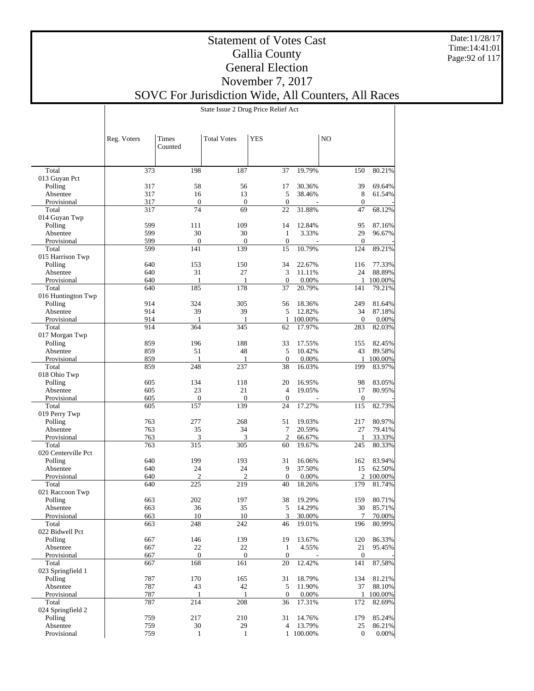Date:11/28/17 Time:14:41:01 Page:92 of 117

## Statement of Votes Cast Gallia County General Election November 7, 2017

## SOVC For Jurisdiction Wide, All Counters, All Races

State Issue 2 Drug Price Relief Act

|                         | Reg. Voters | <b>Times</b><br>Counted | <b>Total Votes</b>     | <b>YES</b>          |                         | N <sub>O</sub>      |                                    |
|-------------------------|-------------|-------------------------|------------------------|---------------------|-------------------------|---------------------|------------------------------------|
|                         |             |                         |                        |                     |                         |                     |                                    |
| Total                   | 373         | 198                     | 187                    | 37                  | 19.79%                  | 150                 | 80.21%                             |
| 013 Guyan Pct           |             |                         |                        |                     |                         |                     |                                    |
| Polling                 | 317         | 58                      | 56                     | 17                  | 30.36%                  | 39                  | 69.64%                             |
| Absentee                | 317         | 16                      | 13                     | 5                   | 38.46%                  | 8                   | 61.54%                             |
| Provisional<br>Total    | 317<br>317  | $\mathbf{0}$<br>74      | $\boldsymbol{0}$<br>69 | $\theta$<br>22      | 31.88%                  | $\mathbf{0}$<br>47  | 68.12%                             |
| 014 Guyan Twp           |             |                         |                        |                     |                         |                     |                                    |
| Polling                 | 599         | 111                     | 109                    | 14                  | 12.84%                  | 95                  | 87.16%                             |
| Absentee                | 599         | 30                      | 30                     | 1                   | 3.33%                   | 29                  | 96.67%                             |
| Provisional             | 599         | $\mathbf{0}$            | $\mathbf{0}$           | $\mathbf{0}$        |                         | $\mathbf{0}$        |                                    |
| Total                   | 599         | 141                     | 139                    | 15                  | 10.79%                  | 124                 | 89.21%                             |
| 015 Harrison Twp        |             |                         |                        |                     |                         |                     |                                    |
| Polling                 | 640         | 153                     | 150                    | 34                  | 22.67%                  | 116                 | 77.33%                             |
| Absentee                | 640         | 31                      | 27                     | 3                   | 11.11%                  | 24                  | 88.89%                             |
| Provisional             | 640         | 1                       | $\mathbf{1}$           | $\mathbf{0}$        | 0.00%                   | $\mathbf{1}$        | 100.00%                            |
| Total                   | 640         | 185                     | 178                    | 37                  | 20.79%                  | 141                 | 79.21%                             |
| 016 Huntington Twp      |             |                         |                        |                     |                         |                     |                                    |
| Polling                 | 914         | 324                     | 305                    | 56                  | 18.36%                  | 249                 | 81.64%                             |
| Absentee<br>Provisional | 914         | 39                      | 39                     | 5                   | 12.82%                  | 34                  | 87.18%                             |
| Total                   | 914<br>914  | 1<br>364                | 1<br>345               | 1<br>62             | 100.00%<br>17.97%       | $\mathbf{0}$<br>283 | 0.00%<br>82.03%                    |
| 017 Morgan Twp          |             |                         |                        |                     |                         |                     |                                    |
| Polling                 | 859         | 196                     | 188                    | 33                  | 17.55%                  | 155                 | 82.45%                             |
| Absentee                | 859         | 51                      | 48                     | 5                   | 10.42%                  | 43                  | 89.58%                             |
| Provisional             | 859         | 1                       | $\mathbf{1}$           | $\theta$            | 0.00%                   | $\mathbf{1}$        | 100.00%                            |
| Total                   | 859         | 248                     | 237                    | 38                  | 16.03%                  | 199                 | 83.97%                             |
| 018 Ohio Twp            |             |                         |                        |                     |                         |                     |                                    |
| Polling                 | 605         | 134                     | 118                    | 20                  | 16.95%                  | 98                  | 83.05%                             |
| Absentee                | 605         | 23                      | 21                     | $\overline{4}$      | 19.05%                  | 17                  | 80.95%                             |
| Provisional             | 605         | $\mathbf{0}$            | $\mathbf{0}$           | $\mathbf{0}$        |                         | $\mathbf{0}$        |                                    |
| Total                   | 605         | 157                     | 139                    | 24                  | 17.27%                  | 115                 | 82.73%                             |
| 019 Perry Twp           |             |                         |                        |                     |                         |                     |                                    |
| Polling                 | 763         | 277                     | 268                    | 51                  | 19.03%                  | 217                 | 80.97%                             |
| Absentee                | 763<br>763  | 35                      | 34                     | 7<br>$\overline{2}$ | 20.59%<br>66.67%        | 27                  | 79.41%                             |
| Provisional<br>Total    | 763         | 3<br>315                | 3<br>305               | 60                  | 19.67%                  | $\mathbf{1}$<br>245 | 33.33%<br>80.33%                   |
| 020 Centerville Pct     |             |                         |                        |                     |                         |                     |                                    |
| Polling                 | 640         | 199                     | 193                    | 31                  | 16.06%                  | 162                 | 83.94%                             |
| Absentee                | 640         | 24                      | 24                     | 9                   | 37.50%                  | 15                  | 62.50%                             |
| Provisional             | 640         | $\overline{2}$          | $\mathfrak{2}$         | $\mathbf{0}$        | 0.00%                   | $\mathfrak{2}$      | 100.00%                            |
| Total                   | 640         | 225                     | 219                    | 40                  | 18.26%                  | 179                 | 81.74%                             |
| 021 Raccoon Twp         |             |                         |                        |                     |                         |                     |                                    |
| Polling                 | 663         | 202                     | 197                    | 38                  | 19.29%                  | 159                 | 80.71%                             |
| Absentee                | 663         | 36                      | 35                     | 5                   | 14.29%                  | 30                  | 85.71%                             |
| Provisional             | 663         | 10                      | 10                     | 3                   | 30.00%                  | 7                   | 70.00%                             |
| Total                   | 663         | 248                     | 242                    | 46                  | 19.01%                  | 196                 | 80.99%                             |
| 022 Bidwell Pct         |             |                         |                        |                     |                         |                     |                                    |
| Polling                 | 667         | 146                     | 139                    | 19                  | 13.67%                  | 120                 | 86.33%                             |
| Absentee<br>Provisional | 667         | 22<br>$\mathbf{0}$      | 22<br>$\boldsymbol{0}$ | 1<br>$\mathbf{0}$   | 4.55%<br>$\overline{a}$ | 21<br>$\mathbf{0}$  | 95.45%                             |
| Total                   | 667<br>667  | 168                     | 161                    | 20                  | 12.42%                  | 141                 | $\overline{\phantom{a}}$<br>87.58% |
| 023 Springfield 1       |             |                         |                        |                     |                         |                     |                                    |
| Polling                 | 787         | 170                     | 165                    | 31                  | 18.79%                  | 134                 | 81.21%                             |
| Absentee                | 787         | 43                      | 42                     | 5                   | 11.90%                  | 37                  | 88.10%                             |
| Provisional             | 787         | 1                       | $\mathbf{1}$           | $\theta$            | 0.00%                   | 1                   | 100.00%                            |
| Total                   | 787         | 214                     | 208                    | 36                  | 17.31%                  | 172                 | 82.69%                             |
| 024 Springfield 2       |             |                         |                        |                     |                         |                     |                                    |
| Polling                 | 759         | 217                     | 210                    | 31                  | 14.76%                  | 179                 | 85.24%                             |
| Absentee                | 759         | 30                      | 29                     | $\overline{4}$      | 13.79%                  | 25                  | 86.21%                             |
| Provisional             | 759         | $\mathbf{1}$            | $\mathbf{1}$           |                     | 1 100.00%               | $\mathbf{0}$        | 0.00%                              |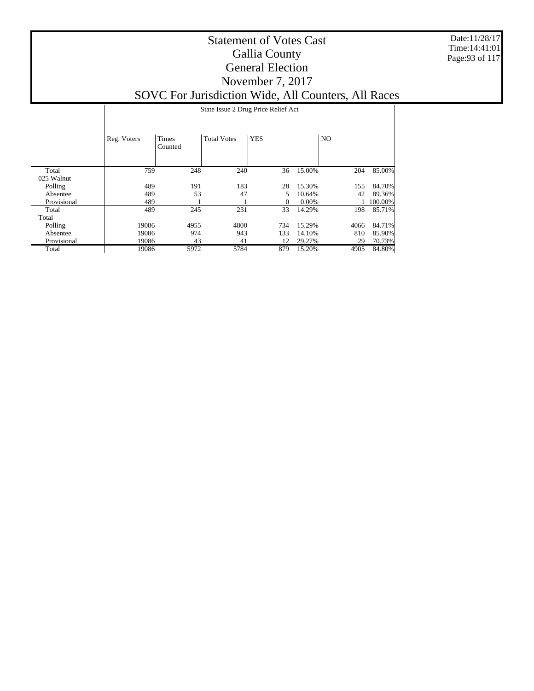Date:11/28/17 Time:14:41:01 Page:93 of 117

|             |             | State Issue 2 Drug Price Relief Act |                    |            |          |           |         |  |  |  |  |
|-------------|-------------|-------------------------------------|--------------------|------------|----------|-----------|---------|--|--|--|--|
|             | Reg. Voters | Times<br>Counted                    | <b>Total Votes</b> | <b>YES</b> |          | <b>NO</b> |         |  |  |  |  |
| Total       | 759         | 248                                 | 240                | 36         | 15.00%   | 204       | 85.00%  |  |  |  |  |
| 025 Walnut  |             |                                     |                    |            |          |           |         |  |  |  |  |
| Polling     | 489         | 191                                 | 183                | 28         | 15.30%   | 155       | 84.70%  |  |  |  |  |
| Absentee    | 489         | 53                                  | 47                 | 5          | 10.64%   | 42        | 89.36%  |  |  |  |  |
| Provisional | 489         |                                     |                    | 0          | $0.00\%$ |           | 100.00% |  |  |  |  |
| Total       | 489         | 245                                 | 231                | 33         | 14.29%   | 198       | 85.71%  |  |  |  |  |
| Total       |             |                                     |                    |            |          |           |         |  |  |  |  |
| Polling     | 19086       | 4955                                | 4800               | 734        | 15.29%   | 4066      | 84.71%  |  |  |  |  |
| Absentee    | 19086       | 974                                 | 943                | 133        | 14.10%   | 810       | 85.90%  |  |  |  |  |
| Provisional | 19086       | 43                                  | 41                 | 12         | 29.27%   | 29        | 70.73%  |  |  |  |  |
| Total       | 19086       | 5972                                | 5784               | 879        | 15.20%   | 4905      | 84.80%  |  |  |  |  |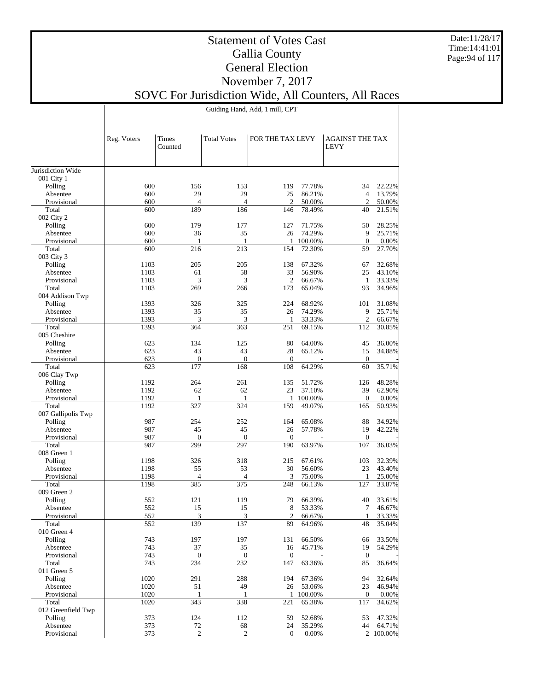Date:11/28/17 Time:14:41:01 Page:94 of 117

### Statement of Votes Cast Gallia County General Election November 7, 2017 SOVC For Jurisdiction Wide, All Counters, All Races

Guiding Hand, Add, 1 mill, CPT

|                        | Reg. Voters | Times<br>Counted      | <b>Total Votes</b>    | FOR THE TAX LEVY      |                  | <b>AGAINST THE TAX</b><br><b>LEVY</b> |                  |
|------------------------|-------------|-----------------------|-----------------------|-----------------------|------------------|---------------------------------------|------------------|
| Jurisdiction Wide      |             |                       |                       |                       |                  |                                       |                  |
| 001 City 1             |             |                       |                       |                       |                  |                                       |                  |
| Polling                | 600         | 156                   | 153                   | 119                   | 77.78%           | 34                                    | 22.22%           |
| Absentee               | 600         | 29                    | 29                    | 25                    | 86.21%           | $\overline{4}$                        | 13.79%           |
| Provisional<br>Total   | 600<br>600  | $\overline{4}$<br>189 | $\overline{4}$<br>186 | $\overline{c}$        | 50.00%<br>78.49% | $\overline{2}$<br>40                  | 50.00%<br>21.51% |
| 002 City 2             |             |                       |                       | 146                   |                  |                                       |                  |
| Polling                | 600         | 179                   | 177                   | 127                   | 71.75%           | 50                                    | 28.25%           |
| Absentee               | 600         | 36                    | 35                    | 26                    | 74.29%           | 9                                     | 25.71%           |
| Provisional            | 600         | 1                     | 1                     | 1                     | 100.00%          | $\overline{0}$                        | 0.00%            |
| Total                  | 600         | 216                   | 213                   | 154                   | 72.30%           | 59                                    | 27.70%           |
| 003 City 3             |             |                       |                       |                       |                  |                                       |                  |
| Polling                | 1103        | 205                   | 205                   | 138                   | 67.32%           | 67                                    | 32.68%           |
| Absentee               | 1103        | 61                    | 58                    | 33                    | 56.90%           | 25                                    | 43.10%           |
| Provisional            | 1103        | 3                     | 3                     | 2                     | 66.67%           | 1                                     | 33.33%           |
| Total                  | 1103        | 269                   | 266                   | 173                   | 65.04%           | 93                                    | 34.96%           |
| 004 Addison Twp        |             |                       |                       |                       |                  |                                       |                  |
| Polling                | 1393        | 326                   | 325                   | 224                   | 68.92%           | 101                                   | 31.08%           |
| Absentee               | 1393        | 35                    | 35                    | 26                    | 74.29%           | 9                                     | 25.71%           |
| Provisional            | 1393        | 3<br>364              | 3<br>363              | 1<br>251              | 33.33%           | $\overline{c}$                        | 66.67%<br>30.85% |
| Total<br>005 Cheshire  | 1393        |                       |                       |                       | 69.15%           | 112                                   |                  |
| Polling                | 623         | 134                   | 125                   | 80                    | 64.00%           | 45                                    | 36.00%           |
| Absentee               | 623         | 43                    | 43                    | 28                    | 65.12%           | 15                                    | 34.88%           |
| Provisional            | 623         | $\boldsymbol{0}$      | $\mathbf{0}$          | $\overline{0}$        |                  | $\boldsymbol{0}$                      |                  |
| Total                  | 623         | 177                   | 168                   | 108                   | 64.29%           | 60                                    | 35.71%           |
| 006 Clay Twp           |             |                       |                       |                       |                  |                                       |                  |
| Polling                | 1192        | 264                   | 261                   | 135                   | 51.72%           | 126                                   | 48.28%           |
| Absentee               | 1192        | 62                    | 62                    | 23                    | 37.10%           | 39                                    | 62.90%           |
| Provisional            | 1192        | 1                     | 1                     | 1                     | 100.00%          | $\mathbf{0}$                          | 0.00%            |
| Total                  | 1192        | 327                   | 324                   | 159                   | 49.07%           | 165                                   | 50.93%           |
| 007 Gallipolis Twp     |             |                       |                       |                       |                  |                                       |                  |
| Polling                | 987         | 254                   | 252                   | 164                   | 65.08%           | 88                                    | 34.92%           |
| Absentee               | 987         | 45                    | 45                    | 26                    | 57.78%           | 19                                    | 42.22%           |
| Provisional<br>Total   | 987<br>987  | $\theta$<br>299       | $\mathbf{0}$<br>297   | $\overline{0}$<br>190 | 63.97%           | $\mathbf{0}$<br>107                   | 36.03%           |
| 008 Green 1            |             |                       |                       |                       |                  |                                       |                  |
| Polling                | 1198        | 326                   | 318                   | 215                   | 67.61%           | 103                                   | 32.39%           |
| Absentee               | 1198        | 55                    | 53                    | 30                    | 56.60%           | 23                                    | 43.40%           |
| Provisional            | 1198        | 4                     | $\overline{4}$        | 3                     | 75.00%           | 1                                     | 25.00%           |
| Total                  | 1198        | 385                   | 375                   | 248                   | 66.13%           | 127                                   | 33.87%           |
| 009 Green 2            |             |                       |                       |                       |                  |                                       |                  |
| Polling                | 552         | 121                   | 119                   | 79                    | 66.39%           | 40                                    | 33.61%           |
| Absentee               | 552         | 15                    | 15                    | 8                     | 53.33%           | 7                                     | 46.67%           |
| Provisional            | 552         | 3                     | 3                     | 2                     | 66.67%           | $\mathbf{1}$                          | 33.33%           |
| Total                  | 552         | 139                   | 137                   | 89                    | 64.96%           | 48                                    | 35.04%           |
| 010 Green 4<br>Polling | 743         | 197                   | 197                   | 131                   | 66.50%           | 66                                    | 33.50%           |
| Absentee               | 743         | 37                    | 35                    | 16                    | 45.71%           | 19                                    | 54.29%           |
| Provisional            | 743         | $\boldsymbol{0}$      | $\overline{0}$        | $\boldsymbol{0}$      |                  | $\boldsymbol{0}$                      |                  |
| Total                  | 743         | 234                   | 232                   | 147                   | 63.36%           | 85                                    | 36.64%           |
| 011 Green 5            |             |                       |                       |                       |                  |                                       |                  |
| Polling                | 1020        | 291                   | 288                   | 194                   | 67.36%           | 94                                    | 32.64%           |
| Absentee               | 1020        | 51                    | 49                    | 26                    | 53.06%           | 23                                    | 46.94%           |
| Provisional            | 1020        | 1                     | 1                     | $\mathbf{1}$          | 100.00%          | $\mathbf{0}$                          | 0.00%            |
| Total                  | 1020        | 343                   | 338                   | 221                   | 65.38%           | 117                                   | 34.62%           |
| 012 Greenfield Twp     |             |                       |                       |                       |                  |                                       |                  |
| Polling                | 373         | 124                   | 112                   | 59                    | 52.68%           | 53                                    | 47.32%           |
| Absentee               | 373         | 72                    | 68                    | 24                    | 35.29%           | 44                                    | 64.71%           |
| Provisional            | 373         | $\sqrt{2}$            | $\overline{c}$        | 0                     | 0.00%            |                                       | 2 100.00%        |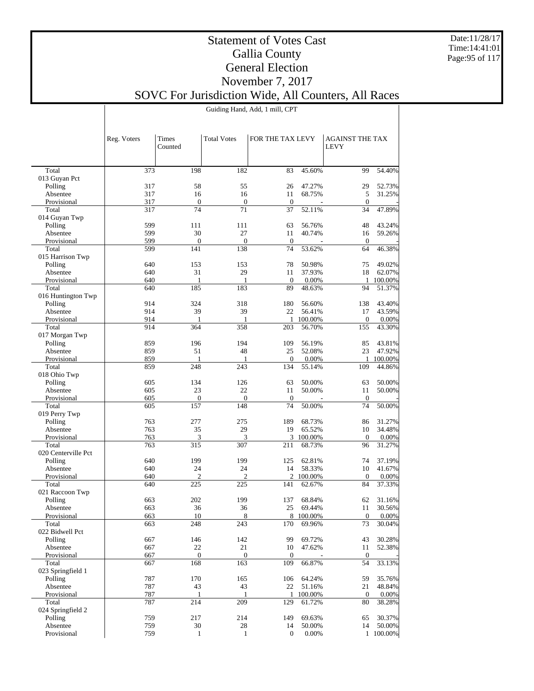Date:11/28/17 Time:14:41:01 Page:95 of 117

### Statement of Votes Cast Gallia County General Election November 7, 2017 SOVC For Jurisdiction Wide, All Counters, All Races

Guiding Hand, Add, 1 mill, CPT

|                              | Reg. Voters | <b>Times</b><br>Counted | <b>Total Votes</b> | FOR THE TAX LEVY   |                  | <b>AGAINST THE TAX</b><br><b>LEVY</b> |                 |
|------------------------------|-------------|-------------------------|--------------------|--------------------|------------------|---------------------------------------|-----------------|
|                              |             |                         |                    |                    |                  |                                       |                 |
| Total                        | 373         | 198                     | 182                | 83                 | 45.60%           | 99                                    | 54.40%          |
| 013 Guyan Pct                |             |                         |                    |                    |                  |                                       |                 |
| Polling                      | 317<br>317  | 58<br>16                | 55<br>16           | 26                 | 47.27%<br>68.75% | 29<br>5                               | 52.73%          |
| Absentee<br>Provisional      | 317         | $\boldsymbol{0}$        | $\mathbf{0}$       | 11<br>$\mathbf{0}$ |                  | $\theta$                              | 31.25%          |
| Total                        | 317         | 74                      | 71                 | 37                 | 52.11%           | 34                                    | 47.89%          |
| 014 Guyan Twp                |             |                         |                    |                    |                  |                                       |                 |
| Polling                      | 599         | 111                     | 111                | 63                 | 56.76%           | 48                                    | 43.24%          |
| Absentee                     | 599         | 30                      | 27                 | 11                 | 40.74%           | 16                                    | 59.26%          |
| Provisional                  | 599         | $\overline{0}$          | $\mathbf{0}$       | $\mathbf{0}$       |                  | $\theta$                              |                 |
| Total                        | 599         | 141                     | 138                | 74                 | 53.62%           | 64                                    | 46.38%          |
| 015 Harrison Twp             |             |                         |                    |                    |                  |                                       |                 |
| Polling                      | 640         | 153                     | 153                | 78                 | 50.98%           | 75                                    | 49.02%          |
| Absentee                     | 640         | 31                      | 29                 | 11                 | 37.93%           | 18                                    | 62.07%          |
| Provisional                  | 640         | 1                       | $\mathbf{1}$       | $\boldsymbol{0}$   | 0.00%            | 1                                     | 100.00%         |
| Total                        | 640         | 185                     | 183                | 89                 | 48.63%           | 94                                    | 51.37%          |
| 016 Huntington Twp           |             |                         |                    |                    |                  |                                       |                 |
| Polling                      | 914<br>914  | 324<br>39               | 318                | 180<br>22          | 56.60%<br>56.41% | 138                                   | 43.40%          |
| Absentee<br>Provisional      | 914         | 1                       | 39<br>1            | 1                  | 100.00%          | 17<br>$\mathbf{0}$                    | 43.59%<br>0.00% |
| Total                        | 914         | 364                     | 358                | 203                | 56.70%           | 155                                   | 43.30%          |
| 017 Morgan Twp               |             |                         |                    |                    |                  |                                       |                 |
| Polling                      | 859         | 196                     | 194                | 109                | 56.19%           | 85                                    | 43.81%          |
| Absentee                     | 859         | 51                      | 48                 | 25                 | 52.08%           | 23                                    | 47.92%          |
| Provisional                  | 859         | 1                       | 1                  | $\overline{0}$     | 0.00%            | 1                                     | 100.00%         |
| Total                        | 859         | 248                     | 243                | 134                | 55.14%           | 109                                   | 44.86%          |
| 018 Ohio Twp                 |             |                         |                    |                    |                  |                                       |                 |
| Polling                      | 605         | 134                     | 126                | 63                 | 50.00%           | 63                                    | 50.00%          |
| Absentee                     | 605         | 23                      | 22                 | 11                 | 50.00%           | 11                                    | 50.00%          |
| Provisional                  | 605         | $\overline{0}$          | $\mathbf{0}$       | $\mathbf{0}$       |                  | $\theta$                              |                 |
| Total                        | 605         | 157                     | 148                | 74                 | 50.00%           | 74                                    | 50.00%          |
| 019 Perry Twp                |             |                         |                    |                    |                  |                                       |                 |
| Polling                      | 763         | 277                     | 275                | 189                | 68.73%           | 86                                    | 31.27%          |
| Absentee                     | 763         | 35                      | 29                 | 19                 | 65.52%           | 10                                    | 34.48%          |
| Provisional                  | 763         | 3<br>315                | 3<br>307           | 3                  | 100.00%          | $\mathbf{0}$                          | 0.00%           |
| Total<br>020 Centerville Pct | 763         |                         |                    | 211                | 68.73%           | 96                                    | 31.27%          |
| Polling                      | 640         | 199                     | 199                | 125                | 62.81%           | 74                                    | 37.19%          |
| Absentee                     | 640         | 24                      | 24                 | 14                 | 58.33%           | 10                                    | 41.67%          |
| Provisional                  | 640         | $\overline{c}$          | $\overline{2}$     | $\overline{2}$     | 100.00%          | $\theta$                              | 0.00%           |
| Total                        | 640         | 225                     | 225                | 141                | 62.67%           | 84                                    | 37.33%          |
| 021 Raccoon Twp              |             |                         |                    |                    |                  |                                       |                 |
| Polling                      | 663         | 202                     | 199                | 137                | 68.84%           | 62                                    | 31.16%          |
| Absentee                     | 663         | 36                      | 36                 | 25                 | 69.44%           | 11                                    | 30.56%          |
| Provisional                  | 663         | 10                      | 8                  |                    | 8 100.00%        | $\overline{0}$                        | 0.00%           |
| Total                        | 663         | 248                     | 243                | 170                | 69.96%           | 73                                    | 30.04%          |
| 022 Bidwell Pct              |             |                         |                    |                    |                  |                                       |                 |
| Polling                      | 667         | 146                     | 142                | 99                 | 69.72%           | 43                                    | 30.28%          |
| Absentee                     | 667         | 22                      | 21                 | 10                 | 47.62%           | 11                                    | 52.38%          |
| Provisional                  | 667         | $\overline{0}$          | $\mathbf{0}$       | $\overline{0}$     |                  | $\mathbf{0}$                          |                 |
| Total                        | 667         | 168                     | 163                | 109                | 66.87%           | 54                                    | 33.13%          |
| 023 Springfield 1<br>Polling | 787         | 170                     | 165                | 106                | 64.24%           | 59                                    | 35.76%          |
| Absentee                     | 787         | 43                      | 43                 | 22                 | 51.16%           | 21                                    | 48.84%          |
| Provisional                  | 787         | 1                       | -1                 | $\mathbf{1}$       | 100.00%          | $\overline{0}$                        | 0.00%           |
| Total                        | 787         | 214                     | 209                | 129                | 61.72%           | 80                                    | 38.28%          |
| 024 Springfield 2            |             |                         |                    |                    |                  |                                       |                 |
| Polling                      | 759         | 217                     | 214                | 149                | 69.63%           | 65                                    | 30.37%          |
| Absentee                     | 759         | 30                      | 28                 | 14                 | 50.00%           | 14                                    | 50.00%          |
| Provisional                  | 759         | $\mathbf{1}$            | $\mathbf{1}$       | $\boldsymbol{0}$   | 0.00%            |                                       | 1 100.00%       |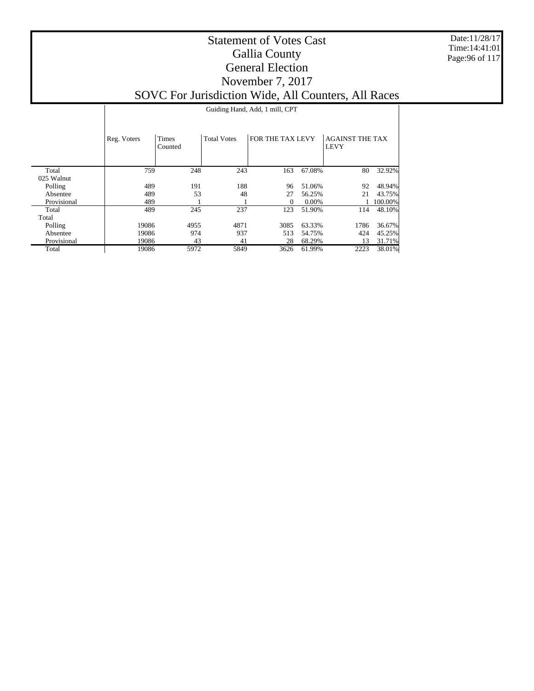Date:11/28/17 Time:14:41:01 Page:96 of 117

|                     |             | Guiding Hand, Add, 1 mill, CPT |                    |                  |        |                                       |         |  |  |  |  |  |
|---------------------|-------------|--------------------------------|--------------------|------------------|--------|---------------------------------------|---------|--|--|--|--|--|
|                     | Reg. Voters | Times<br>Counted               | <b>Total Votes</b> | FOR THE TAX LEVY |        | <b>AGAINST THE TAX</b><br><b>LEVY</b> |         |  |  |  |  |  |
| Total<br>025 Walnut | 759         | 248                            | 243                | 163              | 67.08% | 80                                    | 32.92%  |  |  |  |  |  |
| Polling             | 489         | 191                            | 188                | 96               | 51.06% | 92                                    | 48.94%  |  |  |  |  |  |
| Absentee            | 489         | 53                             | 48                 | 27               | 56.25% | 21                                    | 43.75%  |  |  |  |  |  |
| Provisional         | 489         |                                |                    | 0                | 0.00%  |                                       | 100.00% |  |  |  |  |  |
| Total               | 489         | 245                            | 237                | 123              | 51.90% | 114                                   | 48.10%  |  |  |  |  |  |
| Total               |             |                                |                    |                  |        |                                       |         |  |  |  |  |  |
| Polling             | 19086       | 4955                           | 4871               | 3085             | 63.33% | 1786                                  | 36.67%  |  |  |  |  |  |
| Absentee            | 19086       | 974                            | 937                | 513              | 54.75% | 424                                   | 45.25%  |  |  |  |  |  |
| Provisional         | 19086       | 43                             | 41                 | 28               | 68.29% | 13                                    | 31.71%  |  |  |  |  |  |
| Total               | 19086       | 5972                           | 5849               | 3626             | 61.99% | 2223                                  | 38.01%  |  |  |  |  |  |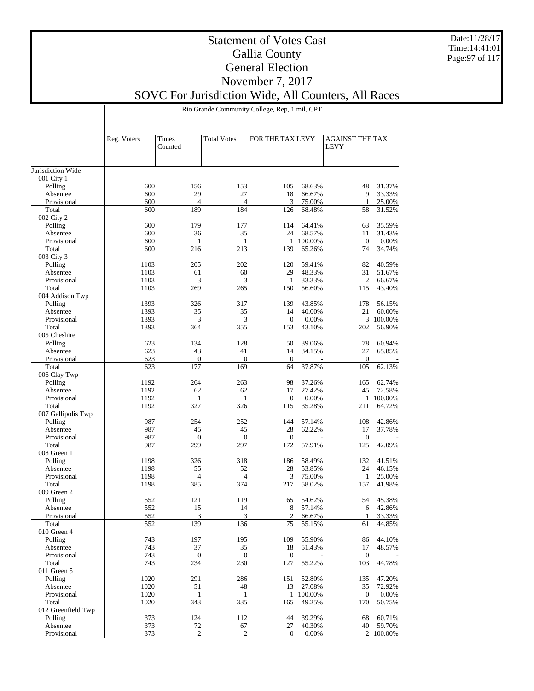Date:11/28/17 Time:14:41:01 Page:97 of 117

## Statement of Votes Cast Gallia County General Election November 7, 2017

SOVC For Jurisdiction Wide, All Counters, All Races

Rio Grande Community College, Rep, 1 mil, CPT

|                               | Reg. Voters  | Times<br>Counted | <b>Total Votes</b>  | FOR THE TAX LEVY    |                  | <b>AGAINST THE TAX</b><br><b>LEVY</b> |                     |
|-------------------------------|--------------|------------------|---------------------|---------------------|------------------|---------------------------------------|---------------------|
| Jurisdiction Wide             |              |                  |                     |                     |                  |                                       |                     |
| 001 City 1                    |              |                  |                     |                     |                  |                                       |                     |
| Polling                       | 600          | 156              | 153                 | 105                 | 68.63%           | 48                                    | 31.37%              |
| Absentee                      | 600          | 29               | 27                  | 18                  | 66.67%           | 9                                     | 33.33%              |
| Provisional                   | 600          | $\overline{4}$   | $\overline{4}$      | 3                   | 75.00%           | 1                                     | 25.00%              |
| Total                         | 600          | 189              | 184                 | 126                 | 68.48%           | 58                                    | 31.52%              |
| 002 City 2                    |              |                  |                     |                     |                  |                                       | 35.59%              |
| Polling<br>Absentee           | 600<br>600   | 179<br>36        | 177<br>35           | 114<br>24           | 64.41%<br>68.57% | 63<br>11                              | 31.43%              |
| Provisional                   | 600          | $\mathbf{1}$     | $\mathbf{1}$        | $\mathbf{1}$        | 100.00%          | $\mathbf{0}$                          | 0.00%               |
| Total                         | 600          | 216              | 213                 | 139                 | 65.26%           | 74                                    | 34.74%              |
| 003 City 3                    |              |                  |                     |                     |                  |                                       |                     |
| Polling                       | 1103         | 205              | 202                 | 120                 | 59.41%           | 82                                    | 40.59%              |
| Absentee                      | 1103         | 61               | 60                  | 29                  | 48.33%           | 31                                    | 51.67%              |
| Provisional                   | 1103         | 3                | 3                   | $\mathbf{1}$        | 33.33%           | $\overline{c}$                        | 66.67%              |
| Total                         | 1103         | 269              | 265                 | 150                 | 56.60%           | 115                                   | 43.40%              |
| 004 Addison Twp               |              |                  |                     |                     |                  |                                       |                     |
| Polling                       | 1393         | 326              | 317                 | 139                 | 43.85%           | 178                                   | 56.15%              |
| Absentee                      | 1393         | 35               | 35                  | 14                  | 40.00%           | 21                                    | 60.00%              |
| Provisional<br>Total          | 1393<br>1393 | 3<br>364         | 3<br>355            | $\mathbf{0}$<br>153 | 0.00%<br>43.10%  | 202                                   | 3 100.00%<br>56.90% |
| 005 Cheshire                  |              |                  |                     |                     |                  |                                       |                     |
| Polling                       | 623          | 134              | 128                 | 50                  | 39.06%           | 78                                    | 60.94%              |
| Absentee                      | 623          | 43               | 41                  | 14                  | 34.15%           | 27                                    | 65.85%              |
| Provisional                   | 623          | $\overline{0}$   | $\mathbf{0}$        | $\mathbf{0}$        |                  | $\boldsymbol{0}$                      |                     |
| Total                         | 623          | 177              | 169                 | 64                  | 37.87%           | 105                                   | 62.13%              |
| 006 Clay Twp                  |              |                  |                     |                     |                  |                                       |                     |
| Polling                       | 1192         | 264              | 263                 | 98                  | 37.26%           | 165                                   | 62.74%              |
| Absentee                      | 1192         | 62               | 62                  | 17                  | 27.42%           | 45                                    | 72.58%              |
| Provisional                   | 1192         | $\mathbf{1}$     | $\mathbf{1}$        | $\Omega$            | 0.00%            | $\mathbf{1}$                          | 100.00%             |
| Total                         | 1192         | 327              | 326                 | 115                 | 35.28%           | 211                                   | 64.72%              |
| 007 Gallipolis Twp<br>Polling | 987          | 254              | 252                 | 144                 | 57.14%           | 108                                   | 42.86%              |
| Absentee                      | 987          | 45               | 45                  | 28                  | 62.22%           | 17                                    | 37.78%              |
| Provisional                   | 987          | $\overline{0}$   | $\mathbf{0}$        | $\mathbf{0}$        |                  | $\boldsymbol{0}$                      |                     |
| Total                         | 987          | 299              | 297                 | 172                 | 57.91%           | 125                                   | 42.09%              |
| 008 Green 1                   |              |                  |                     |                     |                  |                                       |                     |
| Polling                       | 1198         | 326              | 318                 | 186                 | 58.49%           | 132                                   | 41.51%              |
| Absentee                      | 1198         | 55               | 52                  | 28                  | 53.85%           | 24                                    | 46.15%              |
| Provisional                   | 1198         | 4                | $\overline{4}$      | 3                   | 75.00%           | 1                                     | 25.00%              |
| Total                         | 1198         | 385              | 374                 | 217                 | 58.02%           | 157                                   | 41.98%              |
| 009 Green 2                   | 552          | 121              | 119                 | 65                  | 54.62%           | 54                                    | 45.38%              |
| Polling<br>Absentee           | 552          | 15               | 14                  | 8                   | 57.14%           | 6                                     | 42.86%              |
| Provisional                   | 552          | 3                | 3                   | $\mathbf{2}$        | 66.67%           | $\mathbf{1}$                          | 33.33%              |
| Total                         | 552          | 139              | 136                 | 75                  | 55.15%           | 61                                    | 44.85%              |
| 010 Green 4                   |              |                  |                     |                     |                  |                                       |                     |
| Polling                       | 743          | 197              | 195                 | 109                 | 55.90%           | 86                                    | 44.10%              |
| Absentee                      | 743          | 37               | 35                  | 18                  | 51.43%           | 17                                    | 48.57%              |
| Provisional                   | 743          | $\mathbf{0}$     | $\boldsymbol{0}$    | $\boldsymbol{0}$    |                  | $\mathbf{0}$                          |                     |
| Total                         | 743          | 234              | 230                 | 127                 | 55.22%           | 103                                   | 44.78%              |
| 011 Green 5                   |              |                  |                     |                     |                  |                                       |                     |
| Polling                       | 1020         | 291              | 286                 | 151                 | 52.80%           | 135                                   | 47.20%              |
| Absentee                      | 1020         | 51               | 48                  | 13                  | 27.08%           | 35                                    | 72.92%              |
| Provisional                   | 1020<br>1020 | 1<br>343         | $\mathbf{1}$<br>335 | $\mathbf{1}$        | 100.00%          | $\mathbf{0}$<br>170                   | 0.00%               |
| Total<br>012 Greenfield Twp   |              |                  |                     | 165                 | 49.25%           |                                       | 50.75%              |
| Polling                       | 373          | 124              | 112                 | 44                  | 39.29%           | 68                                    | 60.71%              |
| Absentee                      | 373          | 72               | 67                  | 27                  | 40.30%           | 40                                    | 59.70%              |
| Provisional                   | 373          | $\boldsymbol{2}$ | $\mathbf{2}$        | $\overline{0}$      | $0.00\%$         |                                       | 2 100.00%           |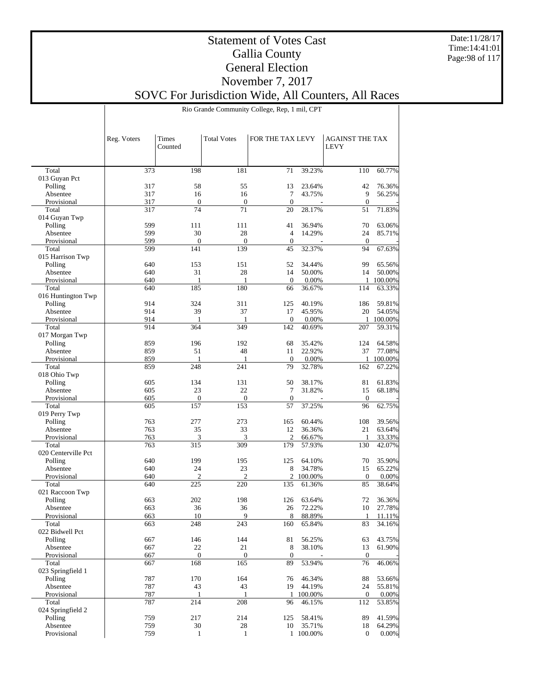Date:11/28/17 Time:14:41:01 Page:98 of 117

### Statement of Votes Cast Gallia County General Election November 7, 2017 SOVC For Jurisdiction Wide, All Counters, All Races

Rio Grande Community College, Rep, 1 mil, CPT

|                          | Reg. Voters | Times<br>Counted    | <b>Total Votes</b> | FOR THE TAX LEVY |           | <b>AGAINST THE TAX</b><br>LEVY |         |
|--------------------------|-------------|---------------------|--------------------|------------------|-----------|--------------------------------|---------|
|                          |             |                     |                    |                  |           |                                |         |
| Total                    | 373         | 198                 | 181                | 71               | 39.23%    | 110                            | 60.77%  |
| 013 Guyan Pct            |             |                     |                    |                  |           |                                |         |
| Polling                  | 317         | 58                  | 55                 | 13<br>$\tau$     | 23.64%    | 42                             | 76.36%  |
| Absentee<br>Provisional  | 317<br>317  | 16<br>$\mathbf{0}$  | 16<br>$\mathbf{0}$ | $\mathbf{0}$     | 43.75%    | 9<br>$\mathbf{0}$              | 56.25%  |
| Total                    | 317         | 74                  | 71                 | 20               | 28.17%    | 51                             | 71.83%  |
| 014 Guyan Twp            |             |                     |                    |                  |           |                                |         |
| Polling                  | 599         | 111                 | 111                | 41               | 36.94%    | 70                             | 63.06%  |
| Absentee                 | 599         | 30                  | 28                 | $\overline{4}$   | 14.29%    | 24                             | 85.71%  |
| Provisional              | 599         | $\mathbf{0}$        | $\boldsymbol{0}$   | $\boldsymbol{0}$ |           | $\mathbf{0}$                   |         |
| Total                    | 599         | 141                 | 139                | 45               | 32.37%    | 94                             | 67.63%  |
| 015 Harrison Twp         |             |                     |                    |                  |           |                                |         |
| Polling                  | 640         | 153                 | 151                | 52               | 34.44%    | 99                             | 65.56%  |
| Absentee                 | 640         | 31                  | 28                 | 14               | 50.00%    | 14                             | 50.00%  |
| Provisional<br>Total     | 640<br>640  | $\mathbf{1}$<br>185 | $\mathbf{1}$       | $\mathbf{0}$     | 0.00%     | 1                              | 100.00% |
| 016 Huntington Twp       |             |                     | 180                | 66               | 36.67%    | 114                            | 63.33%  |
| Polling                  | 914         | 324                 | 311                | 125              | 40.19%    | 186                            | 59.81%  |
| Absentee                 | 914         | 39                  | 37                 | 17               | 45.95%    | 20                             | 54.05%  |
| Provisional              | 914         | $\mathbf{1}$        | 1                  | $\theta$         | 0.00%     | 1                              | 100.00% |
| Total                    | 914         | 364                 | 349                | 142              | 40.69%    | 207                            | 59.31%  |
| 017 Morgan Twp           |             |                     |                    |                  |           |                                |         |
| Polling                  | 859         | 196                 | 192                | 68               | 35.42%    | 124                            | 64.58%  |
| Absentee                 | 859         | 51                  | 48                 | 11               | 22.92%    | 37                             | 77.08%  |
| Provisional              | 859         | 1                   | 1                  | $\theta$         | 0.00%     | $\mathbf{1}$                   | 100.00% |
| Total                    | 859         | 248                 | 241                | 79               | 32.78%    | 162                            | 67.22%  |
| 018 Ohio Twp             |             |                     |                    |                  |           |                                |         |
| Polling                  | 605         | 134                 | 131                | 50               | 38.17%    | 81                             | 61.83%  |
| Absentee                 | 605         | 23                  | 22                 | 7                | 31.82%    | 15                             | 68.18%  |
| Provisional              | 605         | $\mathbf{0}$        | $\boldsymbol{0}$   | $\mathbf{0}$     |           | $\mathbf{0}$                   |         |
| Total<br>019 Perry Twp   | 605         | 157                 | 153                | 57               | 37.25%    | 96                             | 62.75%  |
| Polling                  | 763         | 277                 | 273                | 165              | 60.44%    | 108                            | 39.56%  |
| Absentee                 | 763         | 35                  | 33                 | 12               | 36.36%    | 21                             | 63.64%  |
| Provisional              | 763         | 3                   | 3                  | $\mathfrak{2}$   | 66.67%    | 1                              | 33.33%  |
| Total                    | 763         | 315                 | 309                | 179              | 57.93%    | 130                            | 42.07%  |
| 020 Centerville Pct      |             |                     |                    |                  |           |                                |         |
| Polling                  | 640         | 199                 | 195                | 125              | 64.10%    | 70                             | 35.90%  |
| Absentee                 | 640         | 24                  | 23                 | 8                | 34.78%    | 15                             | 65.22%  |
| Provisional              | 640         | $\overline{2}$      | $\overline{c}$     | $\overline{c}$   | 100.00%   | $\mathbf{0}$                   | 0.00%   |
| Total                    | 640         | 225                 | 220                | 135              | 61.36%    | 85                             | 38.64%  |
| 021 Raccoon Twp          |             |                     |                    |                  |           |                                |         |
| Polling                  | 663         | 202                 | 198                | 126              | 63.64%    | 72                             | 36.36%  |
| Absentee                 | 663         | 36                  | 36                 | 26               | 72.22%    | 10                             | 27.78%  |
| Provisional              | 663         | 10                  | $\mathbf Q$        | 8                | 88.89%    | 1                              | 11.11%  |
| Total<br>022 Bidwell Pct | 663         | 248                 | 243                | 160              | 65.84%    | 83                             | 34.16%  |
| Polling                  | 667         | 146                 | 144                | 81               | 56.25%    | 63                             | 43.75%  |
| Absentee                 | 667         | 22                  | 21                 | 8                | 38.10%    | 13                             | 61.90%  |
| Provisional              | 667         | $\boldsymbol{0}$    | $\mathbf{0}$       | $\boldsymbol{0}$ |           | $\mathbf{0}$                   |         |
| Total                    | 667         | 168                 | 165                | 89               | 53.94%    | 76                             | 46.06%  |
| 023 Springfield 1        |             |                     |                    |                  |           |                                |         |
| Polling                  | 787         | 170                 | 164                | 76               | 46.34%    | 88                             | 53.66%  |
| Absentee                 | 787         | 43                  | 43                 | 19               | 44.19%    | 24                             | 55.81%  |
| Provisional              | 787         | -1                  | 1                  |                  | 1 100.00% | $\mathbf{0}$                   | 0.00%   |
| Total                    | 787         | 214                 | 208                | 96               | 46.15%    | 112                            | 53.85%  |
| 024 Springfield 2        |             |                     |                    |                  |           |                                |         |
| Polling                  | 759         | 217                 | 214                | 125              | 58.41%    | 89                             | 41.59%  |
| Absentee                 | 759         | 30                  | 28                 | 10               | 35.71%    | 18                             | 64.29%  |
| Provisional              | 759         | $\mathbf{1}$        | $\mathbf{1}$       |                  | 1 100.00% | $\overline{0}$                 | 0.00%   |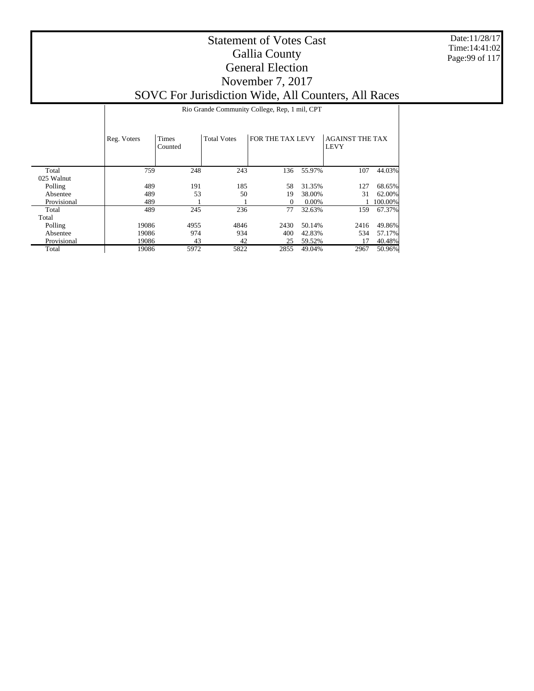Date:11/28/17 Time:14:41:02 Page:99 of 117

|             |             | Rio Grande Community College, Rep. 1 mil, CPT |                    |                  |          |                                       |         |  |  |  |  |  |
|-------------|-------------|-----------------------------------------------|--------------------|------------------|----------|---------------------------------------|---------|--|--|--|--|--|
|             | Reg. Voters | Times<br>Counted                              | <b>Total Votes</b> | FOR THE TAX LEVY |          | <b>AGAINST THE TAX</b><br><b>LEVY</b> |         |  |  |  |  |  |
| Total       | 759         | 248                                           | 243                | 136              | 55.97%   | 107                                   | 44.03%  |  |  |  |  |  |
| 025 Walnut  |             |                                               |                    |                  |          |                                       |         |  |  |  |  |  |
| Polling     | 489         | 191                                           | 185                | 58               | 31.35%   | 127                                   | 68.65%  |  |  |  |  |  |
| Absentee    | 489         | 53                                            | 50                 | 19               | 38.00%   | 31                                    | 62.00%  |  |  |  |  |  |
| Provisional | 489         |                                               |                    | $\Omega$         | $0.00\%$ |                                       | 100.00% |  |  |  |  |  |
| Total       | 489         | 245                                           | 236                | 77               | 32.63%   | 159                                   | 67.37%  |  |  |  |  |  |
| Total       |             |                                               |                    |                  |          |                                       |         |  |  |  |  |  |
| Polling     | 19086       | 4955                                          | 4846               | 2430             | 50.14%   | 2416                                  | 49.86%  |  |  |  |  |  |
| Absentee    | 19086       | 974                                           | 934                | 400              | 42.83%   | 534                                   | 57.17%  |  |  |  |  |  |
| Provisional | 19086       | 43                                            | 42                 | 25               | 59.52%   | 17                                    | 40.48%  |  |  |  |  |  |
| Total       | 19086       | 5972                                          | 5822               | 2855             | 49.04%   | 2967                                  | 50.96%  |  |  |  |  |  |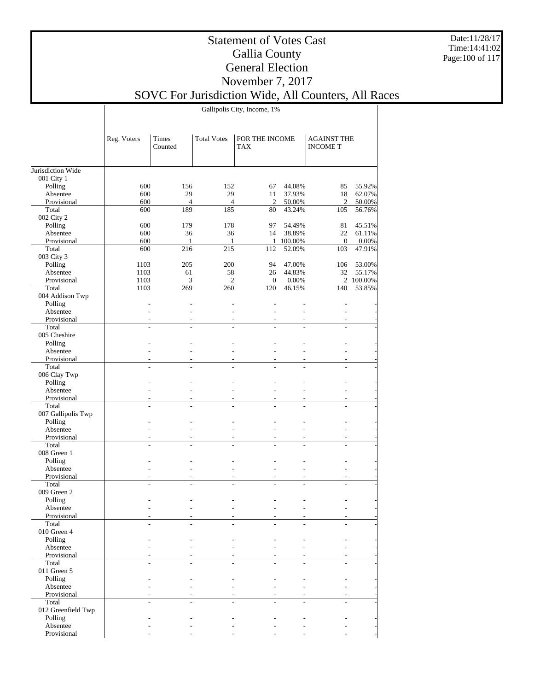Date:11/28/17 Time:14:41:02 Page:100 of 117

### Statement of Votes Cast Gallia County General Election November 7, 2017 SOVC For Jurisdiction Wide, All Counters, All Races

Gallipolis City, Income, 1%

|                         | Reg. Voters | Times<br>Counted | <b>Total Votes</b> | FOR THE INCOME<br><b>TAX</b> |           | <b>AGAINST THE</b><br><b>INCOME T</b> |           |
|-------------------------|-------------|------------------|--------------------|------------------------------|-----------|---------------------------------------|-----------|
| Jurisdiction Wide       |             |                  |                    |                              |           |                                       |           |
| 001 City 1              |             |                  |                    |                              |           |                                       |           |
| Polling                 | 600         | 156              | 152                | 67                           | 44.08%    | 85                                    | 55.92%    |
| Absentee                | 600         | 29               | 29                 | 11                           | 37.93%    | 18                                    | 62.07%    |
| Provisional             | 600         | $\overline{4}$   | $\overline{4}$     | 2                            | 50.00%    | $\overline{c}$                        | 50.00%    |
| Total                   | 600         | 189              | 185                | 80                           | 43.24%    | 105                                   | 56.76%    |
| 002 City 2              |             |                  |                    |                              |           |                                       |           |
| Polling                 | 600         | 179              | 178                | 97                           | 54.49%    | 81                                    | 45.51%    |
| Absentee                | 600         | 36               | 36                 | 14                           | 38.89%    | 22                                    | 61.11%    |
| Provisional             | 600         | 1                | 1                  |                              | 1 100.00% | $\mathbf{0}$                          | 0.00%     |
| Total                   | 600         | 216              | 215                | 112                          | 52.09%    | 103                                   | 47.91%    |
| 003 City 3              |             |                  |                    |                              |           |                                       |           |
| Polling                 | 1103        | 205              | 200                | 94                           | 47.00%    | 106                                   | 53.00%    |
| Absentee                | 1103        | 61               | 58                 | 26                           | 44.83%    | 32                                    | 55.17%    |
| Provisional             | 1103        | 3                | $\mathfrak{2}$     | $\mathbf{0}$                 | 0.00%     |                                       | 2 100.00% |
| Total                   | 1103        | 269              | 260                | 120                          | 46.15%    | 140                                   | 53.85%    |
| 004 Addison Twp         |             |                  |                    |                              |           |                                       |           |
| Polling                 |             |                  |                    |                              |           |                                       |           |
| Absentee                |             |                  |                    |                              |           |                                       |           |
| Provisional             |             |                  |                    |                              |           |                                       |           |
| Total                   |             |                  |                    |                              | ÷.        | ÷                                     |           |
| 005 Cheshire            |             |                  |                    |                              |           |                                       |           |
| Polling                 |             |                  |                    |                              |           |                                       |           |
| Absentee                |             |                  |                    |                              |           |                                       |           |
| Provisional             |             |                  |                    |                              |           |                                       |           |
| Total                   |             |                  |                    |                              |           |                                       |           |
| 006 Clay Twp            |             |                  |                    |                              |           |                                       |           |
| Polling                 |             |                  |                    |                              |           |                                       |           |
| Absentee<br>Provisional |             |                  |                    |                              |           |                                       |           |
| Total                   |             |                  |                    |                              |           |                                       |           |
| 007 Gallipolis Twp      |             |                  |                    |                              |           |                                       |           |
| Polling                 |             |                  |                    |                              |           |                                       |           |
| Absentee                |             |                  |                    |                              |           |                                       |           |
| Provisional             |             |                  |                    |                              |           |                                       |           |
| Total                   |             |                  |                    |                              |           |                                       |           |
| 008 Green 1             |             |                  |                    |                              |           |                                       |           |
| Polling                 |             |                  |                    |                              |           |                                       |           |
| Absentee                |             |                  |                    |                              | ÷.        |                                       |           |
| Provisional             |             |                  |                    |                              |           |                                       |           |
| Total                   |             |                  |                    |                              | ÷.        |                                       |           |
| 009 Green 2             |             |                  |                    |                              |           |                                       |           |
| Polling                 |             |                  |                    |                              |           |                                       |           |
| Absentee                |             |                  |                    |                              |           |                                       |           |
| Provisional             |             |                  |                    |                              |           |                                       |           |
| Total                   |             |                  |                    |                              |           |                                       |           |
| 010 Green 4             |             |                  |                    |                              |           |                                       |           |
| Polling                 |             |                  |                    |                              |           |                                       |           |
| Absentee                |             |                  |                    |                              |           |                                       |           |
| Provisional             |             |                  |                    |                              |           |                                       |           |
| Total                   |             |                  |                    |                              |           |                                       |           |
| 011 Green 5             |             |                  |                    |                              |           |                                       |           |
| Polling                 |             |                  |                    |                              |           |                                       |           |
| Absentee                |             |                  |                    |                              |           |                                       |           |
| Provisional             |             |                  |                    |                              |           |                                       |           |
| Total                   |             |                  |                    |                              |           |                                       |           |
| 012 Greenfield Twp      |             |                  |                    |                              |           |                                       |           |
| Polling                 |             |                  |                    |                              |           |                                       |           |
| Absentee                |             |                  |                    |                              |           |                                       |           |
| Provisional             |             |                  |                    |                              |           |                                       |           |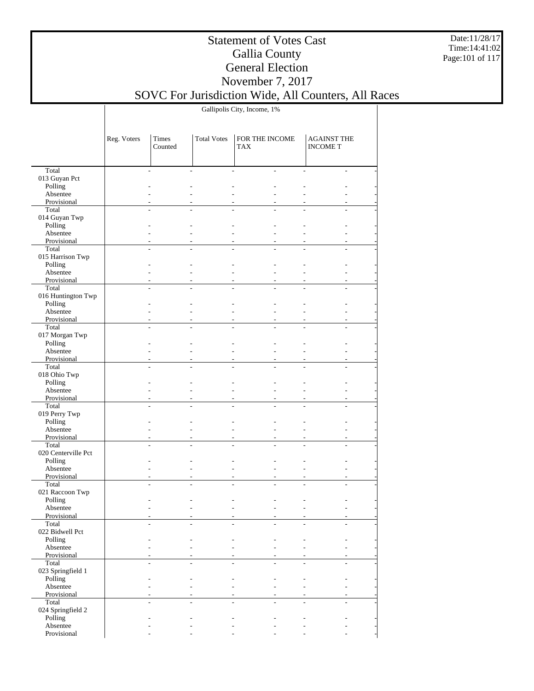Date:11/28/17 Time:14:41:02 Page:101 of 117

## Statement of Votes Cast Gallia County General Election November 7, 2017

SOVC For Jurisdiction Wide, All Counters, All Races

Gallipolis City, Income, 1%

|                              | Reg. Voters | Times<br>Counted | <b>Total Votes</b> | FOR THE INCOME<br><b>TAX</b> |    | <b>AGAINST THE</b><br><b>INCOME T</b> |  |
|------------------------------|-------------|------------------|--------------------|------------------------------|----|---------------------------------------|--|
|                              |             |                  |                    |                              |    |                                       |  |
| Total                        |             |                  |                    |                              | L. | $\overline{\phantom{a}}$              |  |
| 013 Guyan Pct                |             |                  |                    |                              |    |                                       |  |
| Polling                      |             |                  |                    |                              |    |                                       |  |
| Absentee                     |             |                  |                    |                              |    |                                       |  |
| Provisional                  |             |                  |                    |                              |    |                                       |  |
| Total                        |             |                  |                    |                              |    |                                       |  |
| 014 Guyan Twp                |             |                  |                    |                              |    |                                       |  |
| Polling                      |             |                  |                    |                              |    |                                       |  |
| Absentee                     |             |                  |                    |                              |    |                                       |  |
| Provisional<br>Total         |             |                  |                    |                              |    |                                       |  |
| 015 Harrison Twp             |             |                  |                    |                              |    |                                       |  |
| Polling                      |             |                  |                    |                              |    |                                       |  |
| Absentee                     |             |                  |                    |                              | L. |                                       |  |
| Provisional                  |             |                  |                    |                              | ٠  | $\overline{a}$                        |  |
| Total                        |             |                  |                    |                              |    |                                       |  |
| 016 Huntington Twp           |             |                  |                    |                              |    |                                       |  |
| Polling                      |             |                  |                    |                              |    |                                       |  |
| Absentee                     |             |                  |                    |                              | L. |                                       |  |
| Provisional                  |             |                  |                    |                              | ÷  | ÷                                     |  |
| Total                        |             |                  |                    |                              | L. | ÷                                     |  |
| 017 Morgan Twp               |             |                  |                    |                              |    |                                       |  |
| Polling                      |             |                  |                    |                              |    |                                       |  |
| Absentee                     |             |                  |                    |                              | L. |                                       |  |
| Provisional                  |             |                  |                    |                              |    |                                       |  |
| Total                        |             |                  |                    |                              |    |                                       |  |
| 018 Ohio Twp<br>Polling      |             |                  |                    |                              |    |                                       |  |
| Absentee                     |             |                  |                    |                              |    |                                       |  |
| Provisional                  |             |                  |                    |                              | ٠  |                                       |  |
| Total                        |             |                  |                    |                              |    |                                       |  |
| 019 Perry Twp                |             |                  |                    |                              |    |                                       |  |
| Polling                      |             |                  |                    |                              |    |                                       |  |
| Absentee                     |             |                  |                    |                              | L. |                                       |  |
| Provisional                  |             |                  |                    |                              | ٠  | $\overline{a}$                        |  |
| Total                        |             |                  |                    |                              |    |                                       |  |
| 020 Centerville Pct          |             |                  |                    |                              |    |                                       |  |
| Polling                      |             |                  |                    |                              |    |                                       |  |
| Absentee                     |             |                  |                    |                              | L. |                                       |  |
| Provisional                  |             |                  |                    |                              | ÷, |                                       |  |
| Total                        |             |                  |                    |                              | L. | ÷.                                    |  |
| 021 Raccoon Twp<br>Polling   |             |                  |                    |                              |    |                                       |  |
| Absentee                     |             |                  |                    |                              |    |                                       |  |
| Provisional                  |             |                  |                    |                              |    |                                       |  |
| Total                        |             |                  |                    |                              |    |                                       |  |
| 022 Bidwell Pct              |             |                  |                    |                              |    |                                       |  |
| Polling                      |             |                  |                    |                              |    |                                       |  |
| Absentee                     |             |                  |                    |                              | ÷  |                                       |  |
| Provisional                  |             |                  |                    |                              |    |                                       |  |
| Total                        |             |                  |                    |                              | ÷. | ÷                                     |  |
| 023 Springfield 1            |             |                  |                    |                              |    |                                       |  |
| Polling                      |             |                  |                    |                              | L. |                                       |  |
| Absentee                     |             |                  |                    |                              | ÷. |                                       |  |
| Provisional                  |             |                  |                    |                              |    |                                       |  |
| Total                        |             |                  |                    |                              |    | ÷                                     |  |
| 024 Springfield 2<br>Polling |             |                  |                    |                              |    |                                       |  |
| Absentee                     |             |                  |                    |                              |    |                                       |  |
| Provisional                  |             |                  |                    |                              |    |                                       |  |
|                              |             |                  |                    |                              |    |                                       |  |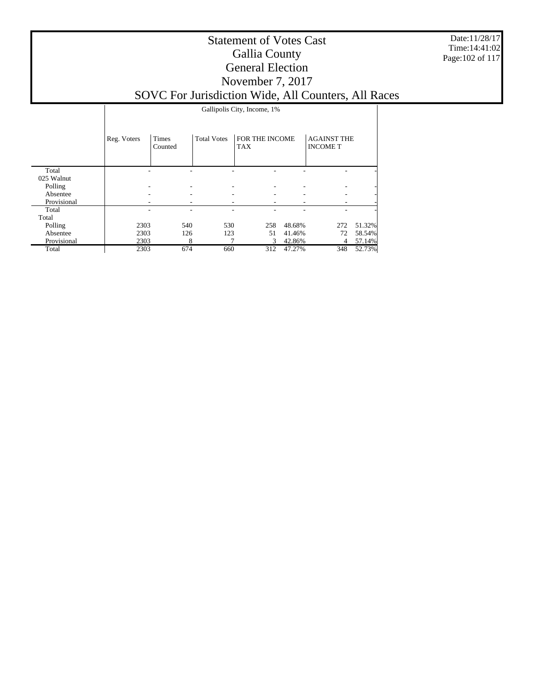Date:11/28/17 Time:14:41:02 Page:102 of 117

|  | Gallipolis City, Income, 1% |  |
|--|-----------------------------|--|
|--|-----------------------------|--|

|             | Reg. Voters | Times<br>Counted | <b>Total Votes</b> | FOR THE INCOME<br><b>TAX</b> |        | <b>AGAINST THE</b><br><b>INCOME T</b> |        |
|-------------|-------------|------------------|--------------------|------------------------------|--------|---------------------------------------|--------|
| Total       |             |                  |                    |                              |        |                                       |        |
| 025 Walnut  |             |                  |                    |                              |        |                                       |        |
| Polling     |             | -                |                    |                              | ۰.     |                                       |        |
| Absentee    |             |                  |                    |                              |        |                                       |        |
| Provisional |             |                  |                    |                              |        |                                       |        |
| Total       |             |                  |                    |                              |        |                                       |        |
| Total       |             |                  |                    |                              |        |                                       |        |
| Polling     | 2303        | 540              | 530                | 258                          | 48.68% | 272                                   | 51.32% |
| Absentee    | 2303        | 126              | 123                | 51                           | 41.46% | 72                                    | 58.54% |
| Provisional | 2303        | 8                |                    | 3                            | 42.86% | 4                                     | 57.14% |
| Total       | 2303        | 674              | 660                | 312                          | 47.27% | 348                                   | 52.73% |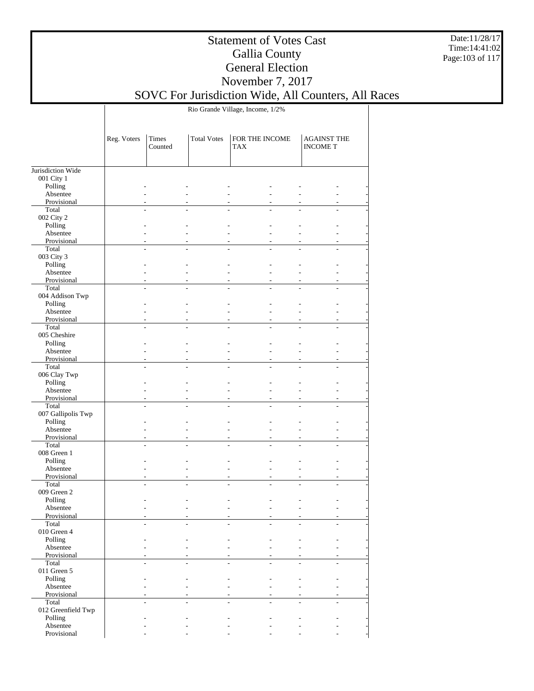Date:11/28/17 Time:14:41:02 Page:103 of 117

## Statement of Votes Cast Gallia County General Election November 7, 2017

### SOVC For Jurisdiction Wide, All Counters, All Races

Rio Grande Village, Income, 1/2%

|                            | Reg. Voters | Times<br>Counted | <b>Total Votes</b> | FOR THE INCOME<br><b>AGAINST THE</b><br><b>INCOME T</b><br>TAX |  |  |  |
|----------------------------|-------------|------------------|--------------------|----------------------------------------------------------------|--|--|--|
| Jurisdiction Wide          |             |                  |                    |                                                                |  |  |  |
| 001 City 1                 |             |                  |                    |                                                                |  |  |  |
| Polling                    |             |                  |                    |                                                                |  |  |  |
| Absentee                   |             |                  |                    |                                                                |  |  |  |
| Provisional<br>Total       |             |                  |                    |                                                                |  |  |  |
| 002 City 2                 |             |                  |                    |                                                                |  |  |  |
| Polling                    |             |                  |                    |                                                                |  |  |  |
| Absentee                   |             |                  |                    | L.                                                             |  |  |  |
| Provisional                |             |                  |                    |                                                                |  |  |  |
| Total                      |             |                  |                    |                                                                |  |  |  |
| 003 City 3                 |             |                  |                    |                                                                |  |  |  |
| Polling                    |             |                  |                    |                                                                |  |  |  |
| Absentee                   |             |                  |                    | ÷                                                              |  |  |  |
| Provisional                |             |                  |                    | ÷                                                              |  |  |  |
| Total                      |             |                  |                    |                                                                |  |  |  |
| 004 Addison Twp<br>Polling |             |                  |                    |                                                                |  |  |  |
| Absentee                   |             |                  |                    | ÷                                                              |  |  |  |
| Provisional                |             |                  |                    |                                                                |  |  |  |
| Total                      |             |                  |                    |                                                                |  |  |  |
| 005 Cheshire               |             |                  |                    |                                                                |  |  |  |
| Polling                    |             |                  |                    | ÷                                                              |  |  |  |
| Absentee                   |             |                  |                    | $\overline{a}$                                                 |  |  |  |
| Provisional                |             |                  |                    |                                                                |  |  |  |
| Total                      |             |                  |                    |                                                                |  |  |  |
| 006 Clay Twp               |             |                  |                    |                                                                |  |  |  |
| Polling                    |             |                  |                    |                                                                |  |  |  |
| Absentee                   |             |                  |                    |                                                                |  |  |  |
| Provisional<br>Total       |             |                  |                    |                                                                |  |  |  |
| 007 Gallipolis Twp         |             |                  |                    |                                                                |  |  |  |
| Polling                    |             |                  |                    |                                                                |  |  |  |
| Absentee                   |             |                  |                    | ÷                                                              |  |  |  |
| Provisional                |             |                  |                    | ÷                                                              |  |  |  |
| Total                      |             |                  |                    |                                                                |  |  |  |
| 008 Green 1                |             |                  |                    |                                                                |  |  |  |
| Polling                    |             |                  |                    |                                                                |  |  |  |
| Absentee                   |             |                  |                    | ÷                                                              |  |  |  |
| Provisional                |             |                  |                    |                                                                |  |  |  |
| Total                      |             |                  |                    |                                                                |  |  |  |
| 009 Green 2                |             |                  |                    |                                                                |  |  |  |
| Polling<br>Absentee        |             |                  |                    |                                                                |  |  |  |
| Provisional                |             |                  |                    |                                                                |  |  |  |
| Total                      |             |                  |                    |                                                                |  |  |  |
| 010 Green 4                |             |                  |                    |                                                                |  |  |  |
| Polling                    |             |                  |                    |                                                                |  |  |  |
| Absentee                   |             |                  |                    |                                                                |  |  |  |
| Provisional                |             |                  |                    |                                                                |  |  |  |
| Total                      |             |                  |                    |                                                                |  |  |  |
| 011 Green 5                |             |                  |                    |                                                                |  |  |  |
| Polling                    |             |                  |                    |                                                                |  |  |  |
| Absentee                   |             |                  |                    |                                                                |  |  |  |
| Provisional                |             |                  |                    |                                                                |  |  |  |
| Total                      |             |                  |                    |                                                                |  |  |  |
| 012 Greenfield Twp         |             |                  |                    |                                                                |  |  |  |
| Polling<br>Absentee        |             |                  |                    |                                                                |  |  |  |
| Provisional                |             |                  |                    |                                                                |  |  |  |
|                            |             |                  |                    |                                                                |  |  |  |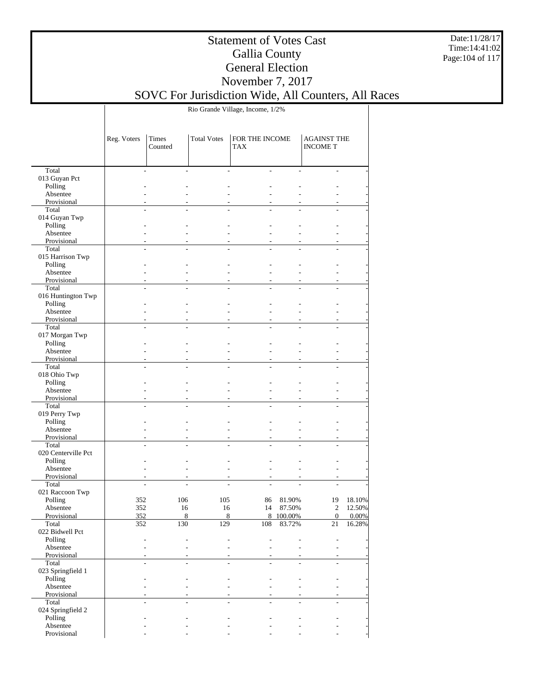Date:11/28/17 Time:14:41:02 Page:104 of 117

## Statement of Votes Cast Gallia County General Election November 7, 2017

SOVC For Jurisdiction Wide, All Counters, All Races

Rio Grande Village, Income, 1/2%

| Total<br>$\overline{\phantom{a}}$<br>÷.<br>013 Guyan Pct<br>Polling<br>Absentee<br>Provisional<br>Total<br>014 Guyan Twp<br>Polling<br>Absentee<br>÷<br>Provisional<br>Total<br>015 Harrison Twp<br>Polling<br>Absentee<br>$\overline{a}$<br>Provisional<br>÷<br>Total<br>016 Huntington Twp<br>Polling<br>Absentee<br>÷<br>Provisional<br>Total<br>L.<br>017 Morgan Twp<br>Polling<br>Absentee<br>$\overline{a}$<br>Provisional<br>Total<br>018 Ohio Twp<br>Polling<br>Absentee<br>Provisional<br>Total<br>019 Perry Twp<br>Polling<br>Absentee<br>$\overline{a}$<br>Provisional<br>÷<br>Total<br>020 Centerville Pct<br>Polling<br>Absentee<br>÷<br>Provisional<br>Total<br>021 Raccoon Twp<br>Polling<br>352<br>106<br>105<br>81.90%<br>19<br>18.10%<br>86<br>352<br>16<br>16<br>87.50%<br>$\mathfrak{2}$<br>Absentee<br>14<br>12.50%<br>$\,8\,$<br>8<br>8<br>$\mathbf{0}$<br>Provisional<br>352<br>100.00%<br>0.00%<br>Total<br>16.28%<br>352<br>130<br>129<br>108<br>83.72%<br>21<br>022 Bidwell Pct<br>Polling<br>Absentee<br>$\overline{a}$<br>Provisional<br>Total<br>$\overline{a}$<br>023 Springfield 1<br>Polling<br>Absentee<br>Provisional<br>Total<br>024 Springfield 2<br>Polling<br>Absentee |             | Reg. Voters | Times<br>Counted | <b>Total Votes</b> | FOR THE INCOME<br><b>TAX</b> | <b>AGAINST THE</b><br><b>INCOMET</b> |  |
|--------------------------------------------------------------------------------------------------------------------------------------------------------------------------------------------------------------------------------------------------------------------------------------------------------------------------------------------------------------------------------------------------------------------------------------------------------------------------------------------------------------------------------------------------------------------------------------------------------------------------------------------------------------------------------------------------------------------------------------------------------------------------------------------------------------------------------------------------------------------------------------------------------------------------------------------------------------------------------------------------------------------------------------------------------------------------------------------------------------------------------------------------------------------------------------------------------------|-------------|-------------|------------------|--------------------|------------------------------|--------------------------------------|--|
|                                                                                                                                                                                                                                                                                                                                                                                                                                                                                                                                                                                                                                                                                                                                                                                                                                                                                                                                                                                                                                                                                                                                                                                                              |             |             |                  |                    |                              |                                      |  |
|                                                                                                                                                                                                                                                                                                                                                                                                                                                                                                                                                                                                                                                                                                                                                                                                                                                                                                                                                                                                                                                                                                                                                                                                              |             |             |                  |                    |                              |                                      |  |
|                                                                                                                                                                                                                                                                                                                                                                                                                                                                                                                                                                                                                                                                                                                                                                                                                                                                                                                                                                                                                                                                                                                                                                                                              |             |             |                  |                    |                              |                                      |  |
|                                                                                                                                                                                                                                                                                                                                                                                                                                                                                                                                                                                                                                                                                                                                                                                                                                                                                                                                                                                                                                                                                                                                                                                                              |             |             |                  |                    |                              |                                      |  |
|                                                                                                                                                                                                                                                                                                                                                                                                                                                                                                                                                                                                                                                                                                                                                                                                                                                                                                                                                                                                                                                                                                                                                                                                              |             |             |                  |                    |                              |                                      |  |
|                                                                                                                                                                                                                                                                                                                                                                                                                                                                                                                                                                                                                                                                                                                                                                                                                                                                                                                                                                                                                                                                                                                                                                                                              |             |             |                  |                    |                              |                                      |  |
|                                                                                                                                                                                                                                                                                                                                                                                                                                                                                                                                                                                                                                                                                                                                                                                                                                                                                                                                                                                                                                                                                                                                                                                                              |             |             |                  |                    |                              |                                      |  |
|                                                                                                                                                                                                                                                                                                                                                                                                                                                                                                                                                                                                                                                                                                                                                                                                                                                                                                                                                                                                                                                                                                                                                                                                              |             |             |                  |                    |                              |                                      |  |
|                                                                                                                                                                                                                                                                                                                                                                                                                                                                                                                                                                                                                                                                                                                                                                                                                                                                                                                                                                                                                                                                                                                                                                                                              |             |             |                  |                    |                              |                                      |  |
|                                                                                                                                                                                                                                                                                                                                                                                                                                                                                                                                                                                                                                                                                                                                                                                                                                                                                                                                                                                                                                                                                                                                                                                                              |             |             |                  |                    |                              |                                      |  |
|                                                                                                                                                                                                                                                                                                                                                                                                                                                                                                                                                                                                                                                                                                                                                                                                                                                                                                                                                                                                                                                                                                                                                                                                              |             |             |                  |                    |                              |                                      |  |
|                                                                                                                                                                                                                                                                                                                                                                                                                                                                                                                                                                                                                                                                                                                                                                                                                                                                                                                                                                                                                                                                                                                                                                                                              |             |             |                  |                    |                              |                                      |  |
|                                                                                                                                                                                                                                                                                                                                                                                                                                                                                                                                                                                                                                                                                                                                                                                                                                                                                                                                                                                                                                                                                                                                                                                                              |             |             |                  |                    |                              |                                      |  |
|                                                                                                                                                                                                                                                                                                                                                                                                                                                                                                                                                                                                                                                                                                                                                                                                                                                                                                                                                                                                                                                                                                                                                                                                              |             |             |                  |                    |                              |                                      |  |
|                                                                                                                                                                                                                                                                                                                                                                                                                                                                                                                                                                                                                                                                                                                                                                                                                                                                                                                                                                                                                                                                                                                                                                                                              |             |             |                  |                    |                              |                                      |  |
|                                                                                                                                                                                                                                                                                                                                                                                                                                                                                                                                                                                                                                                                                                                                                                                                                                                                                                                                                                                                                                                                                                                                                                                                              |             |             |                  |                    |                              |                                      |  |
|                                                                                                                                                                                                                                                                                                                                                                                                                                                                                                                                                                                                                                                                                                                                                                                                                                                                                                                                                                                                                                                                                                                                                                                                              |             |             |                  |                    |                              |                                      |  |
|                                                                                                                                                                                                                                                                                                                                                                                                                                                                                                                                                                                                                                                                                                                                                                                                                                                                                                                                                                                                                                                                                                                                                                                                              |             |             |                  |                    |                              |                                      |  |
|                                                                                                                                                                                                                                                                                                                                                                                                                                                                                                                                                                                                                                                                                                                                                                                                                                                                                                                                                                                                                                                                                                                                                                                                              |             |             |                  |                    |                              |                                      |  |
|                                                                                                                                                                                                                                                                                                                                                                                                                                                                                                                                                                                                                                                                                                                                                                                                                                                                                                                                                                                                                                                                                                                                                                                                              |             |             |                  |                    |                              |                                      |  |
|                                                                                                                                                                                                                                                                                                                                                                                                                                                                                                                                                                                                                                                                                                                                                                                                                                                                                                                                                                                                                                                                                                                                                                                                              |             |             |                  |                    |                              |                                      |  |
|                                                                                                                                                                                                                                                                                                                                                                                                                                                                                                                                                                                                                                                                                                                                                                                                                                                                                                                                                                                                                                                                                                                                                                                                              |             |             |                  |                    |                              |                                      |  |
|                                                                                                                                                                                                                                                                                                                                                                                                                                                                                                                                                                                                                                                                                                                                                                                                                                                                                                                                                                                                                                                                                                                                                                                                              |             |             |                  |                    |                              |                                      |  |
|                                                                                                                                                                                                                                                                                                                                                                                                                                                                                                                                                                                                                                                                                                                                                                                                                                                                                                                                                                                                                                                                                                                                                                                                              |             |             |                  |                    |                              |                                      |  |
|                                                                                                                                                                                                                                                                                                                                                                                                                                                                                                                                                                                                                                                                                                                                                                                                                                                                                                                                                                                                                                                                                                                                                                                                              |             |             |                  |                    |                              |                                      |  |
|                                                                                                                                                                                                                                                                                                                                                                                                                                                                                                                                                                                                                                                                                                                                                                                                                                                                                                                                                                                                                                                                                                                                                                                                              |             |             |                  |                    |                              |                                      |  |
|                                                                                                                                                                                                                                                                                                                                                                                                                                                                                                                                                                                                                                                                                                                                                                                                                                                                                                                                                                                                                                                                                                                                                                                                              |             |             |                  |                    |                              |                                      |  |
|                                                                                                                                                                                                                                                                                                                                                                                                                                                                                                                                                                                                                                                                                                                                                                                                                                                                                                                                                                                                                                                                                                                                                                                                              |             |             |                  |                    |                              |                                      |  |
|                                                                                                                                                                                                                                                                                                                                                                                                                                                                                                                                                                                                                                                                                                                                                                                                                                                                                                                                                                                                                                                                                                                                                                                                              |             |             |                  |                    |                              |                                      |  |
|                                                                                                                                                                                                                                                                                                                                                                                                                                                                                                                                                                                                                                                                                                                                                                                                                                                                                                                                                                                                                                                                                                                                                                                                              |             |             |                  |                    |                              |                                      |  |
|                                                                                                                                                                                                                                                                                                                                                                                                                                                                                                                                                                                                                                                                                                                                                                                                                                                                                                                                                                                                                                                                                                                                                                                                              |             |             |                  |                    |                              |                                      |  |
|                                                                                                                                                                                                                                                                                                                                                                                                                                                                                                                                                                                                                                                                                                                                                                                                                                                                                                                                                                                                                                                                                                                                                                                                              |             |             |                  |                    |                              |                                      |  |
|                                                                                                                                                                                                                                                                                                                                                                                                                                                                                                                                                                                                                                                                                                                                                                                                                                                                                                                                                                                                                                                                                                                                                                                                              |             |             |                  |                    |                              |                                      |  |
|                                                                                                                                                                                                                                                                                                                                                                                                                                                                                                                                                                                                                                                                                                                                                                                                                                                                                                                                                                                                                                                                                                                                                                                                              |             |             |                  |                    |                              |                                      |  |
|                                                                                                                                                                                                                                                                                                                                                                                                                                                                                                                                                                                                                                                                                                                                                                                                                                                                                                                                                                                                                                                                                                                                                                                                              |             |             |                  |                    |                              |                                      |  |
|                                                                                                                                                                                                                                                                                                                                                                                                                                                                                                                                                                                                                                                                                                                                                                                                                                                                                                                                                                                                                                                                                                                                                                                                              |             |             |                  |                    |                              |                                      |  |
|                                                                                                                                                                                                                                                                                                                                                                                                                                                                                                                                                                                                                                                                                                                                                                                                                                                                                                                                                                                                                                                                                                                                                                                                              |             |             |                  |                    |                              |                                      |  |
|                                                                                                                                                                                                                                                                                                                                                                                                                                                                                                                                                                                                                                                                                                                                                                                                                                                                                                                                                                                                                                                                                                                                                                                                              |             |             |                  |                    |                              |                                      |  |
|                                                                                                                                                                                                                                                                                                                                                                                                                                                                                                                                                                                                                                                                                                                                                                                                                                                                                                                                                                                                                                                                                                                                                                                                              |             |             |                  |                    |                              |                                      |  |
|                                                                                                                                                                                                                                                                                                                                                                                                                                                                                                                                                                                                                                                                                                                                                                                                                                                                                                                                                                                                                                                                                                                                                                                                              |             |             |                  |                    |                              |                                      |  |
|                                                                                                                                                                                                                                                                                                                                                                                                                                                                                                                                                                                                                                                                                                                                                                                                                                                                                                                                                                                                                                                                                                                                                                                                              |             |             |                  |                    |                              |                                      |  |
|                                                                                                                                                                                                                                                                                                                                                                                                                                                                                                                                                                                                                                                                                                                                                                                                                                                                                                                                                                                                                                                                                                                                                                                                              |             |             |                  |                    |                              |                                      |  |
|                                                                                                                                                                                                                                                                                                                                                                                                                                                                                                                                                                                                                                                                                                                                                                                                                                                                                                                                                                                                                                                                                                                                                                                                              |             |             |                  |                    |                              |                                      |  |
|                                                                                                                                                                                                                                                                                                                                                                                                                                                                                                                                                                                                                                                                                                                                                                                                                                                                                                                                                                                                                                                                                                                                                                                                              |             |             |                  |                    |                              |                                      |  |
|                                                                                                                                                                                                                                                                                                                                                                                                                                                                                                                                                                                                                                                                                                                                                                                                                                                                                                                                                                                                                                                                                                                                                                                                              |             |             |                  |                    |                              |                                      |  |
|                                                                                                                                                                                                                                                                                                                                                                                                                                                                                                                                                                                                                                                                                                                                                                                                                                                                                                                                                                                                                                                                                                                                                                                                              |             |             |                  |                    |                              |                                      |  |
|                                                                                                                                                                                                                                                                                                                                                                                                                                                                                                                                                                                                                                                                                                                                                                                                                                                                                                                                                                                                                                                                                                                                                                                                              |             |             |                  |                    |                              |                                      |  |
|                                                                                                                                                                                                                                                                                                                                                                                                                                                                                                                                                                                                                                                                                                                                                                                                                                                                                                                                                                                                                                                                                                                                                                                                              |             |             |                  |                    |                              |                                      |  |
|                                                                                                                                                                                                                                                                                                                                                                                                                                                                                                                                                                                                                                                                                                                                                                                                                                                                                                                                                                                                                                                                                                                                                                                                              |             |             |                  |                    |                              |                                      |  |
|                                                                                                                                                                                                                                                                                                                                                                                                                                                                                                                                                                                                                                                                                                                                                                                                                                                                                                                                                                                                                                                                                                                                                                                                              |             |             |                  |                    |                              |                                      |  |
|                                                                                                                                                                                                                                                                                                                                                                                                                                                                                                                                                                                                                                                                                                                                                                                                                                                                                                                                                                                                                                                                                                                                                                                                              |             |             |                  |                    |                              |                                      |  |
|                                                                                                                                                                                                                                                                                                                                                                                                                                                                                                                                                                                                                                                                                                                                                                                                                                                                                                                                                                                                                                                                                                                                                                                                              |             |             |                  |                    |                              |                                      |  |
|                                                                                                                                                                                                                                                                                                                                                                                                                                                                                                                                                                                                                                                                                                                                                                                                                                                                                                                                                                                                                                                                                                                                                                                                              |             |             |                  |                    |                              |                                      |  |
|                                                                                                                                                                                                                                                                                                                                                                                                                                                                                                                                                                                                                                                                                                                                                                                                                                                                                                                                                                                                                                                                                                                                                                                                              |             |             |                  |                    |                              |                                      |  |
|                                                                                                                                                                                                                                                                                                                                                                                                                                                                                                                                                                                                                                                                                                                                                                                                                                                                                                                                                                                                                                                                                                                                                                                                              |             |             |                  |                    |                              |                                      |  |
|                                                                                                                                                                                                                                                                                                                                                                                                                                                                                                                                                                                                                                                                                                                                                                                                                                                                                                                                                                                                                                                                                                                                                                                                              |             |             |                  |                    |                              |                                      |  |
|                                                                                                                                                                                                                                                                                                                                                                                                                                                                                                                                                                                                                                                                                                                                                                                                                                                                                                                                                                                                                                                                                                                                                                                                              | Provisional |             |                  |                    |                              |                                      |  |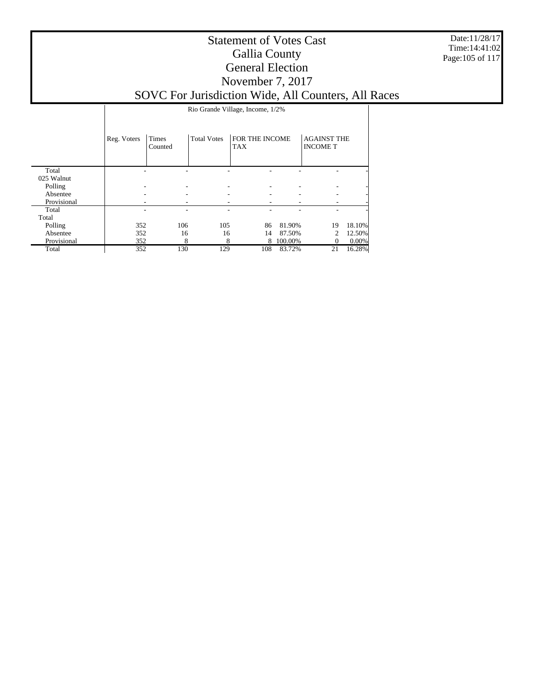Date:11/28/17 Time:14:41:02 Page:105 of 117

|             |             | Rio Grande Village, Income, 1/2% |                    |                              |         |                                       |          |  |  |  |  |
|-------------|-------------|----------------------------------|--------------------|------------------------------|---------|---------------------------------------|----------|--|--|--|--|
|             |             |                                  |                    |                              |         |                                       |          |  |  |  |  |
|             | Reg. Voters | Times<br>Counted                 | <b>Total Votes</b> | FOR THE INCOME<br><b>TAX</b> |         | <b>AGAINST THE</b><br><b>INCOME T</b> |          |  |  |  |  |
| Total       |             |                                  |                    |                              |         |                                       |          |  |  |  |  |
| 025 Walnut  |             |                                  |                    |                              |         |                                       |          |  |  |  |  |
| Polling     |             | ۰                                |                    |                              |         |                                       |          |  |  |  |  |
| Absentee    |             | ۰                                |                    |                              |         | ۰                                     |          |  |  |  |  |
| Provisional |             |                                  |                    |                              |         |                                       |          |  |  |  |  |
| Total       |             | ۰                                |                    |                              |         | ٠                                     |          |  |  |  |  |
| Total       |             |                                  |                    |                              |         |                                       |          |  |  |  |  |
| Polling     | 352         | 106                              | 105                | 86                           | 81.90%  | 19                                    | 18.10%   |  |  |  |  |
| Absentee    | 352         | 16                               | 16                 | 14                           | 87.50%  | $\mathcal{D}_{\mathcal{L}}$           | 12.50%   |  |  |  |  |
| Provisional | 352         | 8                                | 8                  | 8                            | 100.00% | $\theta$                              | $0.00\%$ |  |  |  |  |
| Total       | 352         | 130                              | 129                | 108                          | 83.72%  | 21                                    | 16.28%   |  |  |  |  |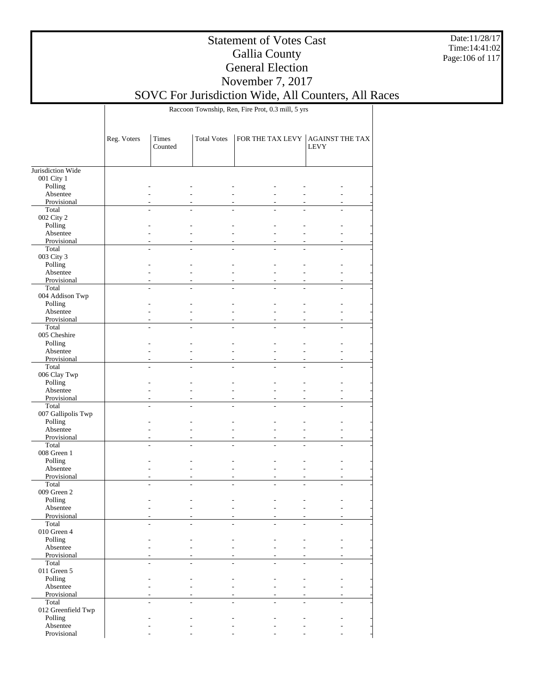Date:11/28/17 Time:14:41:02 Page:106 of 117

## Statement of Votes Cast Gallia County General Election November 7, 2017

SOVC For Jurisdiction Wide, All Counters, All Races

Raccoon Township, Ren, Fire Prot, 0.3 mill, 5 yrs

|                       | Reg. Voters | <b>Times</b><br>Counted | <b>Total Votes</b> | FOR THE TAX LEVY | <b>AGAINST THE TAX</b><br><b>LEVY</b> |  |
|-----------------------|-------------|-------------------------|--------------------|------------------|---------------------------------------|--|
|                       |             |                         |                    |                  |                                       |  |
| Jurisdiction Wide     |             |                         |                    |                  |                                       |  |
| 001 City 1<br>Polling |             |                         |                    |                  |                                       |  |
| Absentee              |             |                         |                    |                  |                                       |  |
| Provisional           |             |                         |                    |                  |                                       |  |
| Total                 |             |                         |                    |                  |                                       |  |
| 002 City 2            |             |                         |                    |                  |                                       |  |
| Polling               |             |                         |                    |                  |                                       |  |
| Absentee              |             |                         |                    |                  |                                       |  |
| Provisional           |             |                         |                    |                  |                                       |  |
| Total                 |             |                         |                    |                  |                                       |  |
| 003 City 3            |             |                         |                    |                  |                                       |  |
| Polling               |             |                         |                    |                  |                                       |  |
| Absentee              |             |                         |                    |                  |                                       |  |
| Provisional           |             |                         |                    |                  |                                       |  |
| Total                 |             |                         |                    |                  |                                       |  |
| 004 Addison Twp       |             |                         |                    |                  |                                       |  |
| Polling               |             |                         |                    |                  |                                       |  |
| Absentee              |             |                         |                    |                  |                                       |  |
| Provisional           |             |                         |                    |                  |                                       |  |
| Total                 |             |                         |                    |                  |                                       |  |
| 005 Cheshire          |             |                         |                    |                  |                                       |  |
| Polling               |             |                         |                    |                  |                                       |  |
| Absentee              |             |                         |                    |                  |                                       |  |
| Provisional           |             |                         |                    |                  |                                       |  |
| Total                 |             |                         |                    |                  |                                       |  |
| 006 Clay Twp          |             |                         |                    |                  |                                       |  |
| Polling               |             |                         |                    |                  |                                       |  |
| Absentee              |             |                         |                    |                  |                                       |  |
| Provisional           |             |                         |                    |                  |                                       |  |
| Total                 |             |                         |                    |                  |                                       |  |
| 007 Gallipolis Twp    |             |                         |                    |                  |                                       |  |
| Polling<br>Absentee   |             |                         |                    |                  |                                       |  |
| Provisional           |             |                         |                    |                  |                                       |  |
| Total                 |             |                         |                    |                  |                                       |  |
| 008 Green 1           |             |                         |                    |                  |                                       |  |
| Polling               |             |                         |                    |                  |                                       |  |
| Absentee              |             |                         |                    |                  |                                       |  |
| Provisional           |             |                         |                    |                  |                                       |  |
| Total                 |             |                         |                    |                  |                                       |  |
| 009 Green 2           |             |                         |                    |                  |                                       |  |
| Polling               |             |                         |                    |                  |                                       |  |
| Absentee              |             |                         |                    |                  |                                       |  |
| Provisional           |             |                         |                    |                  |                                       |  |
| Total                 |             |                         |                    |                  |                                       |  |
| $010$ Green $4\,$     |             |                         |                    |                  |                                       |  |
| Polling               |             |                         |                    |                  |                                       |  |
| Absentee              |             |                         |                    |                  |                                       |  |
| Provisional           |             |                         |                    |                  |                                       |  |
| Total                 |             |                         |                    |                  |                                       |  |
| 011 Green $5$         |             |                         |                    |                  |                                       |  |
| Polling               |             |                         |                    |                  |                                       |  |
| Absentee              |             |                         |                    |                  |                                       |  |
| Provisional           |             |                         |                    |                  |                                       |  |
| Total                 |             |                         |                    |                  |                                       |  |
| 012 Greenfield Twp    |             |                         |                    |                  |                                       |  |
| Polling               |             |                         |                    |                  |                                       |  |
| Absentee              |             |                         |                    |                  |                                       |  |
| Provisional           |             |                         |                    |                  |                                       |  |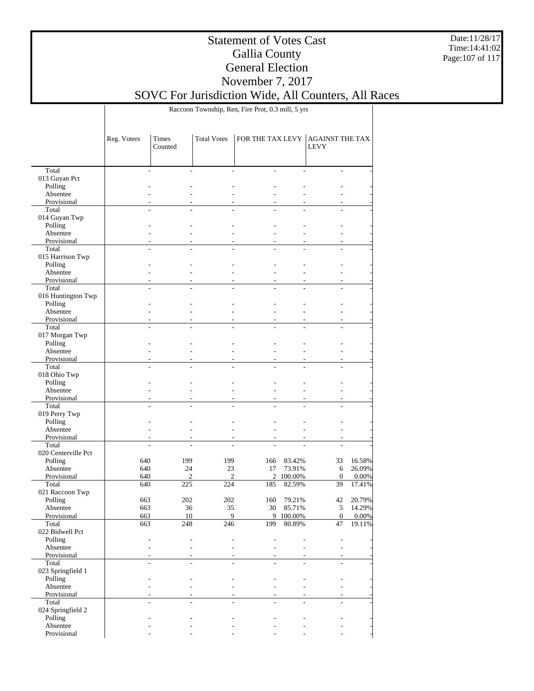Date:11/28/17 Time:14:41:02 Page:107 of 117

## Statement of Votes Cast Gallia County General Election November 7, 2017

SOVC For Jurisdiction Wide, All Counters, All Races

Raccoon Township, Ren, Fire Prot, 0.3 mill, 5 yrs

|                      | Reg. Voters | Times<br>Counted | <b>Total Votes</b> | FOR THE TAX LEVY |           | AGAINST THE TAX<br><b>LEVY</b> |        |
|----------------------|-------------|------------------|--------------------|------------------|-----------|--------------------------------|--------|
| Total                |             |                  |                    | ÷                |           |                                |        |
| 013 Guyan Pct        |             |                  |                    |                  |           |                                |        |
| Polling              |             |                  |                    |                  |           |                                |        |
| Absentee             |             |                  |                    |                  |           |                                |        |
| Provisional          |             |                  |                    |                  |           |                                |        |
| Total                |             |                  |                    |                  |           |                                |        |
| 014 Guyan Twp        |             |                  |                    |                  |           |                                |        |
| Polling              |             |                  |                    |                  |           |                                |        |
| Absentee             |             |                  |                    |                  |           |                                |        |
| Provisional          |             |                  |                    | ٠                |           |                                |        |
| Total                |             | L.<br>٠          |                    | L.               |           |                                |        |
| 015 Harrison Twp     |             |                  |                    |                  |           |                                |        |
| Polling              |             |                  |                    |                  |           |                                |        |
| Absentee             |             |                  |                    |                  |           |                                |        |
| Provisional<br>Total |             |                  |                    | ٠                |           |                                |        |
| 016 Huntington Twp   |             |                  |                    |                  |           |                                |        |
| Polling              |             |                  |                    |                  |           |                                |        |
| Absentee             |             |                  |                    |                  |           |                                |        |
| Provisional          |             |                  |                    |                  |           |                                |        |
| Total                |             |                  |                    |                  |           |                                |        |
| 017 Morgan Twp       |             |                  |                    |                  |           |                                |        |
| Polling              |             |                  |                    |                  |           |                                |        |
| Absentee             |             |                  |                    |                  |           |                                |        |
| Provisional          |             | ٠                |                    | ٠                |           |                                |        |
| Total                |             |                  |                    |                  |           |                                |        |
| 018 Ohio Twp         |             |                  |                    |                  |           |                                |        |
| Polling              |             |                  |                    |                  |           |                                |        |
| Absentee             |             |                  |                    |                  |           |                                |        |
| Provisional          |             |                  |                    | ٠                |           |                                |        |
| Total                |             | L.<br>L.         |                    |                  |           |                                |        |
| 019 Perry Twp        |             |                  |                    |                  |           |                                |        |
| Polling              |             |                  |                    |                  |           |                                |        |
| Absentee             |             |                  |                    |                  |           |                                |        |
| Provisional<br>Total |             |                  |                    |                  |           |                                |        |
| 020 Centerville Pct  |             |                  |                    |                  |           |                                |        |
| Polling              | 640         | 199              | 199                | 166              | 83.42%    | 33                             | 16.58% |
| Absentee             | 640         | 24               | 23                 | 17               | 73.91%    | 6                              | 26.09% |
| Provisional          | 640         | $\overline{c}$   | $\overline{c}$     | $\overline{2}$   | 100.00%   | $\mathbf{0}$                   | 0.00%  |
| Total                | 640         | 225              | 224                | 185              | 82.59%    | 39                             | 17.41% |
| 021 Raccoon Twp      |             |                  |                    |                  |           |                                |        |
| Polling              | 663         | 202              | 202                | 160              | 79.21%    | 42                             | 20.79% |
| Absentee             | 663         | 36               | 35                 | 30               | 85.71%    | 5                              | 14.29% |
| Provisional          | 663         | 10               | 9                  |                  | 9 100.00% | $\boldsymbol{0}$               | 0.00%  |
| Total                | 663         | $\overline{248}$ | $\frac{246}{ }$    | 199              | 80.89%    | 47                             | 19.11% |
| 022 Bidwell Pct      |             |                  |                    |                  |           |                                |        |
| Polling              |             |                  |                    |                  |           |                                |        |
| Absentee             |             |                  |                    |                  |           |                                |        |
| Provisional          |             |                  |                    |                  |           |                                |        |
| Total                |             |                  |                    |                  |           |                                |        |
| 023 Springfield 1    |             |                  |                    |                  |           |                                |        |
| Polling<br>Absentee  |             |                  |                    |                  |           |                                |        |
| Provisional          |             |                  |                    |                  |           |                                |        |
| Total                |             |                  |                    |                  |           |                                |        |
| 024 Springfield 2    |             |                  |                    |                  |           |                                |        |
| Polling              |             |                  |                    |                  |           |                                |        |
| Absentee             |             |                  |                    |                  |           |                                |        |
| Provisional          |             |                  |                    |                  |           |                                |        |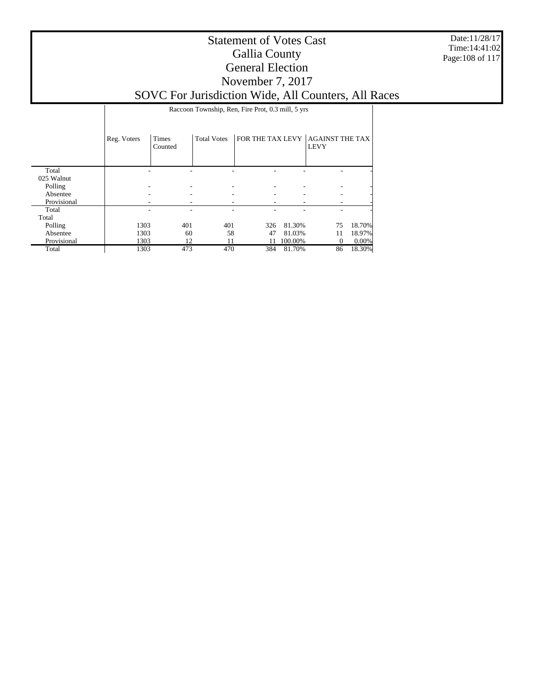Date:11/28/17 Time:14:41:02 Page:108 of 117

### Statement of Votes Cast Gallia County General Election November 7, 2017 SOVC For Jurisdiction Wide, All Counters, All Races

Raccoon Township, Ren, Fire Prot, 0.3 mill, 5 yrs

|             | Reg. Voters | <b>Times</b><br>Counted | <b>Total Votes</b> | FOR THE TAX LEVY |         | <b>AGAINST THE TAX</b><br><b>LEVY</b> |        |
|-------------|-------------|-------------------------|--------------------|------------------|---------|---------------------------------------|--------|
| Total       |             |                         |                    |                  |         |                                       |        |
| 025 Walnut  |             |                         |                    |                  |         |                                       |        |
| Polling     |             |                         |                    |                  |         |                                       |        |
| Absentee    |             |                         |                    |                  |         |                                       |        |
| Provisional |             |                         | ۰                  |                  |         |                                       |        |
| Total       |             |                         |                    |                  |         |                                       |        |
| Total       |             |                         |                    |                  |         |                                       |        |
| Polling     | 1303        | 401                     | 401                | 326              | 81.30%  | 75                                    | 18.70% |
| Absentee    | 1303        | 60                      | 58                 | 47               | 81.03%  | 11                                    | 18.97% |
| Provisional | 1303        | 12                      | 11                 |                  | 100.00% | 0                                     | 0.00%  |
| Total       | 1303        | 473                     | 470                | 384              | 81.70%  | 86                                    | 18.30% |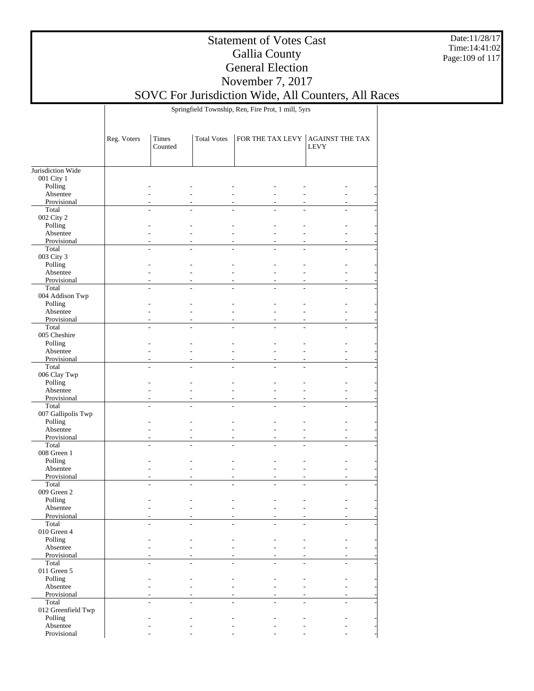Date:11/28/17 Time:14:41:02 Page:109 of 117

## Statement of Votes Cast Gallia County General Election November 7, 2017

SOVC For Jurisdiction Wide, All Counters, All Races

Springfield Township, Ren, Fire Prot, 1 mill, 5yrs

|                      | Reg. Voters | Times<br>Counted | <b>Total Votes</b> | FOR THE TAX LEVY | <b>AGAINST THE TAX</b><br><b>LEVY</b> |
|----------------------|-------------|------------------|--------------------|------------------|---------------------------------------|
| Jurisdiction Wide    |             |                  |                    |                  |                                       |
| 001 City 1           |             |                  |                    |                  |                                       |
| Polling              |             |                  |                    |                  |                                       |
| Absentee             |             |                  |                    |                  |                                       |
| Provisional          |             |                  |                    |                  |                                       |
| Total                |             |                  |                    |                  |                                       |
| 002 City 2           |             |                  |                    |                  |                                       |
| Polling              |             |                  |                    |                  |                                       |
| Absentee             |             |                  |                    |                  |                                       |
| Provisional          |             |                  |                    |                  |                                       |
| Total                |             |                  |                    |                  |                                       |
| 003 City 3           |             |                  |                    |                  |                                       |
| Polling              |             |                  |                    |                  |                                       |
| Absentee             |             |                  |                    |                  |                                       |
| Provisional          |             |                  |                    |                  |                                       |
| Total                |             |                  |                    |                  | ÷                                     |
| 004 Addison Twp      |             |                  |                    |                  |                                       |
| Polling              |             |                  |                    |                  |                                       |
| Absentee             |             |                  |                    |                  |                                       |
| Provisional          |             |                  |                    |                  |                                       |
| Total                |             |                  |                    |                  |                                       |
| 005 Cheshire         |             |                  |                    |                  |                                       |
| Polling              |             |                  |                    |                  |                                       |
| Absentee             |             |                  |                    |                  |                                       |
| Provisional          |             |                  |                    |                  |                                       |
| Total                |             |                  |                    |                  |                                       |
| 006 Clay Twp         |             |                  |                    |                  |                                       |
| Polling              |             |                  |                    |                  |                                       |
| Absentee             |             |                  |                    |                  |                                       |
| Provisional          |             |                  |                    |                  |                                       |
| Total                |             |                  |                    |                  |                                       |
| 007 Gallipolis Twp   |             |                  |                    |                  |                                       |
| Polling              |             |                  |                    |                  |                                       |
| Absentee             |             |                  |                    |                  |                                       |
| Provisional<br>Total |             |                  |                    | ÷.               | ÷.                                    |
| 008 Green 1          |             |                  |                    |                  |                                       |
| Polling              |             |                  |                    |                  |                                       |
| Absentee             |             |                  |                    |                  |                                       |
| Provisional          |             |                  |                    |                  |                                       |
| Total                |             |                  |                    |                  |                                       |
| 009 Green 2          |             |                  |                    |                  |                                       |
| Polling              |             |                  |                    |                  |                                       |
| Absentee             |             |                  |                    |                  |                                       |
| Provisional          |             |                  |                    |                  |                                       |
| Total                |             |                  |                    |                  |                                       |
| 010 Green 4          |             |                  |                    |                  |                                       |
| Polling              |             |                  |                    |                  |                                       |
| Absentee             |             |                  |                    |                  |                                       |
| Provisional          |             |                  |                    |                  |                                       |
| Total                |             |                  |                    |                  |                                       |
| 011 Green $5$        |             |                  |                    |                  |                                       |
| Polling              |             |                  |                    |                  |                                       |
| Absentee             |             |                  |                    |                  |                                       |
| Provisional          |             |                  |                    |                  |                                       |
| Total                |             |                  |                    |                  |                                       |
| 012 Greenfield Twp   |             |                  |                    |                  |                                       |
| Polling              |             |                  |                    |                  |                                       |
| Absentee             |             |                  |                    |                  |                                       |
| Provisional          |             |                  |                    |                  |                                       |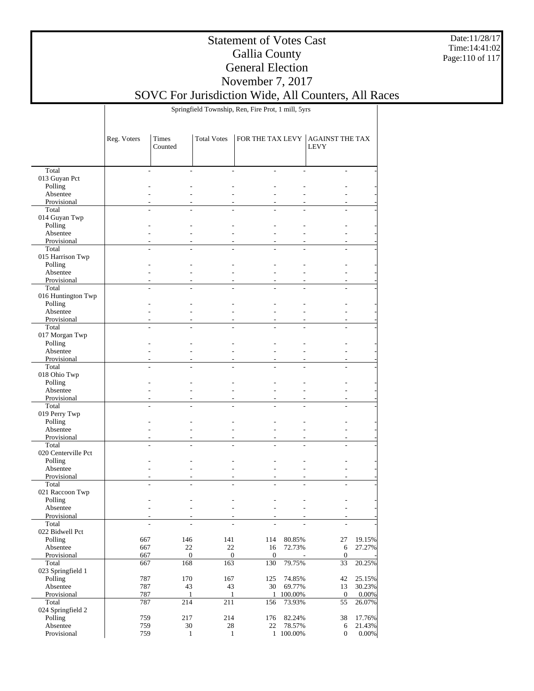Date:11/28/17 Time:14:41:02 Page:110 of 117

#### Statement of Votes Cast Gallia County General Election November 7, 2017 SOVC For Jurisdiction Wide, All Counters, All Races

Springfield Township, Ren, Fire Prot, 1 mill, 5yrs

|                            | Reg. Voters              | Times<br>Counted | <b>Total Votes</b> | FOR THE TAX LEVY             |                | <b>AGAINST THE TAX</b><br><b>LEVY</b> |          |
|----------------------------|--------------------------|------------------|--------------------|------------------------------|----------------|---------------------------------------|----------|
|                            |                          |                  |                    |                              |                |                                       |          |
| Total                      | ٠                        |                  |                    | $\overline{a}$               | ÷              | $\overline{a}$                        |          |
| 013 Guyan Pct<br>Polling   |                          |                  |                    |                              |                |                                       |          |
| Absentee                   |                          |                  |                    |                              |                |                                       |          |
| Provisional                |                          |                  |                    |                              |                |                                       |          |
| Total                      |                          |                  |                    |                              |                |                                       |          |
| 014 Guyan Twp              |                          |                  |                    |                              |                |                                       |          |
| Polling                    |                          |                  |                    |                              |                |                                       |          |
| Absentee                   |                          |                  |                    |                              | ÷.             |                                       |          |
| Provisional                |                          |                  |                    |                              |                |                                       |          |
| Total                      |                          | $\overline{a}$   | $\overline{a}$     | $\overline{a}$               | L.             | $\overline{a}$                        |          |
| 015 Harrison Twp           |                          |                  |                    |                              |                |                                       |          |
| Polling                    |                          |                  |                    |                              |                |                                       |          |
| Absentee                   |                          |                  |                    |                              |                |                                       |          |
| Provisional                |                          |                  |                    |                              |                |                                       |          |
| Total                      |                          |                  |                    |                              | $\overline{a}$ | $\overline{a}$                        |          |
| 016 Huntington Twp         |                          |                  |                    |                              |                |                                       |          |
| Polling                    |                          |                  |                    |                              |                |                                       |          |
| Absentee                   |                          |                  |                    |                              | ÷,             |                                       |          |
| Provisional                |                          |                  |                    |                              |                |                                       |          |
| Total                      |                          |                  |                    |                              |                |                                       |          |
| 017 Morgan Twp             |                          |                  |                    |                              |                |                                       |          |
| Polling<br>Absentee        |                          |                  |                    |                              |                |                                       |          |
| Provisional                |                          |                  |                    |                              |                |                                       |          |
| Total                      |                          |                  |                    |                              |                |                                       |          |
| 018 Ohio Twp               |                          |                  |                    |                              |                |                                       |          |
| Polling                    |                          |                  |                    |                              |                |                                       |          |
| Absentee                   |                          |                  |                    |                              | ÷.             |                                       |          |
| Provisional                |                          |                  |                    |                              |                |                                       |          |
| Total                      | $\overline{a}$           |                  | $\overline{a}$     |                              |                | L.                                    |          |
| 019 Perry Twp              |                          |                  |                    |                              |                |                                       |          |
| Polling                    |                          |                  |                    |                              |                |                                       |          |
| Absentee                   |                          |                  |                    |                              |                |                                       |          |
| Provisional                |                          |                  |                    |                              |                |                                       |          |
| Total                      |                          |                  | L.                 |                              | $\overline{a}$ | $\overline{a}$                        |          |
| 020 Centerville Pct        |                          |                  |                    |                              |                |                                       |          |
| Polling                    |                          |                  |                    |                              |                |                                       |          |
| Absentee                   |                          |                  |                    |                              | ÷,             |                                       |          |
| Provisional                |                          |                  |                    |                              |                |                                       |          |
| Total                      |                          |                  |                    |                              |                |                                       |          |
| 021 Raccoon Twp<br>Polling |                          |                  |                    |                              |                |                                       |          |
| Absentee                   |                          |                  |                    |                              |                |                                       |          |
| Provisional                |                          |                  |                    |                              |                |                                       |          |
| Total                      | $\overline{\phantom{a}}$ |                  |                    |                              |                | $\overline{\phantom{a}}$              |          |
| 022 Bidwell Pct            |                          |                  |                    |                              |                |                                       |          |
| Polling                    | 667                      | 146              | 141                | 114                          | 80.85%         | 27                                    | 19.15%   |
| Absentee                   | 667                      | $22\,$           | $22\,$             | 16                           | 72.73%         | $\sqrt{6}$                            | 27.27%   |
| Provisional                | 667                      |                  | $\mathbf{0}$       | $\mathbf{0}$<br>$\mathbf{0}$ |                | $\mathbf{0}$                          |          |
| Total                      | 667                      | 168              | 163                | 130                          | 79.75%         | 33                                    | 20.25%   |
| 023 Springfield 1          |                          |                  |                    |                              |                |                                       |          |
| Polling                    | 787                      | 170              | 167                | 125                          | 74.85%         | 42                                    | 25.15%   |
| Absentee                   | 787                      | 43               | 43                 | 30                           | 69.77%         | 13                                    | 30.23%   |
| Provisional                | 787                      |                  | $\mathbf{1}$       | $\mathbf{1}$                 | 1 100.00%      | $\mathbf{0}$                          | 0.00%    |
| Total                      | 787                      | 214              | 211                | 156                          | 73.93%         | 55                                    | 26.07%   |
| 024 Springfield 2          |                          |                  |                    |                              |                |                                       |          |
| Polling                    | 759                      | 217              | 214                | 176                          | 82.24%         | 38                                    | 17.76%   |
| Absentee                   | 759                      | $30\,$           | 28                 | 22                           | 78.57%         | 6                                     | 21.43%   |
| Provisional                | 759                      |                  | $\mathbf{1}$       | $\mathbf{1}$                 | 1 100.00%      | $\boldsymbol{0}$                      | $0.00\%$ |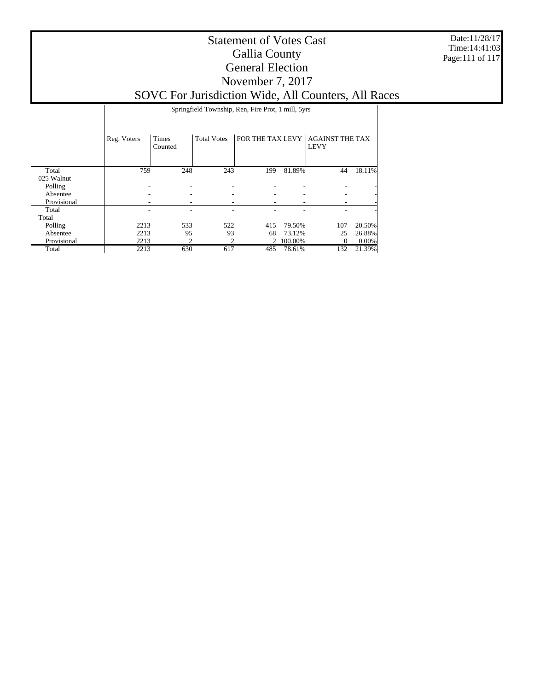Date:11/28/17 Time:14:41:03 Page:111 of 117

#### Statement of Votes Cast Gallia County General Election November 7, 2017 SOVC For Jurisdiction Wide, All Counters, All Races

Springfield Township, Ren, Fire Prot, 1 mill, 5yrs

|             | Reg. Voters | Times<br>Counted | <b>Total Votes</b> | FOR THE TAX LEVY |           | <b>AGAINST THE TAX</b><br><b>LEVY</b> |        |
|-------------|-------------|------------------|--------------------|------------------|-----------|---------------------------------------|--------|
| Total       | 759         | 248              | 243                | 199              | 81.89%    | 44                                    | 18.11% |
| 025 Walnut  |             |                  |                    |                  |           |                                       |        |
| Polling     |             |                  |                    |                  |           |                                       |        |
| Absentee    |             |                  |                    |                  |           |                                       |        |
| Provisional |             |                  |                    |                  |           |                                       |        |
| Total       |             |                  |                    |                  |           |                                       |        |
| Total       |             |                  |                    |                  |           |                                       |        |
| Polling     | 2213        | 533              | 522                | 415              | 79.50%    | 107                                   | 20.50% |
| Absentee    | 2213        | 95               | 93                 | 68               | 73.12%    | 25                                    | 26.88% |
| Provisional | 2213        | C                | ↑                  |                  | 2 100.00% | $\Omega$                              | 0.00%  |
| Total       | 2213        | 630              | 617                | 485              | 78.61%    | 132                                   | 21.39% |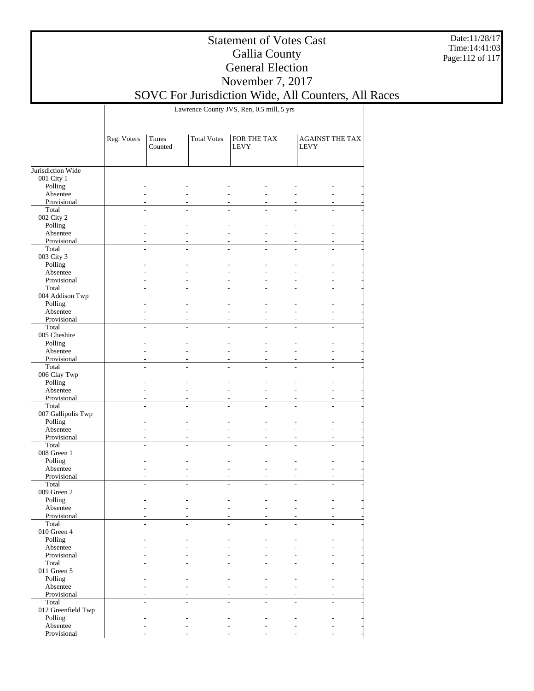Date:11/28/17 Time:14:41:03 Page:112 of 117

#### Statement of Votes Cast Gallia County General Election November 7, 2017

# SOVC For Jurisdiction Wide, All Counters, All Races

Lawrence County JVS, Ren, 0.5 mill, 5 yrs

|                      | Reg. Voters | Times<br>Counted | <b>Total Votes</b> | FOR THE TAX<br><b>LEVY</b> |   | <b>AGAINST THE TAX</b><br><b>LEVY</b> |  |
|----------------------|-------------|------------------|--------------------|----------------------------|---|---------------------------------------|--|
| Jurisdiction Wide    |             |                  |                    |                            |   |                                       |  |
| 001 City 1           |             |                  |                    |                            |   |                                       |  |
| Polling              |             |                  |                    |                            |   |                                       |  |
| Absentee             |             |                  |                    |                            |   |                                       |  |
| Provisional          |             |                  |                    |                            |   |                                       |  |
| Total                |             |                  |                    |                            |   |                                       |  |
| 002 City 2           |             |                  |                    |                            |   |                                       |  |
| Polling              |             |                  |                    |                            |   |                                       |  |
| Absentee             |             |                  |                    |                            |   |                                       |  |
| Provisional          |             |                  |                    |                            |   |                                       |  |
| Total                |             |                  |                    |                            |   |                                       |  |
| 003 City 3           |             |                  |                    |                            |   |                                       |  |
| Polling              |             |                  |                    |                            |   |                                       |  |
| Absentee             |             |                  |                    |                            |   |                                       |  |
| Provisional          |             | $\overline{a}$   |                    |                            | ٠ |                                       |  |
| Total                |             |                  |                    |                            |   |                                       |  |
| 004 Addison Twp      |             |                  |                    |                            |   |                                       |  |
| Polling              |             |                  |                    |                            |   |                                       |  |
| Absentee             |             |                  |                    |                            |   |                                       |  |
| Provisional          |             |                  |                    |                            |   |                                       |  |
| Total                |             |                  |                    |                            |   |                                       |  |
| 005 Cheshire         |             |                  |                    |                            |   |                                       |  |
| Polling              |             |                  |                    |                            |   |                                       |  |
| Absentee             |             |                  |                    |                            |   |                                       |  |
| Provisional          |             |                  |                    |                            |   |                                       |  |
| Total                |             |                  |                    |                            |   |                                       |  |
| 006 Clay Twp         |             |                  |                    |                            |   |                                       |  |
| Polling              |             |                  |                    |                            |   |                                       |  |
| Absentee             |             |                  |                    |                            |   |                                       |  |
| Provisional          |             |                  |                    |                            |   |                                       |  |
| Total                |             |                  |                    |                            |   |                                       |  |
| 007 Gallipolis Twp   |             |                  |                    |                            |   |                                       |  |
| Polling              |             |                  |                    |                            |   |                                       |  |
| Absentee             |             |                  |                    |                            |   |                                       |  |
|                      |             |                  |                    |                            |   |                                       |  |
| Provisional<br>Total |             | $\overline{a}$   |                    |                            | ٠ |                                       |  |
|                      |             |                  |                    |                            |   |                                       |  |
| 008 Green 1          |             |                  |                    |                            |   |                                       |  |
| Polling              |             |                  |                    |                            |   |                                       |  |
| Absentee             |             |                  |                    |                            |   |                                       |  |
| Provisional          |             |                  |                    |                            |   |                                       |  |
| Total                |             |                  |                    |                            |   |                                       |  |
| 009 Green 2          |             |                  |                    |                            |   |                                       |  |
| Polling              |             |                  |                    |                            |   |                                       |  |
| Absentee             |             |                  |                    |                            |   |                                       |  |
| Provisional          |             |                  |                    |                            |   |                                       |  |
| Total                |             |                  |                    |                            |   |                                       |  |
| $010$ Green $4\,$    |             |                  |                    |                            |   |                                       |  |
| Polling              |             |                  |                    |                            |   |                                       |  |
| Absentee             |             |                  |                    |                            |   |                                       |  |
| Provisional          |             |                  |                    |                            |   |                                       |  |
| Total                |             | $\overline{a}$   |                    |                            |   |                                       |  |
| 011 Green 5          |             |                  |                    |                            |   |                                       |  |
| Polling              |             |                  |                    |                            |   |                                       |  |
| Absentee             |             |                  |                    |                            |   |                                       |  |
| Provisional          |             |                  |                    |                            |   |                                       |  |
| Total                |             |                  |                    |                            |   |                                       |  |
| 012 Greenfield Twp   |             |                  |                    |                            |   |                                       |  |
| Polling              |             |                  |                    |                            |   |                                       |  |
| Absentee             |             |                  |                    |                            |   |                                       |  |
| Provisional          |             |                  |                    |                            |   |                                       |  |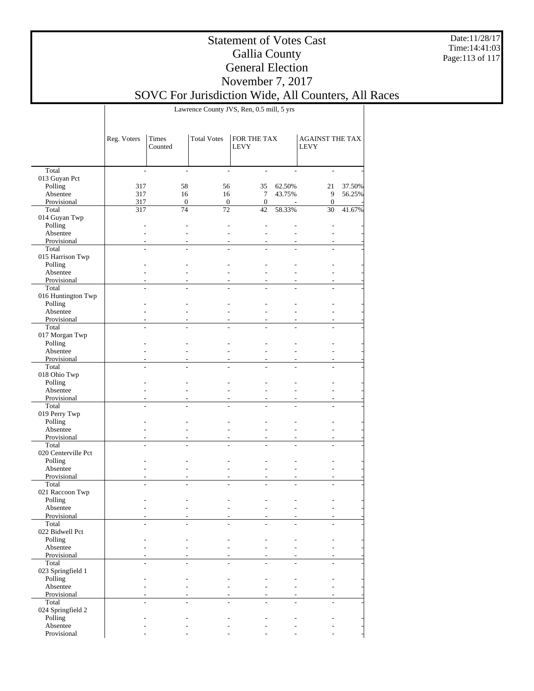Date:11/28/17 Time:14:41:03 Page:113 of 117

### Statement of Votes Cast Gallia County General Election November 7, 2017

SOVC For Jurisdiction Wide, All Counters, All Races

Lawrence County JVS, Ren, 0.5 mill, 5 yrs

|                            | Reg. Voters    | Times<br>Counted | <b>Total Votes</b> | FOR THE TAX<br><b>LEVY</b> |                | <b>AGAINST THE TAX</b><br><b>LEVY</b> |        |
|----------------------------|----------------|------------------|--------------------|----------------------------|----------------|---------------------------------------|--------|
| Total                      | $\overline{a}$ | $\overline{a}$   | $\overline{a}$     | ÷.                         |                | ÷.                                    |        |
| 013 Guyan Pct              |                |                  |                    |                            |                |                                       |        |
| Polling                    | 317            | 58               | 56                 | 35                         | 62.50%         | 21                                    | 37.50% |
| Absentee                   | 317            | 16               | 16                 | $\tau$                     | 43.75%         | 9                                     | 56.25% |
| Provisional                | 317            | $\overline{0}$   | $\mathbf{0}$       | $\mathbf{0}$               |                | $\mathbf{0}$                          |        |
| Total                      | 317            | 74               | $\overline{72}$    | 42                         | 58.33%         | 30                                    | 41.67% |
| 014 Guyan Twp              |                |                  |                    |                            |                |                                       |        |
| Polling                    |                |                  |                    |                            |                |                                       |        |
| Absentee                   |                |                  | $\overline{a}$     | ÷.                         | $\overline{a}$ |                                       |        |
| Provisional                |                |                  |                    |                            |                |                                       |        |
| Total                      |                |                  |                    |                            |                |                                       |        |
| 015 Harrison Twp           |                |                  |                    |                            |                |                                       |        |
| Polling                    |                |                  |                    |                            |                |                                       |        |
| Absentee                   |                |                  |                    |                            |                |                                       |        |
| Provisional<br>Total       |                |                  |                    |                            |                |                                       |        |
| 016 Huntington Twp         |                |                  |                    |                            |                |                                       |        |
| Polling                    |                |                  |                    |                            |                |                                       |        |
| Absentee                   |                | $\overline{a}$   |                    | ÷.                         | ÷.             |                                       |        |
| Provisional                |                |                  |                    |                            |                |                                       |        |
| Total                      | $\overline{a}$ |                  | $\overline{a}$     |                            |                | $\overline{a}$                        |        |
| 017 Morgan Twp             |                |                  |                    |                            |                |                                       |        |
| Polling                    |                |                  |                    |                            |                |                                       |        |
| Absentee                   |                |                  |                    |                            |                |                                       |        |
| Provisional                |                |                  |                    |                            |                |                                       |        |
| Total                      |                |                  |                    |                            |                |                                       |        |
| 018 Ohio Twp               |                |                  |                    |                            |                |                                       |        |
| Polling                    |                |                  |                    |                            |                |                                       |        |
| Absentee                   |                |                  |                    |                            |                |                                       |        |
| Provisional                |                |                  |                    |                            |                |                                       |        |
| Total                      |                |                  |                    |                            |                |                                       |        |
| 019 Perry Twp              |                |                  |                    |                            |                |                                       |        |
| Polling<br>Absentee        |                |                  |                    |                            |                |                                       |        |
| Provisional                |                |                  |                    |                            |                |                                       |        |
| Total                      |                |                  |                    |                            |                |                                       |        |
| 020 Centerville Pct        |                |                  |                    |                            |                |                                       |        |
| Polling                    |                |                  |                    |                            |                |                                       |        |
| Absentee                   |                | $\overline{a}$   |                    | ÷.                         | $\overline{a}$ |                                       |        |
| Provisional                |                |                  |                    |                            |                |                                       |        |
| Total                      |                |                  |                    |                            |                |                                       |        |
| 021 Raccoon Twp            |                |                  |                    |                            |                |                                       |        |
| Polling                    |                |                  |                    |                            |                |                                       |        |
| Absentee                   |                |                  |                    |                            |                |                                       |        |
| Provisional                |                |                  |                    |                            |                |                                       |        |
| Total                      |                |                  |                    |                            |                |                                       |        |
| 022 Bidwell Pct<br>Polling |                |                  |                    |                            |                |                                       |        |
| Absentee                   |                |                  |                    |                            |                |                                       |        |
| Provisional                |                |                  |                    |                            |                |                                       |        |
| Total                      |                |                  |                    |                            |                | L.                                    |        |
| 023 Springfield 1          |                |                  |                    |                            |                |                                       |        |
| Polling                    |                |                  |                    |                            |                |                                       |        |
| Absentee                   |                |                  |                    |                            |                |                                       |        |
| Provisional                |                |                  |                    |                            |                |                                       |        |
| Total                      |                |                  |                    |                            |                |                                       |        |
| 024 Springfield 2          |                |                  |                    |                            |                |                                       |        |
| Polling                    |                |                  |                    |                            |                |                                       |        |
| Absentee                   |                |                  |                    |                            |                |                                       |        |
| Provisional                |                |                  |                    |                            |                |                                       |        |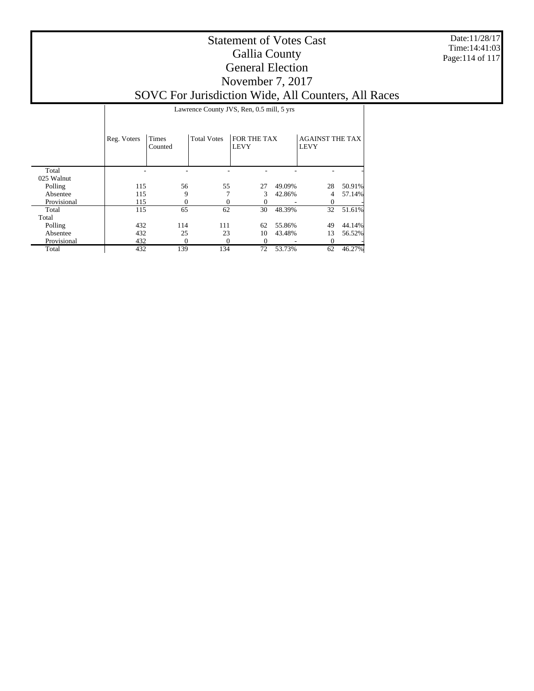Date:11/28/17 Time:14:41:03 Page:114 of 117

# Statement of Votes Cast Gallia County General Election November 7, 2017

SOVC For Jurisdiction Wide, All Counters, All Races

 Total  $025$  W. 1 Reg. Voters | Times Counted Total Votes  $|$  FOR THE TAX LEVY AGAINST THE TAX LEVY Lawrence County JVS, Ren, 0.5 mill, 5 yrs - - - - - - -

| 025 walnut  |     |     |     |    |        |    |        |
|-------------|-----|-----|-----|----|--------|----|--------|
| Polling     | 115 | 56  | 55  | 27 | 49.09% | 28 | 50.91% |
| Absentee    | 115 |     |     |    | 42.86% | 4  | 57.14% |
| Provisional | 115 |     |     |    | -      |    |        |
| Total       | 115 | 65  | 62  | 30 | 48.39% | 32 | 51.61% |
| Total       |     |     |     |    |        |    |        |
| Polling     | 432 | 114 | 111 | 62 | 55.86% | 49 | 44.14% |
| Absentee    | 432 | 25  | 23  | 10 | 43.48% | 13 | 56.52% |
| Provisional | 432 |     |     |    |        |    |        |
| Total       | 432 | 139 | 134 | 72 | 53.73% | 62 | 46.27% |
|             |     |     |     |    |        |    |        |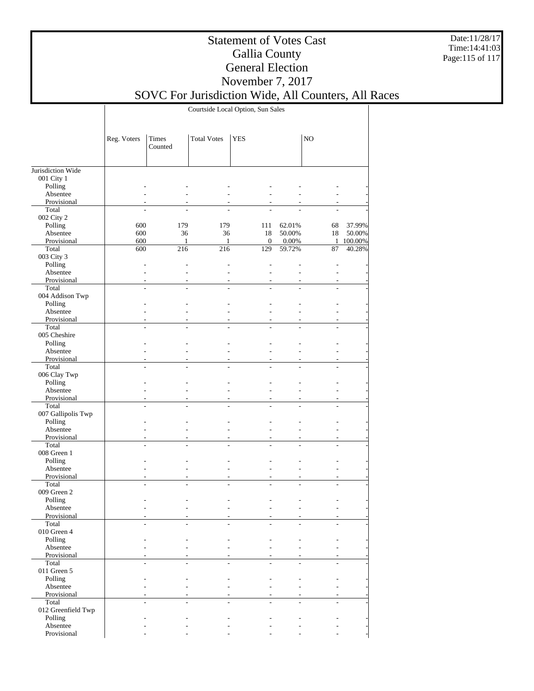Date:11/28/17 Time:14:41:03 Page:115 of 117

### Statement of Votes Cast Gallia County General Election November 7, 2017

# SOVC For Jurisdiction Wide, All Counters, All Races

Courtside Local Option, Sun Sales

|                                 | Reg. Voters    | Times<br>Counted | <b>Total Votes</b> | <b>YES</b>     |                | NO             |         |
|---------------------------------|----------------|------------------|--------------------|----------------|----------------|----------------|---------|
|                                 |                |                  |                    |                |                |                |         |
| Jurisdiction Wide<br>001 City 1 |                |                  |                    |                |                |                |         |
| Polling                         |                |                  |                    |                |                |                |         |
| Absentee                        |                |                  |                    |                |                |                |         |
| Provisional                     |                |                  |                    |                |                |                |         |
| Total                           |                |                  |                    |                |                |                |         |
| 002 City 2                      |                |                  |                    |                |                |                |         |
| Polling                         | 600            | 179              | 179                | 111            | 62.01%         | 68             | 37.99%  |
| Absentee                        | 600            | 36               | 36                 | 18             | 50.00%         | 18             | 50.00%  |
| Provisional                     | 600            | 1                | 1                  | $\mathbf{0}$   | 0.00%          | 1              | 100.00% |
| Total                           | 600            | 216              | 216                | 129            | 59.72%         | 87             | 40.28%  |
| 003 City 3                      |                |                  |                    |                |                |                |         |
| Polling                         |                |                  |                    |                |                |                |         |
| Absentee                        |                |                  |                    |                |                |                |         |
| Provisional                     |                |                  |                    |                |                |                |         |
| Total                           | L.             | $\overline{a}$   | $\overline{a}$     | $\overline{a}$ |                | $\overline{a}$ |         |
| 004 Addison Twp                 |                |                  |                    |                |                |                |         |
| Polling                         |                |                  |                    |                |                |                |         |
| Absentee                        |                |                  |                    |                |                |                |         |
| Provisional                     |                |                  |                    |                |                |                |         |
| Total                           | $\overline{a}$ | L,               |                    | $\overline{a}$ |                | L.             |         |
| 005 Cheshire                    |                |                  |                    |                |                |                |         |
| Polling                         |                |                  |                    |                |                |                |         |
| Absentee                        |                |                  |                    | $\overline{a}$ |                |                |         |
| Provisional                     |                |                  |                    |                |                |                |         |
| Total                           |                |                  |                    |                |                |                |         |
| 006 Clay Twp                    |                |                  |                    |                |                |                |         |
| Polling<br>Absentee             |                |                  |                    |                |                |                |         |
| Provisional                     |                |                  |                    |                |                |                |         |
| Total                           |                |                  |                    |                |                |                |         |
| 007 Gallipolis Twp              |                |                  |                    |                |                |                |         |
| Polling                         |                |                  |                    |                |                |                |         |
| Absentee                        |                |                  |                    |                |                |                |         |
| Provisional                     |                |                  |                    |                |                |                |         |
| Total                           | $\overline{a}$ | $\overline{a}$   | $\overline{a}$     | $\overline{a}$ |                | $\overline{a}$ |         |
| 008 Green 1                     |                |                  |                    |                |                |                |         |
| Polling                         |                |                  |                    |                |                |                |         |
| Absentee                        |                |                  |                    |                |                |                |         |
| Provisional                     |                |                  |                    |                |                |                |         |
| Total                           | $\overline{a}$ | L,               |                    | $\overline{a}$ | $\overline{a}$ | L.             |         |
| 009 Green 2                     |                |                  |                    |                |                |                |         |
| Polling                         |                |                  |                    |                |                |                |         |
| Absentee                        |                |                  |                    |                |                |                |         |
| Provisional                     |                |                  |                    |                |                |                |         |
| Total                           |                |                  |                    |                |                |                |         |
| 010 Green 4                     |                |                  |                    |                |                |                |         |
| Polling<br>Absentee             |                |                  |                    |                |                |                |         |
| Provisional                     |                |                  |                    |                |                |                |         |
| Total                           | ÷.             | $\overline{a}$   |                    | $\overline{a}$ |                | L.             |         |
| 011 Green 5                     |                |                  |                    |                |                |                |         |
| Polling                         |                |                  |                    |                |                |                |         |
| Absentee                        |                |                  |                    |                |                |                |         |
| Provisional                     |                |                  |                    |                |                |                |         |
| Total                           |                | $\overline{a}$   |                    |                |                | $\overline{a}$ |         |
| 012 Greenfield Twp              |                |                  |                    |                |                |                |         |
| Polling                         |                |                  |                    |                |                |                |         |
| Absentee                        |                |                  |                    |                |                |                |         |
| Provisional                     |                |                  |                    |                |                |                |         |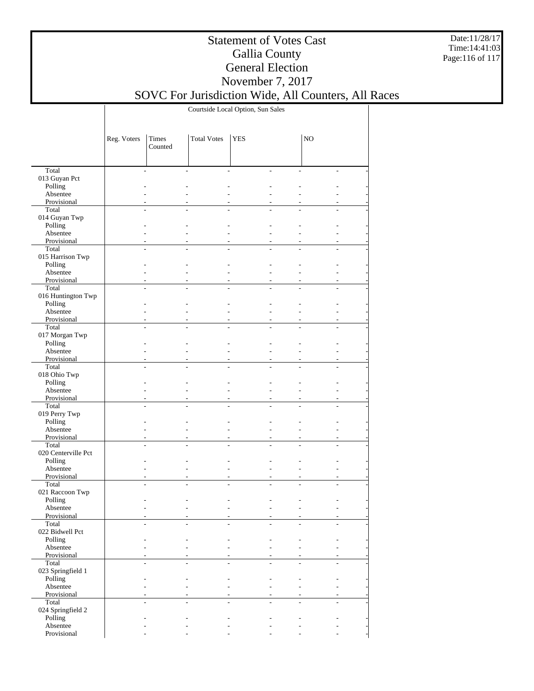Date:11/28/17 Time:14:41:03 Page:116 of 117

### Statement of Votes Cast Gallia County General Election November 7, 2017

# SOVC For Jurisdiction Wide, All Counters, All Races

Courtside Local Option, Sun Sales

|                             | Reg. Voters | Times<br>Counted                 | <b>Total Votes</b> | <b>YES</b> |                                            | NO             |  |
|-----------------------------|-------------|----------------------------------|--------------------|------------|--------------------------------------------|----------------|--|
|                             |             |                                  |                    |            |                                            |                |  |
| Total                       |             | $\overline{a}$<br>$\overline{a}$ |                    |            | $\overline{\phantom{a}}$<br>$\sim$         |                |  |
| 013 Guyan Pct               |             |                                  |                    |            |                                            |                |  |
| Polling                     |             |                                  |                    |            |                                            |                |  |
| Absentee                    |             |                                  |                    |            |                                            |                |  |
| Provisional                 |             |                                  |                    |            |                                            |                |  |
| Total                       |             | L                                |                    |            |                                            |                |  |
| 014 Guyan Twp               |             |                                  |                    |            |                                            |                |  |
| Polling                     |             |                                  |                    |            |                                            |                |  |
| Absentee                    |             |                                  |                    |            | L.                                         |                |  |
| Provisional                 |             |                                  |                    |            | $\overline{a}$<br>$\overline{a}$           |                |  |
| Total                       |             | L,                               |                    |            |                                            |                |  |
| 015 Harrison Twp<br>Polling |             |                                  |                    |            |                                            |                |  |
| Absentee                    |             |                                  |                    |            | $\overline{a}$                             |                |  |
| Provisional                 |             |                                  |                    |            | L,                                         |                |  |
| Total                       |             | $\overline{a}$<br>$\overline{a}$ | $\overline{a}$     |            | $\overline{a}$<br>$\overline{a}$           | ÷.             |  |
| 016 Huntington Twp          |             |                                  |                    |            |                                            |                |  |
| Polling                     |             |                                  |                    |            |                                            |                |  |
| Absentee                    |             |                                  |                    |            | L,                                         |                |  |
| Provisional                 |             |                                  |                    |            | $\overline{a}$                             |                |  |
| Total                       |             | $\overline{a}$<br>$\overline{a}$ |                    |            | ÷.<br>L.                                   | L.             |  |
| 017 Morgan Twp              |             |                                  |                    |            |                                            |                |  |
| Polling                     |             |                                  |                    |            | L.                                         |                |  |
| Absentee                    |             |                                  |                    |            | $\overline{a}$                             |                |  |
| Provisional                 |             |                                  |                    |            |                                            |                |  |
| Total                       |             | L                                |                    |            | $\overline{a}$<br>L,                       |                |  |
| 018 Ohio Twp                |             |                                  |                    |            |                                            |                |  |
| Polling                     |             |                                  |                    |            |                                            |                |  |
| Absentee                    |             |                                  |                    |            | L.                                         |                |  |
| Provisional                 |             |                                  |                    |            | $\overline{a}$                             |                |  |
| Total                       |             | L                                |                    |            | $\overline{a}$                             |                |  |
| 019 Perry Twp               |             |                                  |                    |            |                                            |                |  |
| Polling<br>Absentee         |             |                                  |                    |            | $\overline{a}$                             |                |  |
| Provisional                 |             |                                  |                    |            | L,                                         |                |  |
| Total                       |             | $\overline{a}$<br>$\overline{a}$ | $\overline{a}$     |            | $\overline{a}$<br>$\overline{a}$           | $\overline{a}$ |  |
| 020 Centerville Pct         |             |                                  |                    |            |                                            |                |  |
| Polling                     |             |                                  |                    |            |                                            |                |  |
| Absentee                    |             |                                  |                    |            | L,                                         |                |  |
| Provisional                 |             | $\overline{a}$                   |                    |            | $\overline{a}$                             |                |  |
| Total                       |             | $\overline{a}$<br>L,             |                    |            | ÷.<br>L.                                   |                |  |
| 021 Raccoon Twp             |             |                                  |                    |            |                                            |                |  |
| Polling                     |             |                                  |                    |            |                                            |                |  |
| Absentee                    |             |                                  |                    |            |                                            |                |  |
| Provisional                 |             |                                  |                    |            |                                            |                |  |
| Total                       |             |                                  |                    |            |                                            |                |  |
| 022 Bidwell Pct             |             |                                  |                    |            |                                            |                |  |
| Polling                     |             |                                  |                    |            |                                            |                |  |
| Absentee                    |             |                                  |                    |            |                                            |                |  |
| Provisional                 |             | $\overline{a}$<br>$\overline{a}$ | ÷.                 |            | $\overline{\phantom{a}}$<br>$\overline{a}$ | L.             |  |
| Total<br>023 Springfield 1  |             |                                  |                    |            |                                            |                |  |
| Polling                     |             |                                  |                    |            | $\overline{a}$                             |                |  |
| Absentee                    |             |                                  |                    |            | $\overline{a}$                             |                |  |
| Provisional                 |             |                                  |                    |            | $\overline{a}$                             |                |  |
| Total                       |             | $\overline{a}$<br>$\overline{a}$ | $\overline{a}$     |            | $\overline{a}$<br>$\overline{a}$           | L.             |  |
| 024 Springfield 2           |             |                                  |                    |            |                                            |                |  |
| Polling                     |             |                                  |                    |            |                                            |                |  |
| Absentee                    |             |                                  |                    |            |                                            |                |  |
| Provisional                 |             |                                  |                    |            |                                            |                |  |